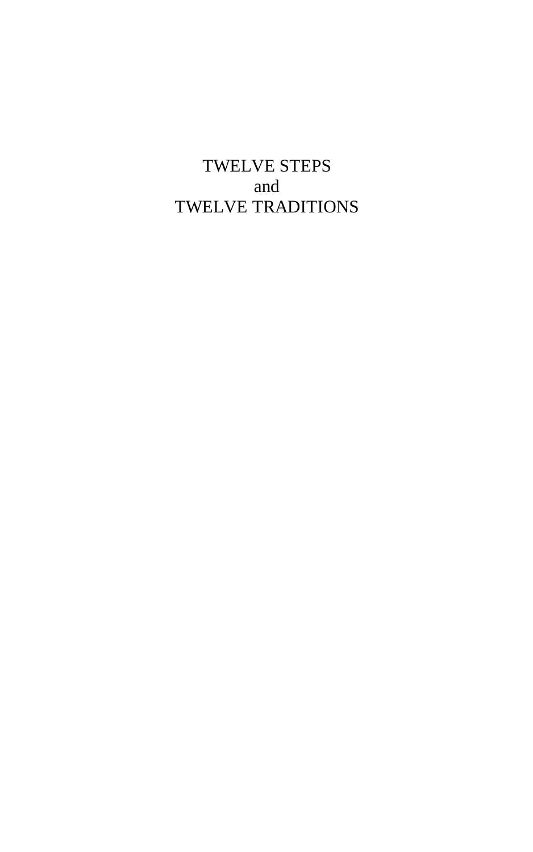TWELVE STEPS and TWELVE TRADITIONS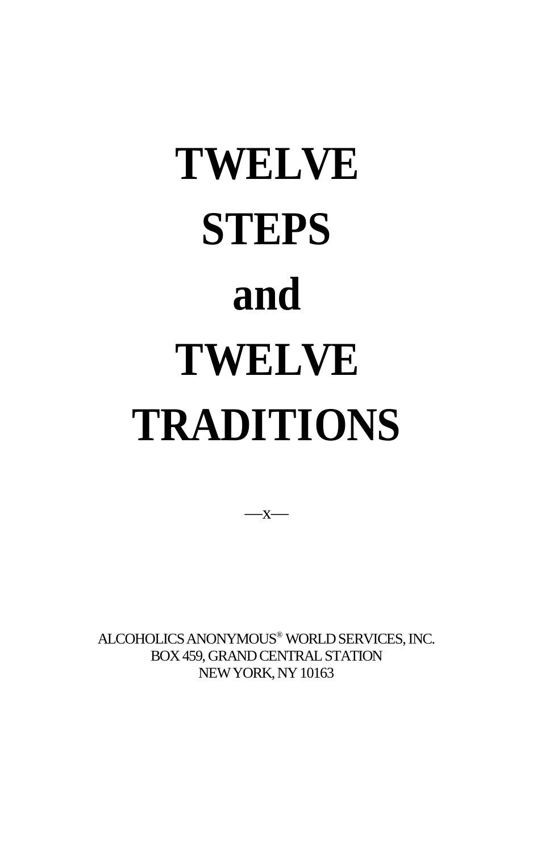# **TWELVE STEPS and TWELVE TRADITIONS**

ALCOHOLICS ANONYMOUS® WORLD SERVICES, INC. [BOX 459, GRAND CENTRAL STATION](http://www.alcoholics-anonymous.org) NEW YORK, NY 10163

 $-x-$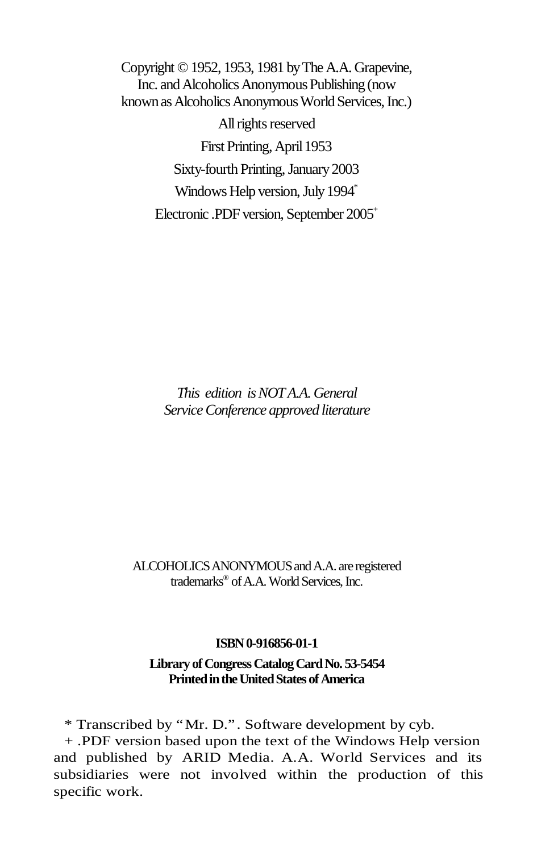Copyright © 1952, 1953, 1981 by [The A.A. Grapevine,](http://www.aagrapevine.org) Inc. and Alcoholics Anonymous Publishing (now known as [Alcoholics Anonymous World Services, Inc.\)](http://www.alcoholics-anonymous.org) All rights reserved First Printing, April 1953 Sixty-fourth Printing, January 2003

> Windows Help version, July 1994\* Electronic .PDF version, September 2005<sup>+</sup>

*This edition is NOT A.A. General Service Conference approved literature*

ALCOHOLICS ANONYMOUS and A.A. are registered trademarks® of [A.A. World Services, Inc.](http://www.alcoholics-anonymous.org)

#### **ISBN 0-916856-01-1**

**Library of Congress Catalog Card No. 53-5454 Printed in the United States of America**

\* Transcribed by "Mr. D.". Software development by cyb.

+ .PDF version based upon the text of the Windows Help version and published by ARID Media. A.A. World Services and its subsidiaries were not involved within the production of this specific work.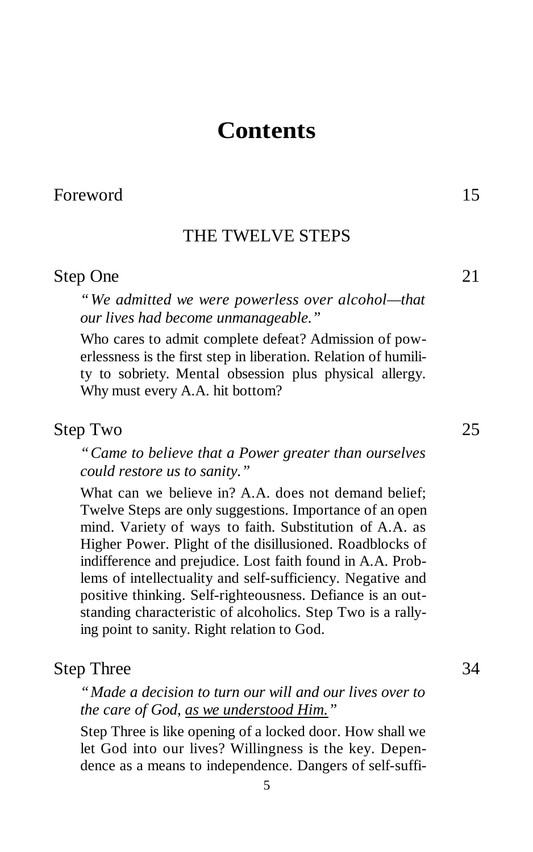# **Contents**

#### [Foreword](#page-14-0) [15](#page-14-0)

# [THE TWELVE STEPS](#page-18-0)

#### [Step One](#page-20-0) [21](#page-20-0)

*["We admitted we were powerless over alcohol—](#page-20-0) that our lives had become unmanageable."*

[Who cares to admit complete defeat? Admission of pow](#page-20-0)[erlessness is the first step in liberation. Relation of humili](#page-20-0)[ty to sobriety.](#page-20-0) [Mental obsession plus physical allergy.](#page-21-0) [Why must every A.A. hit bottom?](#page-23-0)

#### [Step Two](#page-24-0) [25](#page-24-0)

*["Came to believe that a Power greater than ourselves](#page-24-0) could restore us to sanity."*

[What can we believe in?](#page-24-0) [A.A. does not demand belief;](#page-25-0) [Twelve Steps are only suggestions.](#page-25-0) [Importance of an open](#page-25-0) [mind.](#page-25-0) [Variety of ways to faith.](#page-26-0) [Substitution of A.A. as](#page-26-0) [Higher Power.](#page-26-0) [Plight of the disillusioned.](#page-27-0) [Roadblocks of](#page-27-0) [indifference and prejudice.](#page-27-0) [Lost faith found in A.A. Prob](#page-28-0)[lems of intellectuality and self-sufficiency.](#page-28-0) [Negative and](#page-29-0) [positive thinking. Self-righteousness.](#page-29-0) [Defiance is an out](#page-30-0)[standing characteristic of alcoholics.](#page-30-0) [Step Two is a rally](#page-32-0)[ing point to sanity. Right relation to God.](#page-32-0)

#### [Step Three](#page-33-0) [34](#page-33-0)

*["Made a decision to turn our will and our lives over to](#page-33-0) the care of God, as we understood Him."*

[Step Three is like opening of a locked door. How shall we](#page-33-0) [let God into our lives?](#page-33-0) [Willingness is the key.](#page-34-0) [Depen](#page-35-0)[dence as a means to independence.](#page-35-0) [Dangers of self-suffi-](#page-36-0)

5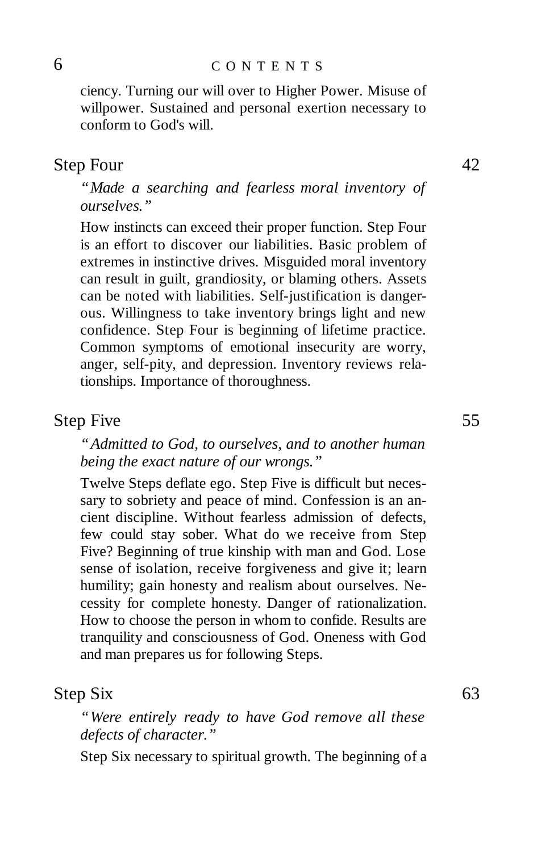[ciency.](#page-36-0) [Turning our will over to Higher Power.](#page-37-0) [Misuse of](#page-39-0) [willpower. Sustained and personal exertion necessary to](#page-39-0) [conform to God's will.](#page-39-0)

# [Step Four](#page-41-0) [42](#page-41-0)

*["Made a searching and fearless moral inventory of](#page-41-0) ourselves."*

[How instincts can exceed their proper function. Step Four](#page-41-0) [is an effort to discover our liabilities.](#page-41-0) [Basic problem of](#page-42-0) [extremes in instinctive drives.](#page-42-0) [Misguided moral inventory](#page-44-0) [can result in guilt, grandiosity, or blaming others.](#page-44-0) [Assets](#page-45-0) [can be noted with liabilities.](#page-45-0) [Self-justification is danger](#page-45-0)[ous.](#page-45-0) [Willingness to take inventory brings light and new](#page-46-0) [confidence.](#page-46-0) [Step Four is beginning of lifetime practice.](#page-49-0) [Common symptoms of emotional insecurity are worry,](#page-51-0) [anger, self-pity, and depression.](#page-51-0) [Inventory reviews rela](#page-52-0)[tionships.](#page-52-0) [Importance of thoroughness.](#page-53-0)

# [Step Five](#page-54-0) [55](#page-54-0)

*["Admitted to God, to ourselves, and to another human](#page-54-0) being the exact nature of our wrongs."*

[Twelve Steps deflate ego. Step Five is difficult but neces](#page-54-0)[sary to sobriety and peace of mind.](#page-54-0) [Confession is an an](#page-55-0)[cient discipline.](#page-55-0) [Without fearless admission of defects,](#page-55-0) [few could stay sober.](#page-55-0) [What do we receive from Step](#page-56-0) [Five?](#page-56-0) [Beginning of true kinship with man and God.](#page-56-0) [Lose](#page-57-0) [sense of isolation, receive forgiveness and give it; learn](#page-57-0) [humility; gain honesty and realism about ourselves.](#page-57-0) [Ne](#page-58-0)[cessity for complete honesty.](#page-58-0) [Danger of rationalization.](#page-59-0) [How to choose the person in whom to confide.](#page-59-0) [Results are](#page-61-0) [tranquility and consciousness of God.](#page-61-0) [Oneness with God](#page-61-0) [and man prepares us for following Steps.](#page-61-0)

# [Step Six](#page-62-0) [63](#page-62-0)

*["Were entirely ready to have God remove all these](#page-62-0) defects of character."*

[Step Six necessary to spiritual growth.](#page-62-0) [The beginning of a](#page-64-0)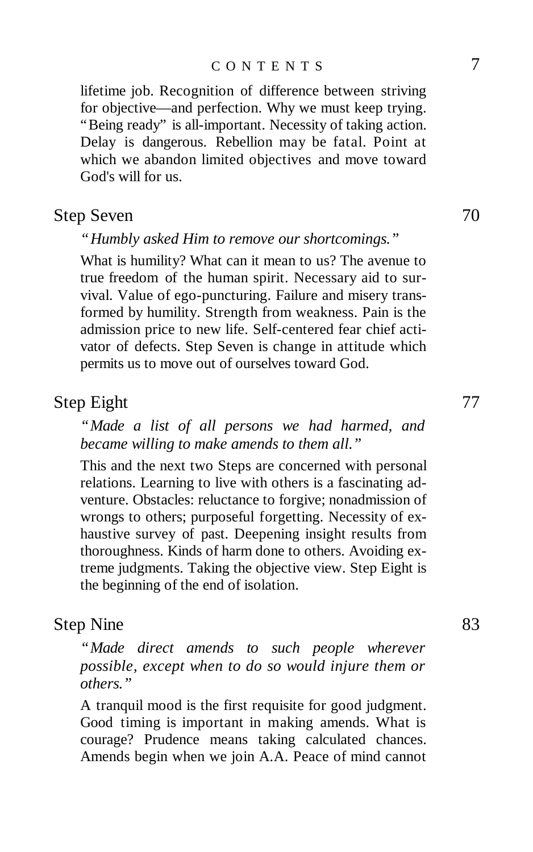[lifetime job.](#page-64-0) [Recognition of difference between striving](#page-67-0) for objective— [and perfection.](#page-67-0) [Why we must keep trying.](#page-67-0) ["Being ready" is all-important.](#page-67-0) [Necessity of taking action.](#page-68-0) [Delay is dangerous.](#page-68-0) [Rebellion may be fatal.](#page-68-0) [Point at](#page-68-0) [which we abandon limited objectives and move toward](#page-68-0) [God's will for us.](#page-68-0)

#### [Step Seven](#page-69-0) [70](#page-69-0)

#### *["Humbly asked Him to remove our shortcomings."](#page-69-0)*

[What is humility? What can it mean to us?](#page-69-0) [The avenue to](#page-72-0) [true freedom of the human spirit.](#page-72-0) [Necessary aid to sur](#page-73-0)[vival. Value of ego-puncturing.](#page-73-0) [Failure and misery trans](#page-74-0)[formed by humility. Strength from weakness. Pain is the](#page-74-0) [admission price to new life.](#page-74-0) [Self-centered fear chief acti](#page-75-0)[vator of defects.](#page-75-0) [Step Seven is change in attitude which](#page-75-0) [permits us to move out of ourselves toward God.](#page-75-0)

#### [Step Eight](#page-76-0) [77](#page-76-0)

*["Made a list of all persons we had harmed, and](#page-76-0) became willing to make amends to them all."*

[This and the next two Steps are concerned with personal](#page-76-0) [relations.](#page-76-0) [Learning to live with others is a fascinating ad](#page-76-0)[venture.](#page-76-0) [Obstacles: reluctance to forgive; nonadmission of](#page-77-0) [wrongs to others; purposeful forgetting.](#page-77-0) [Necessity of ex](#page-78-0)[haustive survey of past.](#page-78-0) [Deepening insight results from](#page-79-0) [thoroughness. Kinds of harm done to others.](#page-79-0) [Avoiding ex](#page-81-0)[treme judgments.](#page-81-0) [Taking the objective view. Step Eight is](#page-81-0) [the beginning of the end of isolation.](#page-81-0)

# [Step Nine](#page-82-0) [83](#page-82-0)

*"Made direct amends to such people wherever [possible, except when to do so would injure them or](#page-82-0) others."*

[A tranquil mood is the first requisite for good judgment.](#page-82-0) [Good timing is important in making amends.](#page-82-0) [What is](#page-83-0) [courage?](#page-83-0) [Prudence means taking calculated chances.](#page-84-0) [Amends begin when we join A.A.](#page-82-0) [Peace of mind cannot](#page-83-0)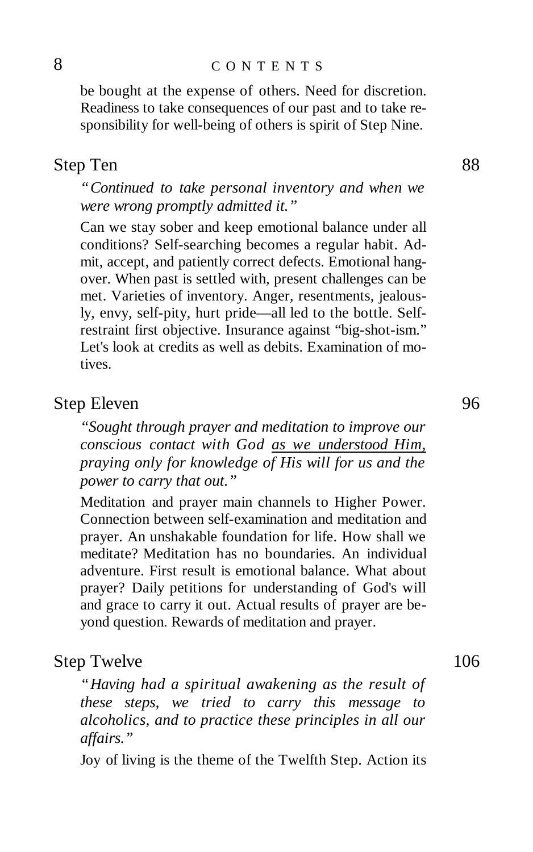[be bought at the expense of others. Need for discretion.](#page-83-0) [Readiness to take consequences of our past and to take re](#page-86-0)[sponsibility for well-being of others is spirit of Step Nine.](#page-86-0)

# [Step Ten](#page-87-0) [88](#page-87-0)

*["Continued to take personal inventory and when we](#page-87-0) were wrong promptly admitted it."*

[Can we stay sober and keep emotional balance under all](#page-87-0) [conditions?](#page-87-0) [Self-searching becomes a regular habit.](#page-87-0) [Ad](#page-87-0)[mit, accept, and patiently correct defects.](#page-87-0) [Emotional hang](#page-87-0)[over.](#page-87-0) [When past is settled with, present challenges can be](#page-88-0) [met.](#page-88-0) [Varieties of inventory.](#page-88-0) [Anger, resentments, jealous](#page-89-0)[ly, envy, self-pity, hurt pride—](#page-89-0) all led to the bottle. [Self](#page-90-0)[restraint first objective.](#page-90-0) [Insurance against "big-shot-ism."](#page-91-0) [Let's look at credits as well as debits.](#page-92-0) [Examination of mo](#page-93-0)[tives.](#page-93-0)

#### [Step Eleven](#page-95-0) [96](#page-95-0)

*"Sought through prayer and meditation to improve our [conscious contact with God as we understood Him,](#page-95-0) praying only for knowledge of His will for us and the power to carry that out."*

[Meditation and prayer main channels to Higher Power.](#page-95-0) [Connection between self-examination and meditation and](#page-97-0) [prayer.](#page-97-0) [An unshakable foundation for life.](#page-97-0) [How shall we](#page-97-0) [meditate?](#page-97-0) [Meditation has no boundaries. An individual](#page-100-0) [adventure. First result is emotional balance.](#page-100-0) [What about](#page-101-0) [prayer?](#page-101-0) [Daily petitions for understanding of God's will](#page-101-0) [and grace to carry it out.](#page-101-0) [Actual results of prayer are be](#page-103-0)[yond question.](#page-103-0) [Rewards of meditation and prayer.](#page-104-0)

#### [Step Twelve](#page-105-0) [106](#page-105-0)

*["Having had a spiritual awakening as the result of](#page-105-0) these steps, we tried to carry this message to alcoholics, and to practice these principles in all our affairs."*

[Joy of living is the theme of the Twelfth Step. Action its](#page-105-0)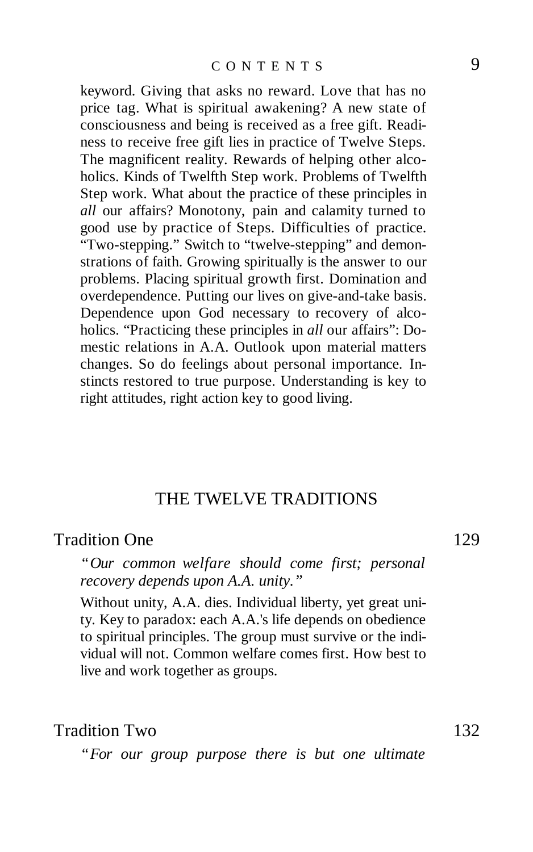[keyword. Giving that asks no reward.](#page-105-0) [Love that has no](#page-105-0) [price tag.](#page-105-0) [What is spiritual awakening?](#page-105-0) [A new state of](#page-106-0) [consciousness and being is received as a free gift. Readi](#page-106-0)[ness to receive free gift lies in practice of Twelve Steps.](#page-106-0) [The magnificent reality.](#page-108-0) [Rewards of helping other alco](#page-108-0)[holics.](#page-108-0) [Kinds of Twelfth Step work.](#page-109-0) [Problems of Twelfth](#page-110-0) [Step work. What about the practice of these principles in](#page-110-0) *all* [our affairs?](#page-110-0) [Monotony, pain and calamity turned to](#page-111-0) [good use by practice of Steps.](#page-111-0) [Difficulties of practice.](#page-112-0) ["Two-stepping." Switch to "twelve-stepping" and demon](#page-112-0)[strations of faith.](#page-112-0) [Growing spiritually is the answer to our](#page-113-0) [problems.](#page-113-0) [Placing spiritual growth first.](#page-114-0) [Domination and](#page-114-0) [overdependence.](#page-114-0) [Putting our lives on give-and-take basis.](#page-115-0) [Dependence upon God necessary to recovery of alco](#page-115-0)[holics.](#page-115-0) ["Practicing these principles in](#page-116-0) *all* our affairs": Do[mestic relations in A.A.](#page-116-0) Outloo[k upon material matters](#page-119-0) [changes.](#page-119-0) [So do feelings about personal importance.](#page-121-0) [In](#page-123-0)[stincts restored to true purpose.](#page-123-0) [Understanding is key to](#page-124-0) [right attitudes, right action key to good living.](#page-124-0)

#### [THE TWELVE TRADITIONS](#page-126-0)

#### [Tradition One](#page-128-0) [129](#page-128-0)

*["Our common welfare should come first; personal](#page-128-0) recovery depends upon A.A. unity."*

[Without unity, A.A. dies.](#page-128-0) [Individual liberty, yet great uni](#page-128-0)[ty.](#page-128-0) [Key to paradox: each A.A.'s life depends on obedience](#page-129-0) [to spiritual principles. The group must survive or the indi](#page-129-0)[vidual will not. Common welfare comes first.](#page-129-0) [How best to](#page-130-0) [live and work together as groups.](#page-130-0)

#### [Tradition Two](#page-131-0) [132](#page-131-0)

*["For our group purpose there is but one ultimate](#page-131-0)*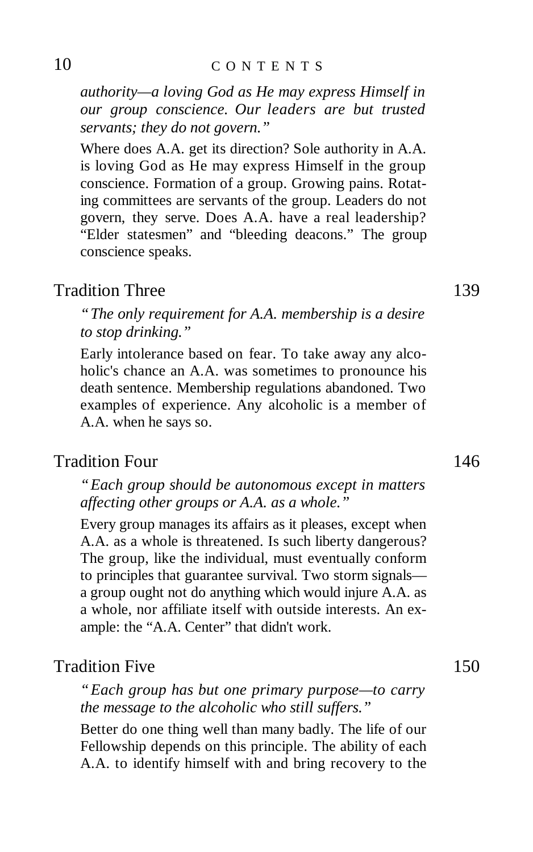*authority— a loving God as He may express Himself in [our group conscience. Our leaders are but trusted](#page-131-0) servants; they do not govern."*

[Where does A.A. get its direction? Sole authority in A.A.](#page-131-0) [is loving God as He may express Himself in the group](#page-131-0) [conscience. Formation of a group.](#page-131-0) [Growing pains.](#page-132-0) [Rotat](#page-133-0)[ing committees are servants of the group. Leaders do not](#page-133-0) [govern, they serve.](#page-133-0) [Does A.A. have a real leadership?](#page-133-0) ["Elder statesmen" and "bleeding deacons."](#page-134-0) [The group](#page-135-0) [conscience speaks.](#page-135-0)

#### [Tradition Three](#page-138-0) [139](#page-138-0)

*["The only requirement for A.A. membership is a desire](#page-138-0) to stop drinking."*

[Early intolerance based on fear.](#page-138-0) [To take away any alco](#page-140-0)[holic's chance an A.A. was sometimes to pronounce his](#page-140-0) [death sentence. Membership regulations abandoned.](#page-140-0) [Two](#page-140-0) [examples of experience.](#page-140-0) [Any alcoholic is a member of](#page-144-0) [A.A. when he says so.](#page-144-0)

# [Tradition Four](#page-145-0) [146](#page-145-0)

*["Each group should be autonomous except in matters](#page-145-0) affecting other groups or A.A. as a whole."*

[Every group manages its affairs as it pleases, except when](#page-145-0) [A.A. as a whole is threatened.](#page-145-0) [Is such liberty dangerous?](#page-145-0) [The group, like the individual, must eventually conform](#page-145-0) [to principles that guarantee survival.](#page-145-0) [Two storm signals](#page-146-0) [a group ought not do anything which would injure A.A. as](#page-146-0) [a whole, nor affiliate itself with outside interests.](#page-146-0) [An ex](#page-146-0)[ample: the "A.A. Center" that didn't work.](#page-146-0)

## [Tradition Five](#page-149-0) [150](#page-149-0)

*"Each group has but one primary purpose— to carry [the message to the alcoholic who still suffers."](#page-149-0)*

[Better do one thing well than many badly.](#page-149-0) [The life of our](#page-149-0) [Fellowship depends on this principle.](#page-149-0) [The ability of each](#page-149-0) [A.A. to identify himself with and bring recovery to the](#page-149-0)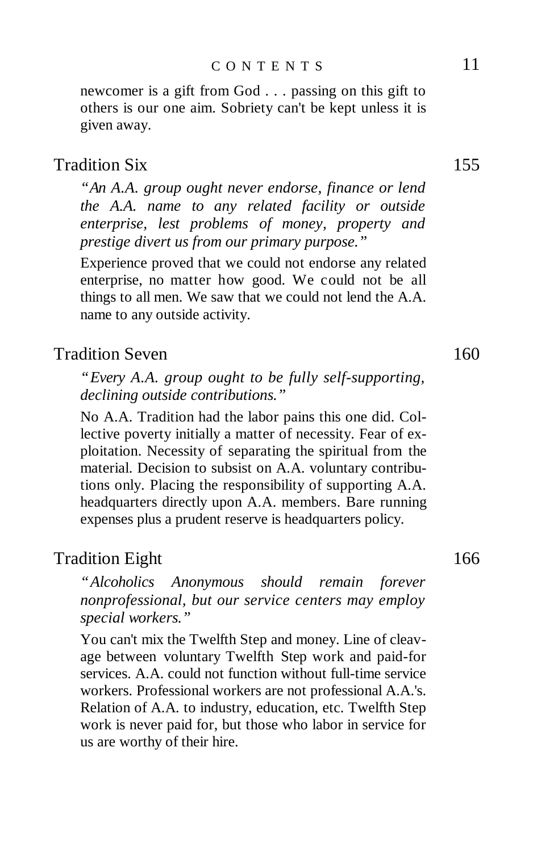[newcomer is a gift from God](#page-149-0) . . . [passing on this gift to](#page-150-0) [others is our one aim.](#page-150-0) [Sobriety can't be kept unless it is](#page-150-0) [given away.](#page-150-0)

# [Tradition Six](#page-154-0) [155](#page-154-0)

*["An A.A. group ought never endorse, finance or lend](#page-154-0) the A.A. name to any related facility or outside enterprise, lest problems of money, property and prestige divert us from our primary purpose."*

[Experience proved that we could not endorse any related](#page-154-0) [enterprise, no matter how good.](#page-154-0) [We could not be all](#page-156-0) [things to all men.](#page-156-0) [We saw that we could not lend the A.A.](#page-158-0) [name to any outside activity.](#page-158-0)

# [Tradition Seven](#page-159-0) [160](#page-159-0)

*["Every A.A. group ought to be fully self-supporting,](#page-159-0) declining outside contributions."*

[No A.A. Tradition had the labor pains this one did. Col](#page-159-0)[lective poverty initially a matter of necessity.](#page-159-0) [Fear of ex](#page-160-0)[ploitation. Necessity of separating the spiritual from the](#page-160-0) [material.](#page-160-0) [Decision to subsist on A.A. voluntary contribu](#page-161-0)[tions only.](#page-161-0) [Placing the responsibility of supporting A.A.](#page-163-0) [headquarters directly upon A.A. members.](#page-163-0) [Bare running](#page-164-0) [expenses plus a prudent reserve is headquarters policy.](#page-164-0)

## [Tradition Eight](#page-165-0) [166](#page-165-0)

*["Alcoholics Anonymous should remain forever](#page-165-0) nonprofessional, but our service centers may employ special workers."*

[You can't mix the Twelfth Step and money](#page-165-0)[. Line of cleav](#page-166-0)age between voluntary Twelfth Step work and paid-for [services.](#page-166-0) [A.A. could not function without full-time service](#page-167-0) [workers. Professional workers are not professional A.A.'s.](#page-167-0) [Relation of A.A. to industry, education, etc.](#page-169-0) [Twelfth Step](#page-170-0) [work is never paid for, but those who labor in service for](#page-170-0) [us are worthy of their hire.](#page-170-0)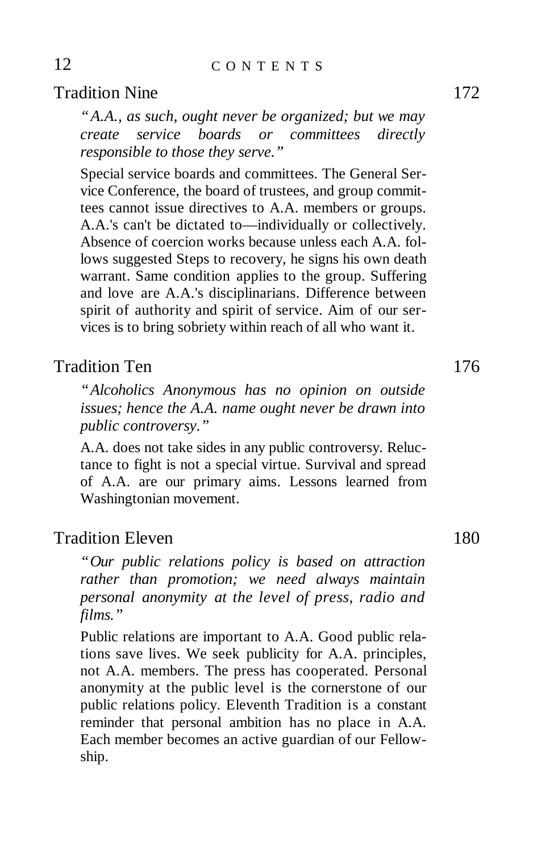#### [Tradition Nine](#page-171-0) [172](#page-171-0)

*["A.A., as such, ought never be organized; but we may](#page-171-0) create service boards or committees directly responsible to those they serve."*

[Special service boards and committees.](#page-171-0) [The General Ser](#page-172-0)[vice Conference, the board of trustees, and group commit](#page-172-0)[tees cannot issue directives to A.A. members or groups.](#page-172-0) [A.A.'s can't be dictated to—](#page-173-0) individually or collectively. [Absence of coercion works because unless each A.A. fol](#page-173-0)[lows suggested Steps to recovery, he signs his own death](#page-173-0) [warrant.](#page-173-0) [Same condition applies to the group. Suffering](#page-173-0) [and love are A.A.'s disciplinarians. Difference between](#page-173-0) [spirit of authority and spirit of service.](#page-173-0) [Aim of our ser](#page-174-0)[vices is to bring sobriety within reach of all who want it.](#page-174-0)

# [Tradition Ten](#page-175-0) [176](#page-175-0)

*["Alcoholics Anonymous has no opinion on outside](#page-175-0) issues; hence the A.A. name ought never be drawn into public controversy."*

[A.A. does not take sides in any public controversy.](#page-175-0) [Reluc](#page-176-0)[tance to fight is not a special virtue.](#page-176-0) [Survival and spread](#page-176-0) [of A.A. are our primary aims.](#page-176-0) [Lessons learned from](#page-177-0) [Washingtonian movement.](#page-177-0)

#### [Tradition Eleven](#page-179-0) 2008 [180](#page-179-0)

*["Our public relations policy is based on attraction](#page-179-0) rather than promotion; we need always maintain personal anonymity at the level of press, radio and films."*

[Public relations are important to A.A. Good public rela](#page-179-0)[tions save lives.](#page-179-0) [We seek publicity for A.A. principles,](#page-181-0) [not A.A. members. The press has cooperated.](#page-181-0) [Personal](#page-181-0) [anonymity at the public level is the cornerstone of our](#page-181-0) [public relations policy.](#page-181-0) [Eleventh Tradition is a constant](#page-182-0) [reminder that personal ambition has no place in A.A.](#page-182-0) [Each member becomes an active guardian of our Fellow](#page-182-0)[ship.](#page-182-0)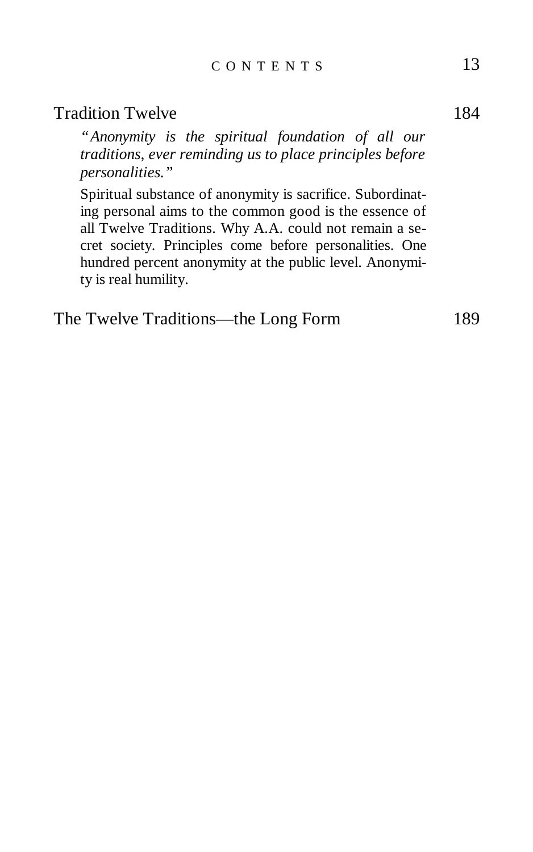# [Tradition Twelve](#page-183-0) [184](#page-183-0)

*["Anonymity is the spiritual foundation of all our](#page-183-0) traditions, ever reminding us to place principles before personalities."*

[Spiritual substance of anonymity is sacrifice.](#page-183-0) [Subordinat](#page-183-0)[ing personal aims to the common good is the essence of](#page-183-0) [all Twelve Traditions.](#page-183-0) [Why A.A. could not remain a se](#page-184-0)[cret society.](#page-184-0) [Principles come before personalities.](#page-186-0) [One](#page-186-0) [hundred percent anonymity at the public level. Anonymi](#page-186-0)[ty is real humility.](#page-186-0)

[The Twelve Traditions—](#page-188-0)the Long Form [189](#page-188-0)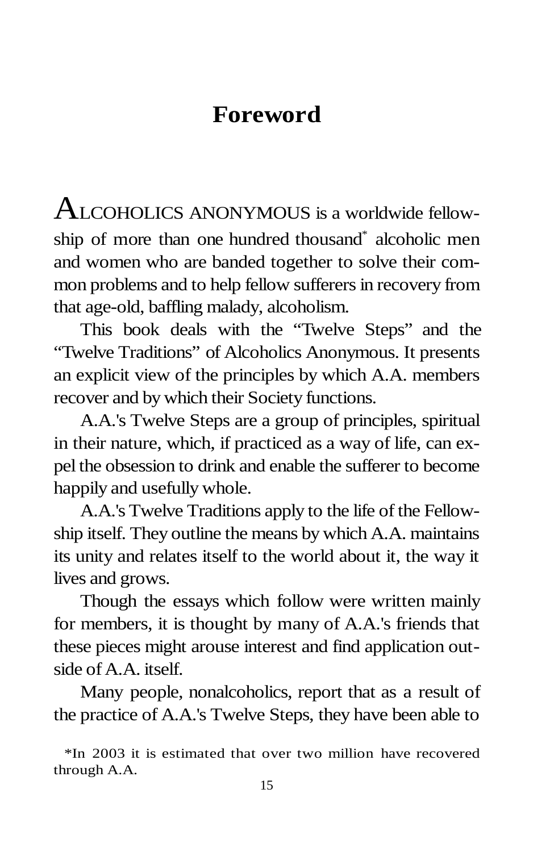# **Foreword**

<span id="page-14-0"></span>ALCOHOLICS ANONYMOUS is a worldwide fellowship of more than one hundred thousand\* alcoholic men and women who are banded together to solve their common problems and to help fellow sufferers in recovery from that age-old, baffling malady, alcoholism.

This book deals with the "Twelve Steps" and the "Twelve Traditions" of Alcoholics Anonymous. It presents an explicit view of the principles by which A.A. members recover and by which their Society functions.

A.A.'s Twelve Steps are a group of principles, spiritual in their nature, which, if practiced as a way of life, can expel the obsession to drink and enable the sufferer to become happily and usefully whole.

A.A.'s Twelve Traditions apply to the life of the Fellowship itself. They outline the means by which A.A. maintains its unity and relates itself to the world about it, the way it lives and grows.

Though the essays which follow were written mainly for members, it is thought by many of A.A.'s friends that these pieces might arouse interest and find application outside of A.A. itself.

Many people, nonalcoholics, report that as a result of the practice of A.A.'s Twelve Steps, they have been able to

<sup>\*</sup>In 2003 it is estimated that over two million have recovered through A.A.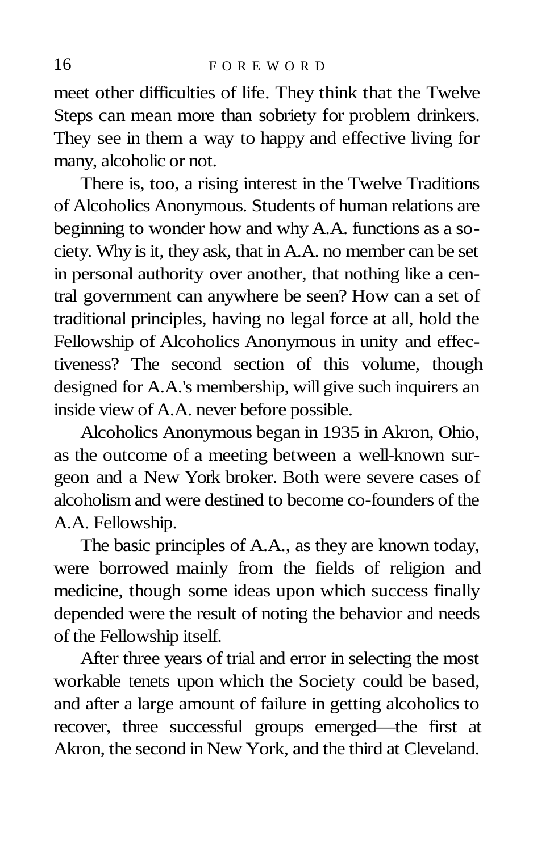meet other difficulties of life. They think that the Twelve Steps can mean more than sobriety for problem drinkers. They see in them a way to happy and effective living for many, alcoholic or not.

There is, too, a rising interest in the Twelve Traditions of Alcoholics Anonymous. Students of human relations are beginning to wonder how and why A.A. functions as a society. Why is it, they ask, that in A.A. no member can be set in personal authority over another, that nothing like a central government can anywhere be seen? How can a set of traditional principles, having no legal force at all, hold the Fellowship of Alcoholics Anonymous in unity and effectiveness? The second section of this volume, though designed for A.A.'s membership, will give such inquirers an inside view of A.A. never before possible.

Alcoholics Anonymous began in 1935 in Akron, Ohio, as the outcome of a meeting between a well-known surgeon and a New York broker. Both were severe cases of alcoholism and were destined to become co-founders of the A.A. Fellowship.

The basic principles of A.A., as they are known today, were borrowed mainly from the fields of religion and medicine, though some ideas upon which success finally depended were the result of noting the behavior and needs of the Fellowship itself.

After three years of trial and error in selecting the most workable tenets upon which the Society could be based, and after a large amount of failure in getting alcoholics to recover, three successful groups emerged— the first at Akron, the second in New York, and the third at Cleveland.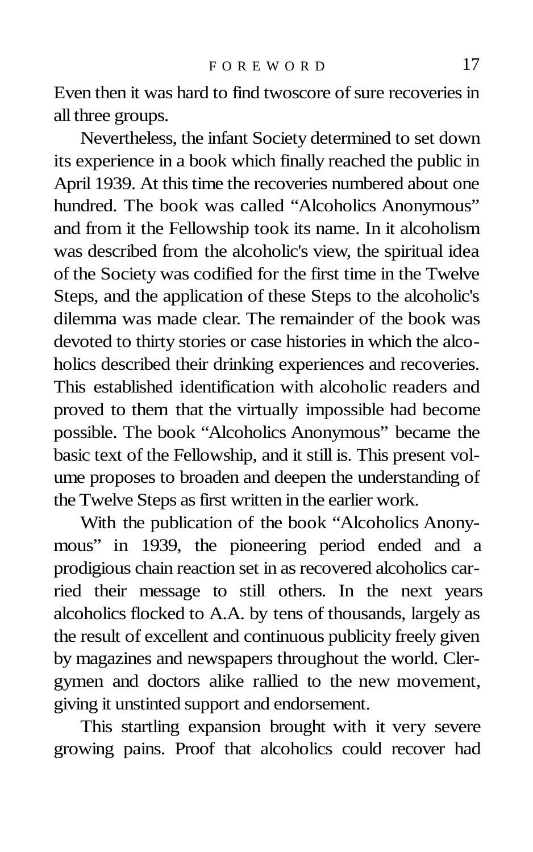Even then it was hard to find twoscore of sure recoveries in all three groups.

Nevertheless, the infant Society determined to set down its experience in a book which finally reached the public in April 1939. At this time the recoveries numbered about one hundred. The book was called "Alcoholics Anonymous" and from it the Fellowship took its name. In it alcoholism was described from the alcoholic's view, the spiritual idea of the Society was codified for the first time in the Twelve Steps, and the application of these Steps to the alcoholic's dilemma was made clear. The remainder of the book was devoted to thirty stories or case histories in which the alcoholics described their drinking experiences and recoveries. This established identification with alcoholic readers and proved to them that the virtually impossible had become possible. The book "Alcoholics Anonymous" became the basic text of the Fellowship, and it still is. This present volume proposes to broaden and deepen the understanding of the Twelve Steps as first written in the earlier work.

With the publication of the book "Alcoholics Anonymous" in 1939, the pioneering period ended and a prodigious chain reaction set in as recovered alcoholics carried their message to still others. In the next years alcoholics flocked to A.A. by tens of thousands, largely as the result of excellent and continuous publicity freely given by magazines and newspapers throughout the world. Clergymen and doctors alike rallied to the new movement, giving it unstinted support and endorsement.

This startling expansion brought with it very severe growing pains. Proof that alcoholics could recover had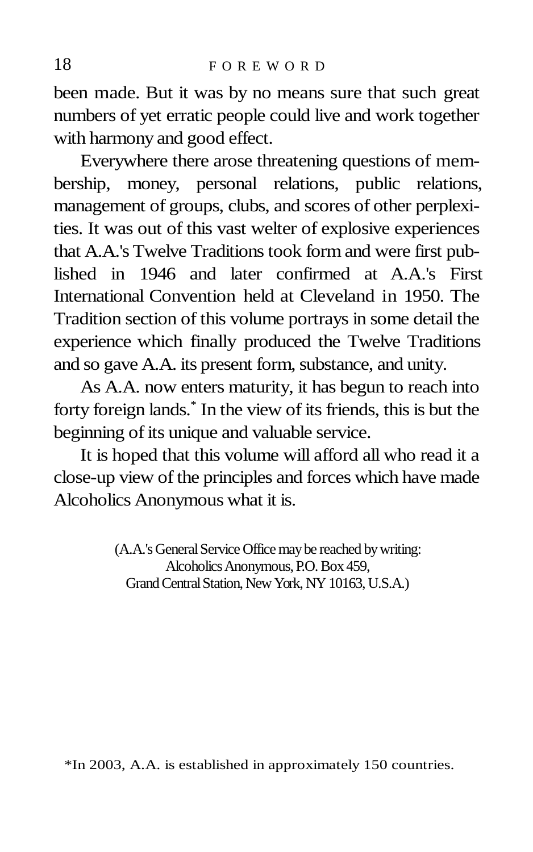been made. But it was by no means sure that such great numbers of yet erratic people could live and work together with harmony and good effect.

Everywhere there arose threatening questions of membership, money, personal relations, public relations, management of groups, clubs, and scores of other perplexities. It was out of this vast welter of explosive experiences that A.A.'s Twelve Traditions took form and were first published in 1946 and later confirmed at A.A.'s First International Convention held at Cleveland in 1950. The Tradition section of this volume portrays in some detail the experience which finally produced the Twelve Traditions and so gave A.A. its present form, substance, and unity.

As A.A. now enters maturity, it has begun to reach into forty foreign lands.\* In the view of its friends, this is but the beginning of its unique and valuable service.

It is hoped that this volume will afford all who read it a close-up view of the principles and forces which have made Alcoholics Anonymous what it is.

> (A.A.'s General Service Office may be reached by writing: Alcoholics Anonymous, P.O. Box 459, Grand Central Station, New York, NY 10163, U.S.A.)

\*In 2003, A.A. is established in approximately 150 countries.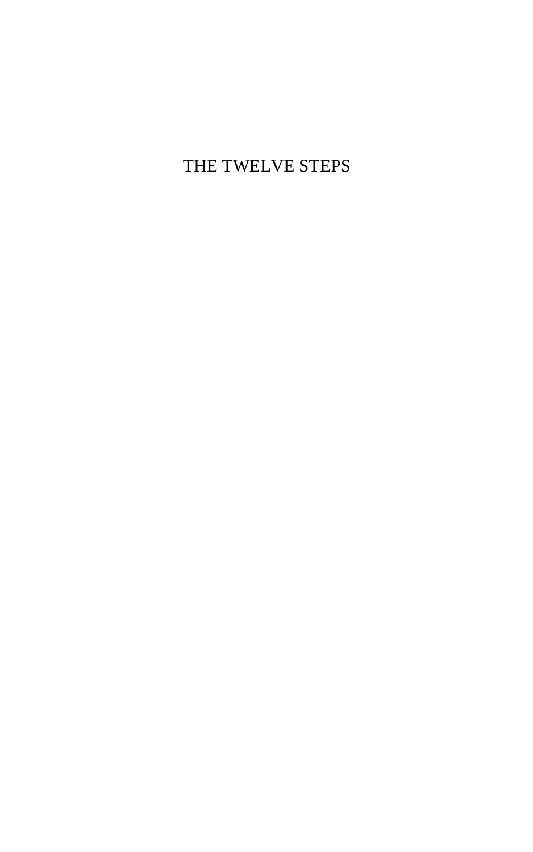<span id="page-18-0"></span>THE TWELVE STEPS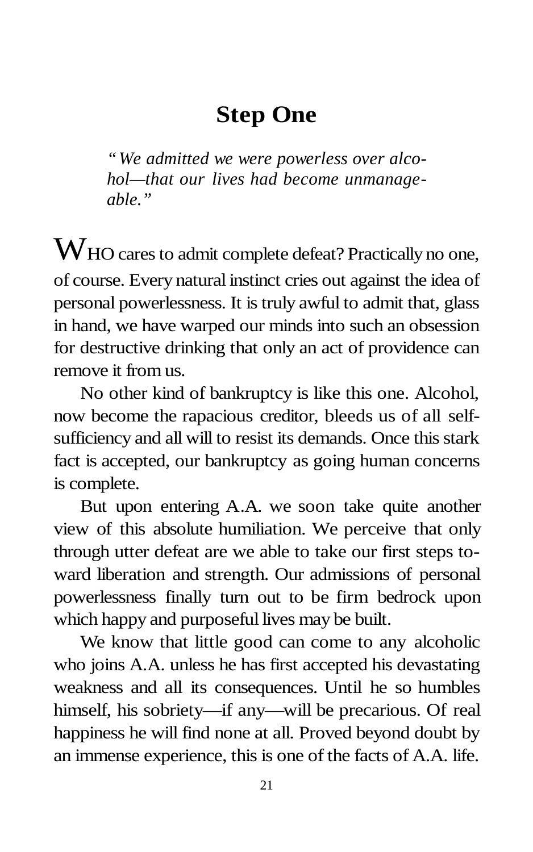# **Step One**

<span id="page-20-0"></span>*"We admitted we were powerless over alcohol— that our lives had become unmanageable."*

WHO cares to admit complete defeat? Practically no one, of course. Every natural instinct cries out against the idea of personal powerlessness. It is truly awful to admit that, glass in hand, we have warped our minds into such an obsession for destructive drinking that only an act of providence can remove it from us.

No other kind of bankruptcy is like this one. Alcohol, now become the rapacious creditor, bleeds us of all selfsufficiency and all will to resist its demands. Once this stark fact is accepted, our bankruptcy as going human concerns is complete.

But upon entering A.A. we soon take quite another view of this absolute humiliation. We perceive that only through utter defeat are we able to take our first steps toward liberation and strength. Our admissions of personal powerlessness finally turn out to be firm bedrock upon which happy and purposeful lives may be built.

We know that little good can come to any alcoholic who joins A.A. unless he has first accepted his devastating weakness and all its consequences. Until he so humbles himself, his sobriety—if any—will be precarious. Of real happiness he will find none at all. Proved beyond doubt by an immense experience, this is one of the facts of A.A. life.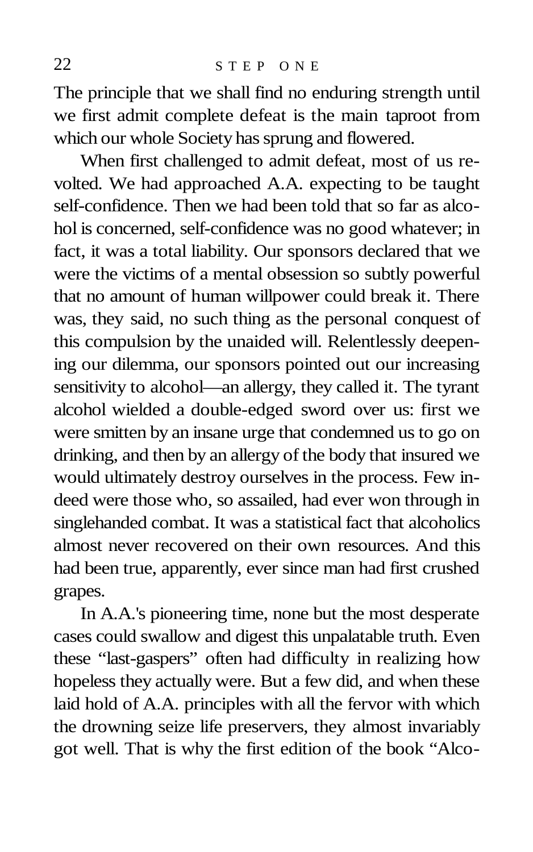<span id="page-21-0"></span>The principle that we shall find no enduring strength until we first admit complete defeat is the main taproot from which our whole Society has sprung and flowered.

When first challenged to admit defeat, most of us revolted. We had approached A.A. expecting to be taught self-confidence. Then we had been told that so far as alcohol is concerned, self-confidence was no good whatever; in fact, it was a total liability. Our sponsors declared that we were the victims of a mental obsession so subtly powerful that no amount of human willpower could break it. There was, they said, no such thing as the personal conquest of this compulsion by the unaided will. Relentlessly deepening our dilemma, our sponsors pointed out our increasing sensitivity to alcohol—an allergy, they called it. The tyrant alcohol wielded a double-edged sword over us: first we were smitten by an insane urge that condemned us to go on drinking, and then by an allergy of the body that insured we would ultimately destroy ourselves in the process. Few indeed were those who, so assailed, had ever won through in singlehanded combat. It was a statistical fact that alcoholics almost never recovered on their own resources. And this had been true, apparently, ever since man had first crushed grapes.

In A.A.'s pioneering time, none but the most desperate cases could swallow and digest this unpalatable truth. Even these "last-gaspers" often had difficulty in realizing how hopeless they actually were. But a few did, and when these laid hold of A.A. principles with all the fervor with which the drowning seize life preservers, they almost invariably got well. That is why the first edition of the book "Alco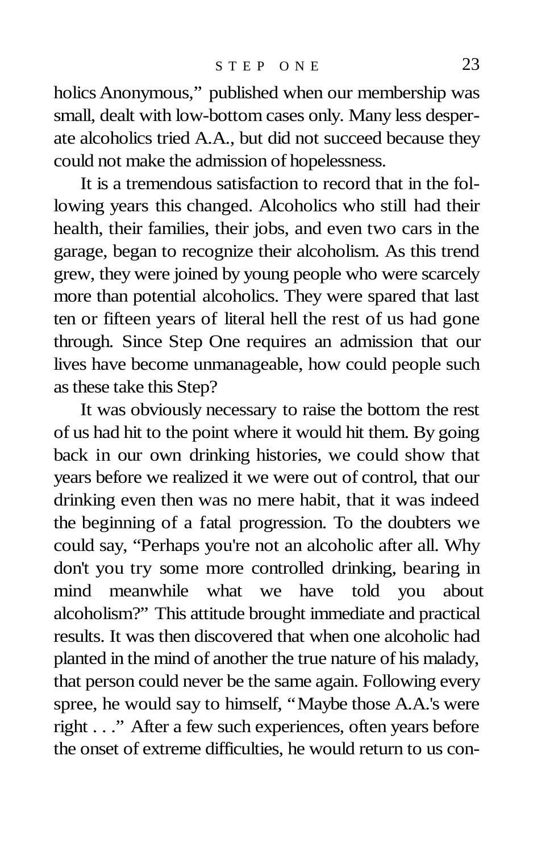holics Anonymous," published when our membership was small, dealt with low-bottom cases only. Many less desperate alcoholics tried A.A., but did not succeed because they could not make the admission of hopelessness.

It is a tremendous satisfaction to record that in the following years this changed. Alcoholics who still had their health, their families, their jobs, and even two cars in the garage, began to recognize their alcoholism. As this trend grew, they were joined by young people who were scarcely more than potential alcoholics. They were spared that last ten or fifteen years of literal hell the rest of us had gone through. Since Step One requires an admission that our lives have become unmanageable, how could people such as these take this Step?

It was obviously necessary to raise the bottom the rest of us had hit to the point where it would hit them. By going back in our own drinking histories, we could show that years before we realized it we were out of control, that our drinking even then was no mere habit, that it was indeed the beginning of a fatal progression. To the doubters we could say, "Perhaps you're not an alcoholic after all. Why don't you try some more controlled drinking, bearing in mind meanwhile what we have told you about alcoholism?" This attitude brought immediate and practical results. It was then discovered that when one alcoholic had planted in the mind of another the true nature of his malady, that person could never be the same again. Following every spree, he would say to himself, "Maybe those A.A.'s were right . . ." After a few such experiences, often years before the onset of extreme difficulties, he would return to us con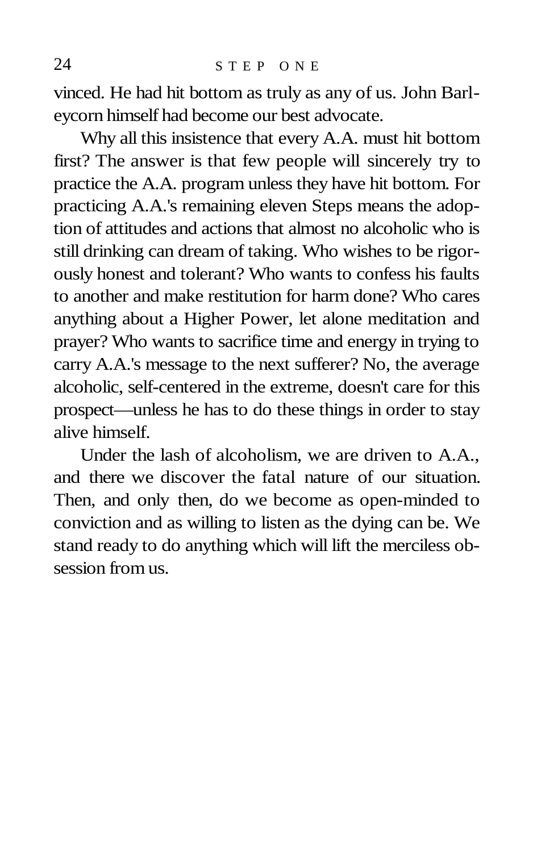<span id="page-23-0"></span>vinced. He had hit bottom as truly as any of us. John Barleycorn himself had become our best advocate.

Why all this insistence that every A.A. must hit bottom first? The answer is that few people will sincerely try to practice the A.A. program unless they have hit bottom. For practicing A.A.'s remaining eleven Steps means the adoption of attitudes and actions that almost no alcoholic who is still drinking can dream of taking. Who wishes to be rigorously honest and tolerant? Who wants to confess his faults to another and make restitution for harm done? Who cares anything about a Higher Power, let alone meditation and prayer? Who wants to sacrifice time and energy in trying to carry A.A.'s message to the next sufferer? No, the average alcoholic, self-centered in the extreme, doesn't care for this prospect— unless he has to do these things in order to stay alive himself.

Under the lash of alcoholism, we are driven to A.A., and there we discover the fatal nature of our situation. Then, and only then, do we become as open-minded to conviction and as willing to listen as the dying can be. We stand ready to do anything which will lift the merciless obsession from us.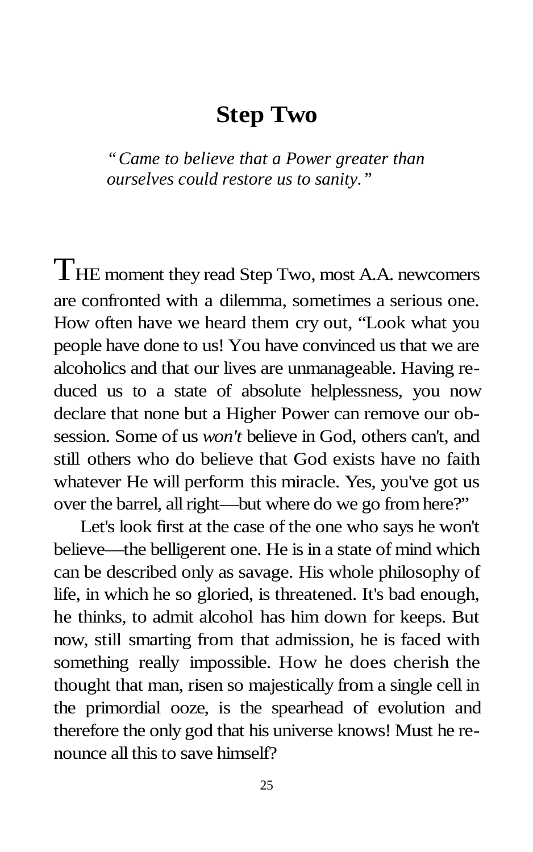# **Step Two**

<span id="page-24-0"></span>*"Came to believe that a Power greater than ourselves could restore us to sanity."*

THE moment they read Step Two, most A.A. newcomers are confronted with a dilemma, sometimes a serious one. How often have we heard them cry out, "Look what you people have done to us! You have convinced us that we are alcoholics and that our lives are unmanageable. Having reduced us to a state of absolute helplessness, you now declare that none but a Higher Power can remove our obsession. Some of us *won't* believe in God, others can't, and still others who do believe that God exists have no faith whatever He will perform this miracle. Yes, you've got us over the barrel, all right— but where do we go from here?"

Let's look first at the case of the one who says he won't believe— the belligerent one. He is in a state of mind which can be described only as savage. His whole philosophy of life, in which he so gloried, is threatened. It's bad enough, he thinks, to admit alcohol has him down for keeps. But now, still smarting from that admission, he is faced with something really impossible. How he does cherish the thought that man, risen so majestically from a single cell in the primordial ooze, is the spearhead of evolution and therefore the only god that his universe knows! Must he renounce all this to save himself?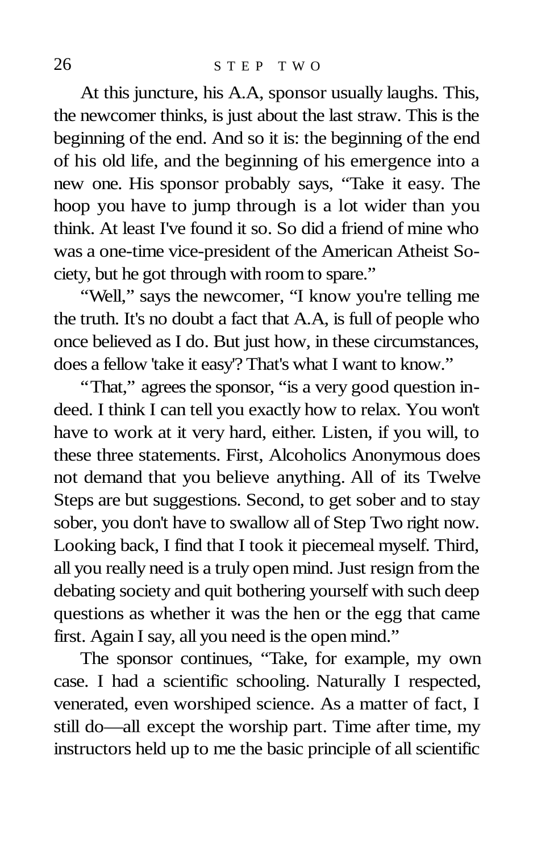<span id="page-25-0"></span>At this juncture, his A.A, sponsor usually laughs. This, the newcomer thinks, is just about the last straw. This is the beginning of the end. And so it is: the beginning of the end of his old life, and the beginning of his emergence into a new one. His sponsor probably says, "Take it easy. The hoop you have to jump through is a lot wider than you think. At least I've found it so. So did a friend of mine who was a one-time vice-president of the American Atheist Society, but he got through with room to spare."

"Well," says the newcomer, "I know you're telling me the truth. It's no doubt a fact that A.A, is full of people who once believed as I do. But just how, in these circumstances, does a fellow 'take it easy'? That's what I want to know."

"That," agrees the sponsor, "is a very good question indeed. I think I can tell you exactly how to relax. You won't have to work at it very hard, either. Listen, if you will, to these three statements. First, Alcoholics Anonymous does not demand that you believe anything. All of its Twelve Steps are but suggestions. Second, to get sober and to stay sober, you don't have to swallow all of Step Two right now. Looking back, I find that I took it piecemeal myself. Third, all you really need is a truly open mind. Just resign from the debating society and quit bothering yourself with such deep questions as whether it was the hen or the egg that came first. Again I say, all you need is the open mind."

The sponsor continues, "Take, for example, my own case. I had a scientific schooling. Naturally I respected, venerated, even worshiped science. As a matter of fact, I still do— all except the worship part. Time after time, my instructors held up to me the basic principle of all scientific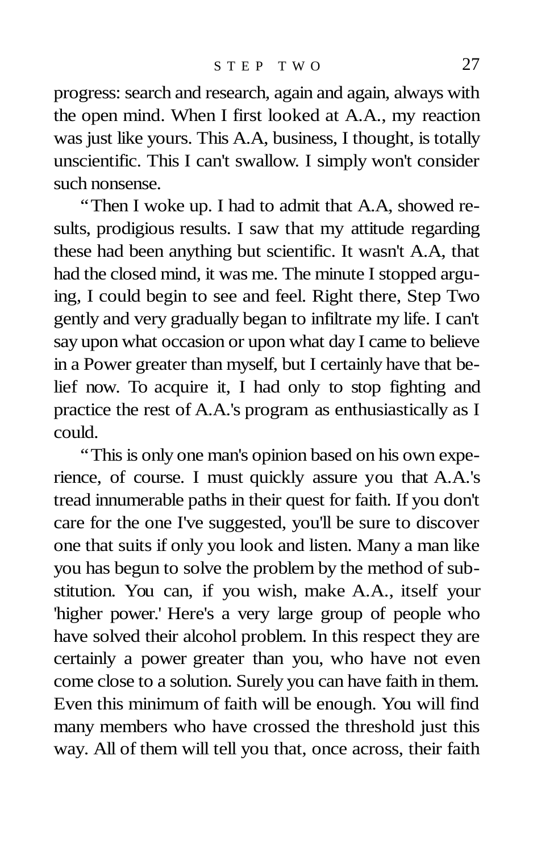<span id="page-26-0"></span>progress: search and research, again and again, always with the open mind. When I first looked at A.A., my reaction was just like yours. This A.A, business, I thought, is totally unscientific. This I can't swallow. I simply won't consider such nonsense.

"Then I woke up. I had to admit that A.A, showed results, prodigious results. I saw that my attitude regarding these had been anything but scientific. It wasn't A.A, that had the closed mind, it was me. The minute I stopped arguing, I could begin to see and feel. Right there, Step Two gently and very gradually began to infiltrate my life. I can't say upon what occasion or upon what day I came to believe in a Power greater than myself, but I certainly have that belief now. To acquire it, I had only to stop fighting and practice the rest of A.A.'s program as enthusiastically as I could.

"This is only one man's opinion based on his own experience, of course. I must quickly assure you that A.A.'s tread innumerable paths in their quest for faith. If you don't care for the one I've suggested, you'll be sure to discover one that suits if only you look and listen. Many a man like you has begun to solve the problem by the method of substitution. You can, if you wish, make A.A., itself your 'higher power.' Here's a very large group of people who have solved their alcohol problem. In this respect they are certainly a power greater than you, who have not even come close to a solution. Surely you can have faith in them. Even this minimum of faith will be enough. You will find many members who have crossed the threshold just this way. All of them will tell you that, once across, their faith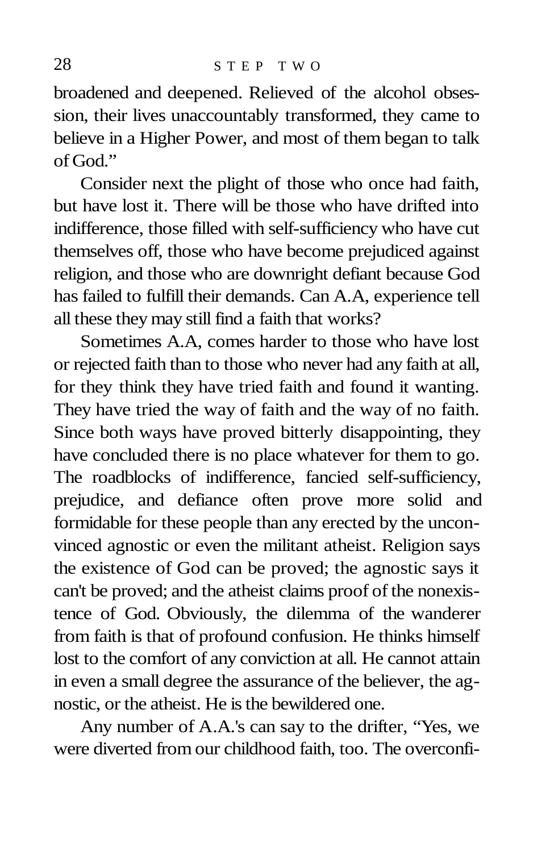<span id="page-27-0"></span>broadened and deepened. Relieved of the alcohol obsession, their lives unaccountably transformed, they came to believe in a Higher Power, and most of them began to talk of God."

Consider next the plight of those who once had faith, but have lost it. There will be those who have drifted into indifference, those filled with self-sufficiency who have cut themselves off, those who have become prejudiced against religion, and those who are downright defiant because God has failed to fulfill their demands. Can A.A, experience tell all these they may still find a faith that works?

Sometimes A.A, comes harder to those who have lost or rejected faith than to those who never had any faith at all, for they think they have tried faith and found it wanting. They have tried the way of faith and the way of no faith. Since both ways have proved bitterly disappointing, they have concluded there is no place whatever for them to go. The roadblocks of indifference, fancied self-sufficiency, prejudice, and defiance often prove more solid and formidable for these people than any erected by the unconvinced agnostic or even the militant atheist. Religion says the existence of God can be proved; the agnostic says it can't be proved; and the atheist claims proof of the nonexistence of God. Obviously, the dilemma of the wanderer from faith is that of profound confusion. He thinks himself lost to the comfort of any conviction at all. He cannot attain in even a small degree the assurance of the believer, the agnostic, or the atheist. He is the bewildered one.

Any number of A.A.'s can say to the drifter, "Yes, we were diverted from our childhood faith, too. The overconfi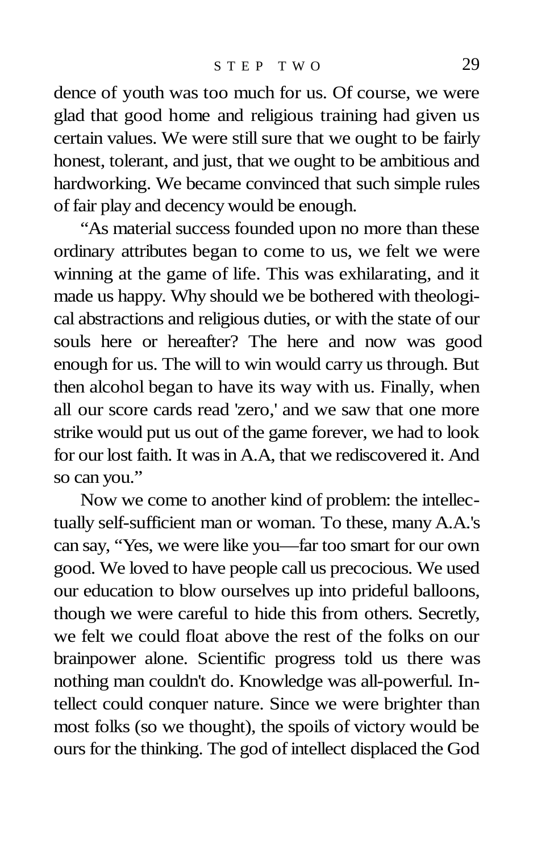<span id="page-28-0"></span>dence of youth was too much for us. Of course, we were glad that good home and religious training had given us certain values. We were still sure that we ought to be fairly honest, tolerant, and just, that we ought to be ambitious and hardworking. We became convinced that such simple rules of fair play and decency would be enough.

"As material success founded upon no more than these ordinary attributes began to come to us, we felt we were winning at the game of life. This was exhilarating, and it made us happy. Why should we be bothered with theological abstractions and religious duties, or with the state of our souls here or hereafter? The here and now was good enough for us. The will to win would carry us through. But then alcohol began to have its way with us. Finally, when all our score cards read 'zero,' and we saw that one more strike would put us out of the game forever, we had to look for our lost faith. It was in A.A, that we rediscovered it. And so can you."

Now we come to another kind of problem: the intellectually self-sufficient man or woman. To these, many A.A.'s can say, "Yes, we were like you— far too smart for our own good. We loved to have people call us precocious. We used our education to blow ourselves up into prideful balloons, though we were careful to hide this from others. Secretly, we felt we could float above the rest of the folks on our brainpower alone. Scientific progress told us there was nothing man couldn't do. Knowledge was all-powerful. Intellect could conquer nature. Since we were brighter than most folks (so we thought), the spoils of victory would be ours for the thinking. The god of intellect displaced the God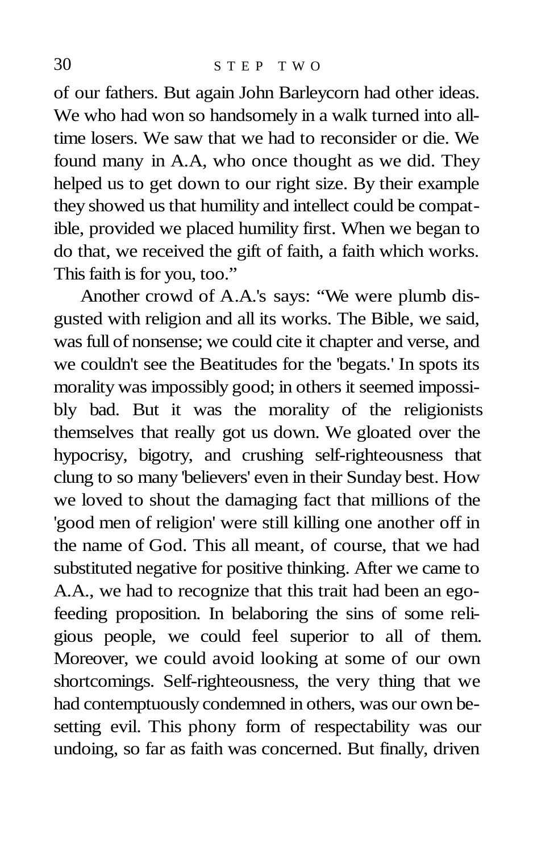<span id="page-29-0"></span>of our fathers. But again John Barleycorn had other ideas. We who had won so handsomely in a walk turned into alltime losers. We saw that we had to reconsider or die. We found many in A.A, who once thought as we did. They helped us to get down to our right size. By their example they showed us that humility and intellect could be compatible, provided we placed humility first. When we began to do that, we received the gift of faith, a faith which works. This faith is for you, too."

Another crowd of A.A.'s says: "We were plumb disgusted with religion and all its works. The Bible, we said, was full of nonsense; we could cite it chapter and verse, and we couldn't see the Beatitudes for the 'begats.' In spots its morality was impossibly good; in others it seemed impossibly bad. But it was the morality of the religionists themselves that really got us down. We gloated over the hypocrisy, bigotry, and crushing self-righteousness that clung to so many 'believers' even in their Sunday best. How we loved to shout the damaging fact that millions of the 'good men of religion' were still killing one another off in the name of God. This all meant, of course, that we had substituted negative for positive thinking. After we came to A.A., we had to recognize that this trait had been an egofeeding proposition. In belaboring the sins of some religious people, we could feel superior to all of them. Moreover, we could avoid looking at some of our own shortcomings. Self-righteousness, the very thing that we had contemptuously condemned in others, was our own besetting evil. This phony form of respectability was our undoing, so far as faith was concerned. But finally, driven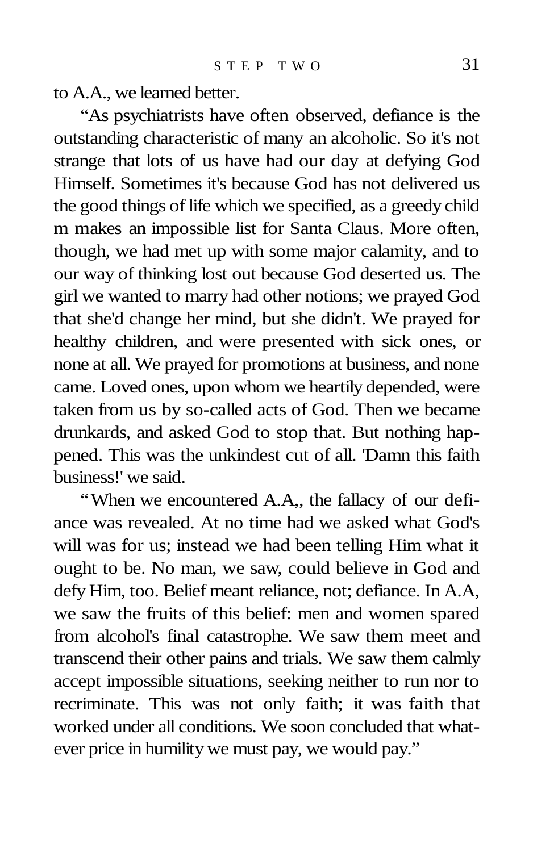<span id="page-30-0"></span>to A.A., we learned better.

"As psychiatrists have often observed, defiance is the outstanding characteristic of many an alcoholic. So it's not strange that lots of us have had our day at defying God Himself. Sometimes it's because God has not delivered us the good things of life which we specified, as a greedy child m makes an impossible list for Santa Claus. More often, though, we had met up with some major calamity, and to our way of thinking lost out because God deserted us. The girl we wanted to marry had other notions; we prayed God that she'd change her mind, but she didn't. We prayed for healthy children, and were presented with sick ones, or none at all. We prayed for promotions at business, and none came. Loved ones, upon whom we heartily depended, were taken from us by so-called acts of God. Then we became drunkards, and asked God to stop that. But nothing happened. This was the unkindest cut of all. 'Damn this faith business!' we said.

"When we encountered A.A,, the fallacy of our defiance was revealed. At no time had we asked what God's will was for us; instead we had been telling Him what it ought to be. No man, we saw, could believe in God and defy Him, too. Belief meant reliance, not; defiance. In A.A, we saw the fruits of this belief: men and women spared from alcohol's final catastrophe. We saw them meet and transcend their other pains and trials. We saw them calmly accept impossible situations, seeking neither to run nor to recriminate. This was not only faith; it was faith that worked under all conditions. We soon concluded that whatever price in humility we must pay, we would pay."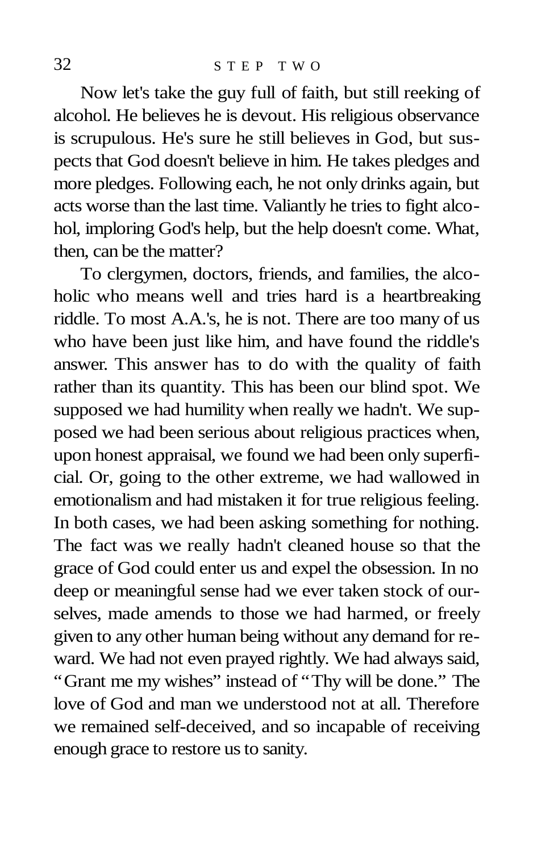Now let's take the guy full of faith, but still reeking of alcohol. He believes he is devout. His religious observance is scrupulous. He's sure he still believes in God, but suspects that God doesn't believe in him. He takes pledges and more pledges. Following each, he not only drinks again, but acts worse than the last time. Valiantly he tries to fight alcohol, imploring God's help, but the help doesn't come. What, then, can be the matter?

To clergymen, doctors, friends, and families, the alcoholic who means well and tries hard is a heartbreaking riddle. To most A.A.'s, he is not. There are too many of us who have been just like him, and have found the riddle's answer. This answer has to do with the quality of faith rather than its quantity. This has been our blind spot. We supposed we had humility when really we hadn't. We supposed we had been serious about religious practices when, upon honest appraisal, we found we had been only superficial. Or, going to the other extreme, we had wallowed in emotionalism and had mistaken it for true religious feeling. In both cases, we had been asking something for nothing. The fact was we really hadn't cleaned house so that the grace of God could enter us and expel the obsession. In no deep or meaningful sense had we ever taken stock of ourselves, made amends to those we had harmed, or freely given to any other human being without any demand for reward. We had not even prayed rightly. We had always said, "Grant me my wishes" instead of "Thy will be done." The love of God and man we understood not at all. Therefore we remained self-deceived, and so incapable of receiving enough grace to restore us to sanity.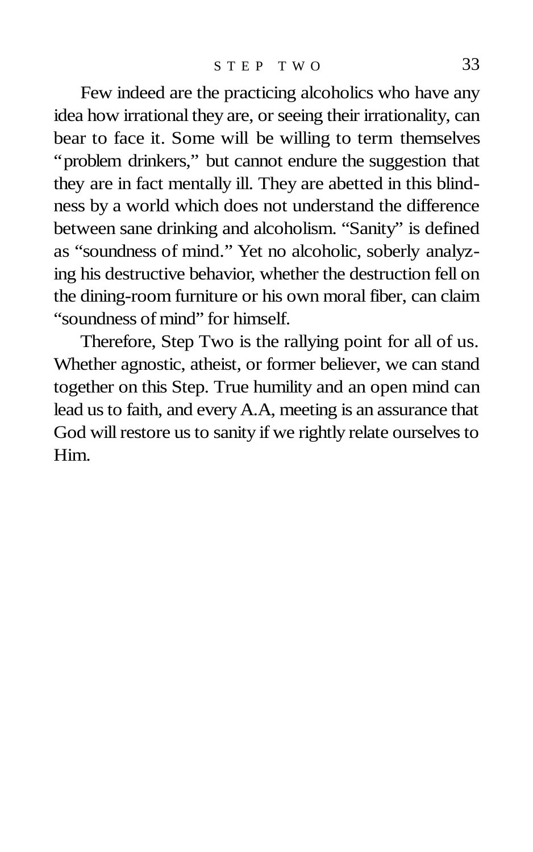<span id="page-32-0"></span>Few indeed are the practicing alcoholics who have any idea how irrational they are, or seeing their irrationality, can bear to face it. Some will be willing to term themselves "problem drinkers," but cannot endure the suggestion that they are in fact mentally ill. They are abetted in this blindness by a world which does not understand the difference between sane drinking and alcoholism. "Sanity" is defined as "soundness of mind." Yet no alcoholic, soberly analyzing his destructive behavior, whether the destruction fell on the dining-room furniture or his own moral fiber, can claim "soundness of mind" for himself.

Therefore, Step Two is the rallying point for all of us. Whether agnostic, atheist, or former believer, we can stand together on this Step. True humility and an open mind can lead us to faith, and every A.A, meeting is an assurance that God will restore us to sanity if we rightly relate ourselves to Him.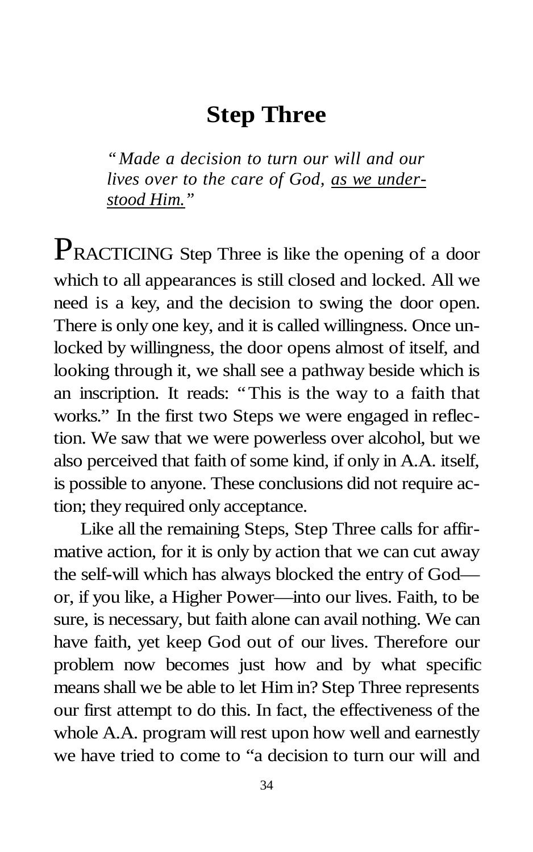# **Step Three**

<span id="page-33-0"></span>*"Made a decision to turn our will and our lives over to the care of God, as we understood Him."*

PRACTICING Step Three is like the opening of a door which to all appearances is still closed and locked. All we need is a key, and the decision to swing the door open. There is only one key, and it is called willingness. Once unlocked by willingness, the door opens almost of itself, and looking through it, we shall see a pathway beside which is an inscription. It reads: "This is the way to a faith that works." In the first two Steps we were engaged in reflec[tion.](#page-24-0) [We saw that we were powerless over alcohol,](#page-20-0) [but we](#page-24-0) also perceived that faith of some kind, if only in A.A. itself, is possible to anyone. These conclusions did not require action; they required only acceptance.

Like all the remaining Steps, Step Three calls for affirmative action, for it is only by action that we can cut away the self-will which has always blocked the entry of God or, if you like, a Higher Power— into our lives. Faith, to be sure, is necessary, but faith alone can avail nothing. We can have faith, yet keep God out of our lives. Therefore our problem now becomes just how and by what specific means shall we be able to let Him in? Step Three represents our first attempt to do this. In fact, the effectiveness of the whole A.A. program will rest upon how well and earnestly we have tried to come to "a decision to turn our will and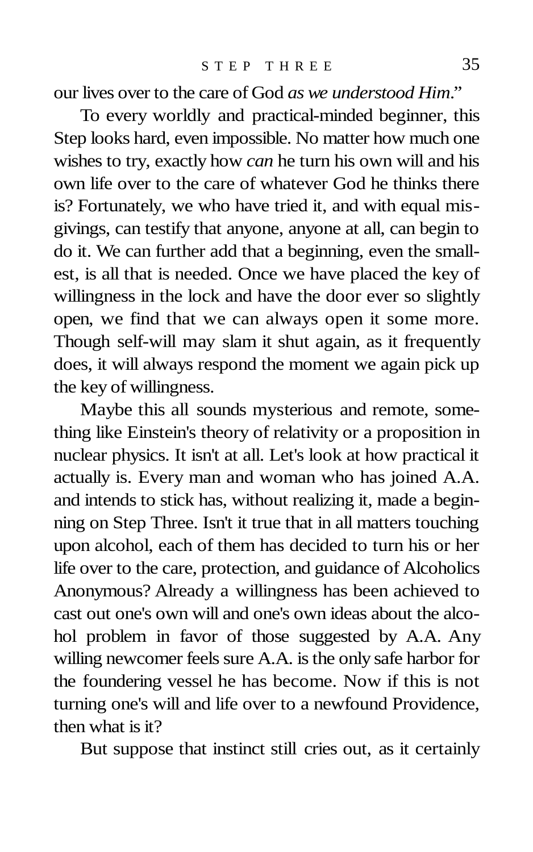<span id="page-34-0"></span>our lives over to the care of God *as we understood Him*."

To every worldly and practical-minded beginner, this Step looks hard, even impossible. No matter how much one wishes to try, exactly how *can* he turn his own will and his own life over to the care of whatever God he thinks there is? Fortunately, we who have tried it, and with equal misgivings, can testify that anyone, anyone at all, can begin to do it. We can further add that a beginning, even the smallest, is all that is needed. Once we have placed the key of willingness in the lock and have the door ever so slightly open, we find that we can always open it some more. Though self-will may slam it shut again, as it frequently does, it will always respond the moment we again pick up the key of willingness.

Maybe this all sounds mysterious and remote, something like Einstein's theory of relativity or a proposition in nuclear physics. It isn't at all. Let's look at how practical it actually is. Every man and woman who has joined A.A. and intends to stick has, without realizing it, made a beginning on Step Three. Isn't it true that in all matters touching upon alcohol, each of them has decided to turn his or her life over to the care, protection, and guidance of Alcoholics Anonymous? Already a willingness has been achieved to cast out one's own will and one's own ideas about the alcohol problem in favor of those suggested by A.A. Any willing newcomer feels sure A.A. is the only safe harbor for the foundering vessel he has become. Now if this is not turning one's will and life over to a newfound Providence, then what is it?

But suppose that instinct still cries out, as it certainly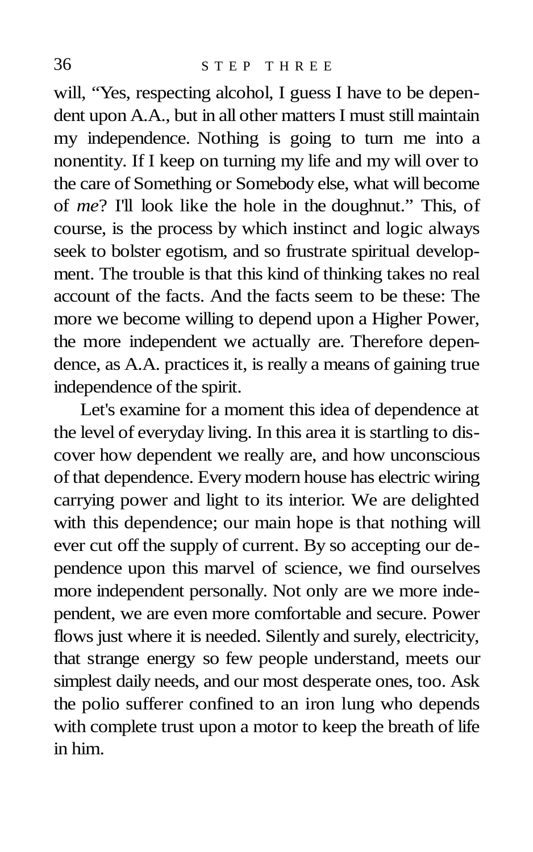<span id="page-35-0"></span>will, "Yes, respecting alcohol, I guess I have to be dependent upon A.A., but in all other matters I must still maintain my independence. Nothing is going to turn me into a nonentity. If I keep on turning my life and my will over to the care of Something or Somebody else, what will become of *me*? I'll look like the hole in the doughnut." This, of course, is the process by which instinct and logic always seek to bolster egotism, and so frustrate spiritual development. The trouble is that this kind of thinking takes no real account of the facts. And the facts seem to be these: The more we become willing to depend upon a Higher Power, the more independent we actually are. Therefore dependence, as A.A. practices it, is really a means of gaining true independence of the spirit.

Let's examine for a moment this idea of dependence at the level of everyday living. In this area it is startling to discover how dependent we really are, and how unconscious of that dependence. Every modern house has electric wiring carrying power and light to its interior. We are delighted with this dependence; our main hope is that nothing will ever cut off the supply of current. By so accepting our dependence upon this marvel of science, we find ourselves more independent personally. Not only are we more independent, we are even more comfortable and secure. Power flows just where it is needed. Silently and surely, electricity, that strange energy so few people understand, meets our simplest daily needs, and our most desperate ones, too. Ask the polio sufferer confined to an iron lung who depends with complete trust upon a motor to keep the breath of life in him.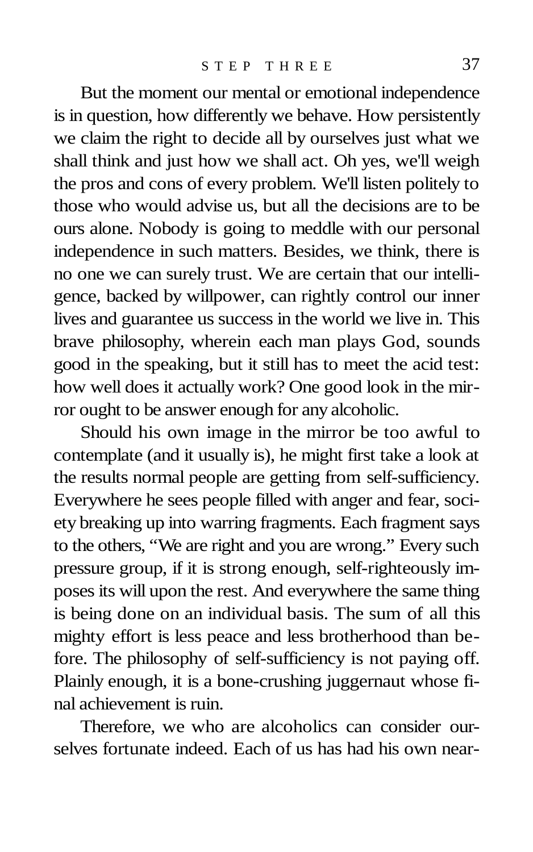But the moment our mental or emotional independence is in question, how differently we behave. How persistently we claim the right to decide all by ourselves just what we shall think and just how we shall act. Oh yes, we'll weigh the pros and cons of every problem. We'll listen politely to those who would advise us, but all the decisions are to be ours alone. Nobody is going to meddle with our personal independence in such matters. Besides, we think, there is no one we can surely trust. We are certain that our intelligence, backed by willpower, can rightly control our inner lives and guarantee us success in the world we live in. This brave philosophy, wherein each man plays God, sounds good in the speaking, but it still has to meet the acid test: how well does it actually work? One good look in the mirror ought to be answer enough for any alcoholic.

Should his own image in the mirror be too awful to contemplate (and it usually is), he might first take a look at the results normal people are getting from self-sufficiency. Everywhere he sees people filled with anger and fear, society breaking up into warring fragments. Each fragment says to the others, "We are right and you are wrong." Every such pressure group, if it is strong enough, self-righteously imposes its will upon the rest. And everywhere the same thing is being done on an individual basis. The sum of all this mighty effort is less peace and less brotherhood than before. The philosophy of self-sufficiency is not paying off. Plainly enough, it is a bone-crushing juggernaut whose final achievement is ruin.

Therefore, we who are alcoholics can consider ourselves fortunate indeed. Each of us has had his own near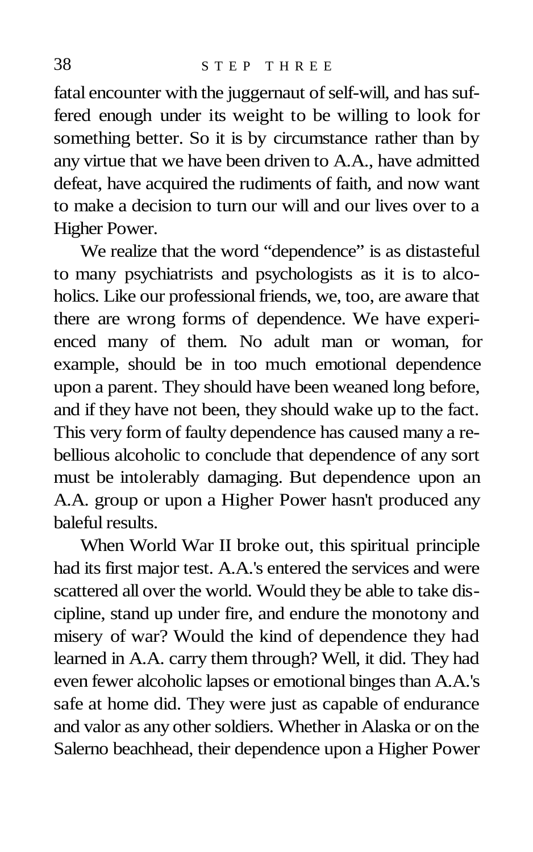fatal encounter with the juggernaut of self-will, and has suffered enough under its weight to be willing to look for something better. So it is by circumstance rather than by any virtue that we have been driven to A.A., have admitted defeat, have acquired the rudiments of faith, and now want to make a decision to turn our will and our lives over to a Higher Power.

We realize that the word "dependence" is as distasteful to many psychiatrists and psychologists as it is to alcoholics. Like our professional friends, we, too, are aware that there are wrong forms of dependence. We have experienced many of them. No adult man or woman, for example, should be in too much emotional dependence upon a parent. They should have been weaned long before, and if they have not been, they should wake up to the fact. This very form of faulty dependence has caused many a rebellious alcoholic to conclude that dependence of any sort must be intolerably damaging. But dependence upon an A.A. group or upon a Higher Power hasn't produced any baleful results.

When World War II broke out, this spiritual principle had its first major test. A.A.'s entered the services and were scattered all over the world. Would they be able to take discipline, stand up under fire, and endure the monotony and misery of war? Would the kind of dependence they had learned in A.A. carry them through? Well, it did. They had even fewer alcoholic lapses or emotional binges than A.A.'s safe at home did. They were just as capable of endurance and valor as any other soldiers. Whether in Alaska or on the Salerno beachhead, their dependence upon a Higher Power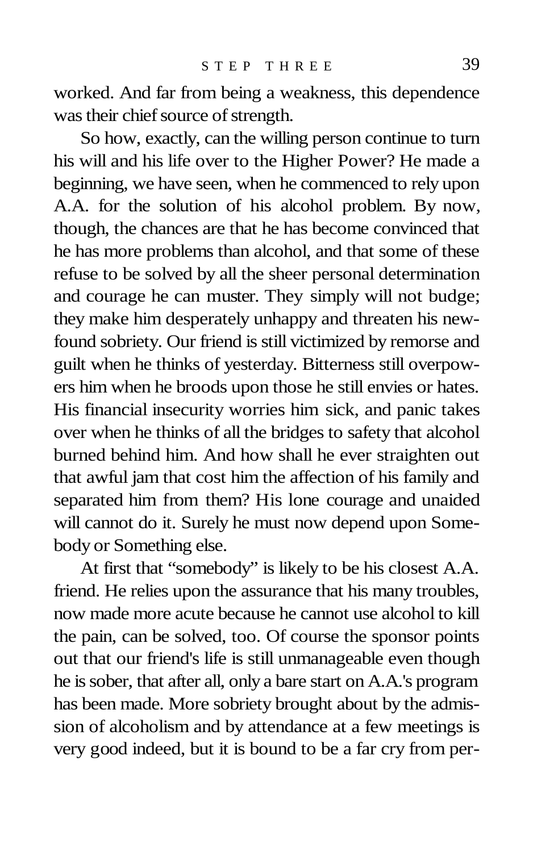worked. And far from being a weakness, this dependence was their chief source of strength.

So how, exactly, can the willing person continue to turn his will and his life over to the Higher Power? He made a beginning, we have seen, when he commenced to rely upon A.A. for the solution of his alcohol problem. By now, though, the chances are that he has become convinced that he has more problems than alcohol, and that some of these refuse to be solved by all the sheer personal determination and courage he can muster. They simply will not budge; they make him desperately unhappy and threaten his newfound sobriety. Our friend is still victimized by remorse and guilt when he thinks of yesterday. Bitterness still overpowers him when he broods upon those he still envies or hates. His financial insecurity worries him sick, and panic takes over when he thinks of all the bridges to safety that alcohol burned behind him. And how shall he ever straighten out that awful jam that cost him the affection of his family and separated him from them? His lone courage and unaided will cannot do it. Surely he must now depend upon Somebody or Something else.

At first that "somebody" is likely to be his closest A.A. friend. He relies upon the assurance that his many troubles, now made more acute because he cannot use alcohol to kill the pain, can be solved, too. Of course the sponsor points out that our friend's life is still unmanageable even though he is sober, that after all, only a bare start on A.A.'s program has been made. More sobriety brought about by the admission of alcoholism and by attendance at a few meetings is very good indeed, but it is bound to be a far cry from per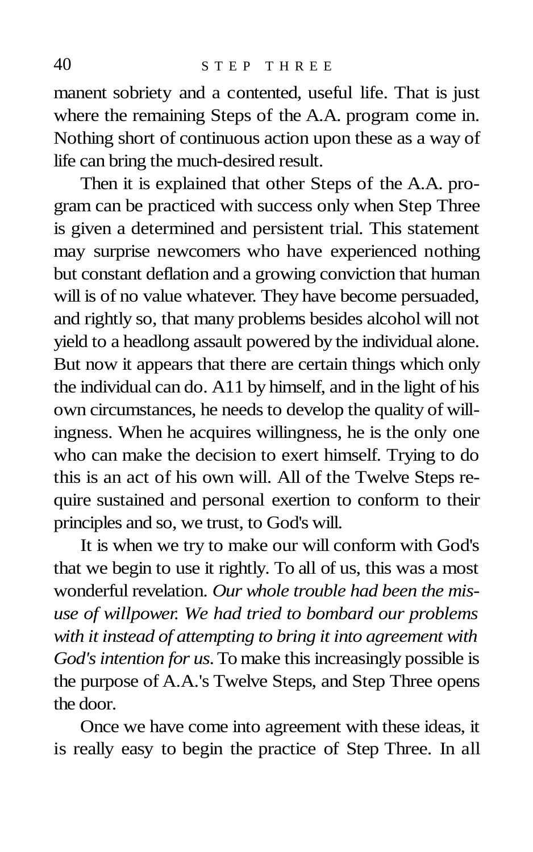manent sobriety and a contented, useful life. That is just where the remaining Steps of the A.A. program come in. Nothing short of continuous action upon these as a way of life can bring the much-desired result.

Then it is explained that other Steps of the A.A. program can be practiced with success only when Step Three is given a determined and persistent trial. This statement may surprise newcomers who have experienced nothing but constant deflation and a growing conviction that human will is of no value whatever. They have become persuaded, and rightly so, that many problems besides alcohol will not yield to a headlong assault powered by the individual alone. But now it appears that there are certain things which only the individual can do. A11 by himself, and in the light of his own circumstances, he needs to develop the quality of willingness. When he acquires willingness, he is the only one who can make the decision to exert himself. Trying to do this is an act of his own will. All of the Twelve Steps require sustained and personal exertion to conform to their principles and so, we trust, to God's will.

It is when we try to make our will conform with God's that we begin to use it rightly. To all of us, this was a most wonderful revelation. *Our whole trouble had been the misuse of willpower. We had tried to bombard our problems with it instead of attempting to bring it into agreement with God's intention for us*. To make this increasingly possible is the purpose of A.A.'s Twelve Steps, and Step Three opens the door.

Once we have come into agreement with these ideas, it is really easy to begin the practice of Step Three. In all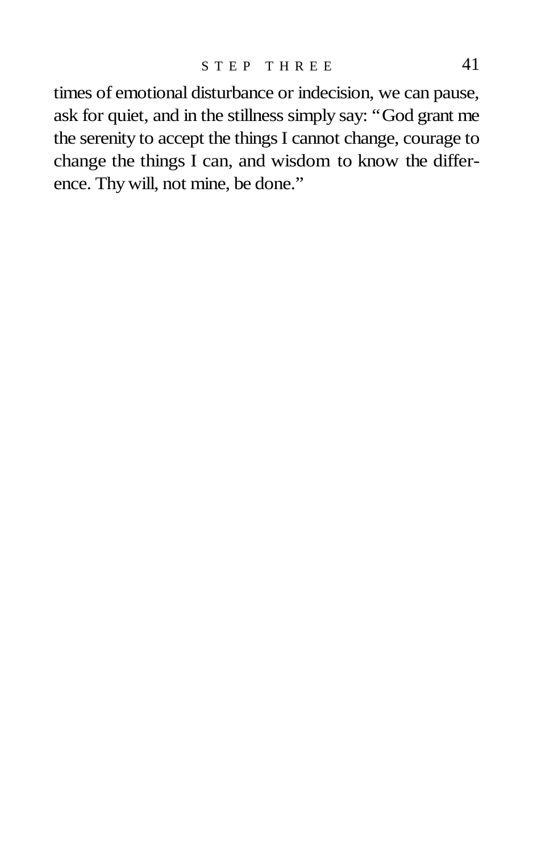times of emotional disturbance or indecision, we can pause, ask for quiet, and in the stillness simply say: "God grant me the serenity to accept the things I cannot change, courage to change the things I can, and wisdom to know the difference. Thy will, not mine, be done."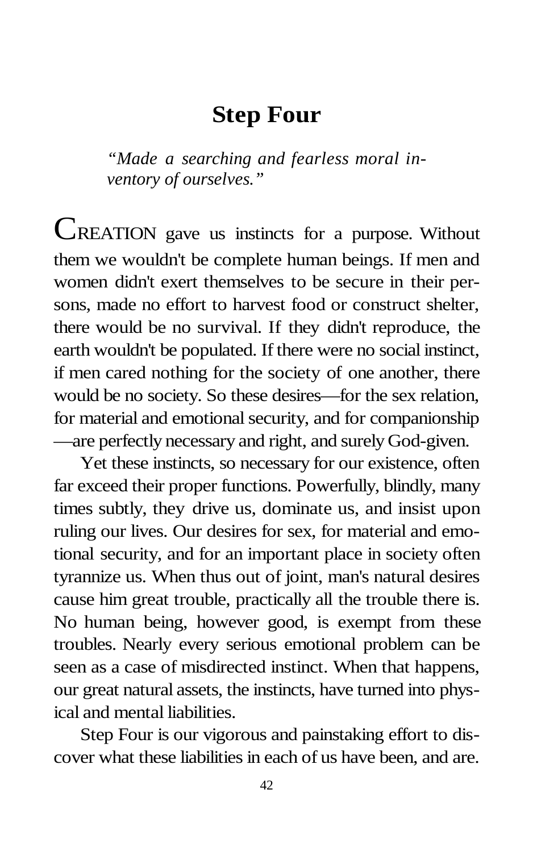## **Step Four**

<span id="page-41-0"></span>*"Made a searching and fearless moral inventory of ourselves."*

CREATION gave us instincts for a purpose. Without them we wouldn't be complete human beings. If men and women didn't exert themselves to be secure in their persons, made no effort to harvest food or construct shelter, there would be no survival. If they didn't reproduce, the earth wouldn't be populated. If there were no social instinct, if men cared nothing for the society of one another, there would be no society. So these desires— for the sex relation, for material and emotional security, and for companionship — are perfectly necessary and right, and surely God-given.

Yet these instincts, so necessary for our existence, often far exceed their proper functions. Powerfully, blindly, many times subtly, they drive us, dominate us, and insist upon ruling our lives. Our desires for sex, for material and emotional security, and for an important place in society often tyrannize us. When thus out of joint, man's natural desires cause him great trouble, practically all the trouble there is. No human being, however good, is exempt from these troubles. Nearly every serious emotional problem can be seen as a case of misdirected instinct. When that happens, our great natural assets, the instincts, have turned into physical and mental liabilities.

Step Four is our vigorous and painstaking effort to discover what these liabilities in each of us have been, and are.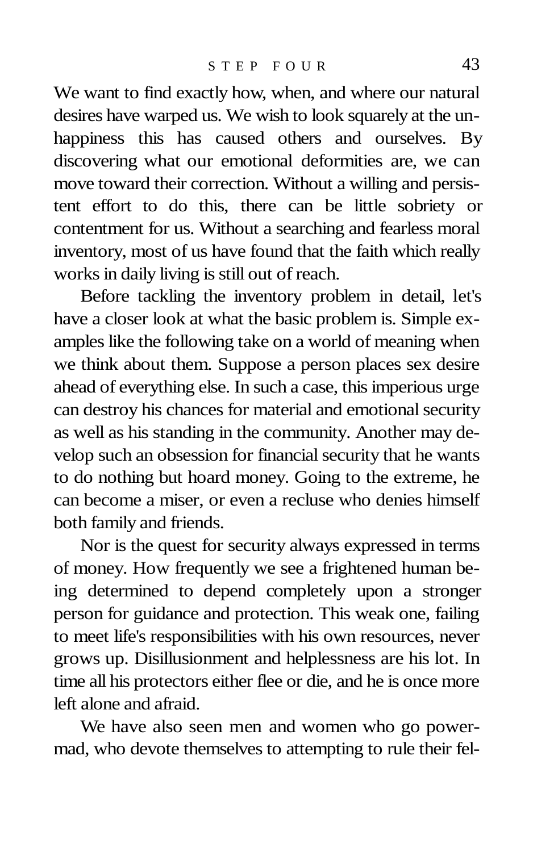We want to find exactly how, when, and where our natural desires have warped us. We wish to look squarely at the unhappiness this has caused others and ourselves. By discovering what our emotional deformities are, we can move toward their correction. Without a willing and persistent effort to do this, there can be little sobriety or contentment for us. Without a searching and fearless moral inventory, most of us have found that the faith which really works in daily living is still out of reach.

Before tackling the inventory problem in detail, let's have a closer look at what the basic problem is. Simple examples like the following take on a world of meaning when we think about them. Suppose a person places sex desire ahead of everything else. In such a case, this imperious urge can destroy his chances for material and emotional security as well as his standing in the community. Another may develop such an obsession for financial security that he wants to do nothing but hoard money. Going to the extreme, he can become a miser, or even a recluse who denies himself both family and friends.

Nor is the quest for security always expressed in terms of money. How frequently we see a frightened human being determined to depend completely upon a stronger person for guidance and protection. This weak one, failing to meet life's responsibilities with his own resources, never grows up. Disillusionment and helplessness are his lot. In time all his protectors either flee or die, and he is once more left alone and afraid.

We have also seen men and women who go powermad, who devote themselves to attempting to rule their fel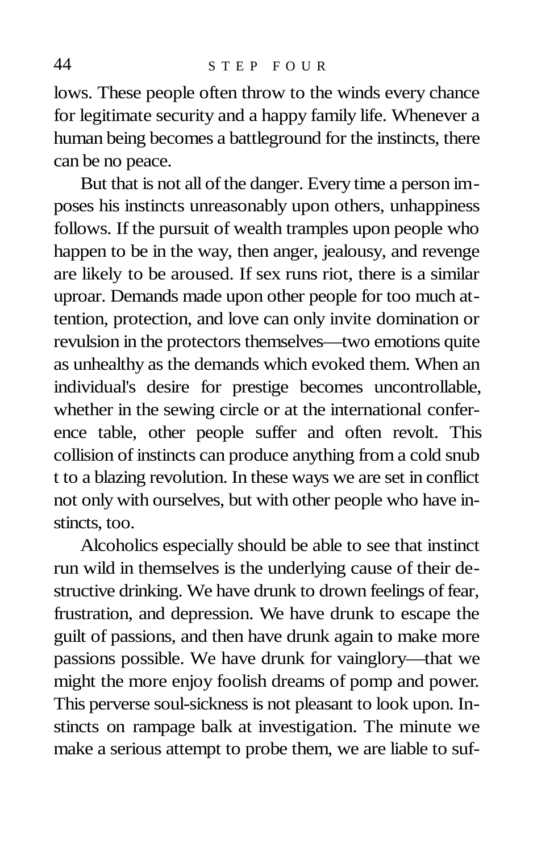lows. These people often throw to the winds every chance for legitimate security and a happy family life. Whenever a human being becomes a battleground for the instincts, there can be no peace.

But that is not all of the danger. Every time a person imposes his instincts unreasonably upon others, unhappiness follows. If the pursuit of wealth tramples upon people who happen to be in the way, then anger, jealousy, and revenge are likely to be aroused. If sex runs riot, there is a similar uproar. Demands made upon other people for too much attention, protection, and love can only invite domination or revulsion in the protectors themselves— two emotions quite as unhealthy as the demands which evoked them. When an individual's desire for prestige becomes uncontrollable, whether in the sewing circle or at the international conference table, other people suffer and often revolt. This collision of instincts can produce anything from a cold snub t to a blazing revolution. In these ways we are set in conflict not only with ourselves, but with other people who have instincts, too.

Alcoholics especially should be able to see that instinct run wild in themselves is the underlying cause of their destructive drinking. We have drunk to drown feelings of fear, frustration, and depression. We have drunk to escape the guilt of passions, and then have drunk again to make more passions possible. We have drunk for vainglory— that we might the more enjoy foolish dreams of pomp and power. This perverse soul-sickness is not pleasant to look upon. Instincts on rampage balk at investigation. The minute we make a serious attempt to probe them, we are liable to suf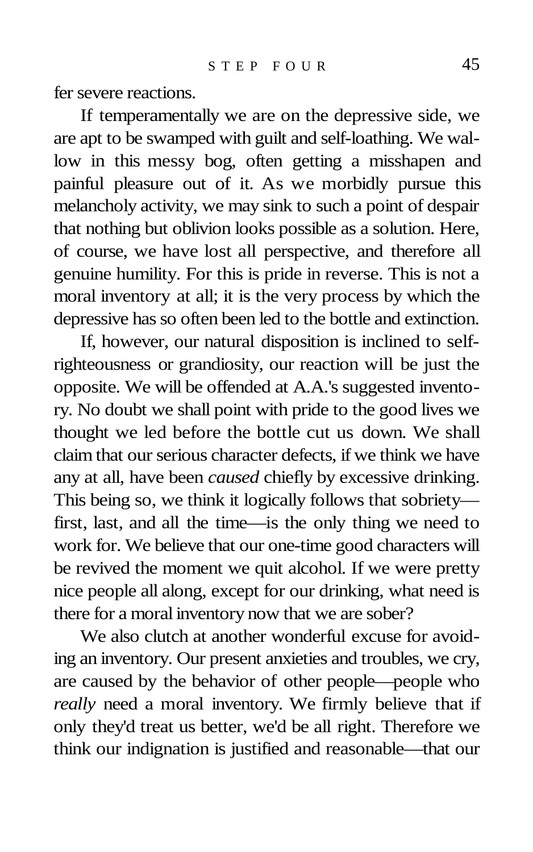fer severe reactions.

If temperamentally we are on the depressive side, we are apt to be swamped with guilt and self-loathing. We wallow in this messy bog, often getting a misshapen and painful pleasure out of it. As we morbidly pursue this melancholy activity, we may sink to such a point of despair that nothing but oblivion looks possible as a solution. Here, of course, we have lost all perspective, and therefore all genuine humility. For this is pride in reverse. This is not a moral inventory at all; it is the very process by which the depressive has so often been led to the bottle and extinction.

If, however, our natural disposition is inclined to selfrighteousness or grandiosity, our reaction will be just the opposite. We will be offended at A.A.'s suggested inventory. No doubt we shall point with pride to the good lives we thought we led before the bottle cut us down. We shall claim that our serious character defects, if we think we have any at all, have been *caused* chiefly by excessive drinking. This being so, we think it logically follows that sobriety first, last, and all the time— is the only thing we need to work for. We believe that our one-time good characters will be revived the moment we quit alcohol. If we were pretty nice people all along, except for our drinking, what need is there for a moral inventory now that we are sober?

We also clutch at another wonderful excuse for avoiding an inventory. Our present anxieties and troubles, we cry, are caused by the behavior of other people— people who *really* need a moral inventory. We firmly believe that if only they'd treat us better, we'd be all right. Therefore we think our indignation is justified and reasonable— that our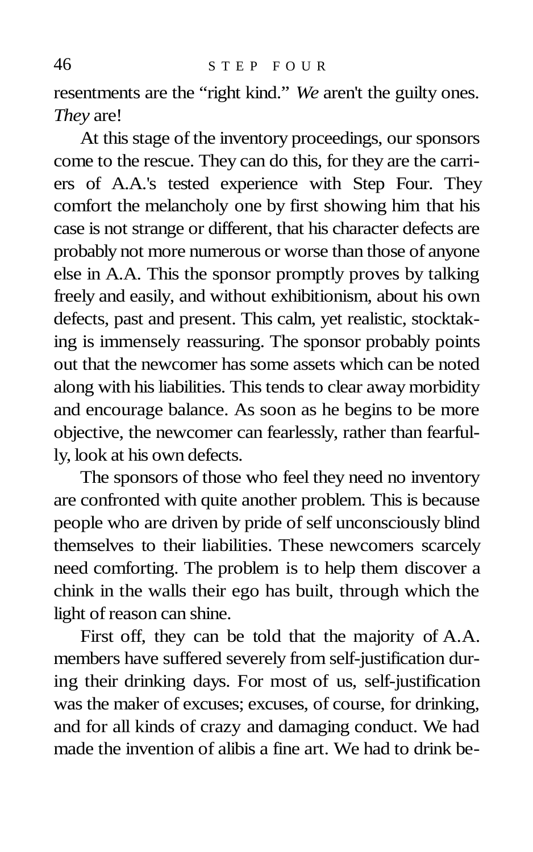resentments are the "right kind." *We* aren't the guilty ones. *They* are!

At this stage of the inventory proceedings, our sponsors come to the rescue. They can do this, for they are the carriers of A.A.'s tested experience with Step Four. They comfort the melancholy one by first showing him that his case is not strange or different, that his character defects are probably not more numerous or worse than those of anyone else in A.A. This the sponsor promptly proves by talking freely and easily, and without exhibitionism, about his own defects, past and present. This calm, yet realistic, stocktaking is immensely reassuring. The sponsor probably points out that the newcomer has some assets which can be noted along with his liabilities. This tends to clear away morbidity and encourage balance. As soon as he begins to be more objective, the newcomer can fearlessly, rather than fearfully, look at his own defects.

The sponsors of those who feel they need no inventory are confronted with quite another problem. This is because people who are driven by pride of self unconsciously blind themselves to their liabilities. These newcomers scarcely need comforting. The problem is to help them discover a chink in the walls their ego has built, through which the light of reason can shine.

First off, they can be told that the majority of A.A. members have suffered severely from self-justification during their drinking days. For most of us, self-justification was the maker of excuses; excuses, of course, for drinking, and for all kinds of crazy and damaging conduct. We had made the invention of alibis a fine art. We had to drink be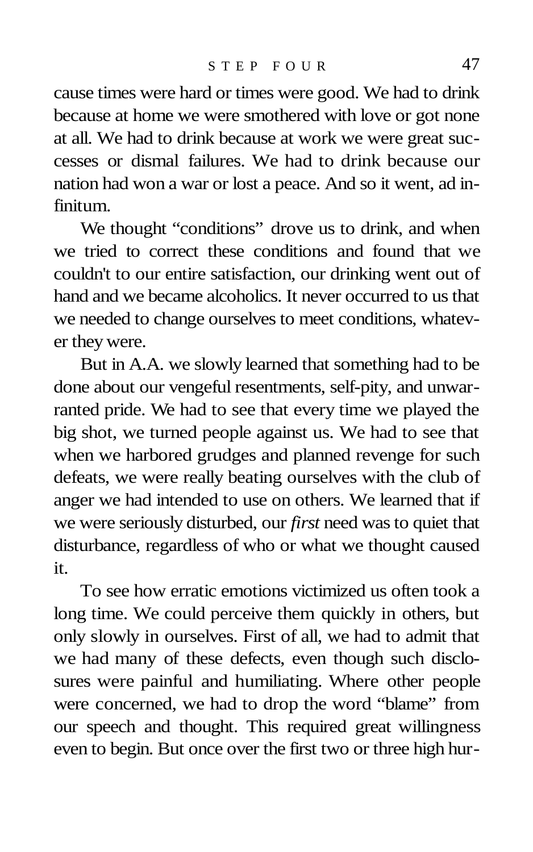cause times were hard or times were good. We had to drink because at home we were smothered with love or got none at all. We had to drink because at work we were great successes or dismal failures. We had to drink because our nation had won a war or lost a peace. And so it went, ad infinitum.

We thought "conditions" drove us to drink, and when we tried to correct these conditions and found that we couldn't to our entire satisfaction, our drinking went out of hand and we became alcoholics. It never occurred to us that we needed to change ourselves to meet conditions, whatever they were.

But in A.A. we slowly learned that something had to be done about our vengeful resentments, self-pity, and unwarranted pride. We had to see that every time we played the big shot, we turned people against us. We had to see that when we harbored grudges and planned revenge for such defeats, we were really beating ourselves with the club of anger we had intended to use on others. We learned that if we were seriously disturbed, our *first* need was to quiet that disturbance, regardless of who or what we thought caused it.

To see how erratic emotions victimized us often took a long time. We could perceive them quickly in others, but only slowly in ourselves. First of all, we had to admit that we had many of these defects, even though such disclosures were painful and humiliating. Where other people were concerned, we had to drop the word "blame" from our speech and thought. This required great willingness even to begin. But once over the first two or three high hur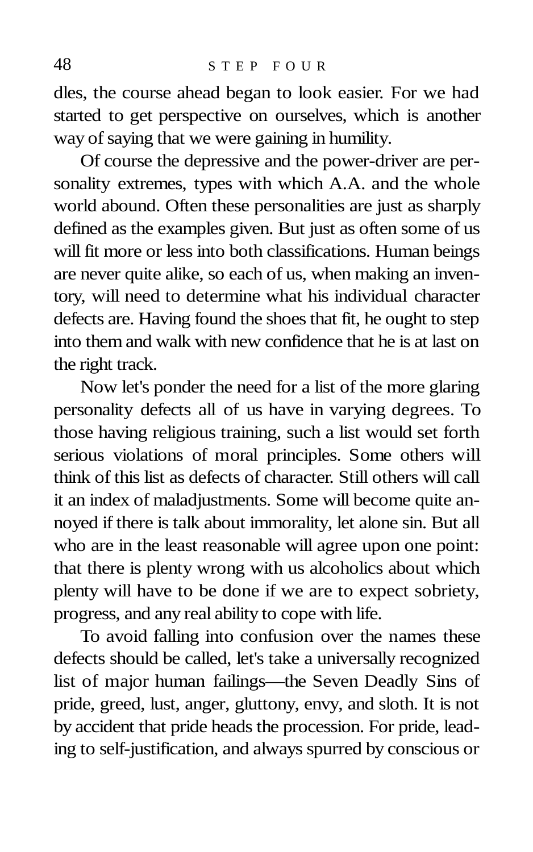dles, the course ahead began to look easier. For we had started to get perspective on ourselves, which is another way of saying that we were gaining in humility.

Of course the depressive and the power-driver are personality extremes, types with which A.A. and the whole world abound. Often these personalities are just as sharply defined as the examples given. But just as often some of us will fit more or less into both classifications. Human beings are never quite alike, so each of us, when making an inventory, will need to determine what his individual character defects are. Having found the shoes that fit, he ought to step into them and walk with new confidence that he is at last on the right track.

Now let's ponder the need for a list of the more glaring personality defects all of us have in varying degrees. To those having religious training, such a list would set forth serious violations of moral principles. Some others will think of this list as defects of character. Still others will call it an index of maladjustments. Some will become quite annoyed if there is talk about immorality, let alone sin. But all who are in the least reasonable will agree upon one point: that there is plenty wrong with us alcoholics about which plenty will have to be done if we are to expect sobriety, progress, and any real ability to cope with life.

To avoid falling into confusion over the names these defects should be called, let's take a universally recognized list of major human failings— the Seven Deadly Sins of pride, greed, lust, anger, gluttony, envy, and sloth. It is not by accident that pride heads the procession. For pride, leading to self-justification, and always spurred by conscious or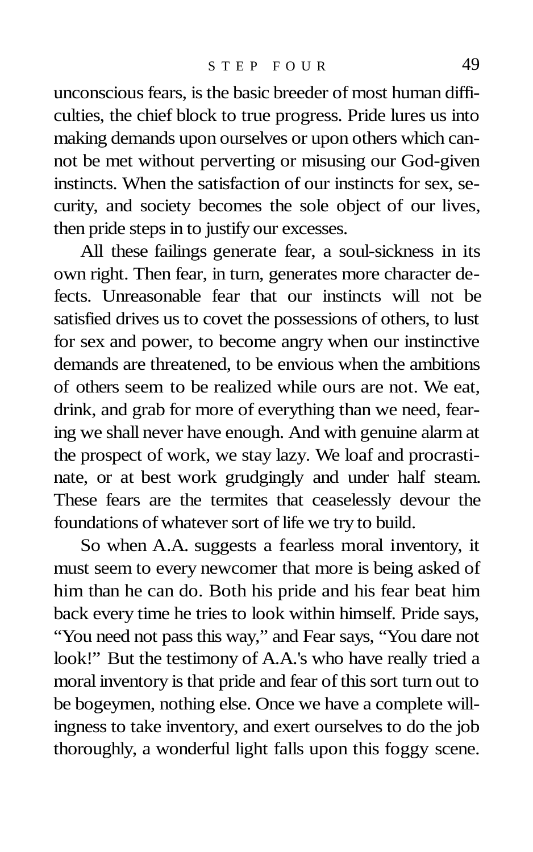unconscious fears, is the basic breeder of most human difficulties, the chief block to true progress. Pride lures us into making demands upon ourselves or upon others which cannot be met without perverting or misusing our God-given instincts. When the satisfaction of our instincts for sex, security, and society becomes the sole object of our lives, then pride steps in to justify our excesses.

All these failings generate fear, a soul-sickness in its own right. Then fear, in turn, generates more character defects. Unreasonable fear that our instincts will not be satisfied drives us to covet the possessions of others, to lust for sex and power, to become angry when our instinctive demands are threatened, to be envious when the ambitions of others seem to be realized while ours are not. We eat, drink, and grab for more of everything than we need, fearing we shall never have enough. And with genuine alarm at the prospect of work, we stay lazy. We loaf and procrastinate, or at best work grudgingly and under half steam. These fears are the termites that ceaselessly devour the foundations of whatever sort of life we try to build.

So when A.A. suggests a fearless moral inventory, it must seem to every newcomer that more is being asked of him than he can do. Both his pride and his fear beat him back every time he tries to look within himself. Pride says, "You need not pass this way," and Fear says, "You dare not look!" But the testimony of A.A.'s who have really tried a moral inventory is that pride and fear of this sort turn out to be bogeymen, nothing else. Once we have a complete willingness to take inventory, and exert ourselves to do the job thoroughly, a wonderful light falls upon this foggy scene.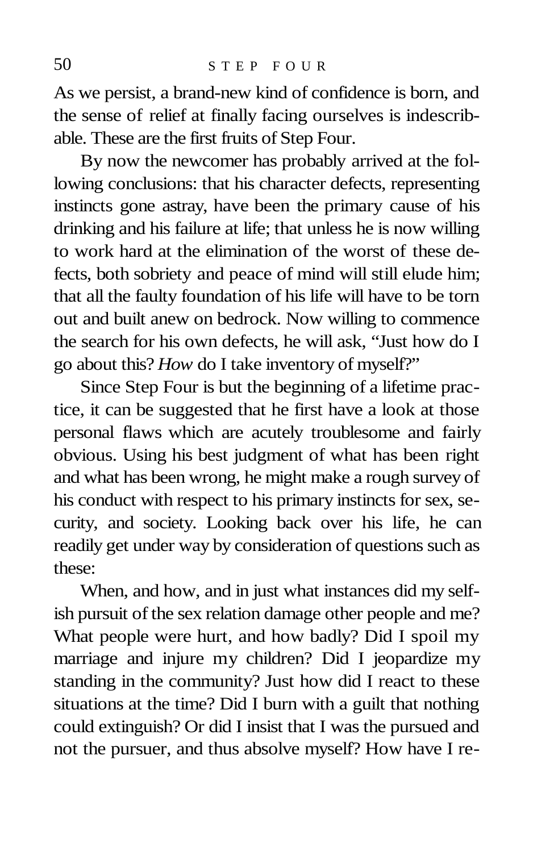As we persist, a brand-new kind of confidence is born, and the sense of relief at finally facing ourselves is indescribable. These are the first fruits of Step Four.

By now the newcomer has probably arrived at the following conclusions: that his character defects, representing instincts gone astray, have been the primary cause of his drinking and his failure at life; that unless he is now willing to work hard at the elimination of the worst of these defects, both sobriety and peace of mind will still elude him; that all the faulty foundation of his life will have to be torn out and built anew on bedrock. Now willing to commence the search for his own defects, he will ask, "Just how do I go about this? *How* do I take inventory of myself?"

Since Step Four is but the beginning of a lifetime practice, it can be suggested that he first have a look at those personal flaws which are acutely troublesome and fairly obvious. Using his best judgment of what has been right and what has been wrong, he might make a rough survey of his conduct with respect to his primary instincts for sex, security, and society. Looking back over his life, he can readily get under way by consideration of questions such as these:

When, and how, and in just what instances did my selfish pursuit of the sex relation damage other people and me? What people were hurt, and how badly? Did I spoil my marriage and injure my children? Did I jeopardize my standing in the community? Just how did I react to these situations at the time? Did I burn with a guilt that nothing could extinguish? Or did I insist that I was the pursued and not the pursuer, and thus absolve myself? How have I re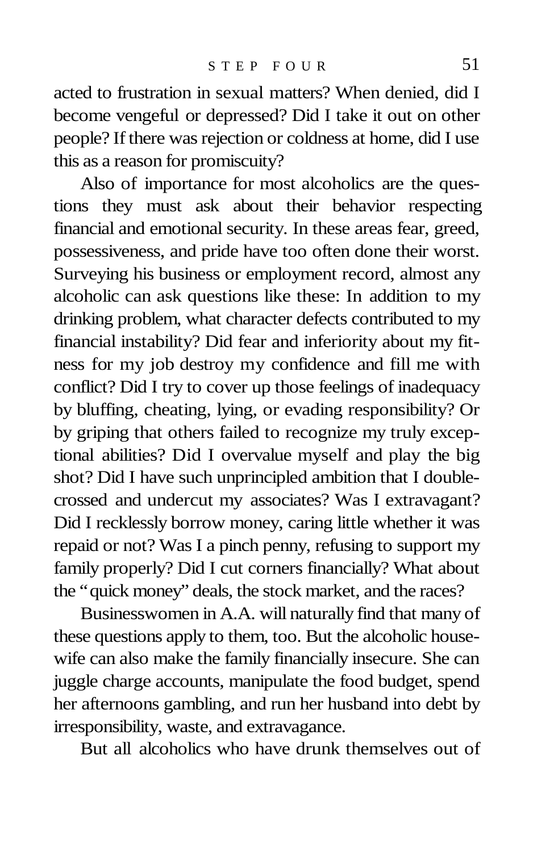acted to frustration in sexual matters? When denied, did I become vengeful or depressed? Did I take it out on other people? If there was rejection or coldness at home, did I use this as a reason for promiscuity?

Also of importance for most alcoholics are the questions they must ask about their behavior respecting financial and emotional security. In these areas fear, greed, possessiveness, and pride have too often done their worst. Surveying his business or employment record, almost any alcoholic can ask questions like these: In addition to my drinking problem, what character defects contributed to my financial instability? Did fear and inferiority about my fitness for my job destroy my confidence and fill me with conflict? Did I try to cover up those feelings of inadequacy by bluffing, cheating, lying, or evading responsibility? Or by griping that others failed to recognize my truly exceptional abilities? Did I overvalue myself and play the big shot? Did I have such unprincipled ambition that I doublecrossed and undercut my associates? Was I extravagant? Did I recklessly borrow money, caring little whether it was repaid or not? Was I a pinch penny, refusing to support my family properly? Did I cut corners financially? What about the "quick money" deals, the stock market, and the races?

Businesswomen in A.A. will naturally find that many of these questions apply to them, too. But the alcoholic housewife can also make the family financially insecure. She can juggle charge accounts, manipulate the food budget, spend her afternoons gambling, and run her husband into debt by irresponsibility, waste, and extravagance.

But all alcoholics who have drunk themselves out of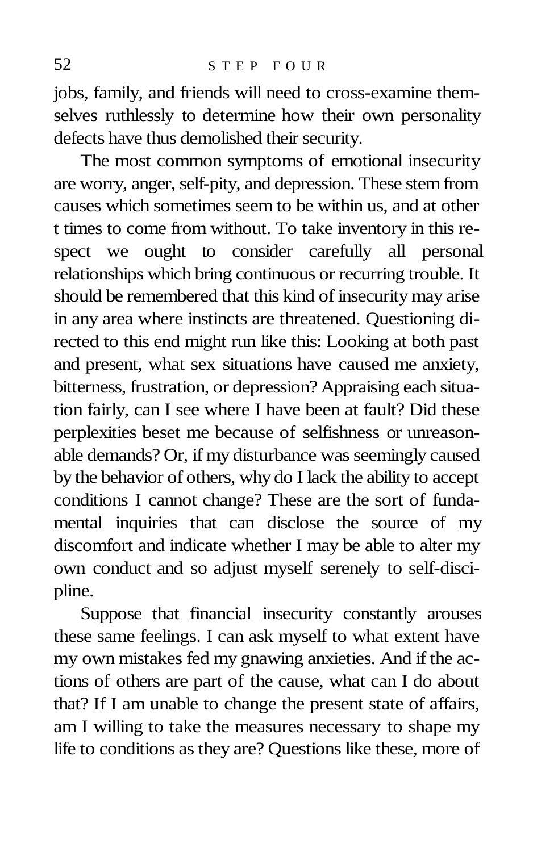jobs, family, and friends will need to cross-examine themselves ruthlessly to determine how their own personality defects have thus demolished their security.

The most common symptoms of emotional insecurity are worry, anger, self-pity, and depression. These stem from causes which sometimes seem to be within us, and at other t times to come from without. To take inventory in this respect we ought to consider carefully all personal relationships which bring continuous or recurring trouble. It should be remembered that this kind of insecurity may arise in any area where instincts are threatened. Questioning directed to this end might run like this: Looking at both past and present, what sex situations have caused me anxiety, bitterness, frustration, or depression? Appraising each situation fairly, can I see where I have been at fault? Did these perplexities beset me because of selfishness or unreasonable demands? Or, if my disturbance was seemingly caused by the behavior of others, why do I lack the ability to accept conditions I cannot change? These are the sort of fundamental inquiries that can disclose the source of my discomfort and indicate whether I may be able to alter my own conduct and so adjust myself serenely to self-discipline.

Suppose that financial insecurity constantly arouses these same feelings. I can ask myself to what extent have my own mistakes fed my gnawing anxieties. And if the actions of others are part of the cause, what can I do about that? If I am unable to change the present state of affairs, am I willing to take the measures necessary to shape my life to conditions as they are? Questions like these, more of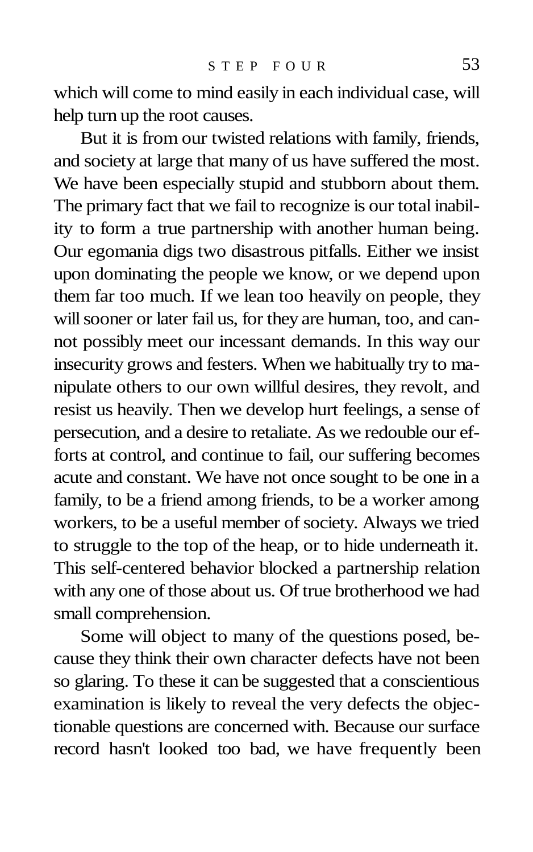which will come to mind easily in each individual case, will help turn up the root causes.

But it is from our twisted relations with family, friends, and society at large that many of us have suffered the most. We have been especially stupid and stubborn about them. The primary fact that we fail to recognize is our total inability to form a true partnership with another human being. Our egomania digs two disastrous pitfalls. Either we insist upon dominating the people we know, or we depend upon them far too much. If we lean too heavily on people, they will sooner or later fail us, for they are human, too, and cannot possibly meet our incessant demands. In this way our insecurity grows and festers. When we habitually try to manipulate others to our own willful desires, they revolt, and resist us heavily. Then we develop hurt feelings, a sense of persecution, and a desire to retaliate. As we redouble our efforts at control, and continue to fail, our suffering becomes acute and constant. We have not once sought to be one in a family, to be a friend among friends, to be a worker among workers, to be a useful member of society. Always we tried to struggle to the top of the heap, or to hide underneath it. This self-centered behavior blocked a partnership relation with any one of those about us. Of true brotherhood we had small comprehension.

Some will object to many of the questions posed, because they think their own character defects have not been so glaring. To these it can be suggested that a conscientious examination is likely to reveal the very defects the objectionable questions are concerned with. Because our surface record hasn't looked too bad, we have frequently been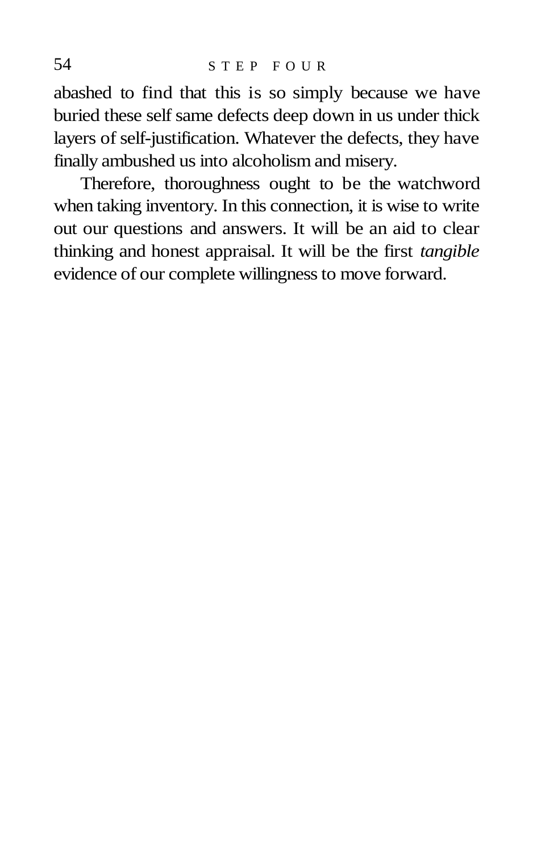abashed to find that this is so simply because we have buried these self same defects deep down in us under thick layers of self-justification. Whatever the defects, they have finally ambushed us into alcoholism and misery.

Therefore, thoroughness ought to be the watchword when taking inventory. In this connection, it is wise to write out our questions and answers. It will be an aid to clear thinking and honest appraisal. It will be the first *tangible* evidence of our complete willingness to move forward.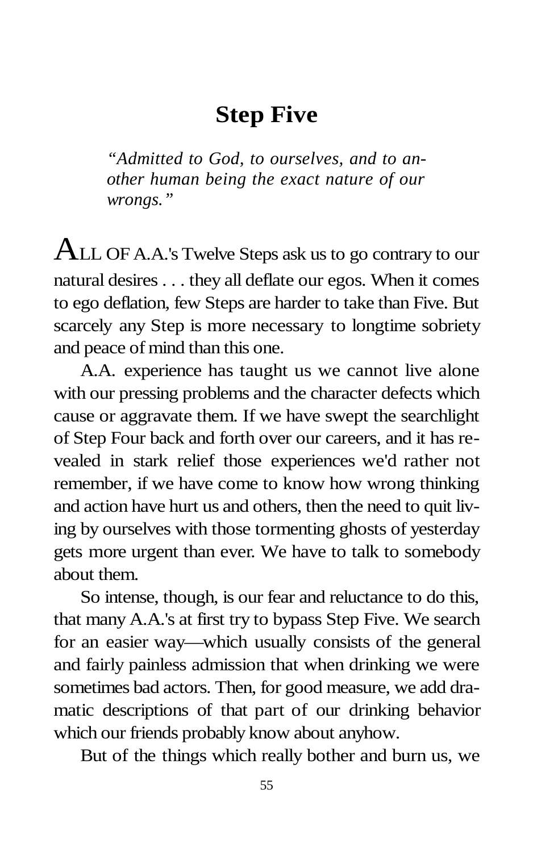## **Step Five**

*"Admitted to God, to ourselves, and to another human being the exact nature of our wrongs."*

 $\rm{ALL}$  OF A.A.'s Twelve Steps ask us to go contrary to our natural desires . . . they all deflate our egos. When it comes to ego deflation, few Steps are harder to take than Five. But scarcely any Step is more necessary to longtime sobriety and peace of mind than this one.

A.A. experience has taught us we cannot live alone with our pressing problems and the character defects which cause or aggravate them. If we have swept the searchlight of [Step Four](#page-41-0) back and forth over our careers, and it has revealed in stark relief those experiences we'd rather not remember, if we have come to know how wrong thinking and action have hurt us and others, then the need to quit living by ourselves with those tormenting ghosts of yesterday gets more urgent than ever. We have to talk to somebody about them.

So intense, though, is our fear and reluctance to do this, that many A.A.'s at first try to bypass Step Five. We search for an easier way— which usually consists of the general and fairly painless admission that when drinking we were sometimes bad actors. Then, for good measure, we add dramatic descriptions of that part of our drinking behavior which our friends probably know about anyhow.

But of the things which really bother and burn us, we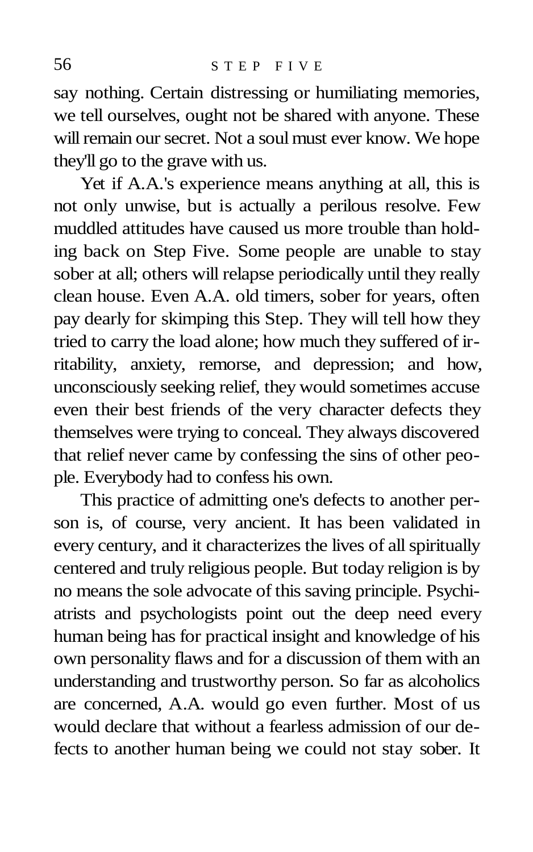say nothing. Certain distressing or humiliating memories, we tell ourselves, ought not be shared with anyone. These will remain our secret. Not a soul must ever know. We hope they'll go to the grave with us.

Yet if A.A.'s experience means anything at all, this is not only unwise, but is actually a perilous resolve. Few muddled attitudes have caused us more trouble than holding back on Step Five. Some people are unable to stay sober at all; others will relapse periodically until they really clean house. Even A.A. old timers, sober for years, often pay dearly for skimping this Step. They will tell how they tried to carry the load alone; how much they suffered of irritability, anxiety, remorse, and depression; and how, unconsciously seeking relief, they would sometimes accuse even their best friends of the very character defects they themselves were trying to conceal. They always discovered that relief never came by confessing the sins of other people. Everybody had to confess his own.

This practice of admitting one's defects to another person is, of course, very ancient. It has been validated in every century, and it characterizes the lives of all spiritually centered and truly religious people. But today religion is by no means the sole advocate of this saving principle. Psychiatrists and psychologists point out the deep need every human being has for practical insight and knowledge of his own personality flaws and for a discussion of them with an understanding and trustworthy person. So far as alcoholics are concerned, A.A. would go even further. Most of us would declare that without a fearless admission of our defects to another human being we could not stay sober. It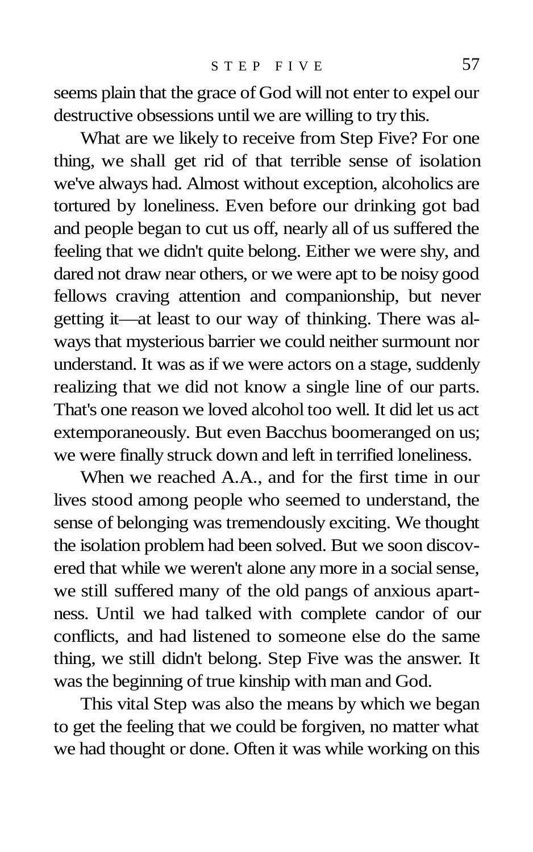seems plain that the grace of God will not enter to expel our destructive obsessions until we are willing to try this.

What are we likely to receive from Step Five? For one thing, we shall get rid of that terrible sense of isolation we've always had. Almost without exception, alcoholics are tortured by loneliness. Even before our drinking got bad and people began to cut us off, nearly all of us suffered the feeling that we didn't quite belong. Either we were shy, and dared not draw near others, or we were apt to be noisy good fellows craving attention and companionship, but never getting it— at least to our way of thinking. There was always that mysterious barrier we could neither surmount nor understand. It was as if we were actors on a stage, suddenly realizing that we did not know a single line of our parts. That's one reason we loved alcohol too well. It did let us act extemporaneously. But even Bacchus boomeranged on us; we were finally struck down and left in terrified loneliness.

When we reached A.A., and for the first time in our lives stood among people who seemed to understand, the sense of belonging was tremendously exciting. We thought the isolation problem had been solved. But we soon discovered that while we weren't alone any more in a social sense, we still suffered many of the old pangs of anxious apartness. Until we had talked with complete candor of our conflicts, and had listened to someone else do the same thing, we still didn't belong. Step Five was the answer. It was the beginning of true kinship with man and God.

This vital Step was also the means by which we began to get the feeling that we could be forgiven, no matter what we had thought or done. Often it was while working on this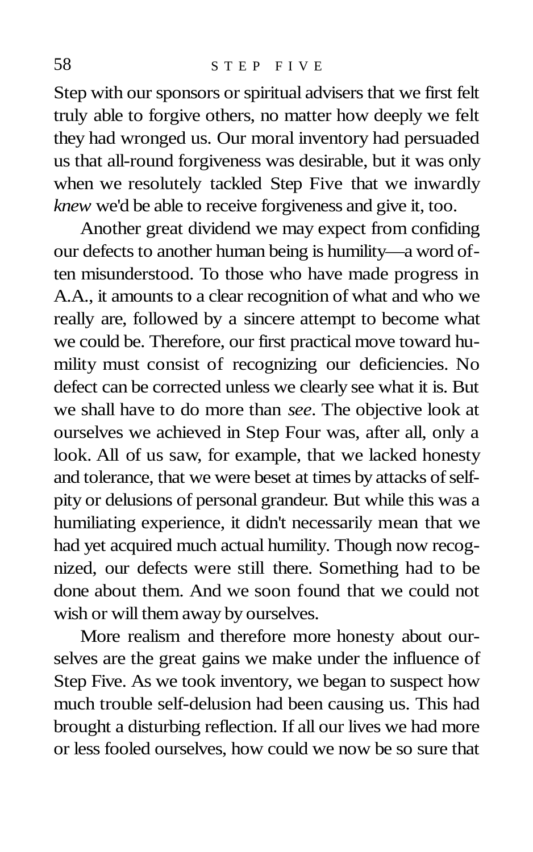Step with our sponsors or spiritual advisers that we first felt truly able to forgive others, no matter how deeply we felt they had wronged us. Our moral inventory had persuaded us that all-round forgiveness was desirable, but it was only when we resolutely tackled Step Five that we inwardly *knew* we'd be able to receive forgiveness and give it, too.

Another great dividend we may expect from confiding our defects to another human being is humility— a word often misunderstood. To those who have made progress in A.A., it amounts to a clear recognition of what and who we really are, followed by a sincere attempt to become what we could be. Therefore, our first practical move toward humility must consist of recognizing our deficiencies. No defect can be corrected unless we clearly see what it is. But we shall have to do more than *see*. The objective look at ourselves we achieved in [Step Four](#page-41-0) was, after all, only a look. All of us saw, for example, that we lacked honesty and tolerance, that we were beset at times by attacks of selfpity or delusions of personal grandeur. But while this was a humiliating experience, it didn't necessarily mean that we had yet acquired much actual humility. Though now recognized, our defects were still there. Something had to be done about them. And we soon found that we could not wish or will them away by ourselves.

More realism and therefore more honesty about ourselves are the great gains we make under the influence of Step Five. As we took inventory, we began to suspect how much trouble self-delusion had been causing us. This had brought a disturbing reflection. If all our lives we had more or less fooled ourselves, how could we now be so sure that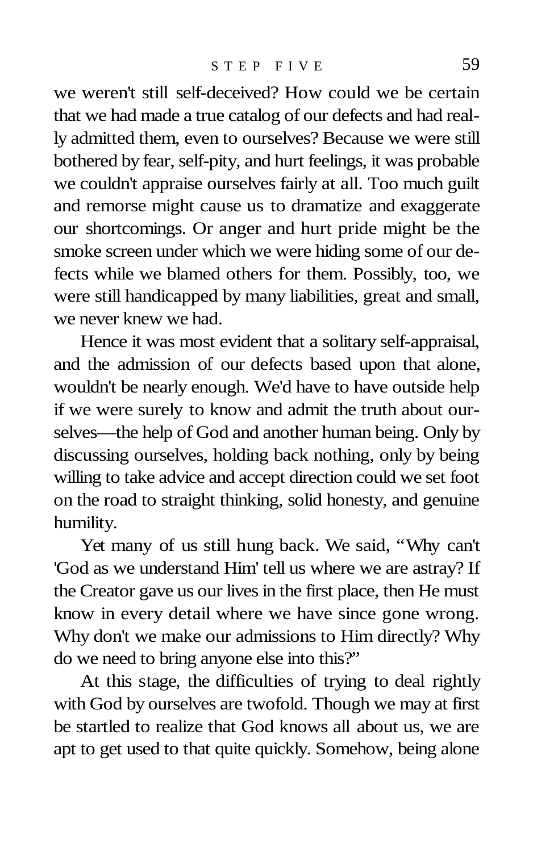we weren't still self-deceived? How could we be certain that we had made a true catalog of our defects and had really admitted them, even to ourselves? Because we were still bothered by fear, self-pity, and hurt feelings, it was probable we couldn't appraise ourselves fairly at all. Too much guilt and remorse might cause us to dramatize and exaggerate our shortcomings. Or anger and hurt pride might be the smoke screen under which we were hiding some of our defects while we blamed others for them. Possibly, too, we were still handicapped by many liabilities, great and small, we never knew we had.

Hence it was most evident that a solitary self-appraisal, and the admission of our defects based upon that alone, wouldn't be nearly enough. We'd have to have outside help if we were surely to know and admit the truth about ourselves— the help of God and another human being. Only by discussing ourselves, holding back nothing, only by being willing to take advice and accept direction could we set foot on the road to straight thinking, solid honesty, and genuine humility.

Yet many of us still hung back. We said, "Why can't 'God as we understand Him' tell us where we are astray? If the Creator gave us our lives in the first place, then He must know in every detail where we have since gone wrong. Why don't we make our admissions to Him directly? Why do we need to bring anyone else into this?"

At this stage, the difficulties of trying to deal rightly with God by ourselves are twofold. Though we may at first be startled to realize that God knows all about us, we are apt to get used to that quite quickly. Somehow, being alone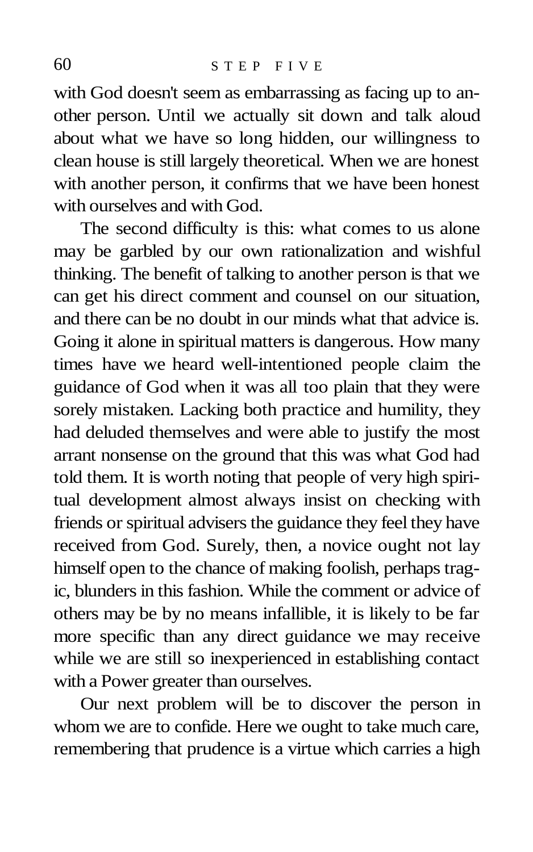with God doesn't seem as embarrassing as facing up to another person. Until we actually sit down and talk aloud about what we have so long hidden, our willingness to clean house is still largely theoretical. When we are honest with another person, it confirms that we have been honest with ourselves and with God.

The second difficulty is this: what comes to us alone may be garbled by our own rationalization and wishful thinking. The benefit of talking to another person is that we can get his direct comment and counsel on our situation, and there can be no doubt in our minds what that advice is. Going it alone in spiritual matters is dangerous. How many times have we heard well-intentioned people claim the guidance of God when it was all too plain that they were sorely mistaken. Lacking both practice and humility, they had deluded themselves and were able to justify the most arrant nonsense on the ground that this was what God had told them. It is worth noting that people of very high spiritual development almost always insist on checking with friends or spiritual advisers the guidance they feel they have received from God. Surely, then, a novice ought not lay himself open to the chance of making foolish, perhaps tragic, blunders in this fashion. While the comment or advice of others may be by no means infallible, it is likely to be far more specific than any direct guidance we may receive while we are still so inexperienced in establishing contact with a Power greater than ourselves.

Our next problem will be to discover the person in whom we are to confide. Here we ought to take much care, remembering that prudence is a virtue which carries a high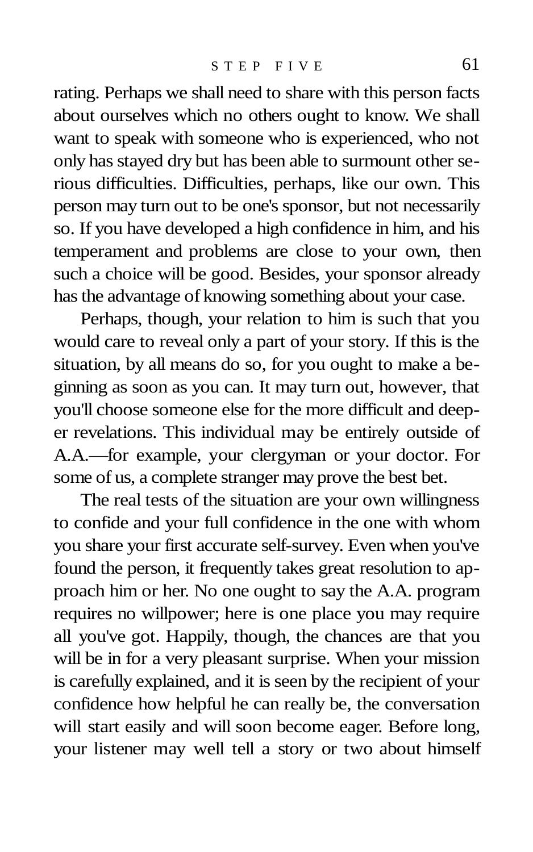rating. Perhaps we shall need to share with this person facts about ourselves which no others ought to know. We shall want to speak with someone who is experienced, who not only has stayed dry but has been able to surmount other serious difficulties. Difficulties, perhaps, like our own. This person may turn out to be one's sponsor, but not necessarily so. If you have developed a high confidence in him, and his temperament and problems are close to your own, then such a choice will be good. Besides, your sponsor already has the advantage of knowing something about your case.

Perhaps, though, your relation to him is such that you would care to reveal only a part of your story. If this is the situation, by all means do so, for you ought to make a beginning as soon as you can. It may turn out, however, that you'll choose someone else for the more difficult and deeper revelations. This individual may be entirely outside of A.A.— for example, your clergyman or your doctor. For some of us, a complete stranger may prove the best bet.

The real tests of the situation are your own willingness to confide and your full confidence in the one with whom you share your first accurate self-survey. Even when you've found the person, it frequently takes great resolution to approach him or her. No one ought to say the A.A. program requires no willpower; here is one place you may require all you've got. Happily, though, the chances are that you will be in for a very pleasant surprise. When your mission is carefully explained, and it is seen by the recipient of your confidence how helpful he can really be, the conversation will start easily and will soon become eager. Before long, your listener may well tell a story or two about himself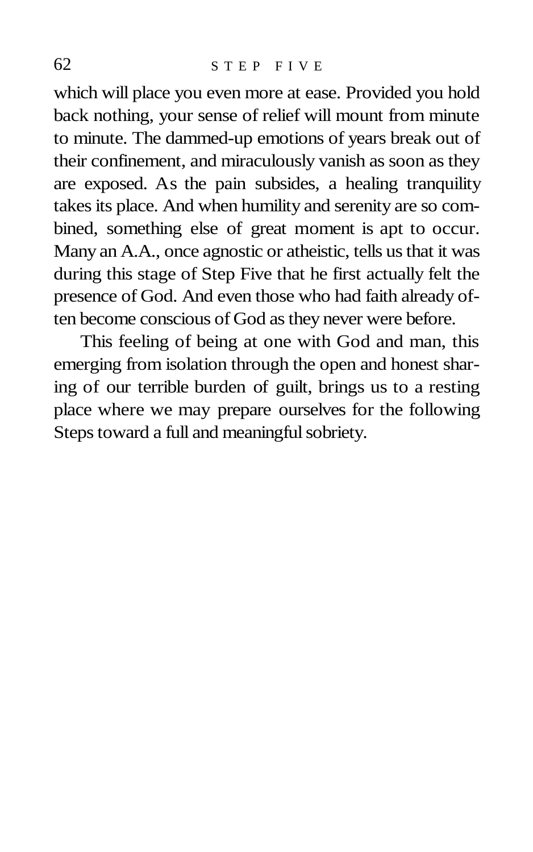which will place you even more at ease. Provided you hold back nothing, your sense of relief will mount from minute to minute. The dammed-up emotions of years break out of their confinement, and miraculously vanish as soon as they are exposed. As the pain subsides, a healing tranquility takes its place. And when humility and serenity are so combined, something else of great moment is apt to occur. Many an A.A., once agnostic or atheistic, tells us that it was during this stage of Step Five that he first actually felt the presence of God. And even those who had faith already often become conscious of God as they never were before.

This feeling of being at one with God and man, this emerging from isolation through the open and honest sharing of our terrible burden of guilt, brings us to a resting place where we may prepare ourselves for the following Steps toward a full and meaningful sobriety.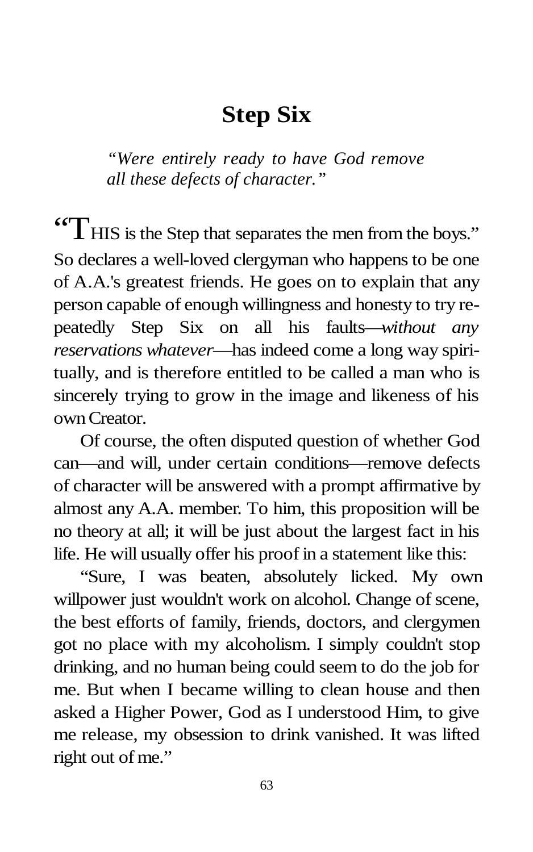## **Step Six**

*"Were entirely ready to have God remove all these defects of character."*

"THIS is the Step that separates the men from the boys." So declares a well-loved clergyman who happens to be one of A.A.'s greatest friends. He goes on to explain that any person capable of enough willingness and honesty to try repeatedly Step Six on all his faults— *without any reservations whatever*— has indeed come a long way spiritually, and is therefore entitled to be called a man who is sincerely trying to grow in the image and likeness of his own Creator.

Of course, the often disputed question of whether God can— and will, under certain conditions— remove defects of character will be answered with a prompt affirmative by almost any A.A. member. To him, this proposition will be no theory at all; it will be just about the largest fact in his life. He will usually offer his proof in a statement like this:

"Sure, I was beaten, absolutely licked. My own willpower just wouldn't work on alcohol. Change of scene, the best efforts of family, friends, doctors, and clergymen got no place with my alcoholism. I simply couldn't stop drinking, and no human being could seem to do the job for me. But when I became willing to clean house and then asked a Higher Power, God as I understood Him, to give me release, my obsession to drink vanished. It was lifted right out of me."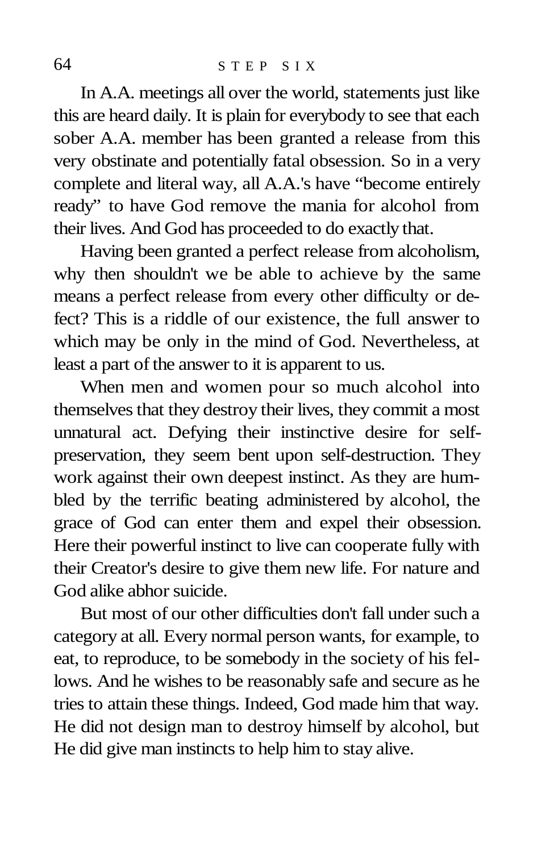In A.A. meetings all over the world, statements just like this are heard daily. It is plain for everybody to see that each sober A.A. member has been granted a release from this very obstinate and potentially fatal obsession. So in a very complete and literal way, all A.A.'s have "become entirely ready" to have God remove the mania for alcohol from their lives. And God has proceeded to do exactly that.

Having been granted a perfect release from alcoholism, why then shouldn't we be able to achieve by the same means a perfect release from every other difficulty or defect? This is a riddle of our existence, the full answer to which may be only in the mind of God. Nevertheless, at least a part of the answer to it is apparent to us.

When men and women pour so much alcohol into themselves that they destroy their lives, they commit a most unnatural act. Defying their instinctive desire for selfpreservation, they seem bent upon self-destruction. They work against their own deepest instinct. As they are humbled by the terrific beating administered by alcohol, the grace of God can enter them and expel their obsession. Here their powerful instinct to live can cooperate fully with their Creator's desire to give them new life. For nature and God alike abhor suicide.

But most of our other difficulties don't fall under such a category at all. Every normal person wants, for example, to eat, to reproduce, to be somebody in the society of his fellows. And he wishes to be reasonably safe and secure as he tries to attain these things. Indeed, God made him that way. He did not design man to destroy himself by alcohol, but He did give man instincts to help him to stay alive.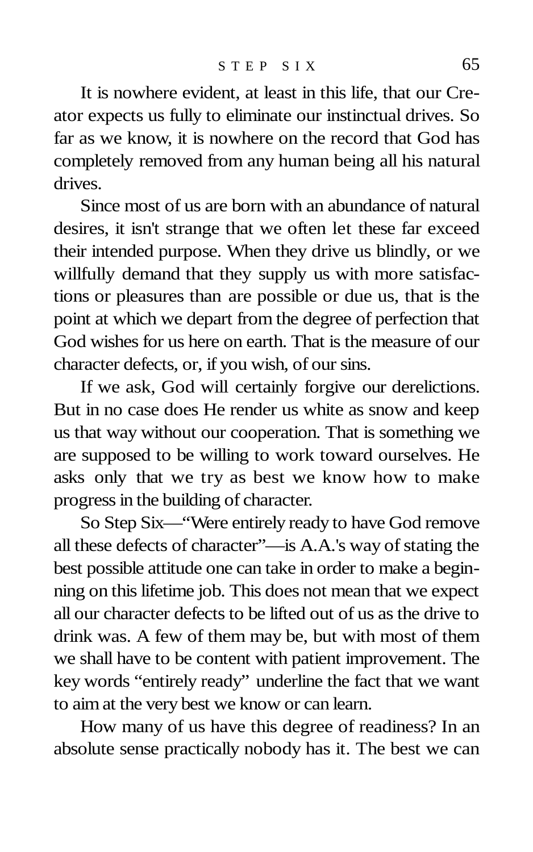It is nowhere evident, at least in this life, that our Creator expects us fully to eliminate our instinctual drives. So far as we know, it is nowhere on the record that God has completely removed from any human being all his natural drives.

Since most of us are born with an abundance of natural desires, it isn't strange that we often let these far exceed their intended purpose. When they drive us blindly, or we willfully demand that they supply us with more satisfactions or pleasures than are possible or due us, that is the point at which we depart from the degree of perfection that God wishes for us here on earth. That is the measure of our character defects, or, if you wish, of our sins.

If we ask, God will certainly forgive our derelictions. But in no case does He render us white as snow and keep us that way without our cooperation. That is something we are supposed to be willing to work toward ourselves. He asks only that we try as best we know how to make progress in the building of character.

So Step Six— "Were entirely ready to have God remove all these defects of character"— is A.A.'s way of stating the best possible attitude one can take in order to make a beginning on this lifetime job. This does not mean that we expect all our character defects to be lifted out of us as the drive to drink was. A few of them may be, but with most of them we shall have to be content with patient improvement. The key words "entirely ready" underline the fact that we want to aim at the very best we know or can learn.

How many of us have this degree of readiness? In an absolute sense practically nobody has it. The best we can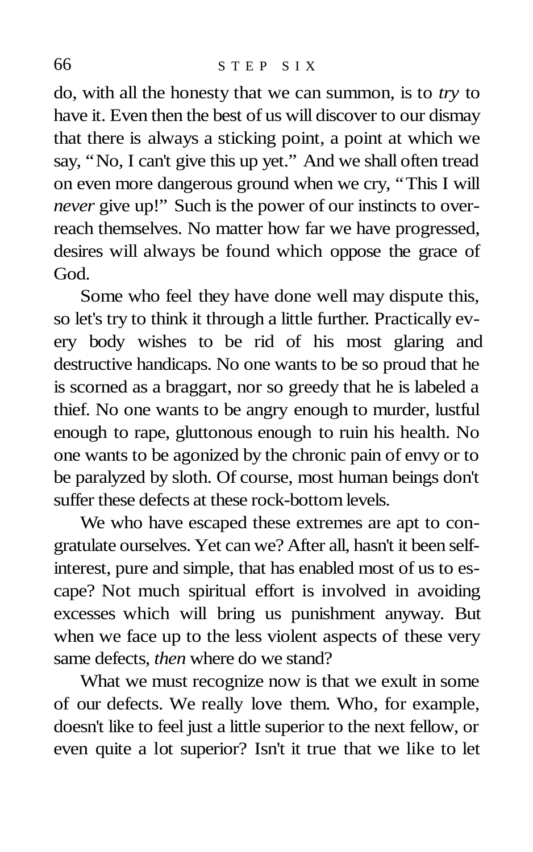do, with all the honesty that we can summon, is to *try* to have it. Even then the best of us will discover to our dismay that there is always a sticking point, a point at which we say, "No, I can't give this up yet." And we shall often tread on even more dangerous ground when we cry, "This I will *never* give up!" Such is the power of our instincts to overreach themselves. No matter how far we have progressed, desires will always be found which oppose the grace of God.

Some who feel they have done well may dispute this, so let's try to think it through a little further. Practically every body wishes to be rid of his most glaring and destructive handicaps. No one wants to be so proud that he is scorned as a braggart, nor so greedy that he is labeled a thief. No one wants to be angry enough to murder, lustful enough to rape, gluttonous enough to ruin his health. No one wants to be agonized by the chronic pain of envy or to be paralyzed by sloth. Of course, most human beings don't suffer these defects at these rock-bottom levels.

We who have escaped these extremes are apt to congratulate ourselves. Yet can we? After all, hasn't it been selfinterest, pure and simple, that has enabled most of us to escape? Not much spiritual effort is involved in avoiding excesses which will bring us punishment anyway. But when we face up to the less violent aspects of these very same defects, *then* where do we stand?

What we must recognize now is that we exult in some of our defects. We really love them. Who, for example, doesn't like to feel just a little superior to the next fellow, or even quite a lot superior? Isn't it true that we like to let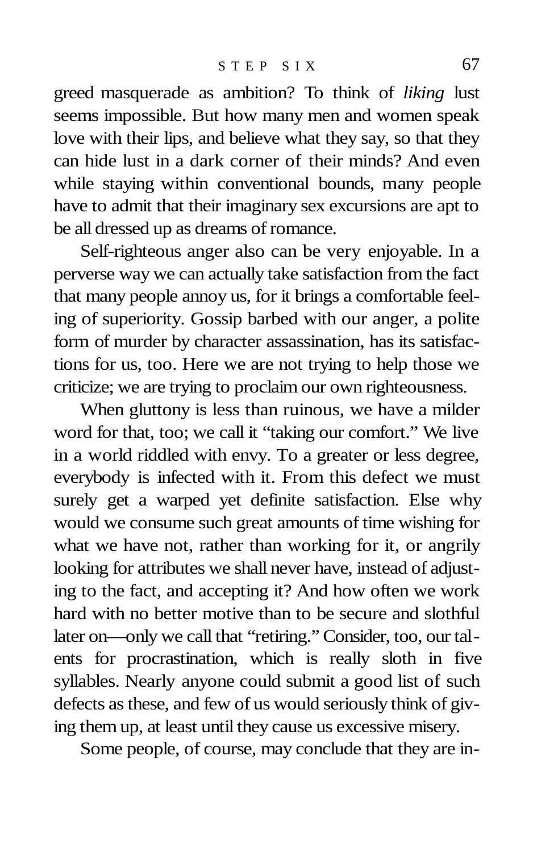greed masquerade as ambition? To think of *liking* lust seems impossible. But how many men and women speak love with their lips, and believe what they say, so that they can hide lust in a dark corner of their minds? And even while staying within conventional bounds, many people have to admit that their imaginary sex excursions are apt to be all dressed up as dreams of romance.

Self-righteous anger also can be very enjoyable. In a perverse way we can actually take satisfaction from the fact that many people annoy us, for it brings a comfortable feeling of superiority. Gossip barbed with our anger, a polite form of murder by character assassination, has its satisfactions for us, too. Here we are not trying to help those we criticize; we are trying to proclaim our own righteousness.

When gluttony is less than ruinous, we have a milder word for that, too; we call it "taking our comfort." We live in a world riddled with envy. To a greater or less degree, everybody is infected with it. From this defect we must surely get a warped yet definite satisfaction. Else why would we consume such great amounts of time wishing for what we have not, rather than working for it, or angrily looking for attributes we shall never have, instead of adjusting to the fact, and accepting it? And how often we work hard with no better motive than to be secure and slothful later on—only we call that "retiring." Consider, too, our talents for procrastination, which is really sloth in five syllables. Nearly anyone could submit a good list of such defects as these, and few of us would seriously think of giving them up, at least until they cause us excessive misery.

Some people, of course, may conclude that they are in-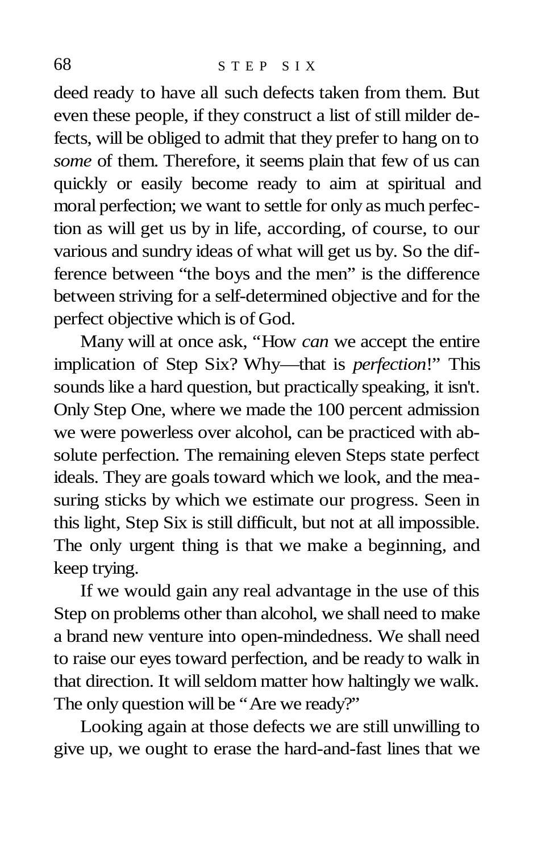deed ready to have all such defects taken from them. But even these people, if they construct a list of still milder defects, will be obliged to admit that they prefer to hang on to *some* of them. Therefore, it seems plain that few of us can quickly or easily become ready to aim at spiritual and moral perfection; we want to settle for only as much perfection as will get us by in life, according, of course, to our various and sundry ideas of what will get us by. So the difference between "the boys and the men" is the difference between striving for a self-determined objective and for the perfect objective which is of God.

Many will at once ask, "How *can* we accept the entire implication of Step Six? Why— that is *perfection*!" This sounds like a hard question, but practically speaking, it isn't. Only [Step One,](#page-20-0) where we made the 100 percent admission we were powerless over alcohol, can be practiced with absolute perfection. The remaining eleven Steps state perfect ideals. They are goals toward which we look, and the measuring sticks by which we estimate our progress. Seen in this light, Step Six is still difficult, but not at all impossible. The only urgent thing is that we make a beginning, and keep trying.

If we would gain any real advantage in the use of this Step on problems other than alcohol, we shall need to make a brand new venture into open-mindedness. We shall need to raise our eyes toward perfection, and be ready to walk in that direction. It will seldom matter how haltingly we walk. The only question will be "Are we ready?"

Looking again at those defects we are still unwilling to give up, we ought to erase the hard-and-fast lines that we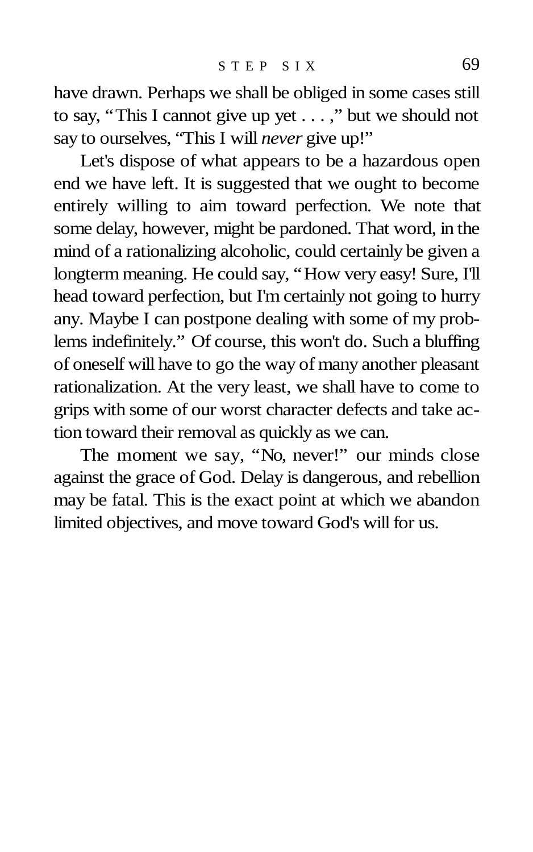have drawn. Perhaps we shall be obliged in some cases still to say, "This I cannot give up yet . . . ," but we should not say to ourselves, "This I will *never* give up!"

Let's dispose of what appears to be a hazardous open end we have left. It is suggested that we ought to become entirely willing to aim toward perfection. We note that some delay, however, might be pardoned. That word, in the mind of a rationalizing alcoholic, could certainly be given a longterm meaning. He could say, "How very easy! Sure, I'll head toward perfection, but I'm certainly not going to hurry any. Maybe I can postpone dealing with some of my problems indefinitely." Of course, this won't do. Such a bluffing of oneself will have to go the way of many another pleasant rationalization. At the very least, we shall have to come to grips with some of our worst character defects and take action toward their removal as quickly as we can.

The moment we say, "No, never!" our minds close against the grace of God. Delay is dangerous, and rebellion may be fatal. This is the exact point at which we abandon limited objectives, and move toward God's will for us.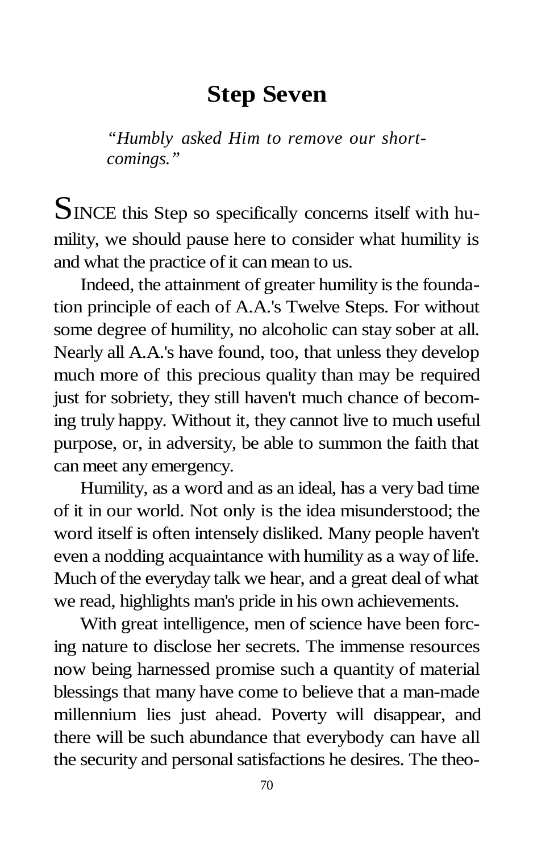## **Step Seven**

*"Humbly asked Him to remove our shortcomings."*

SINCE this Step so specifically concerns itself with humility, we should pause here to consider what humility is and what the practice of it can mean to us.

Indeed, the attainment of greater humility is the foundation principle of each of A.A.'s Twelve Steps. For without some degree of humility, no alcoholic can stay sober at all. Nearly all A.A.'s have found, too, that unless they develop much more of this precious quality than may be required just for sobriety, they still haven't much chance of becoming truly happy. Without it, they cannot live to much useful purpose, or, in adversity, be able to summon the faith that can meet any emergency.

Humility, as a word and as an ideal, has a very bad time of it in our world. Not only is the idea misunderstood; the word itself is often intensely disliked. Many people haven't even a nodding acquaintance with humility as a way of life. Much of the everyday talk we hear, and a great deal of what we read, highlights man's pride in his own achievements.

With great intelligence, men of science have been forcing nature to disclose her secrets. The immense resources now being harnessed promise such a quantity of material blessings that many have come to believe that a man-made millennium lies just ahead. Poverty will disappear, and there will be such abundance that everybody can have all the security and personal satisfactions he desires. The theo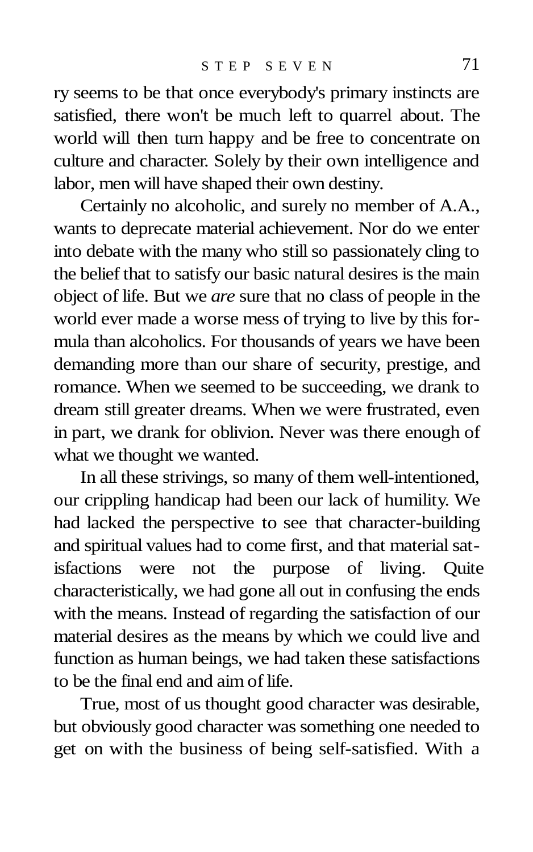ry seems to be that once everybody's primary instincts are satisfied, there won't be much left to quarrel about. The world will then turn happy and be free to concentrate on culture and character. Solely by their own intelligence and labor, men will have shaped their own destiny.

Certainly no alcoholic, and surely no member of A.A., wants to deprecate material achievement. Nor do we enter into debate with the many who still so passionately cling to the belief that to satisfy our basic natural desires is the main object of life. But we *are* sure that no class of people in the world ever made a worse mess of trying to live by this formula than alcoholics. For thousands of years we have been demanding more than our share of security, prestige, and romance. When we seemed to be succeeding, we drank to dream still greater dreams. When we were frustrated, even in part, we drank for oblivion. Never was there enough of what we thought we wanted.

In all these strivings, so many of them well-intentioned, our crippling handicap had been our lack of humility. We had lacked the perspective to see that character-building and spiritual values had to come first, and that material satisfactions were not the purpose of living. Quite characteristically, we had gone all out in confusing the ends with the means. Instead of regarding the satisfaction of our material desires as the means by which we could live and function as human beings, we had taken these satisfactions to be the final end and aim of life.

True, most of us thought good character was desirable, but obviously good character was something one needed to get on with the business of being self-satisfied. With a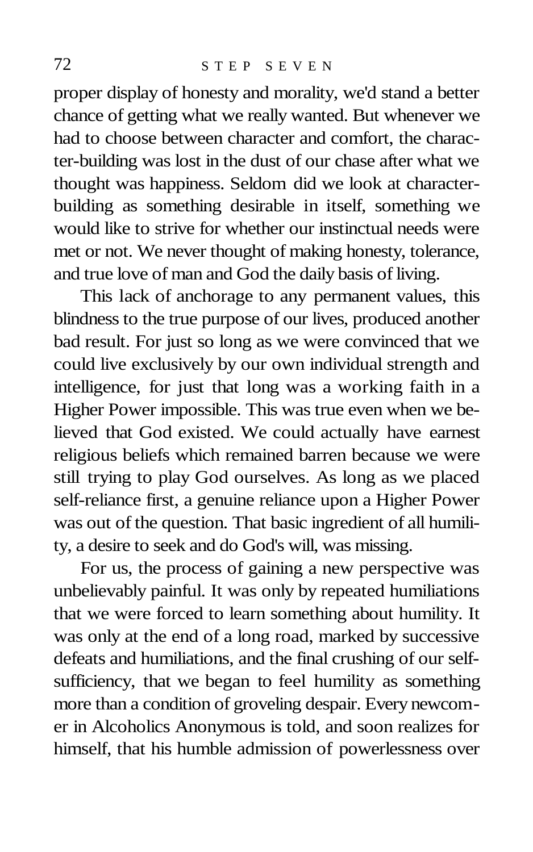proper display of honesty and morality, we'd stand a better chance of getting what we really wanted. But whenever we had to choose between character and comfort, the character-building was lost in the dust of our chase after what we thought was happiness. Seldom did we look at characterbuilding as something desirable in itself, something we would like to strive for whether our instinctual needs were met or not. We never thought of making honesty, tolerance, and true love of man and God the daily basis of living.

This lack of anchorage to any permanent values, this blindness to the true purpose of our lives, produced another bad result. For just so long as we were convinced that we could live exclusively by our own individual strength and intelligence, for just that long was a working faith in a Higher Power impossible. This was true even when we believed that God existed. We could actually have earnest religious beliefs which remained barren because we were still trying to play God ourselves. As long as we placed self-reliance first, a genuine reliance upon a Higher Power was out of the question. That basic ingredient of all humility, a desire to seek and do God's will, was missing.

For us, the process of gaining a new perspective was unbelievably painful. It was only by repeated humiliations that we were forced to learn something about humility. It was only at the end of a long road, marked by successive defeats and humiliations, and the final crushing of our selfsufficiency, that we began to feel humility as something more than a condition of groveling despair. Every newcomer in Alcoholics Anonymous is told, and soon realizes for himself, that his humble admission of powerlessness over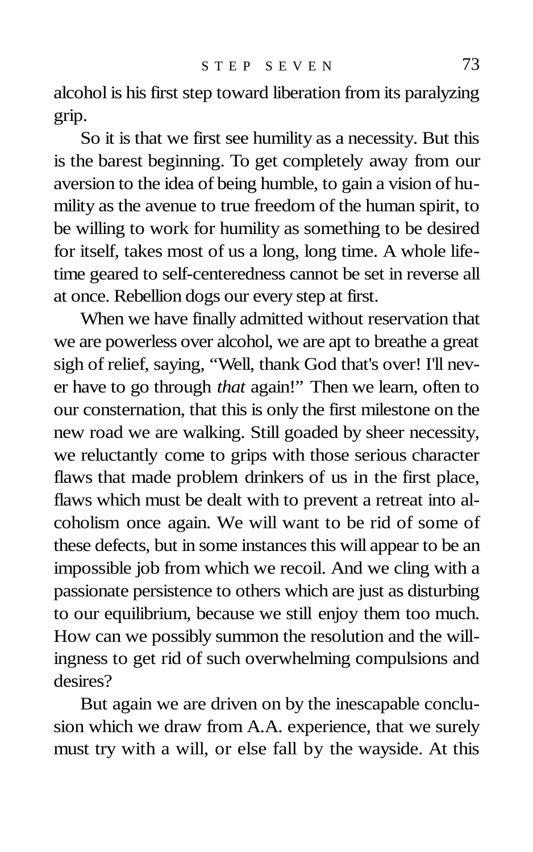alcohol is his first step toward liberation from its paralyzing grip.

So it is that we first see humility as a necessity. But this is the barest beginning. To get completely away from our aversion to the idea of being humble, to gain a vision of humility as the avenue to true freedom of the human spirit, to be willing to work for humility as something to be desired for itself, takes most of us a long, long time. A whole lifetime geared to self-centeredness cannot be set in reverse all at once. Rebellion dogs our every step at first.

When we have finally admitted without reservation that we are powerless over alcohol, we are apt to breathe a great sigh of relief, saying, "Well, thank God that's over! I'll never have to go through *that* again!" Then we learn, often to our consternation, that this is only the first milestone on the new road we are walking. Still goaded by sheer necessity, we reluctantly come to grips with those serious character flaws that made problem drinkers of us in the first place, flaws which must be dealt with to prevent a retreat into alcoholism once again. We will want to be rid of some of these defects, but in some instances this will appear to be an impossible job from which we recoil. And we cling with a passionate persistence to others which are just as disturbing to our equilibrium, because we still enjoy them too much. How can we possibly summon the resolution and the willingness to get rid of such overwhelming compulsions and desires?

But again we are driven on by the inescapable conclusion which we draw from A.A. experience, that we surely must try with a will, or else fall by the wayside. At this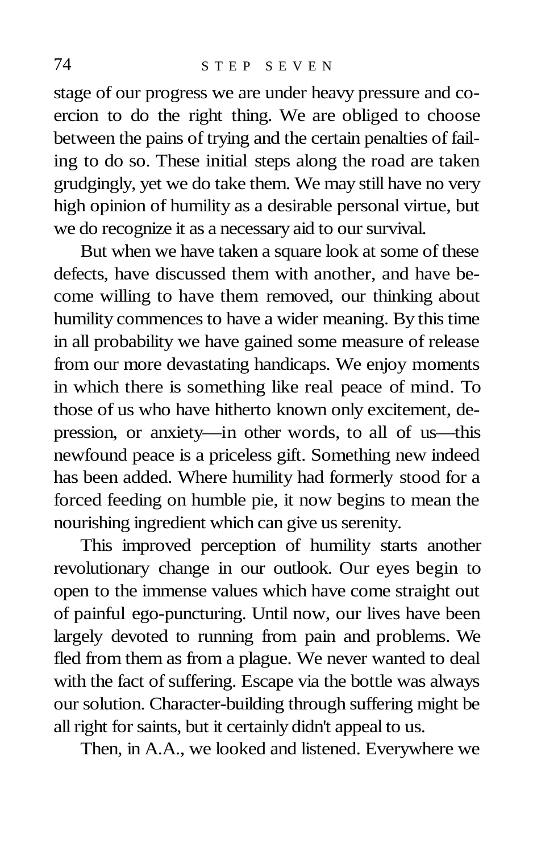stage of our progress we are under heavy pressure and coercion to do the right thing. We are obliged to choose between the pains of trying and the certain penalties of failing to do so. These initial steps along the road are taken grudgingly, yet we do take them. We may still have no very high opinion of humility as a desirable personal virtue, but we do recognize it as a necessary aid to our survival.

But when we have taken a square look at some of these defects, have discussed them with another, and have become willing to have them removed, our thinking about humility commences to have a wider meaning. By this time in all probability we have gained some measure of release from our more devastating handicaps. We enjoy moments in which there is something like real peace of mind. To those of us who have hitherto known only excitement, depression, or anxiety— in other words, to all of us— this newfound peace is a priceless gift. Something new indeed has been added. Where humility had formerly stood for a forced feeding on humble pie, it now begins to mean the nourishing ingredient which can give us serenity.

This improved perception of humility starts another revolutionary change in our outlook. Our eyes begin to open to the immense values which have come straight out of painful ego-puncturing. Until now, our lives have been largely devoted to running from pain and problems. We fled from them as from a plague. We never wanted to deal with the fact of suffering. Escape via the bottle was always our solution. Character-building through suffering might be all right for saints, but it certainly didn't appeal to us.

Then, in A.A., we looked and listened. Everywhere we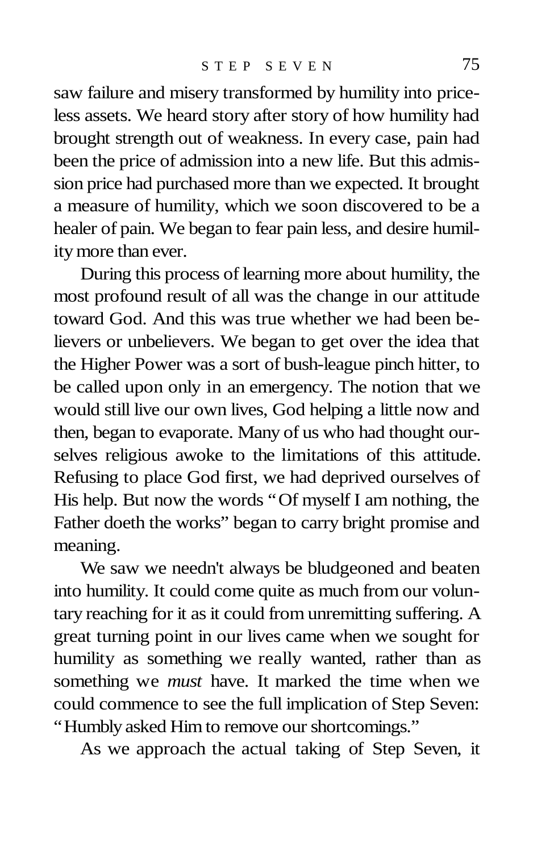saw failure and misery transformed by humility into priceless assets. We heard story after story of how humility had brought strength out of weakness. In every case, pain had been the price of admission into a new life. But this admission price had purchased more than we expected. It brought a measure of humility, which we soon discovered to be a healer of pain. We began to fear pain less, and desire humility more than ever.

During this process of learning more about humility, the most profound result of all was the change in our attitude toward God. And this was true whether we had been believers or unbelievers. We began to get over the idea that the Higher Power was a sort of bush-league pinch hitter, to be called upon only in an emergency. The notion that we would still live our own lives, God helping a little now and then, began to evaporate. Many of us who had thought ourselves religious awoke to the limitations of this attitude. Refusing to place God first, we had deprived ourselves of His help. But now the words "Of myself I am nothing, the Father doeth the works" began to carry bright promise and meaning.

We saw we needn't always be bludgeoned and beaten into humility. It could come quite as much from our voluntary reaching for it as it could from unremitting suffering. A great turning point in our lives came when we sought for humility as something we really wanted, rather than as something we *must* have. It marked the time when we could commence to see the full implication of Step Seven: "Humbly asked Him to remove our shortcomings."

As we approach the actual taking of Step Seven, it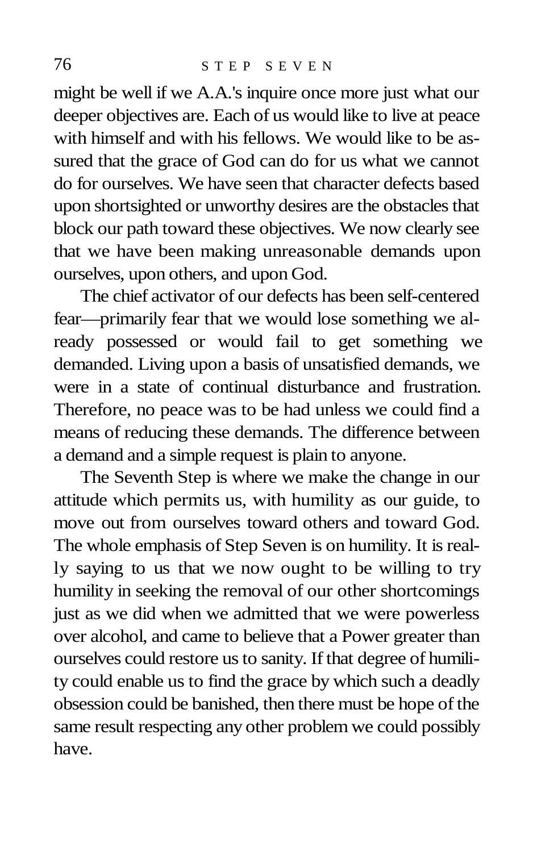might be well if we A.A.'s inquire once more just what our deeper objectives are. Each of us would like to live at peace with himself and with his fellows. We would like to be assured that the grace of God can do for us what we cannot do for ourselves. We have seen that character defects based upon shortsighted or unworthy desires are the obstacles that block our path toward these objectives. We now clearly see that we have been making unreasonable demands upon ourselves, upon others, and upon God.

The chief activator of our defects has been self-centered fear— primarily fear that we would lose something we already possessed or would fail to get something we demanded. Living upon a basis of unsatisfied demands, we were in a state of continual disturbance and frustration. Therefore, no peace was to be had unless we could find a means of reducing these demands. The difference between a demand and a simple request is plain to anyone.

The Seventh Step is where we make the change in our attitude which permits us, with humility as our guide, to move out from ourselves toward others and toward God. The whole emphasis of Step Seven is on humility. It is really saying to us that we now ought to be willing to try humility in seeking the removal of our other shortcomings just as we did when we admitted that we were powerless over alcohol, and came to believe that a Power greater than ourselves could restore us to sanity. If that degree of humility could enable us to find the grace by which such a deadly obsession could be banished, then there must be hope of the same result respecting any other problem we could possibly have.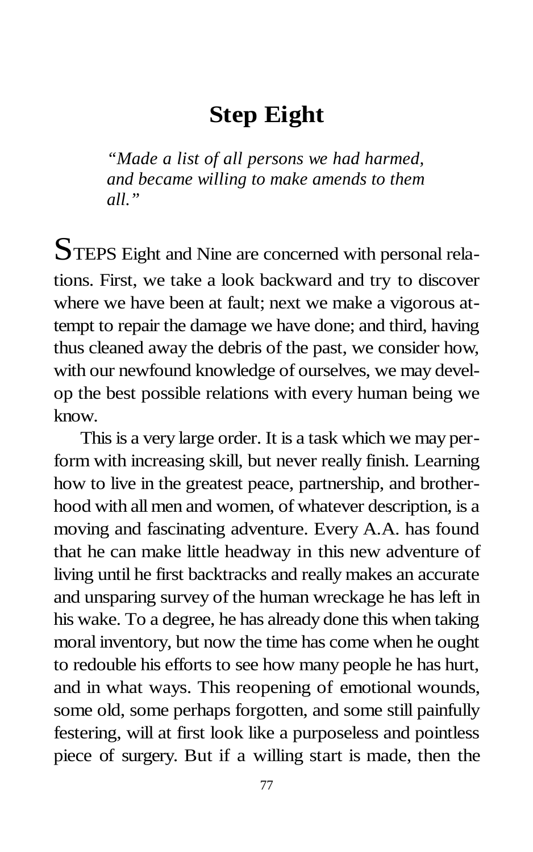# **Step Eight**

<span id="page-76-0"></span>*"Made a list of all persons we had harmed, and became willing to make amends to them all."*

STEPS Eight and [Nine](#page-82-0) are concerned with personal relations. First, we take a look backward and try to discover where we have been at fault; next we make a vigorous attempt to repair the damage we have done; and third, having thus cleaned away the debris of the past, we consider how, with our newfound knowledge of ourselves, we may develop the best possible relations with every human being we know.

This is a very large order. It is a task which we may perform with increasing skill, but never really finish. Learning how to live in the greatest peace, partnership, and brotherhood with all men and women, of whatever description, is a moving and fascinating adventure. Every A.A. has found that he can make little headway in this new adventure of living until he first backtracks and really makes an accurate and unsparing survey of the human wreckage he has left in his wake. To a degree, he has already done this when taking moral inventory, but now the time has come when he ought to redouble his efforts to see how many people he has hurt, and in what ways. This reopening of emotional wounds, some old, some perhaps forgotten, and some still painfully festering, will at first look like a purposeless and pointless piece of surgery. But if a willing start is made, then the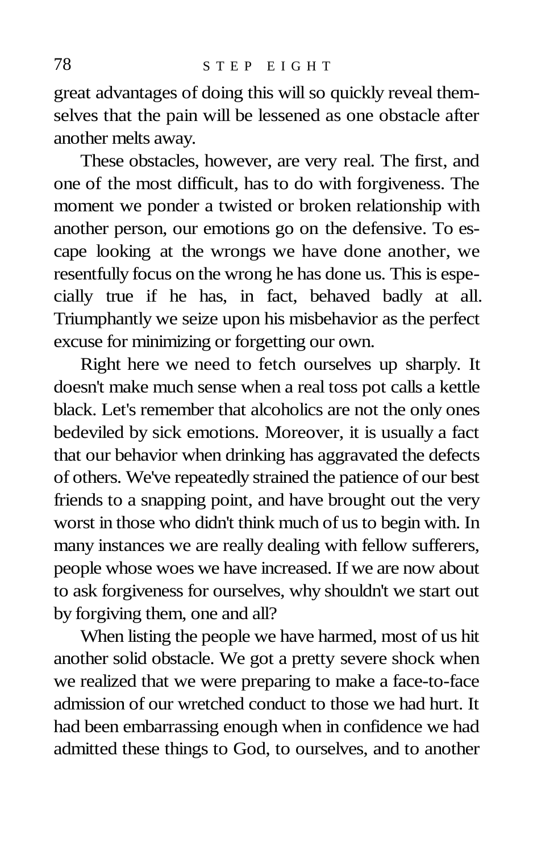great advantages of doing this will so quickly reveal themselves that the pain will be lessened as one obstacle after another melts away.

These obstacles, however, are very real. The first, and one of the most difficult, has to do with forgiveness. The moment we ponder a twisted or broken relationship with another person, our emotions go on the defensive. To escape looking at the wrongs we have done another, we resentfully focus on the wrong he has done us. This is especially true if he has, in fact, behaved badly at all. Triumphantly we seize upon his misbehavior as the perfect excuse for minimizing or forgetting our own.

Right here we need to fetch ourselves up sharply. It doesn't make much sense when a real toss pot calls a kettle black. Let's remember that alcoholics are not the only ones bedeviled by sick emotions. Moreover, it is usually a fact that our behavior when drinking has aggravated the defects of others. We've repeatedly strained the patience of our best friends to a snapping point, and have brought out the very worst in those who didn't think much of us to begin with. In many instances we are really dealing with fellow sufferers, people whose woes we have increased. If we are now about to ask forgiveness for ourselves, why shouldn't we start out by forgiving them, one and all?

When listing the people we have harmed, most of us hit another solid obstacle. We got a pretty severe shock when we realized that we were preparing to make a face-to-face admission of our wretched conduct to those we had hurt. It had been embarrassing enough when in confidence we had admitted these things to God, to ourselves, and to another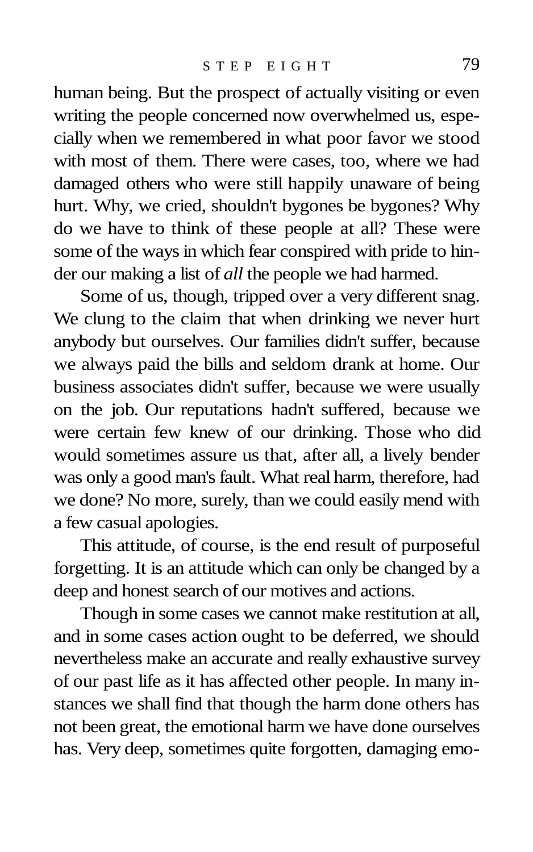human being. But the prospect of actually visiting or even writing the people concerned now overwhelmed us, especially when we remembered in what poor favor we stood with most of them. There were cases, too, where we had damaged others who were still happily unaware of being hurt. Why, we cried, shouldn't bygones be bygones? Why do we have to think of these people at all? These were some of the ways in which fear conspired with pride to hinder our making a list of *all* the people we had harmed.

Some of us, though, tripped over a very different snag. We clung to the claim that when drinking we never hurt anybody but ourselves. Our families didn't suffer, because we always paid the bills and seldom drank at home. Our business associates didn't suffer, because we were usually on the job. Our reputations hadn't suffered, because we were certain few knew of our drinking. Those who did would sometimes assure us that, after all, a lively bender was only a good man's fault. What real harm, therefore, had we done? No more, surely, than we could easily mend with a few casual apologies.

This attitude, of course, is the end result of purposeful forgetting. It is an attitude which can only be changed by a deep and honest search of our motives and actions.

Though in some cases we cannot make restitution at all, and in some cases action ought to be deferred, we should nevertheless make an accurate and really exhaustive survey of our past life as it has affected other people. In many instances we shall find that though the harm done others has not been great, the emotional harm we have done ourselves has. Very deep, sometimes quite forgotten, damaging emo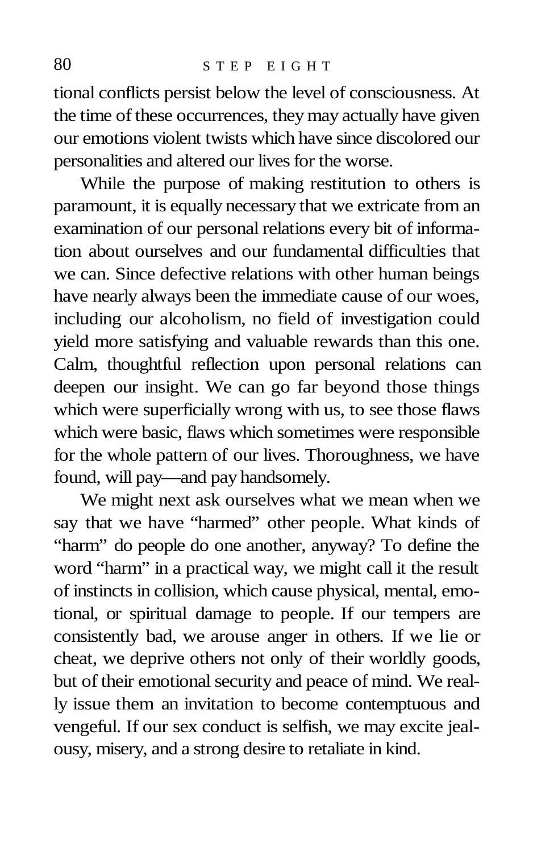tional conflicts persist below the level of consciousness. At the time of these occurrences, they may actually have given our emotions violent twists which have since discolored our personalities and altered our lives for the worse.

While the purpose of making restitution to others is paramount, it is equally necessary that we extricate from an examination of our personal relations every bit of information about ourselves and our fundamental difficulties that we can. Since defective relations with other human beings have nearly always been the immediate cause of our woes, including our alcoholism, no field of investigation could yield more satisfying and valuable rewards than this one. Calm, thoughtful reflection upon personal relations can deepen our insight. We can go far beyond those things which were superficially wrong with us, to see those flaws which were basic, flaws which sometimes were responsible for the whole pattern of our lives. Thoroughness, we have found, will pay— and pay handsomely.

We might next ask ourselves what we mean when we say that we have "harmed" other people. What kinds of "harm" do people do one another, anyway? To define the word "harm" in a practical way, we might call it the result of instincts in collision, which cause physical, mental, emotional, or spiritual damage to people. If our tempers are consistently bad, we arouse anger in others. If we lie or cheat, we deprive others not only of their worldly goods, but of their emotional security and peace of mind. We really issue them an invitation to become contemptuous and vengeful. If our sex conduct is selfish, we may excite jealousy, misery, and a strong desire to retaliate in kind.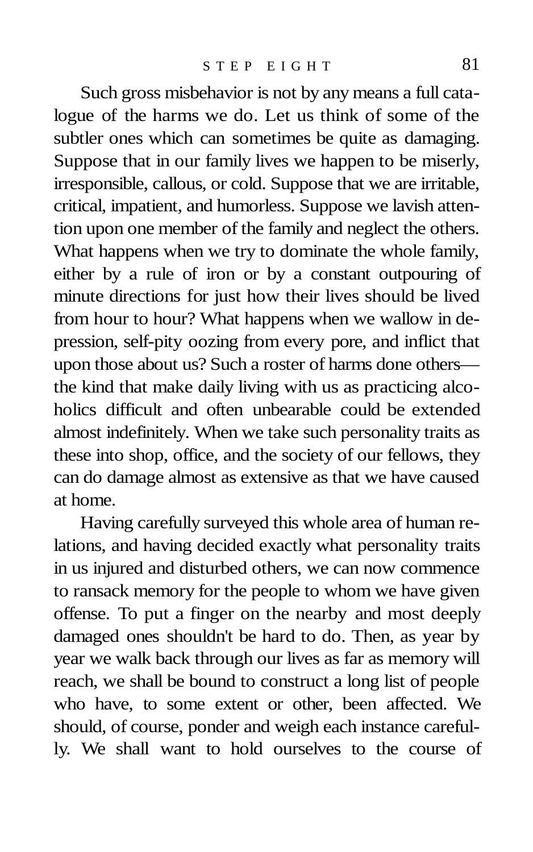Such gross misbehavior is not by any means a full catalogue of the harms we do. Let us think of some of the subtler ones which can sometimes be quite as damaging. Suppose that in our family lives we happen to be miserly, irresponsible, callous, or cold. Suppose that we are irritable, critical, impatient, and humorless. Suppose we lavish attention upon one member of the family and neglect the others. What happens when we try to dominate the whole family, either by a rule of iron or by a constant outpouring of minute directions for just how their lives should be lived from hour to hour? What happens when we wallow in depression, self-pity oozing from every pore, and inflict that upon those about us? Such a roster of harms done others the kind that make daily living with us as practicing alcoholics difficult and often unbearable could be extended almost indefinitely. When we take such personality traits as these into shop, office, and the society of our fellows, they can do damage almost as extensive as that we have caused at home.

Having carefully surveyed this whole area of human relations, and having decided exactly what personality traits in us injured and disturbed others, we can now commence to ransack memory for the people to whom we have given offense. To put a finger on the nearby and most deeply damaged ones shouldn't be hard to do. Then, as year by year we walk back through our lives as far as memory will reach, we shall be bound to construct a long list of people who have, to some extent or other, been affected. We should, of course, ponder and weigh each instance carefully. We shall want to hold ourselves to the course of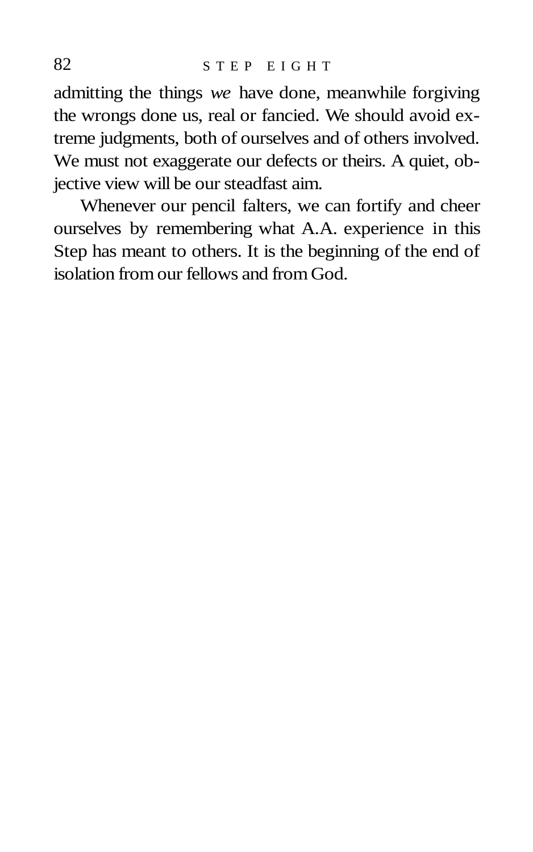admitting the things *we* have done, meanwhile forgiving the wrongs done us, real or fancied. We should avoid extreme judgments, both of ourselves and of others involved. We must not exaggerate our defects or theirs. A quiet, objective view will be our steadfast aim.

Whenever our pencil falters, we can fortify and cheer ourselves by remembering what A.A. experience in this Step has meant to others. It is the beginning of the end of isolation from our fellows and from God.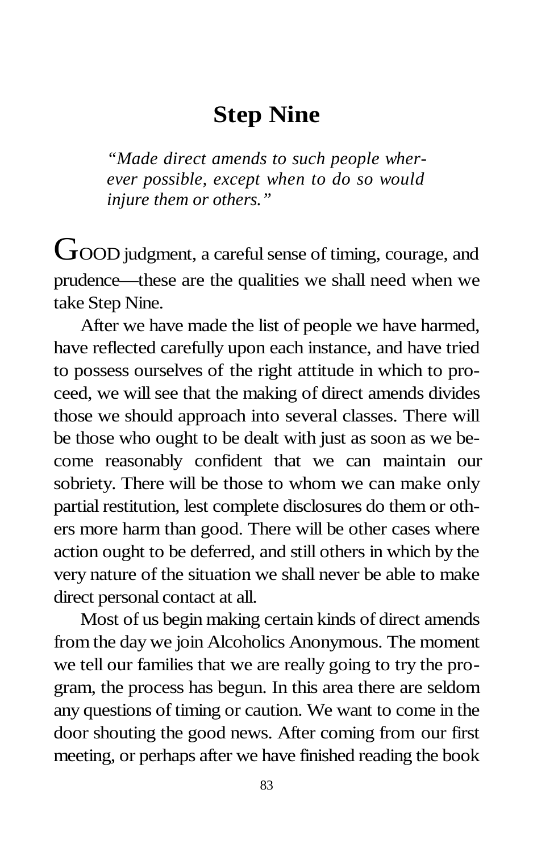# **Step Nine**

<span id="page-82-0"></span>*"Made direct amends to such people wherever possible, except when to do so would injure them or others."*

GOOD judgment, a careful sense of timing, courage, and prudence— these are the qualities we shall need when we take Step Nine.

After we have made the list of people we have harmed, have reflected carefully upon each instance, and have tried to possess ourselves of the right attitude in which to proceed, we will see that the making of direct amends divides those we should approach into several classes. There will be those who ought to be dealt with just as soon as we become reasonably confident that we can maintain our sobriety. There will be those to whom we can make only partial restitution, lest complete disclosures do them or others more harm than good. There will be other cases where action ought to be deferred, and still others in which by the very nature of the situation we shall never be able to make direct personal contact at all.

Most of us begin making certain kinds of direct amends from the day we join Alcoholics Anonymous. The moment we tell our families that we are really going to try the program, the process has begun. In this area there are seldom any questions of timing or caution. We want to come in the door shouting the good news. After coming from our first meeting, or perhaps after we have finished reading the book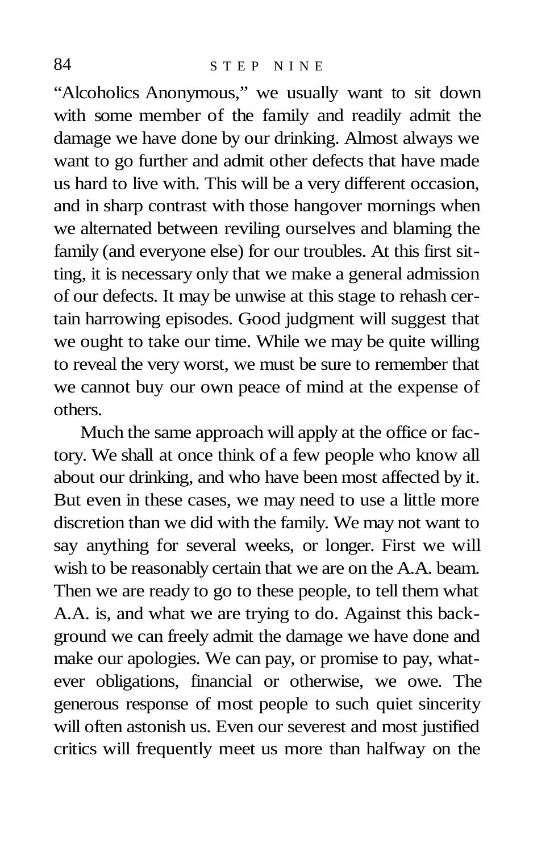"Alcoholics Anonymous," we usually want to sit down with some member of the family and readily admit the damage we have done by our drinking. Almost always we want to go further and admit other defects that have made us hard to live with. This will be a very different occasion, and in sharp contrast with those hangover mornings when we alternated between reviling ourselves and blaming the family (and everyone else) for our troubles. At this first sitting, it is necessary only that we make a general admission of our defects. It may be unwise at this stage to rehash certain harrowing episodes. Good judgment will suggest that we ought to take our time. While we may be quite willing to reveal the very worst, we must be sure to remember that we cannot buy our own peace of mind at the expense of others.

Much the same approach will apply at the office or factory. We shall at once think of a few people who know all about our drinking, and who have been most affected by it. But even in these cases, we may need to use a little more discretion than we did with the family. We may not want to say anything for several weeks, or longer. First we will wish to be reasonably certain that we are on the A.A. beam. Then we are ready to go to these people, to tell them what A.A. is, and what we are trying to do. Against this background we can freely admit the damage we have done and make our apologies. We can pay, or promise to pay, whatever obligations, financial or otherwise, we owe. The generous response of most people to such quiet sincerity will often astonish us. Even our severest and most justified critics will frequently meet us more than halfway on the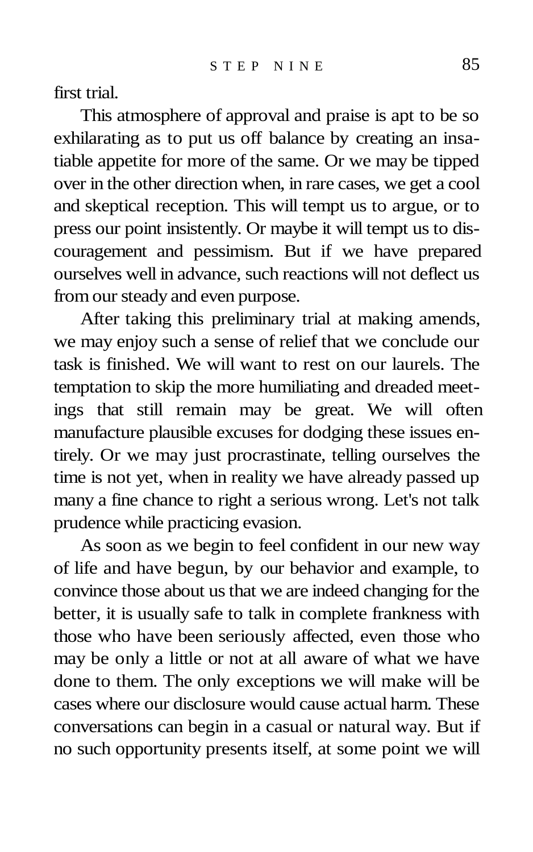first trial.

This atmosphere of approval and praise is apt to be so exhilarating as to put us off balance by creating an insatiable appetite for more of the same. Or we may be tipped over in the other direction when, in rare cases, we get a cool and skeptical reception. This will tempt us to argue, or to press our point insistently. Or maybe it will tempt us to discouragement and pessimism. But if we have prepared ourselves well in advance, such reactions will not deflect us from our steady and even purpose.

After taking this preliminary trial at making amends, we may enjoy such a sense of relief that we conclude our task is finished. We will want to rest on our laurels. The temptation to skip the more humiliating and dreaded meetings that still remain may be great. We will often manufacture plausible excuses for dodging these issues entirely. Or we may just procrastinate, telling ourselves the time is not yet, when in reality we have already passed up many a fine chance to right a serious wrong. Let's not talk prudence while practicing evasion.

As soon as we begin to feel confident in our new way of life and have begun, by our behavior and example, to convince those about us that we are indeed changing for the better, it is usually safe to talk in complete frankness with those who have been seriously affected, even those who may be only a little or not at all aware of what we have done to them. The only exceptions we will make will be cases where our disclosure would cause actual harm. These conversations can begin in a casual or natural way. But if no such opportunity presents itself, at some point we will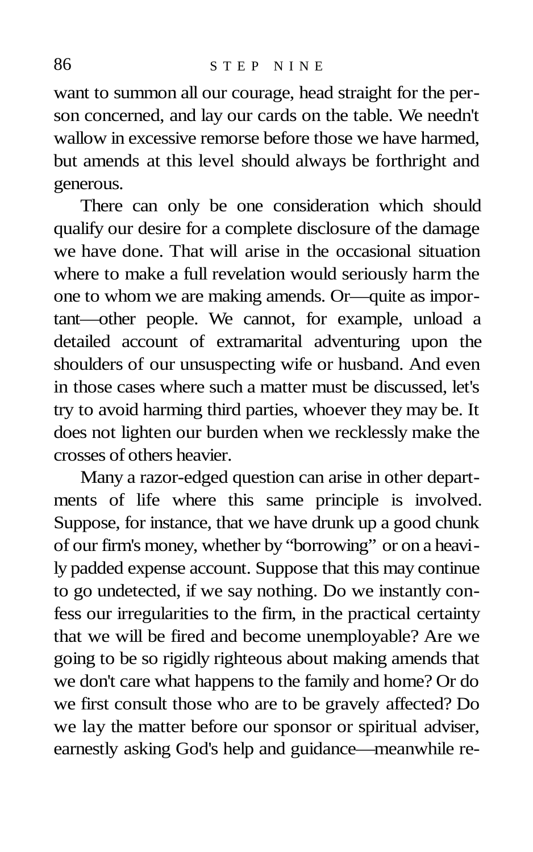want to summon all our courage, head straight for the person concerned, and lay our cards on the table. We needn't wallow in excessive remorse before those we have harmed, but amends at this level should always be forthright and generous.

There can only be one consideration which should qualify our desire for a complete disclosure of the damage we have done. That will arise in the occasional situation where to make a full revelation would seriously harm the one to whom we are making amends. Or— quite as important— other people. We cannot, for example, unload a detailed account of extramarital adventuring upon the shoulders of our unsuspecting wife or husband. And even in those cases where such a matter must be discussed, let's try to avoid harming third parties, whoever they may be. It does not lighten our burden when we recklessly make the crosses of others heavier.

Many a razor-edged question can arise in other departments of life where this same principle is involved. Suppose, for instance, that we have drunk up a good chunk of our firm's money, whether by "borrowing" or on a heavily padded expense account. Suppose that this may continue to go undetected, if we say nothing. Do we instantly confess our irregularities to the firm, in the practical certainty that we will be fired and become unemployable? Are we going to be so rigidly righteous about making amends that we don't care what happens to the family and home? Or do we first consult those who are to be gravely affected? Do we lay the matter before our sponsor or spiritual adviser, earnestly asking God's help and guidance— meanwhile re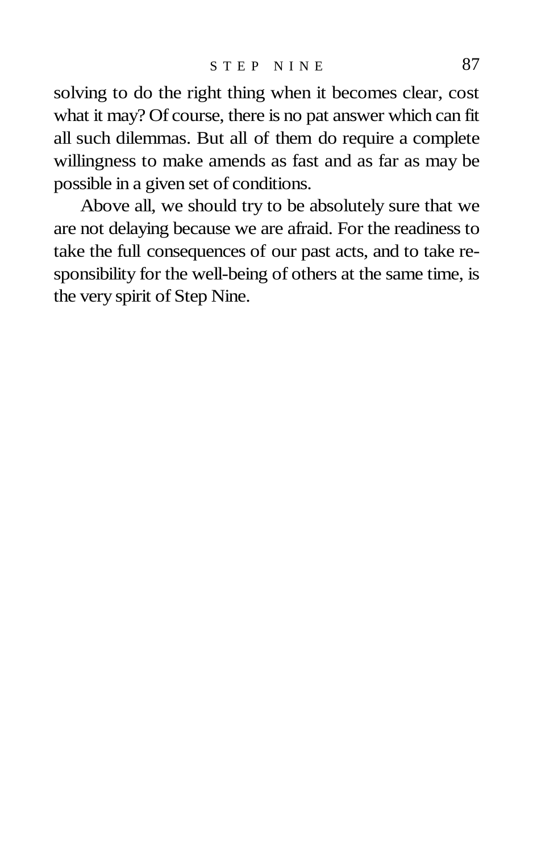solving to do the right thing when it becomes clear, cost what it may? Of course, there is no pat answer which can fit all such dilemmas. But all of them do require a complete willingness to make amends as fast and as far as may be possible in a given set of conditions.

Above all, we should try to be absolutely sure that we are not delaying because we are afraid. For the readiness to take the full consequences of our past acts, and to take responsibility for the well-being of others at the same time, is the very spirit of Step Nine.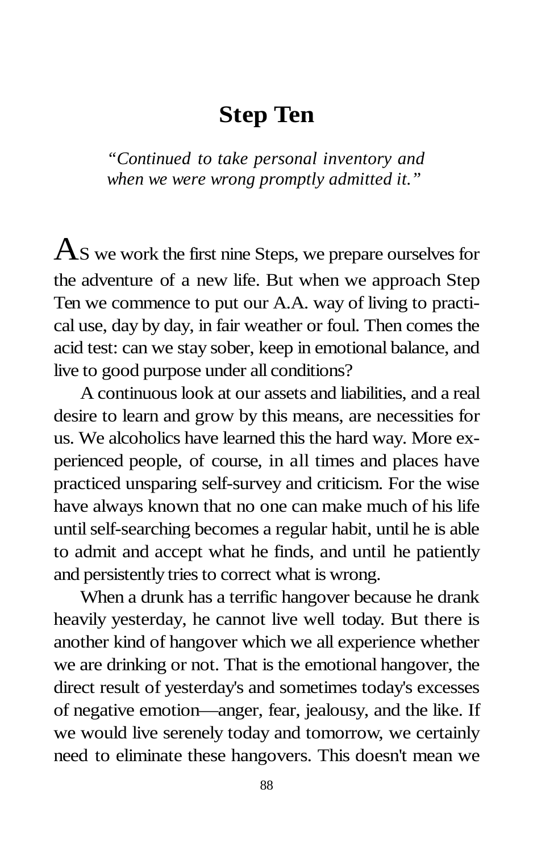#### **Step Ten**

<span id="page-87-0"></span>*"Continued to take personal inventory and when we were wrong promptly admitted it."*

 $\rm{As}$  we work the first nine Steps, we prepare ourselves for the adventure of a new life. But when we approach Step Ten we commence to put our A.A. way of living to practical use, day by day, in fair weather or foul. Then comes the acid test: can we stay sober, keep in emotional balance, and live to good purpose under all conditions?

A continuous look at our assets and liabilities, and a real desire to learn and grow by this means, are necessities for us. We alcoholics have learned this the hard way. More experienced people, of course, in all times and places have practiced unsparing self-survey and criticism. For the wise have always known that no one can make much of his life until self-searching becomes a regular habit, until he is able to admit and accept what he finds, and until he patiently and persistently tries to correct what is wrong.

When a drunk has a terrific hangover because he drank heavily yesterday, he cannot live well today. But there is another kind of hangover which we all experience whether we are drinking or not. That is the emotional hangover, the direct result of yesterday's and sometimes today's excesses of negative emotion— anger, fear, jealousy, and the like. If we would live serenely today and tomorrow, we certainly need to eliminate these hangovers. This doesn't mean we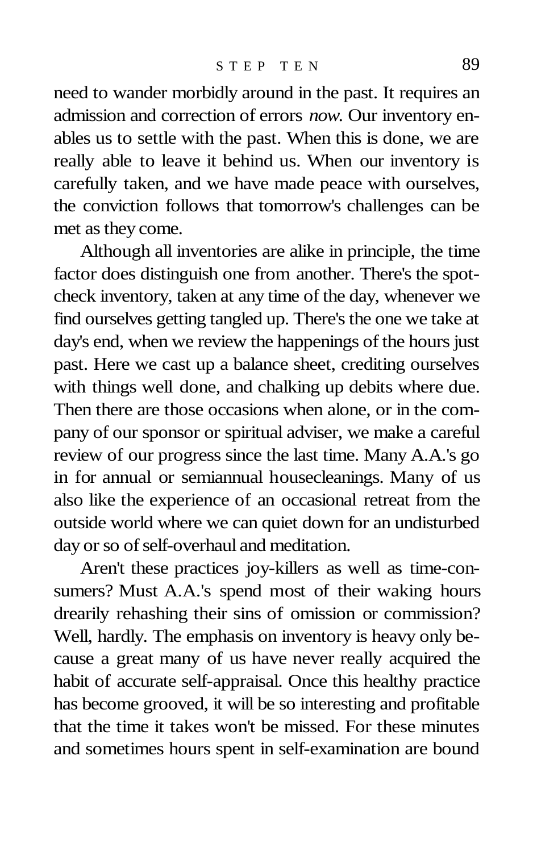need to wander morbidly around in the past. It requires an admission and correction of errors *now*. Our inventory enables us to settle with the past. When this is done, we are really able to leave it behind us. When our inventory is carefully taken, and we have made peace with ourselves, the conviction follows that tomorrow's challenges can be met as they come.

Although all inventories are alike in principle, the time factor does distinguish one from another. There's the spotcheck inventory, taken at any time of the day, whenever we find ourselves getting tangled up. There's the one we take at day's end, when we review the happenings of the hours just past. Here we cast up a balance sheet, crediting ourselves with things well done, and chalking up debits where due. Then there are those occasions when alone, or in the company of our sponsor or spiritual adviser, we make a careful review of our progress since the last time. Many A.A.'s go in for annual or semiannual housecleanings. Many of us also like the experience of an occasional retreat from the outside world where we can quiet down for an undisturbed day or so of self-overhaul and meditation.

Aren't these practices joy-killers as well as time-consumers? Must A.A.'s spend most of their waking hours drearily rehashing their sins of omission or commission? Well, hardly. The emphasis on inventory is heavy only because a great many of us have never really acquired the habit of accurate self-appraisal. Once this healthy practice has become grooved, it will be so interesting and profitable that the time it takes won't be missed. For these minutes and sometimes hours spent in self-examination are bound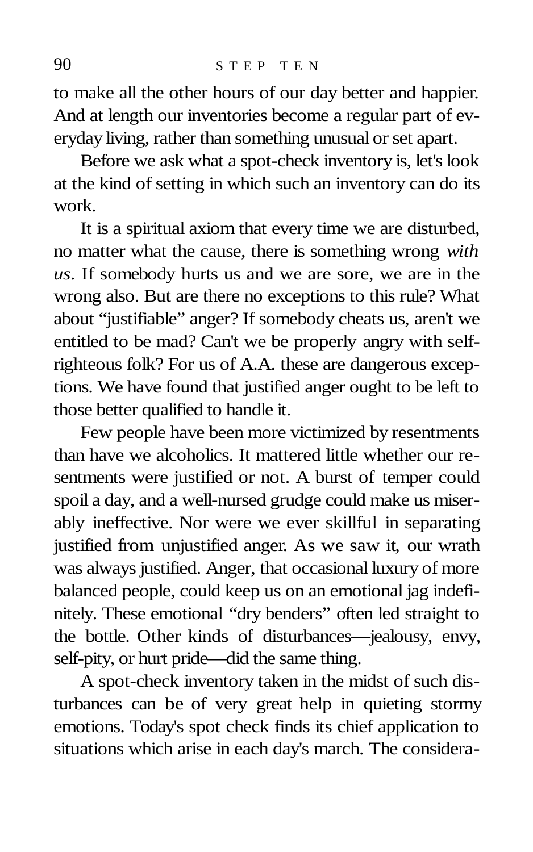to make all the other hours of our day better and happier. And at length our inventories become a regular part of everyday living, rather than something unusual or set apart.

Before we ask what a spot-check inventory is, let's look at the kind of setting in which such an inventory can do its work.

It is a spiritual axiom that every time we are disturbed, no matter what the cause, there is something wrong *with us*. If somebody hurts us and we are sore, we are in the wrong also. But are there no exceptions to this rule? What about "justifiable" anger? If somebody cheats us, aren't we entitled to be mad? Can't we be properly angry with selfrighteous folk? For us of A.A. these are dangerous exceptions. We have found that justified anger ought to be left to those better qualified to handle it.

Few people have been more victimized by resentments than have we alcoholics. It mattered little whether our resentments were justified or not. A burst of temper could spoil a day, and a well-nursed grudge could make us miserably ineffective. Nor were we ever skillful in separating justified from unjustified anger. As we saw it, our wrath was always justified. Anger, that occasional luxury of more balanced people, could keep us on an emotional jag indefinitely. These emotional "dry benders" often led straight to the bottle. Other kinds of disturbances— jealousy, envy, self-pity, or hurt pride— did the same thing.

A spot-check inventory taken in the midst of such disturbances can be of very great help in quieting stormy emotions. Today's spot check finds its chief application to situations which arise in each day's march. The considera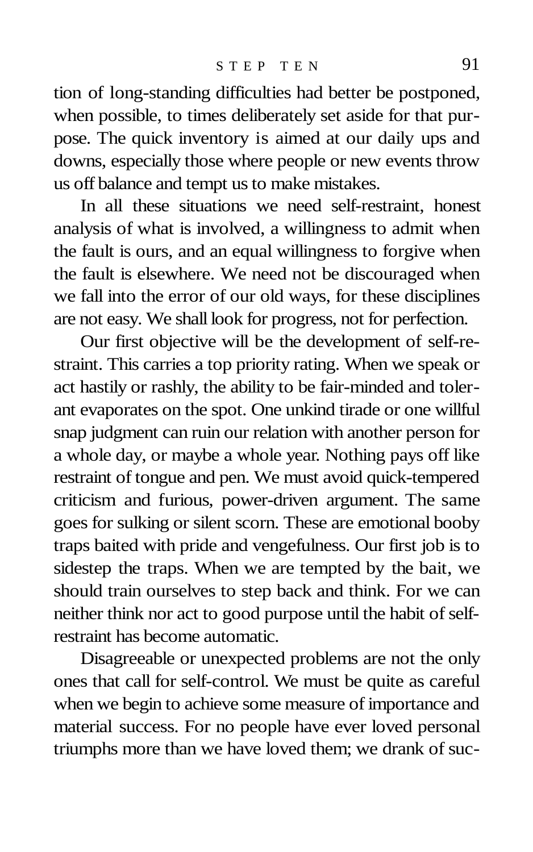tion of long-standing difficulties had better be postponed, when possible, to times deliberately set aside for that purpose. The quick inventory is aimed at our daily ups and downs, especially those where people or new events throw us off balance and tempt us to make mistakes.

In all these situations we need self-restraint, honest analysis of what is involved, a willingness to admit when the fault is ours, and an equal willingness to forgive when the fault is elsewhere. We need not be discouraged when we fall into the error of our old ways, for these disciplines are not easy. We shall look for progress, not for perfection.

Our first objective will be the development of self-restraint. This carries a top priority rating. When we speak or act hastily or rashly, the ability to be fair-minded and tolerant evaporates on the spot. One unkind tirade or one willful snap judgment can ruin our relation with another person for a whole day, or maybe a whole year. Nothing pays off like restraint of tongue and pen. We must avoid quick-tempered criticism and furious, power-driven argument. The same goes for sulking or silent scorn. These are emotional booby traps baited with pride and vengefulness. Our first job is to sidestep the traps. When we are tempted by the bait, we should train ourselves to step back and think. For we can neither think nor act to good purpose until the habit of selfrestraint has become automatic.

Disagreeable or unexpected problems are not the only ones that call for self-control. We must be quite as careful when we begin to achieve some measure of importance and material success. For no people have ever loved personal triumphs more than we have loved them; we drank of suc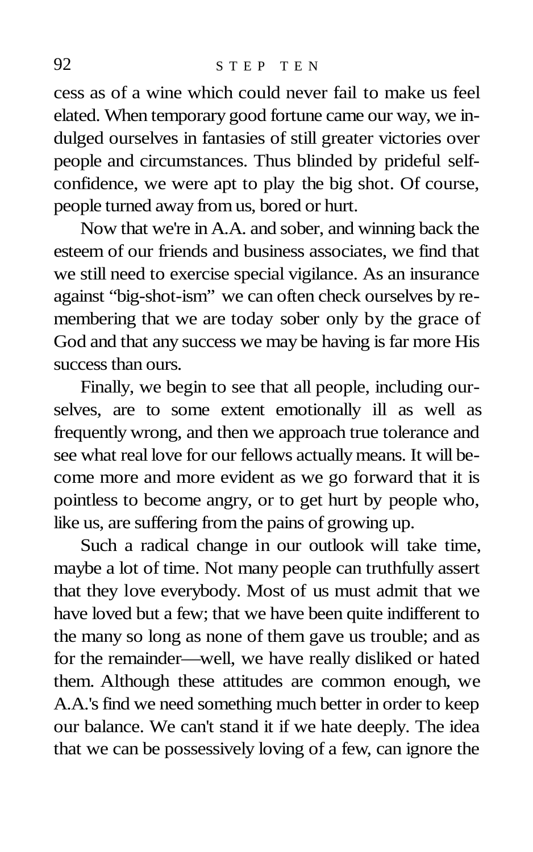cess as of a wine which could never fail to make us feel elated. When temporary good fortune came our way, we indulged ourselves in fantasies of still greater victories over people and circumstances. Thus blinded by prideful selfconfidence, we were apt to play the big shot. Of course, people turned away from us, bored or hurt.

Now that we're in A.A. and sober, and winning back the esteem of our friends and business associates, we find that we still need to exercise special vigilance. As an insurance against "big-shot-ism" we can often check ourselves by remembering that we are today sober only by the grace of God and that any success we may be having is far more His success than ours.

Finally, we begin to see that all people, including ourselves, are to some extent emotionally ill as well as frequently wrong, and then we approach true tolerance and see what real love for our fellows actually means. It will become more and more evident as we go forward that it is pointless to become angry, or to get hurt by people who, like us, are suffering from the pains of growing up.

Such a radical change in our outlook will take time, maybe a lot of time. Not many people can truthfully assert that they love everybody. Most of us must admit that we have loved but a few; that we have been quite indifferent to the many so long as none of them gave us trouble; and as for the remainder— well, we have really disliked or hated them. Although these attitudes are common enough, we A.A.'s find we need something much better in order to keep our balance. We can't stand it if we hate deeply. The idea that we can be possessively loving of a few, can ignore the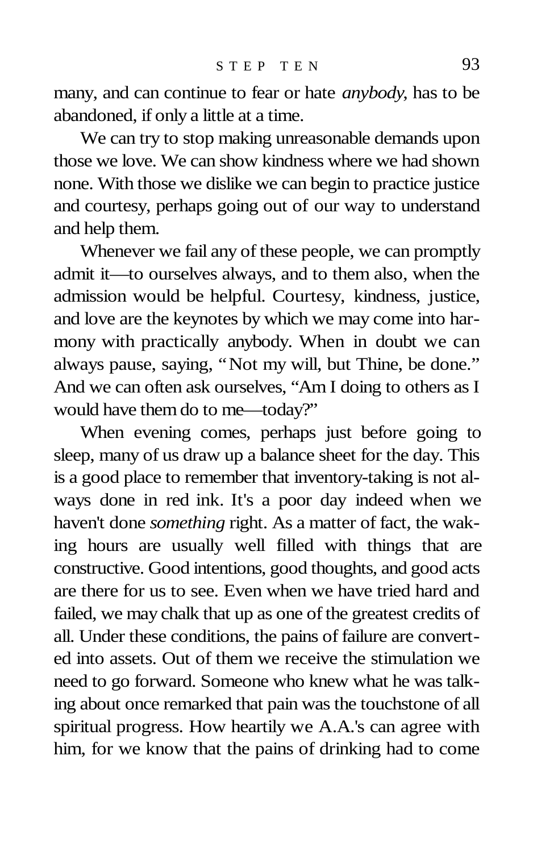many, and can continue to fear or hate *anybody*, has to be abandoned, if only a little at a time.

We can try to stop making unreasonable demands upon those we love. We can show kindness where we had shown none. With those we dislike we can begin to practice justice and courtesy, perhaps going out of our way to understand and help them.

Whenever we fail any of these people, we can promptly admit it— to ourselves always, and to them also, when the admission would be helpful. Courtesy, kindness, justice, and love are the keynotes by which we may come into harmony with practically anybody. When in doubt we can always pause, saying, "Not my will, but Thine, be done." And we can often ask ourselves, "Am I doing to others as I would have them do to me— today?"

When evening comes, perhaps just before going to sleep, many of us draw up a balance sheet for the day. This is a good place to remember that inventory-taking is not always done in red ink. It's a poor day indeed when we haven't done *something* right. As a matter of fact, the waking hours are usually well filled with things that are constructive. Good intentions, good thoughts, and good acts are there for us to see. Even when we have tried hard and failed, we may chalk that up as one of the greatest credits of all. Under these conditions, the pains of failure are converted into assets. Out of them we receive the stimulation we need to go forward. Someone who knew what he was talking about once remarked that pain was the touchstone of all spiritual progress. How heartily we A.A.'s can agree with him, for we know that the pains of drinking had to come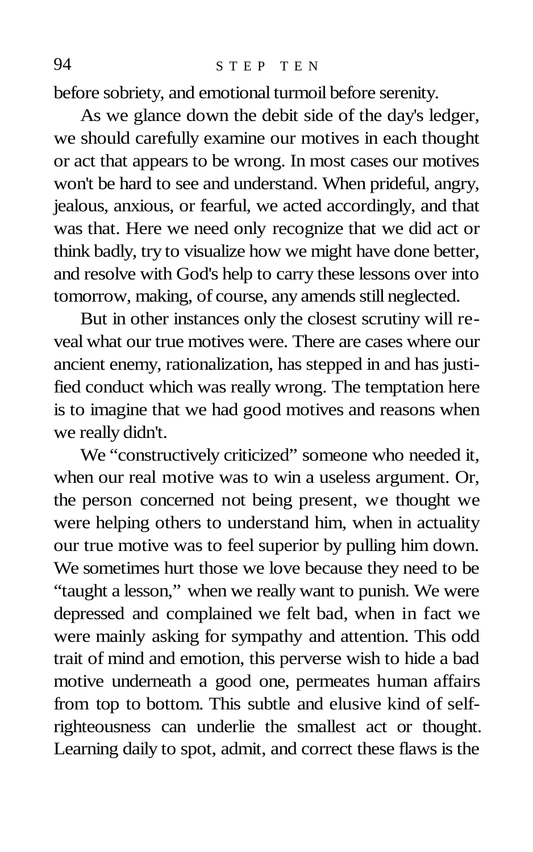before sobriety, and emotional turmoil before serenity.

As we glance down the debit side of the day's ledger, we should carefully examine our motives in each thought or act that appears to be wrong. In most cases our motives won't be hard to see and understand. When prideful, angry, jealous, anxious, or fearful, we acted accordingly, and that was that. Here we need only recognize that we did act or think badly, try to visualize how we might have done better, and resolve with God's help to carry these lessons over into tomorrow, making, of course, any amends still neglected.

But in other instances only the closest scrutiny will reveal what our true motives were. There are cases where our ancient enemy, rationalization, has stepped in and has justified conduct which was really wrong. The temptation here is to imagine that we had good motives and reasons when we really didn't.

We "constructively criticized" someone who needed it, when our real motive was to win a useless argument. Or, the person concerned not being present, we thought we were helping others to understand him, when in actuality our true motive was to feel superior by pulling him down. We sometimes hurt those we love because they need to be "taught a lesson," when we really want to punish. We were depressed and complained we felt bad, when in fact we were mainly asking for sympathy and attention. This odd trait of mind and emotion, this perverse wish to hide a bad motive underneath a good one, permeates human affairs from top to bottom. This subtle and elusive kind of selfrighteousness can underlie the smallest act or thought. Learning daily to spot, admit, and correct these flaws is the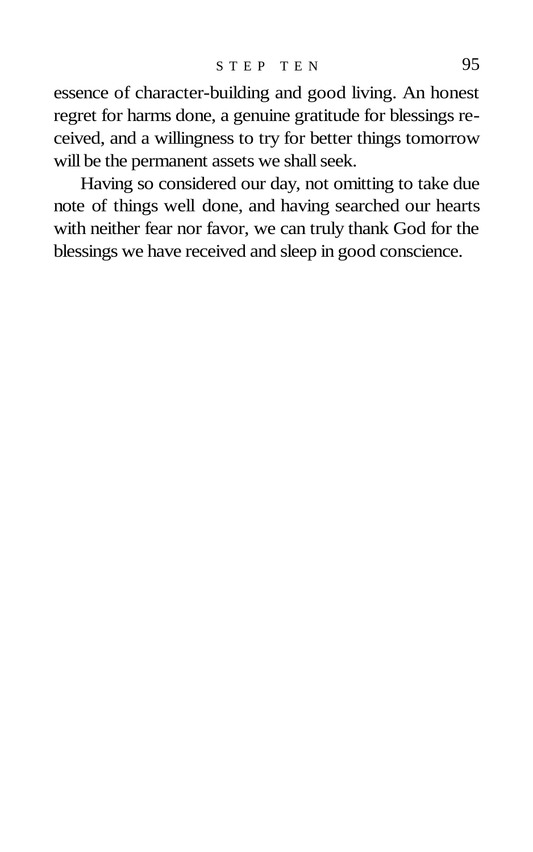essence of character-building and good living. An honest regret for harms done, a genuine gratitude for blessings received, and a willingness to try for better things tomorrow will be the permanent assets we shall seek.

Having so considered our day, not omitting to take due note of things well done, and having searched our hearts with neither fear nor favor, we can truly thank God for the blessings we have received and sleep in good conscience.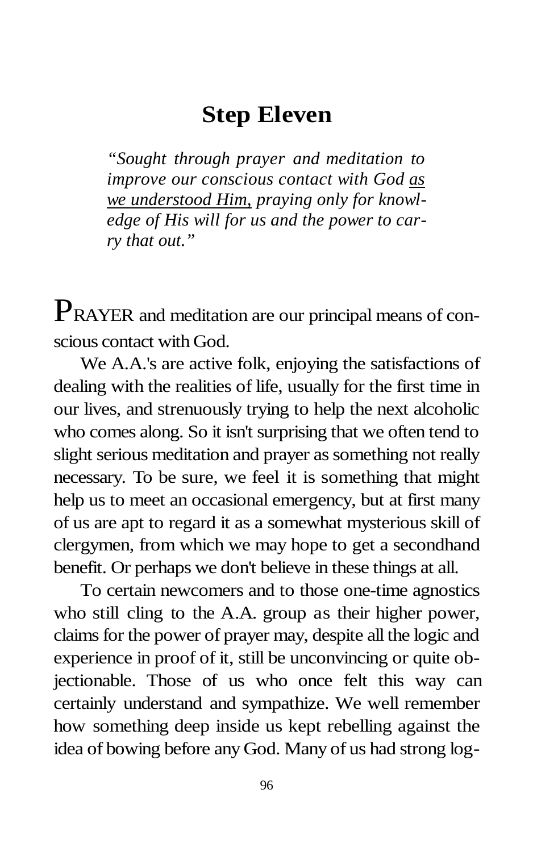### **Step Eleven**

<span id="page-95-0"></span>*"Sought through prayer and meditation to improve our conscious contact with God as we understood Him, praying only for knowledge of His will for us and the power to carry that out."*

PRAYER and meditation are our principal means of conscious contact with God.

We A.A.'s are active folk, enjoying the satisfactions of dealing with the realities of life, usually for the first time in our lives, and strenuously trying to help the next alcoholic who comes along. So it isn't surprising that we often tend to slight serious meditation and prayer as something not really necessary. To be sure, we feel it is something that might help us to meet an occasional emergency, but at first many of us are apt to regard it as a somewhat mysterious skill of clergymen, from which we may hope to get a secondhand benefit. Or perhaps we don't believe in these things at all.

To certain newcomers and to those one-time agnostics who still cling to the A.A. group as their higher power, claims for the power of prayer may, despite all the logic and experience in proof of it, still be unconvincing or quite objectionable. Those of us who once felt this way can certainly understand and sympathize. We well remember how something deep inside us kept rebelling against the idea of bowing before any God. Many of us had strong log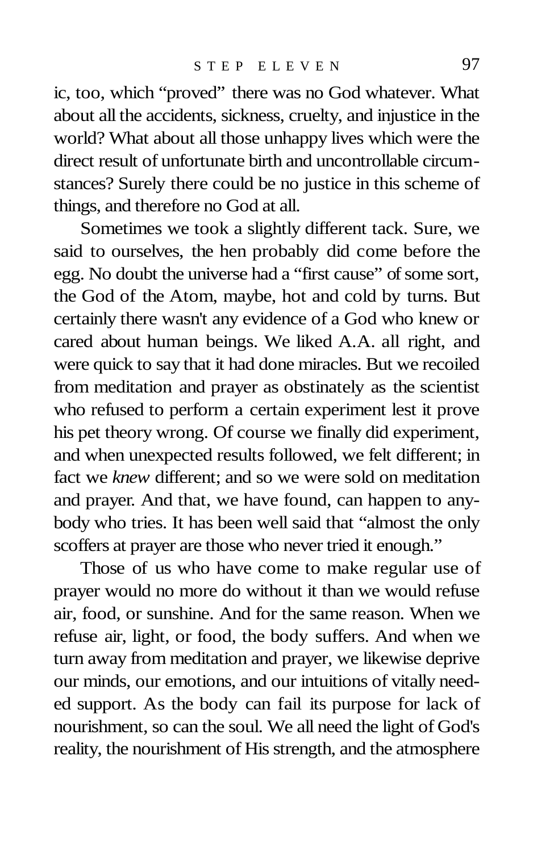ic, too, which "proved" there was no God whatever. What about all the accidents, sickness, cruelty, and injustice in the world? What about all those unhappy lives which were the direct result of unfortunate birth and uncontrollable circumstances? Surely there could be no justice in this scheme of things, and therefore no God at all.

Sometimes we took a slightly different tack. Sure, we said to ourselves, the hen probably did come before the egg. No doubt the universe had a "first cause" of some sort, the God of the Atom, maybe, hot and cold by turns. But certainly there wasn't any evidence of a God who knew or cared about human beings. We liked A.A. all right, and were quick to say that it had done miracles. But we recoiled from meditation and prayer as obstinately as the scientist who refused to perform a certain experiment lest it prove his pet theory wrong. Of course we finally did experiment, and when unexpected results followed, we felt different; in fact we *knew* different; and so we were sold on meditation and prayer. And that, we have found, can happen to anybody who tries. It has been well said that "almost the only scoffers at prayer are those who never tried it enough."

Those of us who have come to make regular use of prayer would no more do without it than we would refuse air, food, or sunshine. And for the same reason. When we refuse air, light, or food, the body suffers. And when we turn away from meditation and prayer, we likewise deprive our minds, our emotions, and our intuitions of vitally needed support. As the body can fail its purpose for lack of nourishment, so can the soul. We all need the light of God's reality, the nourishment of His strength, and the atmosphere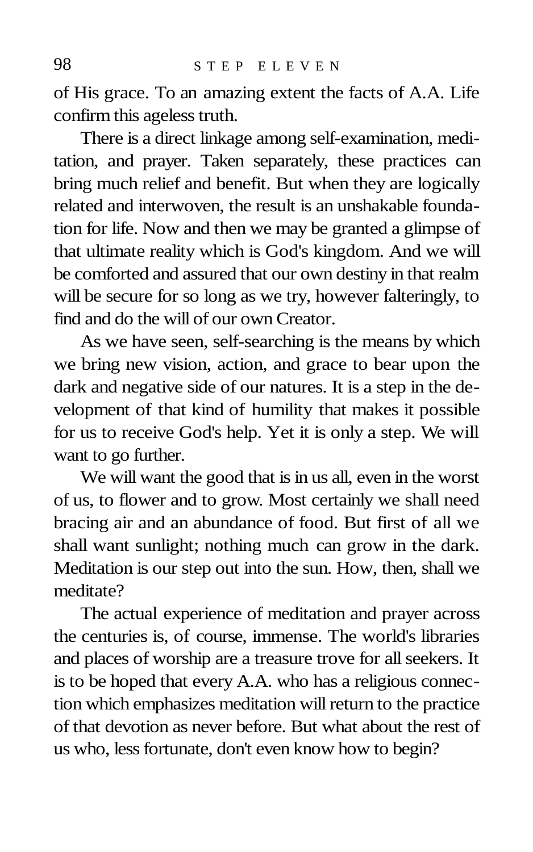of His grace. To an amazing extent the facts of A.A. Life confirm this ageless truth.

There is a direct linkage among self-examination, meditation, and prayer. Taken separately, these practices can bring much relief and benefit. But when they are logically related and interwoven, the result is an unshakable foundation for life. Now and then we may be granted a glimpse of that ultimate reality which is God's kingdom. And we will be comforted and assured that our own destiny in that realm will be secure for so long as we try, however falteringly, to find and do the will of our own Creator.

As we have seen, self-searching is the means by which we bring new vision, action, and grace to bear upon the dark and negative side of our natures. It is a step in the development of that kind of humility that makes it possible for us to receive God's help. Yet it is only a step. We will want to go further.

We will want the good that is in us all, even in the worst of us, to flower and to grow. Most certainly we shall need bracing air and an abundance of food. But first of all we shall want sunlight; nothing much can grow in the dark. Meditation is our step out into the sun. How, then, shall we meditate?

The actual experience of meditation and prayer across the centuries is, of course, immense. The world's libraries and places of worship are a treasure trove for all seekers. It is to be hoped that every A.A. who has a religious connection which emphasizes meditation will return to the practice of that devotion as never before. But what about the rest of us who, less fortunate, don't even know how to begin?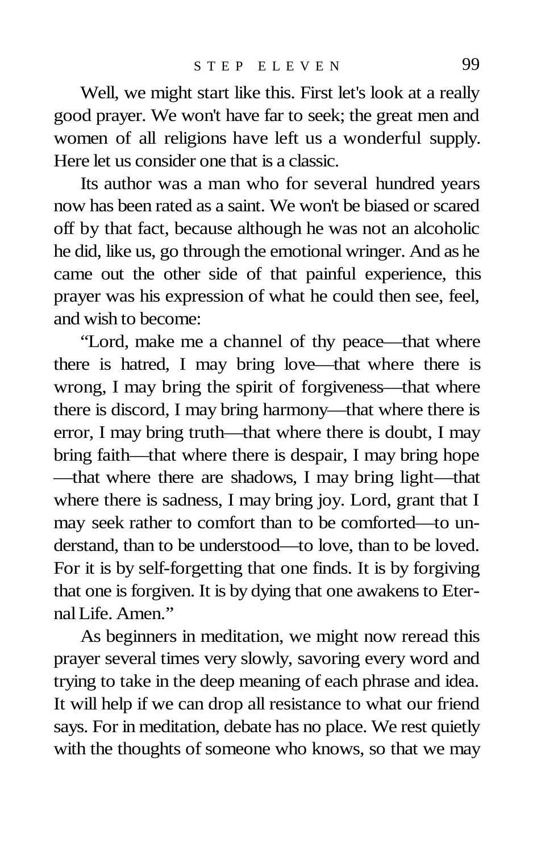Well, we might start like this. First let's look at a really good prayer. We won't have far to seek; the great men and women of all religions have left us a wonderful supply. Here let us consider one that is a classic.

Its author was a man who for several hundred years now has been rated as a saint. We won't be biased or scared off by that fact, because although he was not an alcoholic he did, like us, go through the emotional wringer. And as he came out the other side of that painful experience, this prayer was his expression of what he could then see, feel, and wish to become:

"Lord, make me a channel of thy peace— that where there is hatred, I may bring love— that where there is wrong, I may bring the spirit of forgiveness— that where there is discord, I may bring harmony— that where there is error, I may bring truth— that where there is doubt, I may bring faith— that where there is despair, I may bring hope — that where there are shadows, I may bring light— that where there is sadness, I may bring joy. Lord, grant that I may seek rather to comfort than to be comforted— to understand, than to be understood— to love, than to be loved. For it is by self-forgetting that one finds. It is by forgiving that one is forgiven. It is by dying that one awakens to Eternal Life. Amen."

As beginners in meditation, we might now reread this prayer several times very slowly, savoring every word and trying to take in the deep meaning of each phrase and idea. It will help if we can drop all resistance to what our friend says. For in meditation, debate has no place. We rest quietly with the thoughts of someone who knows, so that we may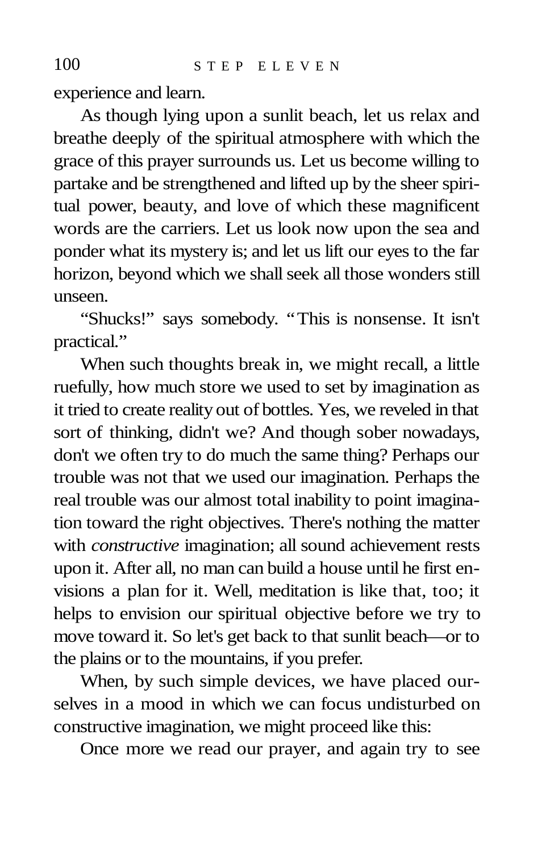experience and learn.

As though lying upon a sunlit beach, let us relax and breathe deeply of the spiritual atmosphere with which the grace of this prayer surrounds us. Let us become willing to partake and be strengthened and lifted up by the sheer spiritual power, beauty, and love of which these magnificent words are the carriers. Let us look now upon the sea and ponder what its mystery is; and let us lift our eyes to the far horizon, beyond which we shall seek all those wonders still unseen.

"Shucks!" says somebody. "This is nonsense. It isn't practical."

When such thoughts break in, we might recall, a little ruefully, how much store we used to set by imagination as it tried to create reality out of bottles. Yes, we reveled in that sort of thinking, didn't we? And though sober nowadays, don't we often try to do much the same thing? Perhaps our trouble was not that we used our imagination. Perhaps the real trouble was our almost total inability to point imagination toward the right objectives. There's nothing the matter with *constructive* imagination; all sound achievement rests upon it. After all, no man can build a house until he first envisions a plan for it. Well, meditation is like that, too; it helps to envision our spiritual objective before we try to move toward it. So let's get back to that sunlit beach— or to the plains or to the mountains, if you prefer.

When, by such simple devices, we have placed ourselves in a mood in which we can focus undisturbed on constructive imagination, we might proceed like this:

Once more we read our prayer, and again try to see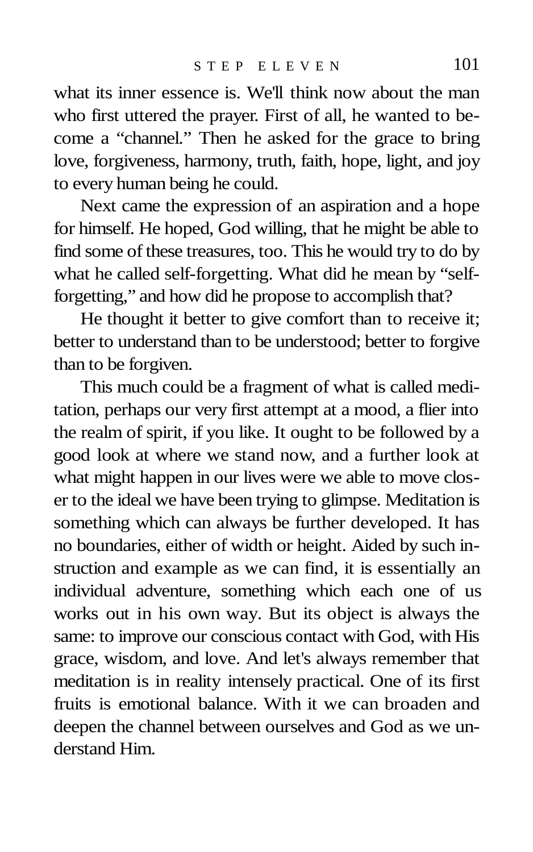what its inner essence is. We'll think now about the man who first uttered the prayer. First of all, he wanted to become a "channel." Then he asked for the grace to bring love, forgiveness, harmony, truth, faith, hope, light, and joy to every human being he could.

Next came the expression of an aspiration and a hope for himself. He hoped, God willing, that he might be able to find some of these treasures, too. This he would try to do by what he called self-forgetting. What did he mean by "selfforgetting," and how did he propose to accomplish that?

He thought it better to give comfort than to receive it; better to understand than to be understood; better to forgive than to be forgiven.

This much could be a fragment of what is called meditation, perhaps our very first attempt at a mood, a flier into the realm of spirit, if you like. It ought to be followed by a good look at where we stand now, and a further look at what might happen in our lives were we able to move closer to the ideal we have been trying to glimpse. Meditation is something which can always be further developed. It has no boundaries, either of width or height. Aided by such instruction and example as we can find, it is essentially an individual adventure, something which each one of us works out in his own way. But its object is always the same: to improve our conscious contact with God, with His grace, wisdom, and love. And let's always remember that meditation is in reality intensely practical. One of its first fruits is emotional balance. With it we can broaden and deepen the channel between ourselves and God as we understand Him.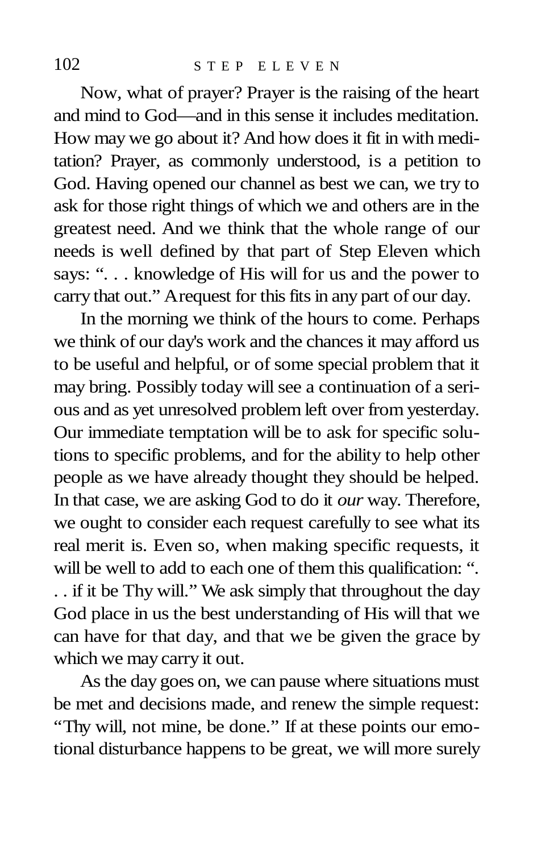Now, what of prayer? Prayer is the raising of the heart and mind to God—and in this sense it includes meditation. How may we go about it? And how does it fit in with meditation? Prayer, as commonly understood, is a petition to God. Having opened our channel as best we can, we try to ask for those right things of which we and others are in the greatest need. And we think that the whole range of our needs is well defined by that part of Step Eleven which says: "... knowledge of His will for us and the power to carry that out." A request for this fits in any part of our day.

In the morning we think of the hours to come. Perhaps we think of our day's work and the chances it may afford us to be useful and helpful, or of some special problem that it may bring. Possibly today will see a continuation of a serious and as yet unresolved problem left over from yesterday. Our immediate temptation will be to ask for specific solutions to specific problems, and for the ability to help other people as we have already thought they should be helped. In that case, we are asking God to do it *our* way. Therefore, we ought to consider each request carefully to see what its real merit is. Even so, when making specific requests, it will be well to add to each one of them this qualification: ". . . if it be Thy will." We ask simply that throughout the day God place in us the best understanding of His will that we can have for that day, and that we be given the grace by which we may carry it out.

As the day goes on, we can pause where situations must be met and decisions made, and renew the simple request: "Thy will, not mine, be done." If at these points our emotional disturbance happens to be great, we will more surely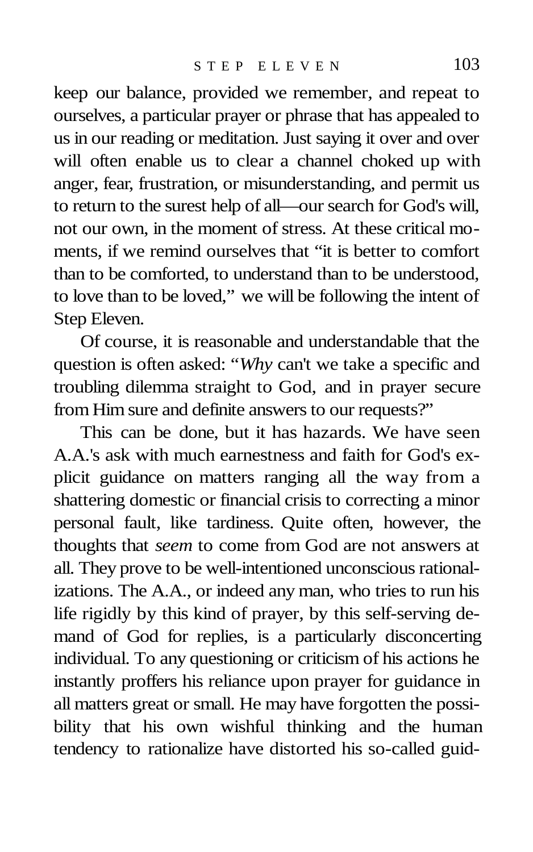keep our balance, provided we remember, and repeat to ourselves, a particular prayer or phrase that has appealed to us in our reading or meditation. Just saying it over and over will often enable us to clear a channel choked up with anger, fear, frustration, or misunderstanding, and permit us to return to the surest help of all— our search for God's will, not our own, in the moment of stress. At these critical moments, if we remind ourselves that "it is better to comfort than to be comforted, to understand than to be understood, to love than to be loved," we will be following the intent of Step Eleven.

Of course, it is reasonable and understandable that the question is often asked: "*Why* can't we take a specific and troubling dilemma straight to God, and in prayer secure from Him sure and definite answers to our requests?"

This can be done, but it has hazards. We have seen A.A.'s ask with much earnestness and faith for God's explicit guidance on matters ranging all the way from a shattering domestic or financial crisis to correcting a minor personal fault, like tardiness. Quite often, however, the thoughts that *seem* to come from God are not answers at all. They prove to be well-intentioned unconscious rationalizations. The A.A., or indeed any man, who tries to run his life rigidly by this kind of prayer, by this self-serving demand of God for replies, is a particularly disconcerting individual. To any questioning or criticism of his actions he instantly proffers his reliance upon prayer for guidance in all matters great or small. He may have forgotten the possibility that his own wishful thinking and the human tendency to rationalize have distorted his so-called guid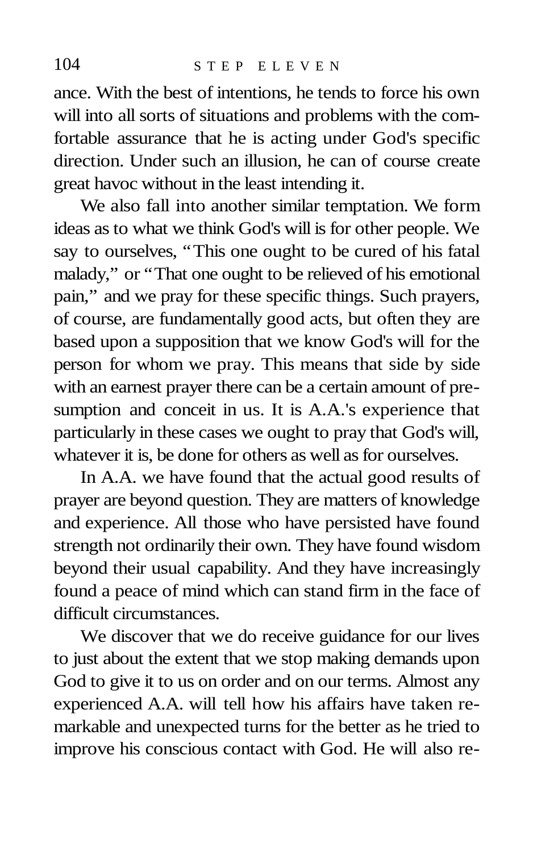ance. With the best of intentions, he tends to force his own will into all sorts of situations and problems with the comfortable assurance that he is acting under God's specific direction. Under such an illusion, he can of course create great havoc without in the least intending it.

We also fall into another similar temptation. We form ideas as to what we think God's will is for other people. We say to ourselves, "This one ought to be cured of his fatal malady," or "That one ought to be relieved of his emotional pain," and we pray for these specific things. Such prayers, of course, are fundamentally good acts, but often they are based upon a supposition that we know God's will for the person for whom we pray. This means that side by side with an earnest prayer there can be a certain amount of presumption and conceit in us. It is A.A.'s experience that particularly in these cases we ought to pray that God's will, whatever it is, be done for others as well as for ourselves.

In A.A. we have found that the actual good results of prayer are beyond question. They are matters of knowledge and experience. All those who have persisted have found strength not ordinarily their own. They have found wisdom beyond their usual capability. And they have increasingly found a peace of mind which can stand firm in the face of difficult circumstances.

We discover that we do receive guidance for our lives to just about the extent that we stop making demands upon God to give it to us on order and on our terms. Almost any experienced A.A. will tell how his affairs have taken remarkable and unexpected turns for the better as he tried to improve his conscious contact with God. He will also re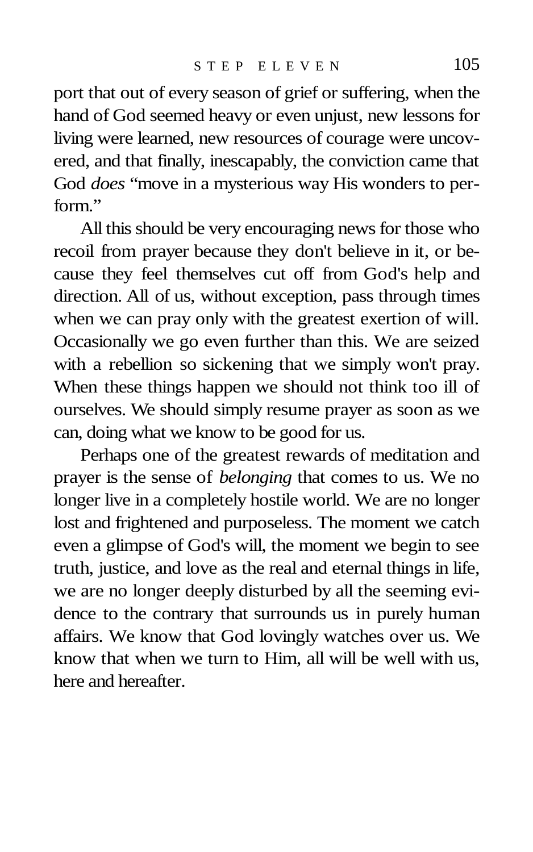port that out of every season of grief or suffering, when the hand of God seemed heavy or even unjust, new lessons for living were learned, new resources of courage were uncovered, and that finally, inescapably, the conviction came that God *does* "move in a mysterious way His wonders to perform."

All this should be very encouraging news for those who recoil from prayer because they don't believe in it, or because they feel themselves cut off from God's help and direction. All of us, without exception, pass through times when we can pray only with the greatest exertion of will. Occasionally we go even further than this. We are seized with a rebellion so sickening that we simply won't pray. When these things happen we should not think too ill of ourselves. We should simply resume prayer as soon as we can, doing what we know to be good for us.

Perhaps one of the greatest rewards of meditation and prayer is the sense of *belonging* that comes to us. We no longer live in a completely hostile world. We are no longer lost and frightened and purposeless. The moment we catch even a glimpse of God's will, the moment we begin to see truth, justice, and love as the real and eternal things in life, we are no longer deeply disturbed by all the seeming evidence to the contrary that surrounds us in purely human affairs. We know that God lovingly watches over us. We know that when we turn to Him, all will be well with us, here and hereafter.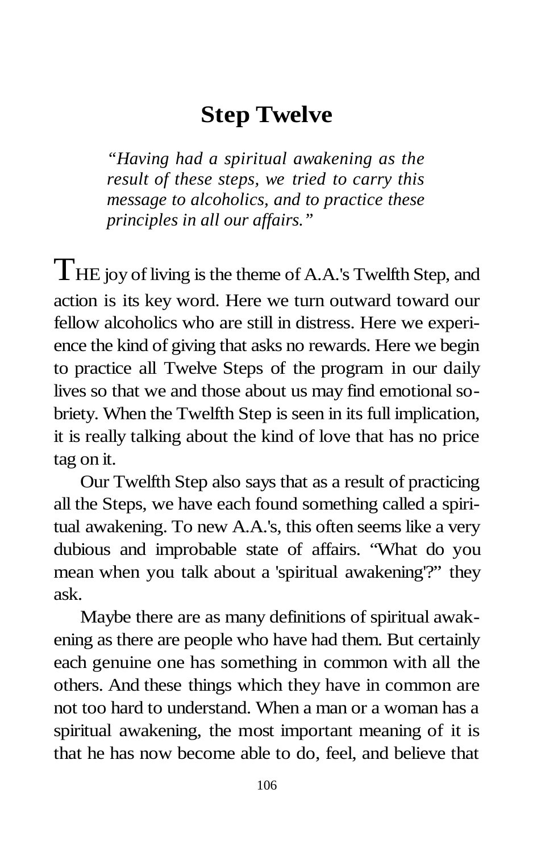# **Step Twelve**

*"Having had a spiritual awakening as the result of these steps, we tried to carry this message to alcoholics, and to practice these principles in all our affairs."*

THE joy of living is the theme of A.A.'s Twelfth Step, and action is its key word. Here we turn outward toward our fellow alcoholics who are still in distress. Here we experience the kind of giving that asks no rewards. Here we begin to practice all Twelve Steps of the program in our daily lives so that we and those about us may find emotional sobriety. When the Twelfth Step is seen in its full implication, it is really talking about the kind of love that has no price tag on it.

Our Twelfth Step also says that as a result of practicing all the Steps, we have each found something called a spiritual awakening. To new A.A.'s, this often seems like a very dubious and improbable state of affairs. "What do you mean when you talk about a 'spiritual awakening'?" they ask.

Maybe there are as many definitions of spiritual awakening as there are people who have had them. But certainly each genuine one has something in common with all the others. And these things which they have in common are not too hard to understand. When a man or a woman has a spiritual awakening, the most important meaning of it is that he has now become able to do, feel, and believe that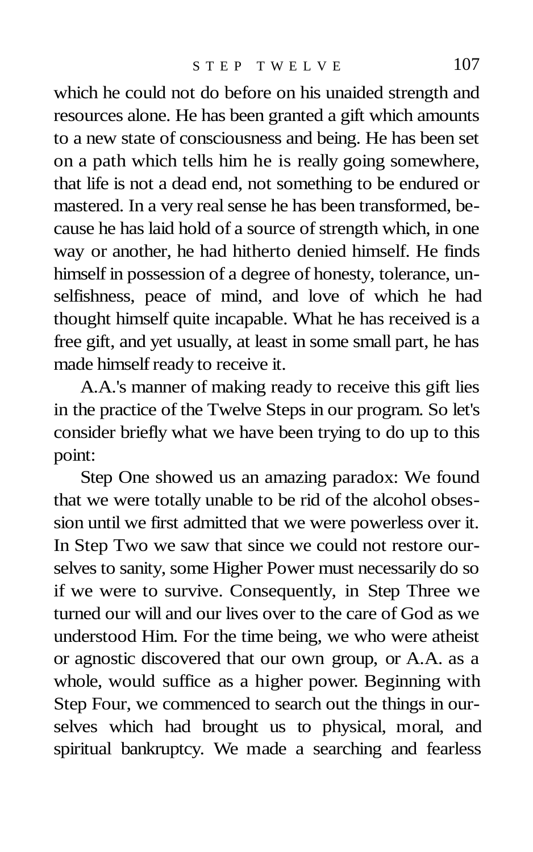which he could not do before on his unaided strength and resources alone. He has been granted a gift which amounts to a new state of consciousness and being. He has been set on a path which tells him he is really going somewhere, that life is not a dead end, not something to be endured or mastered. In a very real sense he has been transformed, because he has laid hold of a source of strength which, in one way or another, he had hitherto denied himself. He finds himself in possession of a degree of honesty, tolerance, unselfishness, peace of mind, and love of which he had thought himself quite incapable. What he has received is a free gift, and yet usually, at least in some small part, he has made himself ready to receive it.

A.A.'s manner of making ready to receive this gift lies in the practice of the Twelve Steps in our program. So let's consider briefly what we have been trying to do up to this point:

[Step One](#page-20-0) showed us an amazing paradox: We found that we were totally unable to be rid of the alcohol obsession until we first admitted that we were powerless over it. In [Step Two](#page-24-0) we saw that since we could not restore ourselves to sanity, some Higher Power must necessarily do so if we were to survive. Consequently, in [Step Three](#page-33-0) we turned our will and our lives over to the care of God as we understood Him. For the time being, we who were atheist or agnostic discovered that our own group, or A.A. as a whole, would suffice as a higher power. Beginning with [Step Four,](#page-41-0) we commenced to search out the things in ourselves which had brought us to physical, moral, and spiritual bankruptcy. We made a searching and fearless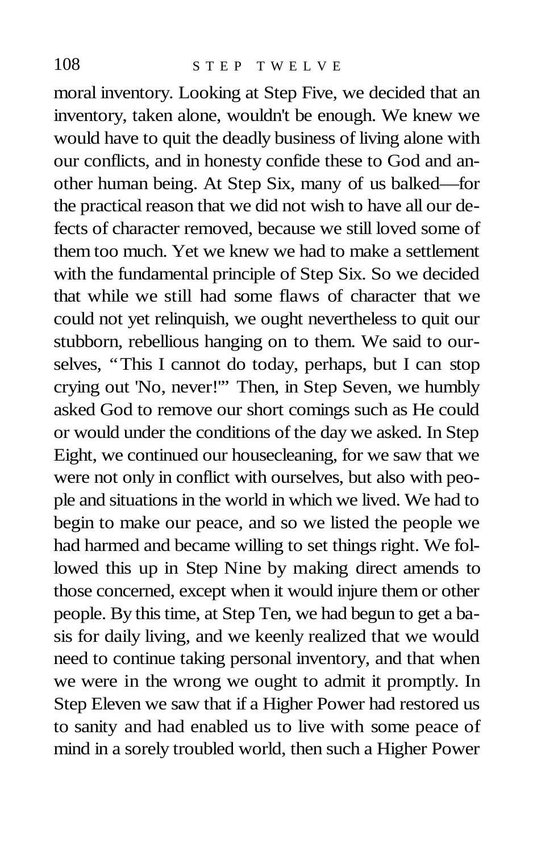moral inventory. Looking at [Step Five,](#page-54-0) we decided that an inventory, taken alone, wouldn't be enough. We knew we would have to quit the deadly business of living alone with our conflicts, and in honesty confide these to God and another human being. At [Step Six](#page-62-0), many of us balked— for the practical reason that we did not wish to have all our defects of character removed, because we still loved some of them too much. Yet we knew we had to make a settlement with the fundamental principle of [Step Six.](#page-62-0) So we decided that while we still had some flaws of character that we could not yet relinquish, we ought nevertheless to quit our stubborn, rebellious hanging on to them. We said to ourselves, "This I cannot do today, perhaps, but I can stop crying out 'No, never!'" Then, in [Step Seven,](#page-69-0) we humbly asked God to remove our short comings such as He could or would under the conditions of the day we asked. In [Step](#page-76-0) [Eight,](#page-76-0) we continued our housecleaning, for we saw that we were not only in conflict with ourselves, but also with people and situations in the world in which we lived. We had to begin to make our peace, and so we listed the people we had harmed and became willing to set things right. We followed this up in [Step Nine](#page-82-0) by making direct amends to those concerned, except when it would injure them or other people. By this time, at [Step Ten,](#page-87-0) we had begun to get a basis for daily living, and we keenly realized that we would need to continue taking personal inventory, and that when we were in the wrong we ought to admit it promptly. In [Step Eleven](#page-95-0) we saw that if a Higher Power had restored us to sanity and had enabled us to live with some peace of mind in a sorely troubled world, then such a Higher Power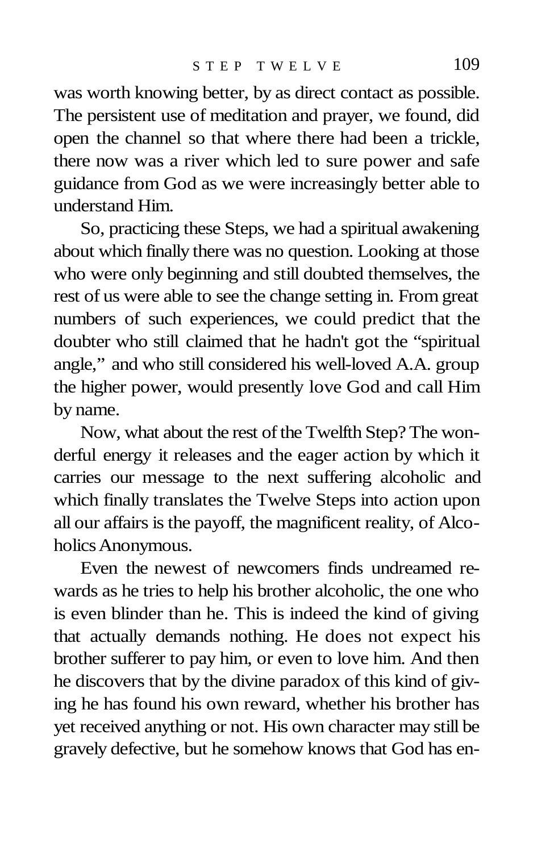was worth knowing better, by as direct contact as possible. The persistent use of meditation and prayer, we found, did open the channel so that where there had been a trickle, there now was a river which led to sure power and safe guidance from God as we were increasingly better able to understand Him.

So, practicing these Steps, we had a spiritual awakening about which finally there was no question. Looking at those who were only beginning and still doubted themselves, the rest of us were able to see the change setting in. From great numbers of such experiences, we could predict that the doubter who still claimed that he hadn't got the "spiritual angle," and who still considered his well-loved A.A. group the higher power, would presently love God and call Him by name.

Now, what about the rest of the Twelfth Step? The wonderful energy it releases and the eager action by which it carries our message to the next suffering alcoholic and which finally translates the Twelve Steps into action upon all our affairs is the payoff, the magnificent reality, of Alcoholics Anonymous.

Even the newest of newcomers finds undreamed rewards as he tries to help his brother alcoholic, the one who is even blinder than he. This is indeed the kind of giving that actually demands nothing. He does not expect his brother sufferer to pay him, or even to love him. And then he discovers that by the divine paradox of this kind of giving he has found his own reward, whether his brother has yet received anything or not. His own character may still be gravely defective, but he somehow knows that God has en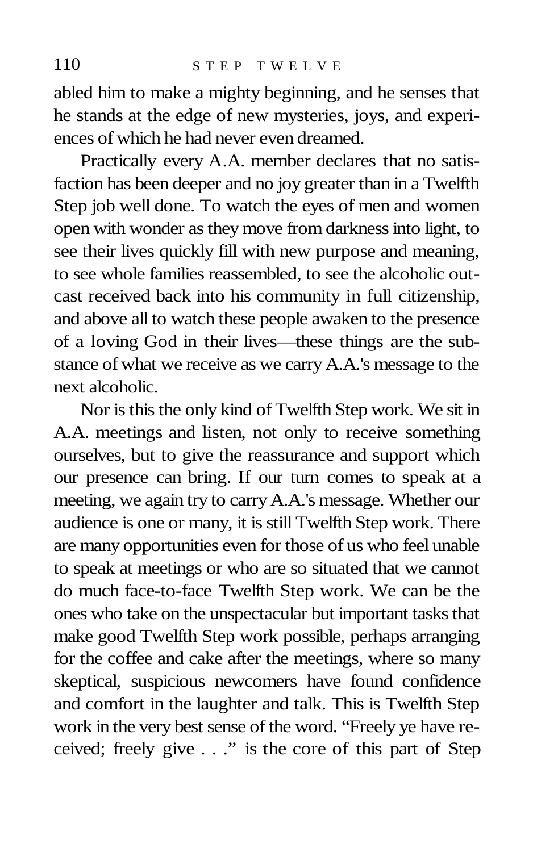abled him to make a mighty beginning, and he senses that he stands at the edge of new mysteries, joys, and experiences of which he had never even dreamed.

Practically every A.A. member declares that no satisfaction has been deeper and no joy greater than in a Twelfth Step job well done. To watch the eyes of men and women open with wonder as they move from darkness into light, to see their lives quickly fill with new purpose and meaning, to see whole families reassembled, to see the alcoholic outcast received back into his community in full citizenship, and above all to watch these people awaken to the presence of a loving God in their lives— these things are the substance of what we receive as we carry A.A.'s message to the next alcoholic.

Nor is this the only kind of Twelfth Step work. We sit in A.A. meetings and listen, not only to receive something ourselves, but to give the reassurance and support which our presence can bring. If our turn comes to speak at a meeting, we again try to carry A.A.'s message. Whether our audience is one or many, it is still Twelfth Step work. There are many opportunities even for those of us who feel unable to speak at meetings or who are so situated that we cannot do much face-to-face Twelfth Step work. We can be the ones who take on the unspectacular but important tasks that make good Twelfth Step work possible, perhaps arranging for the coffee and cake after the meetings, where so many skeptical, suspicious newcomers have found confidence and comfort in the laughter and talk. This is Twelfth Step work in the very best sense of the word. "Freely ye have received; freely give . . ." is the core of this part of Step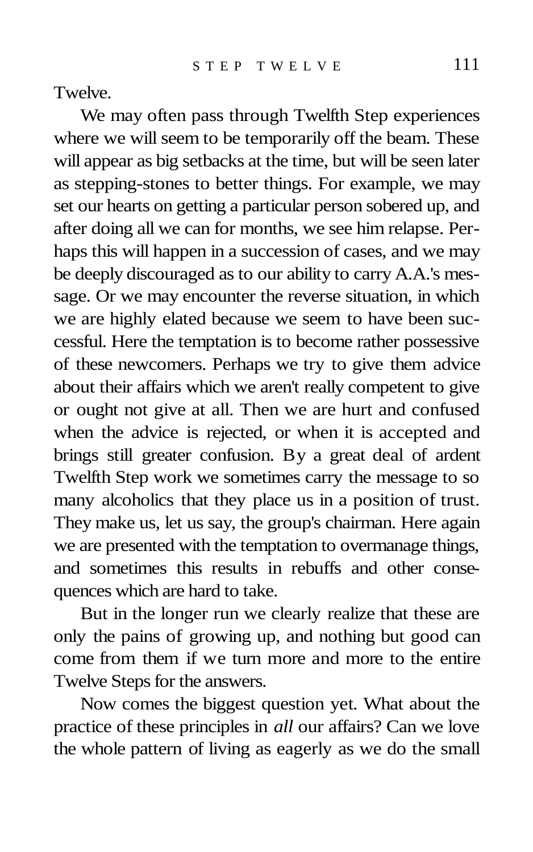Twelve.

We may often pass through Twelfth Step experiences where we will seem to be temporarily off the beam. These will appear as big setbacks at the time, but will be seen later as stepping-stones to better things. For example, we may set our hearts on getting a particular person sobered up, and after doing all we can for months, we see him relapse. Perhaps this will happen in a succession of cases, and we may be deeply discouraged as to our ability to carry A.A.'s message. Or we may encounter the reverse situation, in which we are highly elated because we seem to have been successful. Here the temptation is to become rather possessive of these newcomers. Perhaps we try to give them advice about their affairs which we aren't really competent to give or ought not give at all. Then we are hurt and confused when the advice is rejected, or when it is accepted and brings still greater confusion. By a great deal of ardent Twelfth Step work we sometimes carry the message to so many alcoholics that they place us in a position of trust. They make us, let us say, the group's chairman. Here again we are presented with the temptation to overmanage things, and sometimes this results in rebuffs and other consequences which are hard to take.

But in the longer run we clearly realize that these are only the pains of growing up, and nothing but good can come from them if we turn more and more to the entire Twelve Steps for the answers.

Now comes the biggest question yet. What about the practice of these principles in *all* our affairs? Can we love the whole pattern of living as eagerly as we do the small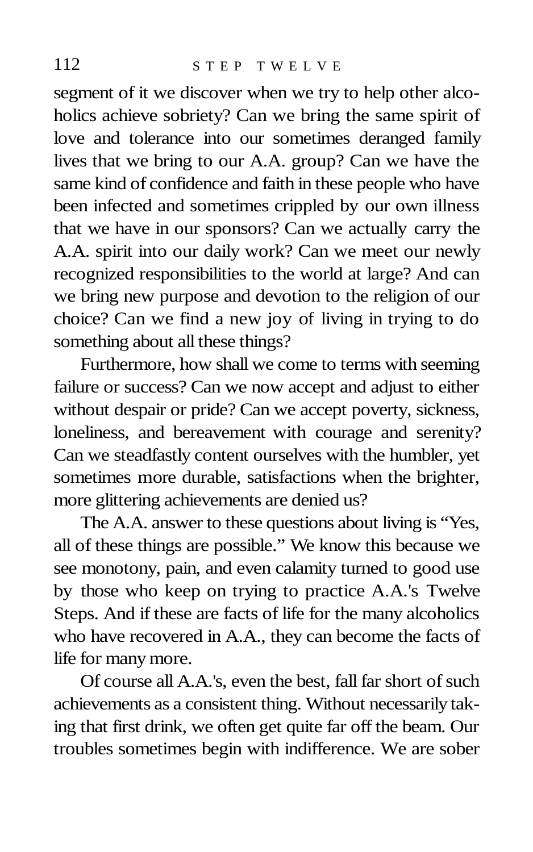segment of it we discover when we try to help other alcoholics achieve sobriety? Can we bring the same spirit of love and tolerance into our sometimes deranged family lives that we bring to our A.A. group? Can we have the same kind of confidence and faith in these people who have been infected and sometimes crippled by our own illness that we have in our sponsors? Can we actually carry the A.A. spirit into our daily work? Can we meet our newly recognized responsibilities to the world at large? And can we bring new purpose and devotion to the religion of our choice? Can we find a new joy of living in trying to do something about all these things?

Furthermore, how shall we come to terms with seeming failure or success? Can we now accept and adjust to either without despair or pride? Can we accept poverty, sickness, loneliness, and bereavement with courage and serenity? Can we steadfastly content ourselves with the humbler, yet sometimes more durable, satisfactions when the brighter, more glittering achievements are denied us?

The A.A. answer to these questions about living is "Yes, all of these things are possible." We know this because we see monotony, pain, and even calamity turned to good use by those who keep on trying to practice A.A.'s Twelve Steps. And if these are facts of life for the many alcoholics who have recovered in A.A., they can become the facts of life for many more.

Of course all A.A.'s, even the best, fall far short of such achievements as a consistent thing. Without necessarily taking that first drink, we often get quite far off the beam. Our troubles sometimes begin with indifference. We are sober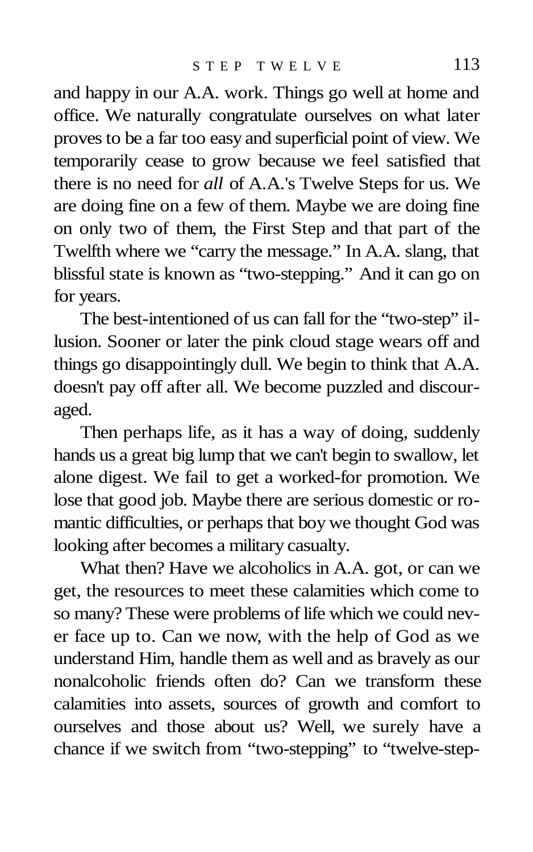and happy in our A.A. work. Things go well at home and office. We naturally congratulate ourselves on what later proves to be a far too easy and superficial point of view. We temporarily cease to grow because we feel satisfied that there is no need for *all* of A.A.'s Twelve Steps for us. We are doing fine on a few of them. Maybe we are doing fine on only two of them, the [First Step](#page-20-0) and that part of the Twelfth where we "carry the message." In A.A. slang, that blissful state is known as "two-stepping." And it can go on for years.

The best-intentioned of us can fall for the "two-step" illusion. Sooner or later the pink cloud stage wears off and things go disappointingly dull. We begin to think that A.A. doesn't pay off after all. We become puzzled and discouraged.

Then perhaps life, as it has a way of doing, suddenly hands us a great big lump that we can't begin to swallow, let alone digest. We fail to get a worked-for promotion. We lose that good job. Maybe there are serious domestic or romantic difficulties, or perhaps that boy we thought God was looking after becomes a military casualty.

What then? Have we alcoholics in A.A. got, or can we get, the resources to meet these calamities which come to so many? These were problems of life which we could never face up to. Can we now, with the help of God as we understand Him, handle them as well and as bravely as our nonalcoholic friends often do? Can we transform these calamities into assets, sources of growth and comfort to ourselves and those about us? Well, we surely have a chance if we switch from "two-stepping" to "twelve-step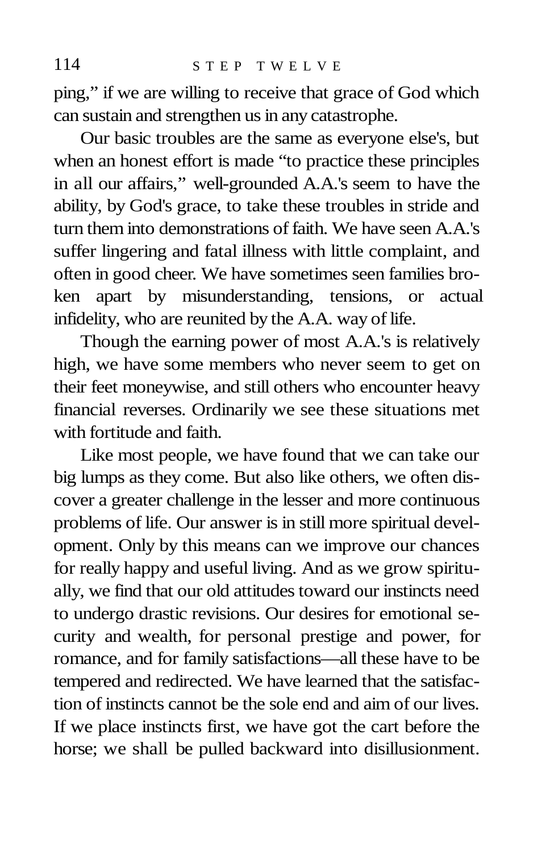ping," if we are willing to receive that grace of God which can sustain and strengthen us in any catastrophe.

Our basic troubles are the same as everyone else's, but when an honest effort is made "to practice these principles in all our affairs," well-grounded A.A.'s seem to have the ability, by God's grace, to take these troubles in stride and turn them into demonstrations of faith. We have seen A.A.'s suffer lingering and fatal illness with little complaint, and often in good cheer. We have sometimes seen families broken apart by misunderstanding, tensions, or actual infidelity, who are reunited by the A.A. way of life.

Though the earning power of most A.A.'s is relatively high, we have some members who never seem to get on their feet moneywise, and still others who encounter heavy financial reverses. Ordinarily we see these situations met with fortitude and faith.

Like most people, we have found that we can take our big lumps as they come. But also like others, we often discover a greater challenge in the lesser and more continuous problems of life. Our answer is in still more spiritual development. Only by this means can we improve our chances for really happy and useful living. And as we grow spiritually, we find that our old attitudes toward our instincts need to undergo drastic revisions. Our desires for emotional security and wealth, for personal prestige and power, for romance, and for family satisfactions— all these have to be tempered and redirected. We have learned that the satisfaction of instincts cannot be the sole end and aim of our lives. If we place instincts first, we have got the cart before the horse; we shall be pulled backward into disillusionment.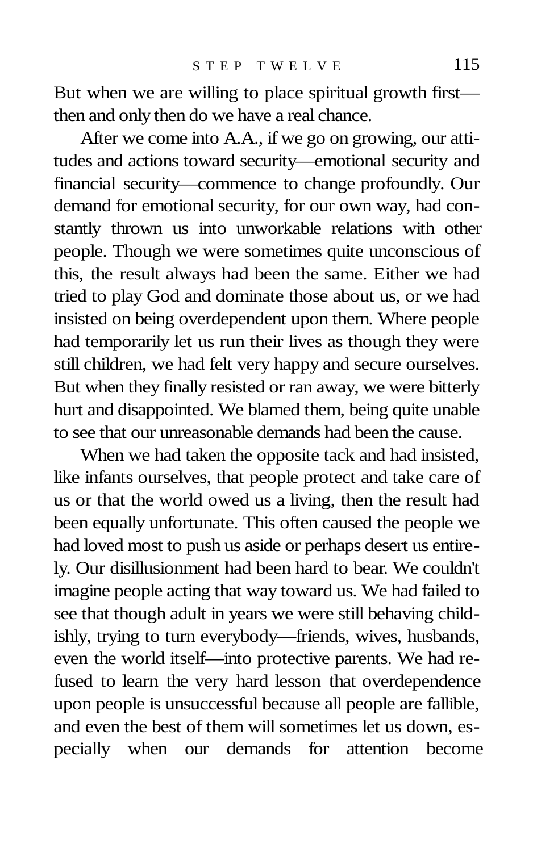But when we are willing to place spiritual growth first then and only then do we have a real chance.

After we come into A.A., if we go on growing, our attitudes and actions toward security— emotional security and financial security— commence to change profoundly. Our demand for emotional security, for our own way, had constantly thrown us into unworkable relations with other people. Though we were sometimes quite unconscious of this, the result always had been the same. Either we had tried to play God and dominate those about us, or we had insisted on being overdependent upon them. Where people had temporarily let us run their lives as though they were still children, we had felt very happy and secure ourselves. But when they finally resisted or ran away, we were bitterly hurt and disappointed. We blamed them, being quite unable to see that our unreasonable demands had been the cause.

When we had taken the opposite tack and had insisted, like infants ourselves, that people protect and take care of us or that the world owed us a living, then the result had been equally unfortunate. This often caused the people we had loved most to push us aside or perhaps desert us entirely. Our disillusionment had been hard to bear. We couldn't imagine people acting that way toward us. We had failed to see that though adult in years we were still behaving childishly, trying to turn everybody— friends, wives, husbands, even the world itself—into protective parents. We had refused to learn the very hard lesson that overdependence upon people is unsuccessful because all people are fallible, and even the best of them will sometimes let us down, especially when our demands for attention become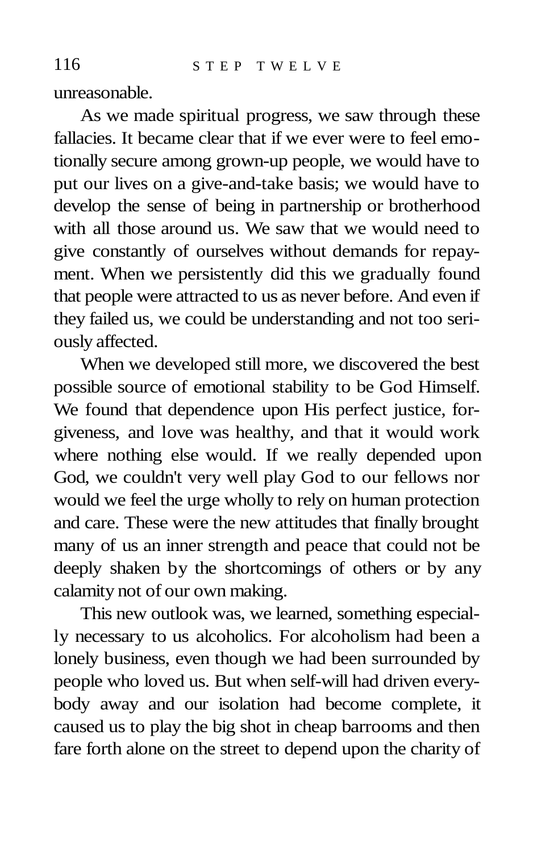unreasonable.

As we made spiritual progress, we saw through these fallacies. It became clear that if we ever were to feel emotionally secure among grown-up people, we would have to put our lives on a give-and-take basis; we would have to develop the sense of being in partnership or brotherhood with all those around us. We saw that we would need to give constantly of ourselves without demands for repayment. When we persistently did this we gradually found that people were attracted to us as never before. And even if they failed us, we could be understanding and not too seriously affected.

When we developed still more, we discovered the best possible source of emotional stability to be God Himself. We found that dependence upon His perfect justice, forgiveness, and love was healthy, and that it would work where nothing else would. If we really depended upon God, we couldn't very well play God to our fellows nor would we feel the urge wholly to rely on human protection and care. These were the new attitudes that finally brought many of us an inner strength and peace that could not be deeply shaken by the shortcomings of others or by any calamity not of our own making.

This new outlook was, we learned, something especially necessary to us alcoholics. For alcoholism had been a lonely business, even though we had been surrounded by people who loved us. But when self-will had driven everybody away and our isolation had become complete, it caused us to play the big shot in cheap barrooms and then fare forth alone on the street to depend upon the charity of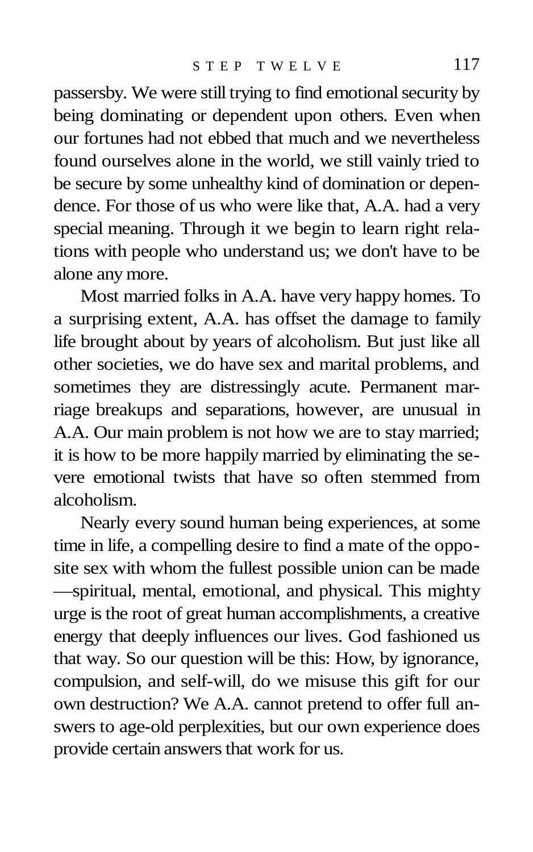passersby. We were still trying to find emotional security by being dominating or dependent upon others. Even when our fortunes had not ebbed that much and we nevertheless found ourselves alone in the world, we still vainly tried to be secure by some unhealthy kind of domination or dependence. For those of us who were like that, A.A. had a very special meaning. Through it we begin to learn right relations with people who understand us; we don't have to be alone any more.

Most married folks in A.A. have very happy homes. To a surprising extent, A.A. has offset the damage to family life brought about by years of alcoholism. But just like all other societies, we do have sex and marital problems, and sometimes they are distressingly acute. Permanent marriage breakups and separations, however, are unusual in A.A. Our main problem is not how we are to stay married; it is how to be more happily married by eliminating the severe emotional twists that have so often stemmed from alcoholism.

Nearly every sound human being experiences, at some time in life, a compelling desire to find a mate of the opposite sex with whom the fullest possible union can be made — spiritual, mental, emotional, and physical. This mighty urge is the root of great human accomplishments, a creative energy that deeply influences our lives. God fashioned us that way. So our question will be this: How, by ignorance, compulsion, and self-will, do we misuse this gift for our own destruction? We A.A. cannot pretend to offer full answers to age-old perplexities, but our own experience does provide certain answers that work for us.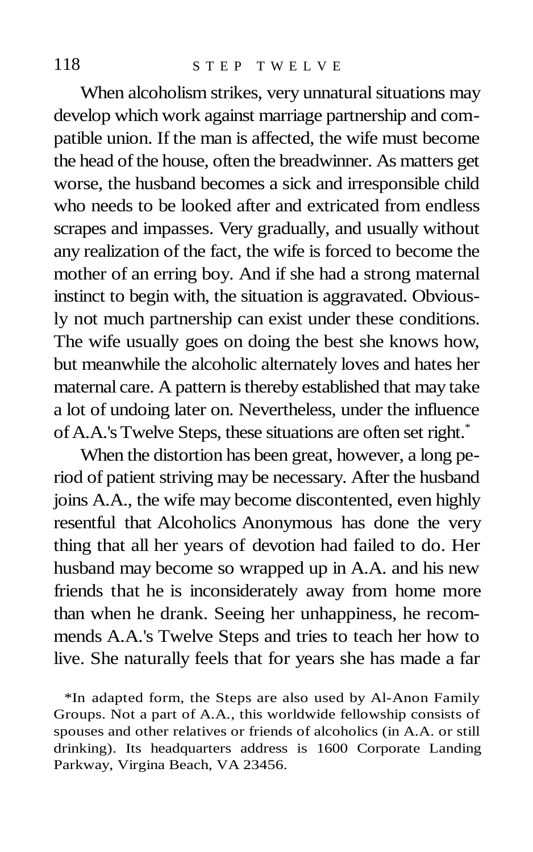When alcoholism strikes, very unnatural situations may develop which work against marriage partnership and compatible union. If the man is affected, the wife must become the head of the house, often the breadwinner. As matters get worse, the husband becomes a sick and irresponsible child who needs to be looked after and extricated from endless scrapes and impasses. Very gradually, and usually without any realization of the fact, the wife is forced to become the mother of an erring boy. And if she had a strong maternal instinct to begin with, the situation is aggravated. Obviously not much partnership can exist under these conditions. The wife usually goes on doing the best she knows how, but meanwhile the alcoholic alternately loves and hates her maternal care. A pattern is thereby established that may take a lot of undoing later on. Nevertheless, under the influence of A.A.'s Twelve Steps, these situations are often set right.<sup>\*</sup>

When the distortion has been great, however, a long period of patient striving may be necessary. After the husband joins A.A., the wife may become discontented, even highly resentful that Alcoholics Anonymous has done the very thing that all her years of devotion had failed to do. Her husband may become so wrapped up in A.A. and his new friends that he is inconsiderately away from home more than when he drank. Seeing her unhappiness, he recommends A.A.'s Twelve Steps and tries to teach her how to live. She naturally feels that for years she has made a far

\*In adapted form, the Steps are also used by Al-Anon Family Groups. Not a part of A.A., this worldwide fellowship consists of spouses and other relatives or friends of alcoholics (in A.A. or still drinking). Its headquarters address is 1600 Corporate Landing Parkway, Virgina Beach, VA 23456.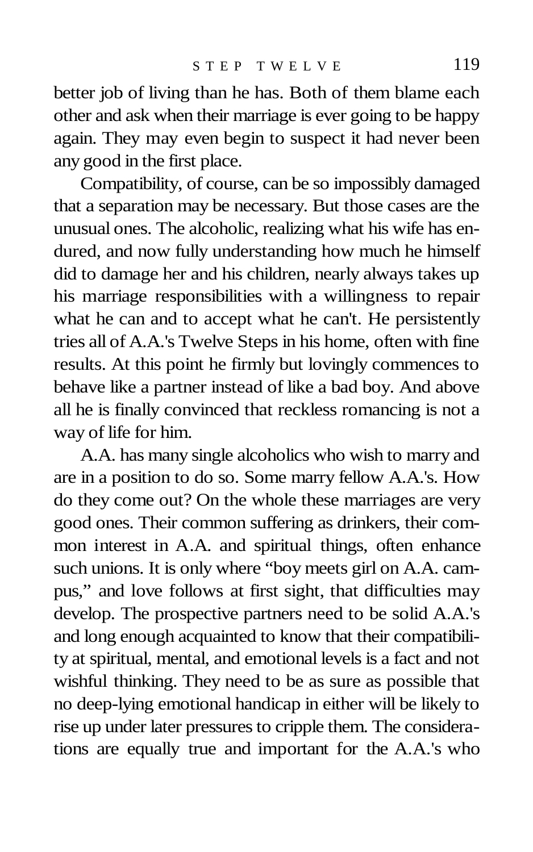better job of living than he has. Both of them blame each other and ask when their marriage is ever going to be happy again. They may even begin to suspect it had never been any good in the first place.

Compatibility, of course, can be so impossibly damaged that a separation may be necessary. But those cases are the unusual ones. The alcoholic, realizing what his wife has endured, and now fully understanding how much he himself did to damage her and his children, nearly always takes up his marriage responsibilities with a willingness to repair what he can and to accept what he can't. He persistently tries all of A.A.'s Twelve Steps in his home, often with fine results. At this point he firmly but lovingly commences to behave like a partner instead of like a bad boy. And above all he is finally convinced that reckless romancing is not a way of life for him.

A.A. has many single alcoholics who wish to marry and are in a position to do so. Some marry fellow A.A.'s. How do they come out? On the whole these marriages are very good ones. Their common suffering as drinkers, their common interest in A.A. and spiritual things, often enhance such unions. It is only where "boy meets girl on A.A. campus," and love follows at first sight, that difficulties may develop. The prospective partners need to be solid A.A.'s and long enough acquainted to know that their compatibility at spiritual, mental, and emotional levels is a fact and not wishful thinking. They need to be as sure as possible that no deep-lying emotional handicap in either will be likely to rise up under later pressures to cripple them. The considerations are equally true and important for the A.A.'s who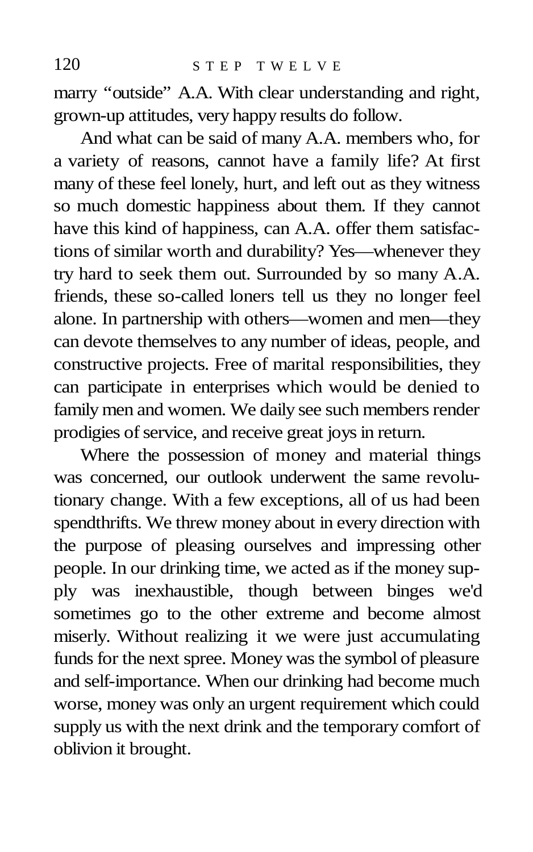marry "outside" A.A. With clear understanding and right, grown-up attitudes, very happy results do follow.

And what can be said of many A.A. members who, for a variety of reasons, cannot have a family life? At first many of these feel lonely, hurt, and left out as they witness so much domestic happiness about them. If they cannot have this kind of happiness, can A.A. offer them satisfactions of similar worth and durability? Yes— whenever they try hard to seek them out. Surrounded by so many A.A. friends, these so-called loners tell us they no longer feel alone. In partnership with others— women and men— they can devote themselves to any number of ideas, people, and constructive projects. Free of marital responsibilities, they can participate in enterprises which would be denied to family men and women. We daily see such members render prodigies of service, and receive great joys in return.

Where the possession of money and material things was concerned, our outlook underwent the same revolutionary change. With a few exceptions, all of us had been spendthrifts. We threw money about in every direction with the purpose of pleasing ourselves and impressing other people. In our drinking time, we acted as if the money supply was inexhaustible, though between binges we'd sometimes go to the other extreme and become almost miserly. Without realizing it we were just accumulating funds for the next spree. Money was the symbol of pleasure and self-importance. When our drinking had become much worse, money was only an urgent requirement which could supply us with the next drink and the temporary comfort of oblivion it brought.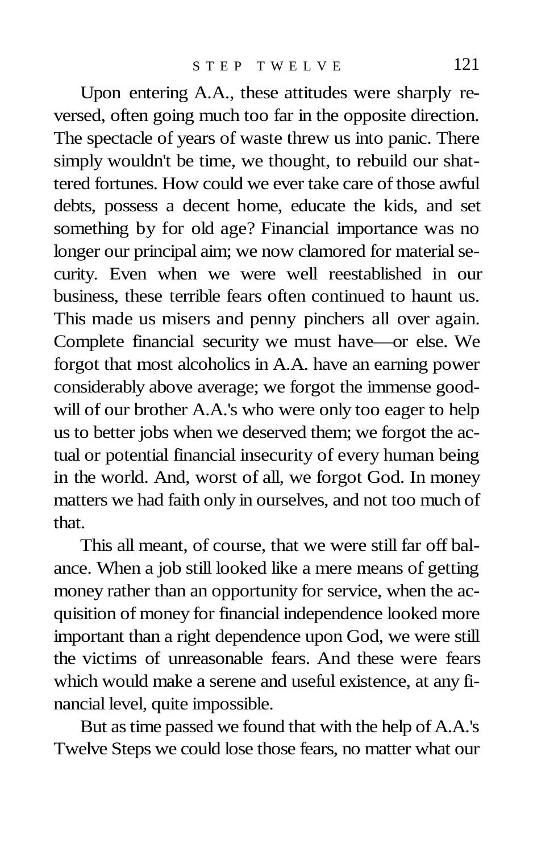Upon entering A.A., these attitudes were sharply reversed, often going much too far in the opposite direction. The spectacle of years of waste threw us into panic. There simply wouldn't be time, we thought, to rebuild our shattered fortunes. How could we ever take care of those awful debts, possess a decent home, educate the kids, and set something by for old age? Financial importance was no longer our principal aim; we now clamored for material security. Even when we were well reestablished in our business, these terrible fears often continued to haunt us. This made us misers and penny pinchers all over again. Complete financial security we must have— or else. We forgot that most alcoholics in A.A. have an earning power considerably above average; we forgot the immense goodwill of our brother A.A.'s who were only too eager to help us to better jobs when we deserved them; we forgot the actual or potential financial insecurity of every human being in the world. And, worst of all, we forgot God. In money matters we had faith only in ourselves, and not too much of that.

This all meant, of course, that we were still far off balance. When a job still looked like a mere means of getting money rather than an opportunity for service, when the acquisition of money for financial independence looked more important than a right dependence upon God, we were still the victims of unreasonable fears. And these were fears which would make a serene and useful existence, at any financial level, quite impossible.

But as time passed we found that with the help of A.A.'s Twelve Steps we could lose those fears, no matter what our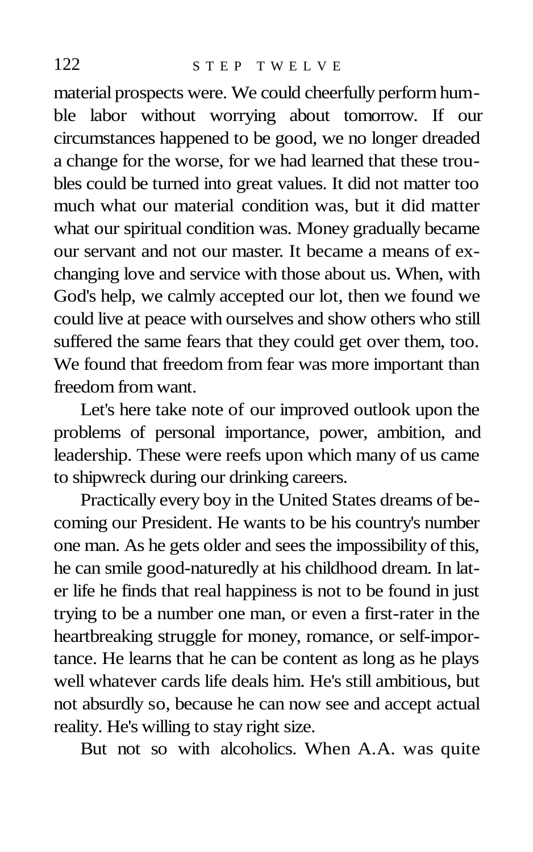material prospects were. We could cheerfully perform humble labor without worrying about tomorrow. If our circumstances happened to be good, we no longer dreaded a change for the worse, for we had learned that these troubles could be turned into great values. It did not matter too much what our material condition was, but it did matter what our spiritual condition was. Money gradually became our servant and not our master. It became a means of exchanging love and service with those about us. When, with God's help, we calmly accepted our lot, then we found we could live at peace with ourselves and show others who still suffered the same fears that they could get over them, too. We found that freedom from fear was more important than freedom from want.

Let's here take note of our improved outlook upon the problems of personal importance, power, ambition, and leadership. These were reefs upon which many of us came to shipwreck during our drinking careers.

Practically every boy in the United States dreams of becoming our President. He wants to be his country's number one man. As he gets older and sees the impossibility of this, he can smile good-naturedly at his childhood dream. In later life he finds that real happiness is not to be found in just trying to be a number one man, or even a first-rater in the heartbreaking struggle for money, romance, or self-importance. He learns that he can be content as long as he plays well whatever cards life deals him. He's still ambitious, but not absurdly so, because he can now see and accept actual reality. He's willing to stay right size.

But not so with alcoholics. When A.A. was quite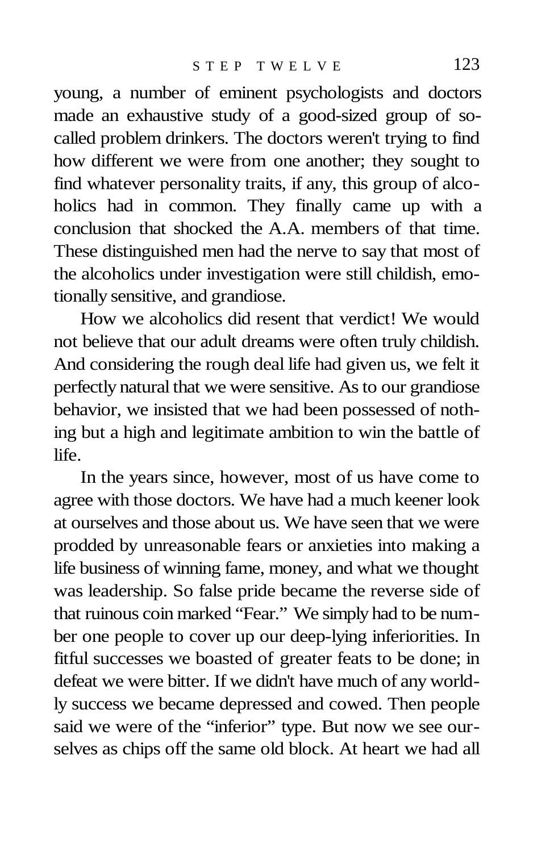young, a number of eminent psychologists and doctors made an exhaustive study of a good-sized group of socalled problem drinkers. The doctors weren't trying to find how different we were from one another; they sought to find whatever personality traits, if any, this group of alcoholics had in common. They finally came up with a conclusion that shocked the A.A. members of that time. These distinguished men had the nerve to say that most of the alcoholics under investigation were still childish, emotionally sensitive, and grandiose.

How we alcoholics did resent that verdict! We would not believe that our adult dreams were often truly childish. And considering the rough deal life had given us, we felt it perfectly natural that we were sensitive. As to our grandiose behavior, we insisted that we had been possessed of nothing but a high and legitimate ambition to win the battle of life.

In the years since, however, most of us have come to agree with those doctors. We have had a much keener look at ourselves and those about us. We have seen that we were prodded by unreasonable fears or anxieties into making a life business of winning fame, money, and what we thought was leadership. So false pride became the reverse side of that ruinous coin marked "Fear." We simply had to be number one people to cover up our deep-lying inferiorities. In fitful successes we boasted of greater feats to be done; in defeat we were bitter. If we didn't have much of any worldly success we became depressed and cowed. Then people said we were of the "inferior" type. But now we see ourselves as chips off the same old block. At heart we had all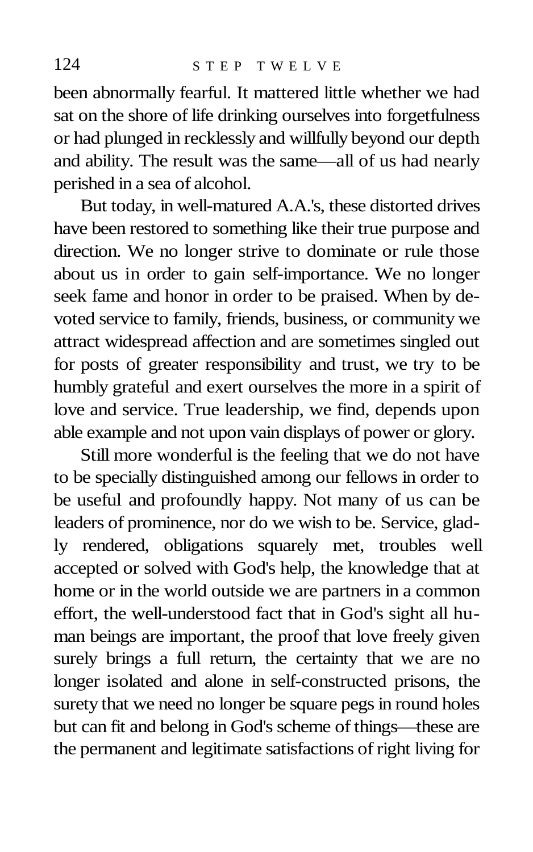been abnormally fearful. It mattered little whether we had sat on the shore of life drinking ourselves into forgetfulness or had plunged in recklessly and willfully beyond our depth and ability. The result was the same— all of us had nearly perished in a sea of alcohol.

But today, in well-matured A.A.'s, these distorted drives have been restored to something like their true purpose and direction. We no longer strive to dominate or rule those about us in order to gain self-importance. We no longer seek fame and honor in order to be praised. When by devoted service to family, friends, business, or community we attract widespread affection and are sometimes singled out for posts of greater responsibility and trust, we try to be humbly grateful and exert ourselves the more in a spirit of love and service. True leadership, we find, depends upon able example and not upon vain displays of power or glory.

Still more wonderful is the feeling that we do not have to be specially distinguished among our fellows in order to be useful and profoundly happy. Not many of us can be leaders of prominence, nor do we wish to be. Service, gladly rendered, obligations squarely met, troubles well accepted or solved with God's help, the knowledge that at home or in the world outside we are partners in a common effort, the well-understood fact that in God's sight all human beings are important, the proof that love freely given surely brings a full return, the certainty that we are no longer isolated and alone in self-constructed prisons, the surety that we need no longer be square pegs in round holes but can fit and belong in God's scheme of things— these are the permanent and legitimate satisfactions of right living for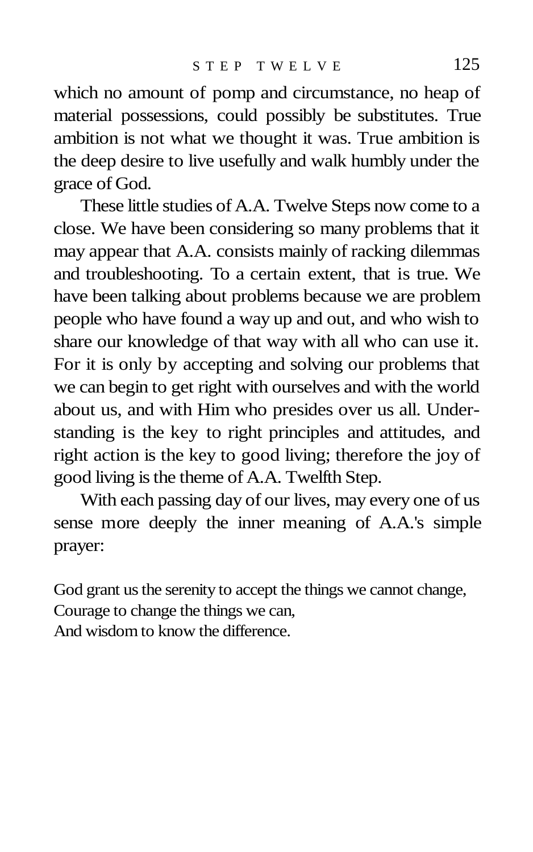which no amount of pomp and circumstance, no heap of material possessions, could possibly be substitutes. True ambition is not what we thought it was. True ambition is the deep desire to live usefully and walk humbly under the grace of God.

These little studies of A.A. Twelve Steps now come to a close. We have been considering so many problems that it may appear that A.A. consists mainly of racking dilemmas and troubleshooting. To a certain extent, that is true. We have been talking about problems because we are problem people who have found a way up and out, and who wish to share our knowledge of that way with all who can use it. For it is only by accepting and solving our problems that we can begin to get right with ourselves and with the world about us, and with Him who presides over us all. Understanding is the key to right principles and attitudes, and right action is the key to good living; therefore the joy of good living is the theme of A.A. Twelfth Step.

With each passing day of our lives, may every one of us sense more deeply the inner meaning of A.A.'s simple prayer:

God grant us the serenity to accept the things we cannot change, Courage to change the things we can,

And wisdom to know the difference.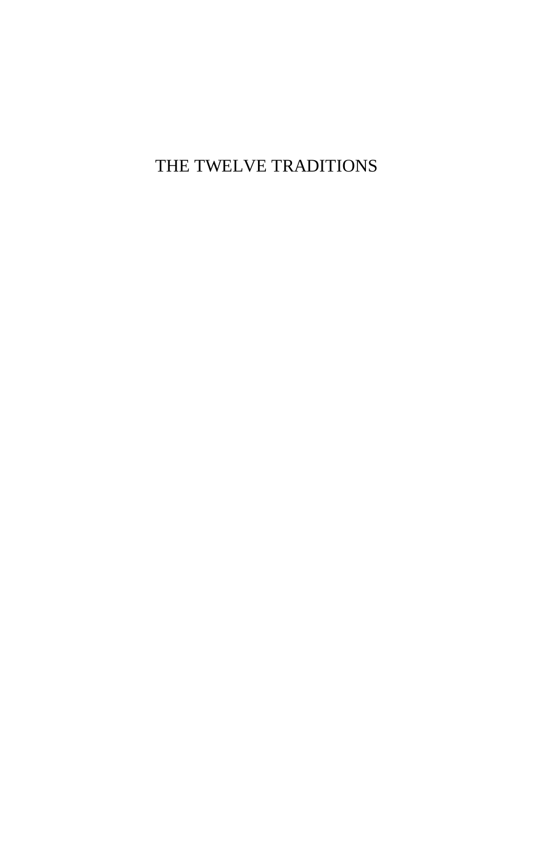THE TWELVE TRADITIONS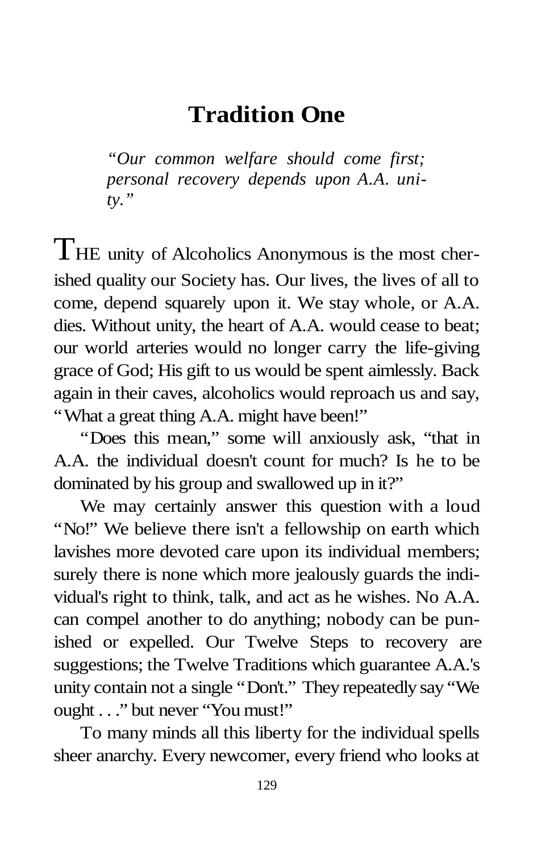## **Tradition One**

*"Our common welfare should come first; personal recovery depends upon A.A. unity."*

THE unity of Alcoholics Anonymous is the most cherished quality our Society has. Our lives, the lives of all to come, depend squarely upon it. We stay whole, or A.A. dies. Without unity, the heart of A.A. would cease to beat; our world arteries would no longer carry the life-giving grace of God; His gift to us would be spent aimlessly. Back again in their caves, alcoholics would reproach us and say, "What a great thing A.A. might have been!"

"Does this mean," some will anxiously ask, "that in A.A. the individual doesn't count for much? Is he to be dominated by his group and swallowed up in it?"

We may certainly answer this question with a loud "No!" We believe there isn't a fellowship on earth which lavishes more devoted care upon its individual members; surely there is none which more jealously guards the individual's right to think, talk, and act as he wishes. No A.A. can compel another to do anything; nobody can be punished or expelled. Our Twelve Steps to recovery are suggestions; the Twelve Traditions which guarantee A.A.'s unity contain not a single "Don't." They repeatedly say "We ought . . ." but never "You must!"

To many minds all this liberty for the individual spells sheer anarchy. Every newcomer, every friend who looks at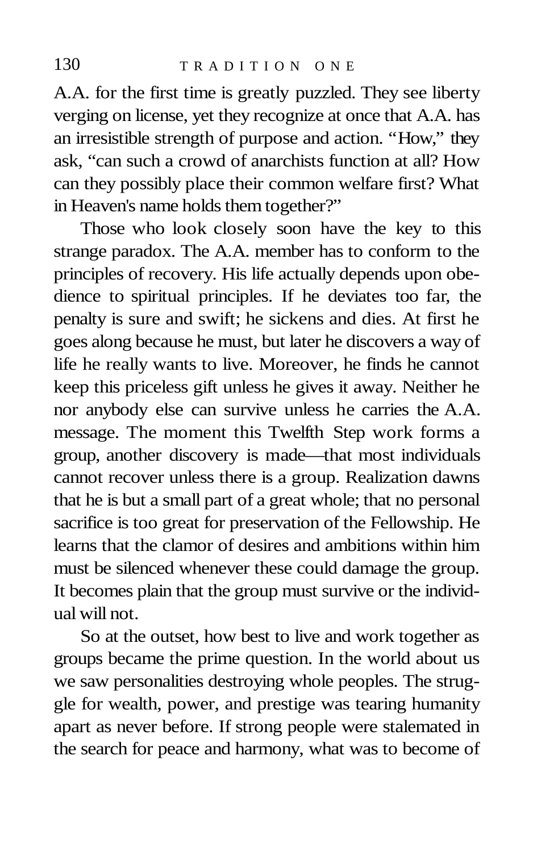A.A. for the first time is greatly puzzled. They see liberty verging on license, yet they recognize at once that A.A. has an irresistible strength of purpose and action. "How," they ask, "can such a crowd of anarchists function at all? How can they possibly place their common welfare first? What in Heaven's name holds them together?"

Those who look closely soon have the key to this strange paradox. The A.A. member has to conform to the principles of recovery. His life actually depends upon obedience to spiritual principles. If he deviates too far, the penalty is sure and swift; he sickens and dies. At first he goes along because he must, but later he discovers a way of life he really wants to live. Moreover, he finds he cannot keep this priceless gift unless he gives it away. Neither he nor anybody else can survive unless he carries the A.A. message. The moment this [Twelfth Step](#page-105-0) work forms a group, another discovery is made— that most individuals cannot recover unless there is a group. Realization dawns that he is but a small part of a great whole; that no personal sacrifice is too great for preservation of the Fellowship. He learns that the clamor of desires and ambitions within him must be silenced whenever these could damage the group. It becomes plain that the group must survive or the individual will not.

So at the outset, how best to live and work together as groups became the prime question. In the world about us we saw personalities destroying whole peoples. The struggle for wealth, power, and prestige was tearing humanity apart as never before. If strong people were stalemated in the search for peace and harmony, what was to become of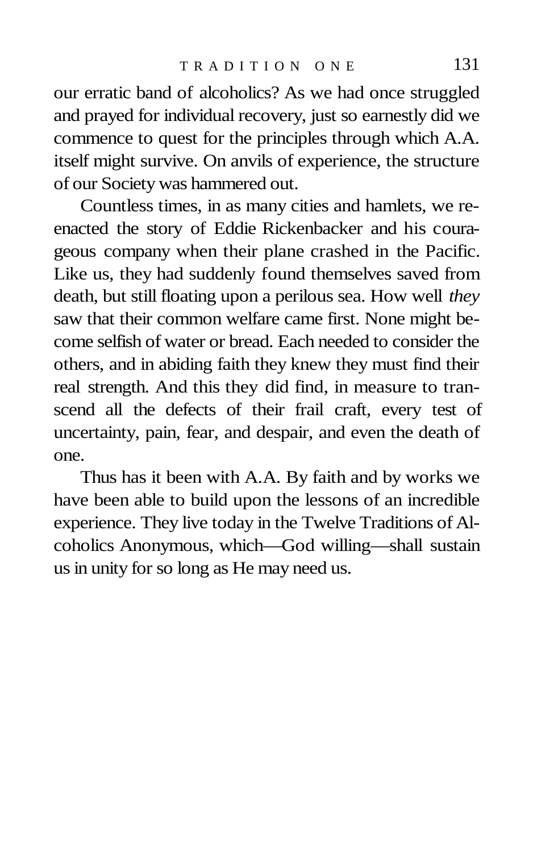our erratic band of alcoholics? As we had once struggled and prayed for individual recovery, just so earnestly did we commence to quest for the principles through which A.A. itself might survive. On anvils of experience, the structure of our Society was hammered out.

Countless times, in as many cities and hamlets, we reenacted the story of Eddie Rickenbacker and his courageous company when their plane crashed in the Pacific. Like us, they had suddenly found themselves saved from death, but still floating upon a perilous sea. How well *they* saw that their common welfare came first. None might become selfish of water or bread. Each needed to consider the others, and in abiding faith they knew they must find their real strength. And this they did find, in measure to transcend all the defects of their frail craft, every test of uncertainty, pain, fear, and despair, and even the death of one.

Thus has it been with A.A. By faith and by works we have been able to build upon the lessons of an incredible experience. They live today in the Twelve Traditions of Alcoholics Anonymous, which— God willing— shall sustain us in unity for so long as He may need us.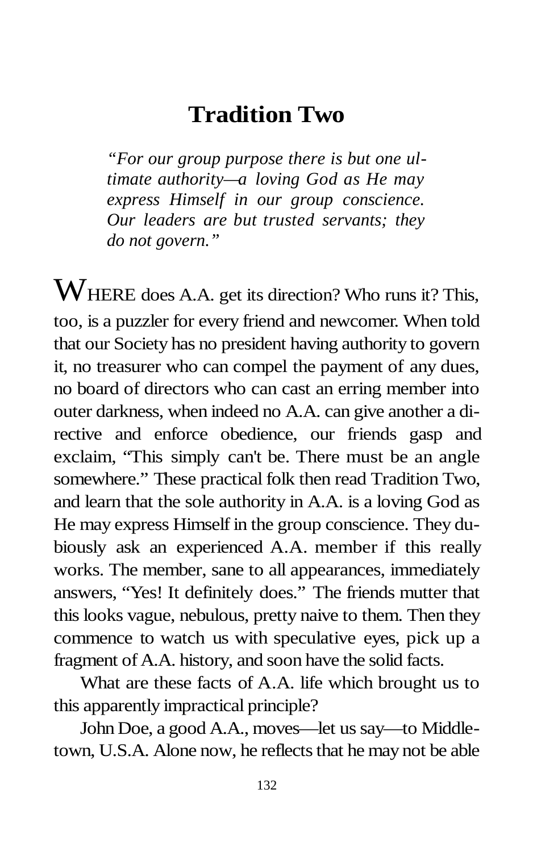## **Tradition Two**

*"For our group purpose there is but one ultimate authority—a loving God as He may express Himself in our group conscience. Our leaders are but trusted servants; they do not govern."*

WHERE does A.A. get its direction? Who runs it? This, too, is a puzzler for every friend and newcomer. When told that our Society has no president having authority to govern it, no treasurer who can compel the payment of any dues, no board of directors who can cast an erring member into outer darkness, when indeed no A.A. can give another a directive and enforce obedience, our friends gasp and exclaim, "This simply can't be. There must be an angle somewhere." These practical folk then read Tradition Two, and learn that the sole authority in A.A. is a loving God as He may express Himself in the group conscience. They dubiously ask an experienced A.A. member if this really works. The member, sane to all appearances, immediately answers, "Yes! It definitely does." The friends mutter that this looks vague, nebulous, pretty naive to them. Then they commence to watch us with speculative eyes, pick up a fragment of A.A. history, and soon have the solid facts.

What are these facts of A.A. life which brought us to this apparently impractical principle?

John Doe, a good A.A., moves— let us say— to Middletown, U.S.A. Alone now, he reflects that he may not be able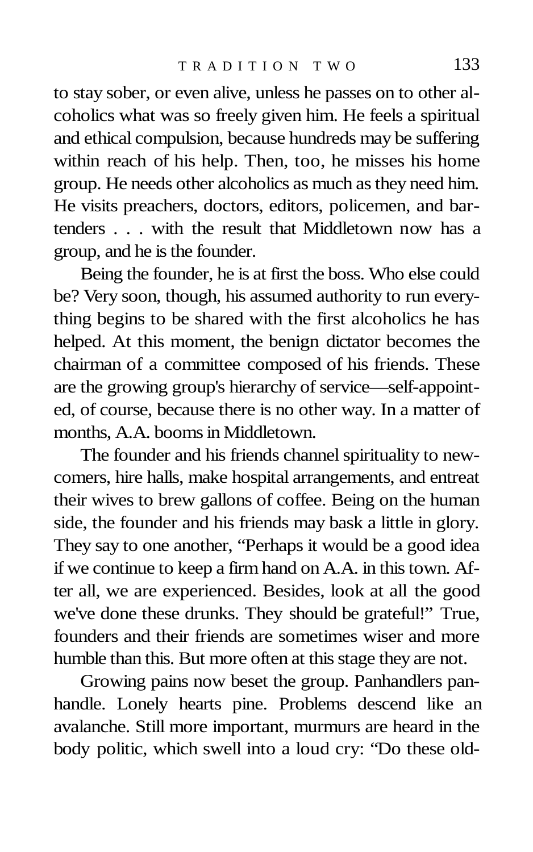to stay sober, or even alive, unless he passes on to other alcoholics what was so freely given him. He feels a spiritual and ethical compulsion, because hundreds may be suffering within reach of his help. Then, too, he misses his home group. He needs other alcoholics as much as they need him. He visits preachers, doctors, editors, policemen, and bartenders . . . with the result that Middletown now has a group, and he is the founder.

Being the founder, he is at first the boss. Who else could be? Very soon, though, his assumed authority to run everything begins to be shared with the first alcoholics he has helped. At this moment, the benign dictator becomes the chairman of a committee composed of his friends. These are the growing group's hierarchy of service— self-appointed, of course, because there is no other way. In a matter of months, A.A. booms in Middletown.

The founder and his friends channel spirituality to newcomers, hire halls, make hospital arrangements, and entreat their wives to brew gallons of coffee. Being on the human side, the founder and his friends may bask a little in glory. They say to one another, "Perhaps it would be a good idea if we continue to keep a firm hand on A.A. in this town. After all, we are experienced. Besides, look at all the good we've done these drunks. They should be grateful!" True, founders and their friends are sometimes wiser and more humble than this. But more often at this stage they are not.

Growing pains now beset the group. Panhandlers panhandle. Lonely hearts pine. Problems descend like an avalanche. Still more important, murmurs are heard in the body politic, which swell into a loud cry: "Do these old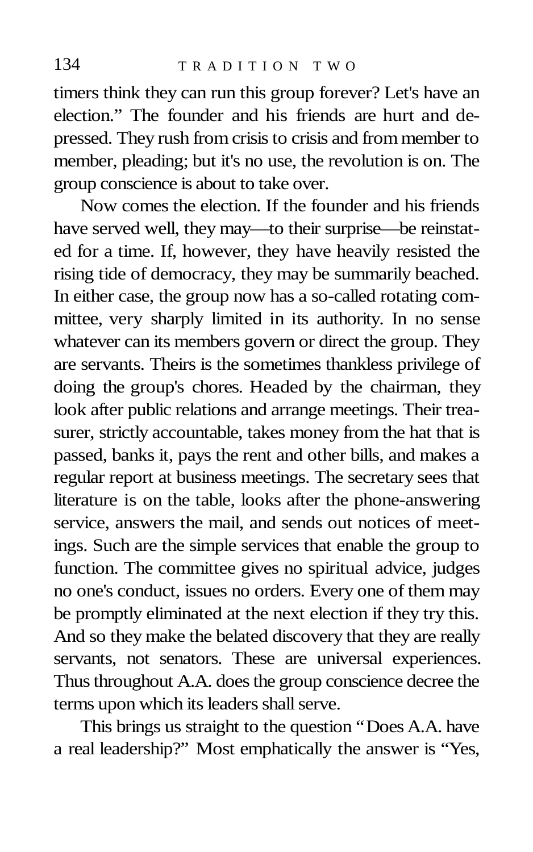timers think they can run this group forever? Let's have an election." The founder and his friends are hurt and depressed. They rush from crisis to crisis and from member to member, pleading; but it's no use, the revolution is on. The group conscience is about to take over.

Now comes the election. If the founder and his friends have served well, they may—to their surprise—be reinstated for a time. If, however, they have heavily resisted the rising tide of democracy, they may be summarily beached. In either case, the group now has a so-called rotating committee, very sharply limited in its authority. In no sense whatever can its members govern or direct the group. They are servants. Theirs is the sometimes thankless privilege of doing the group's chores. Headed by the chairman, they look after public relations and arrange meetings. Their treasurer, strictly accountable, takes money from the hat that is passed, banks it, pays the rent and other bills, and makes a regular report at business meetings. The secretary sees that literature is on the table, looks after the phone-answering service, answers the mail, and sends out notices of meetings. Such are the simple services that enable the group to function. The committee gives no spiritual advice, judges no one's conduct, issues no orders. Every one of them may be promptly eliminated at the next election if they try this. And so they make the belated discovery that they are really servants, not senators. These are universal experiences. Thus throughout A.A. does the group conscience decree the terms upon which its leaders shall serve.

This brings us straight to the question "Does A.A. have a real leadership?" Most emphatically the answer is "Yes,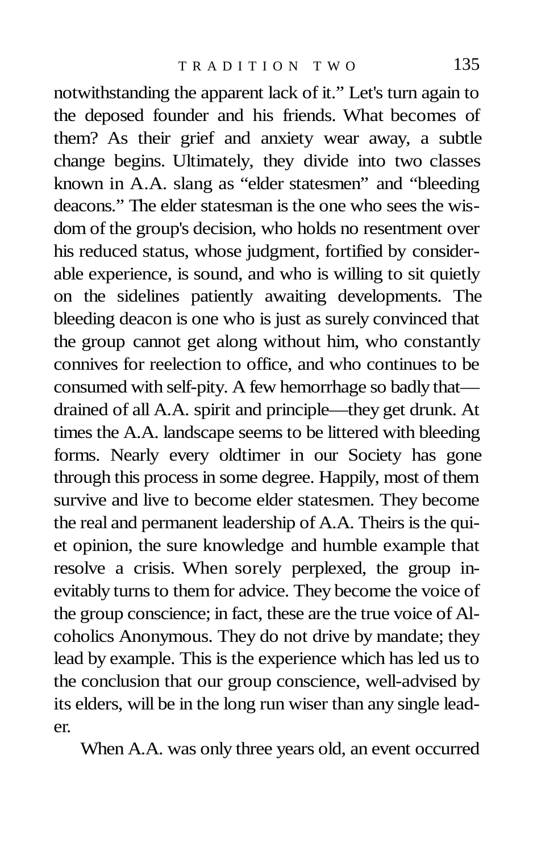notwithstanding the apparent lack of it." Let's turn again to the deposed founder and his friends. What becomes of them? As their grief and anxiety wear away, a subtle change begins. Ultimately, they divide into two classes known in A.A. slang as "elder statesmen" and "bleeding deacons." The elder statesman is the one who sees the wisdom of the group's decision, who holds no resentment over his reduced status, whose judgment, fortified by considerable experience, is sound, and who is willing to sit quietly on the sidelines patiently awaiting developments. The bleeding deacon is one who is just as surely convinced that the group cannot get along without him, who constantly connives for reelection to office, and who continues to be consumed with self-pity. A few hemorrhage so badly that drained of all A.A. spirit and principle— they get drunk. At times the A.A. landscape seems to be littered with bleeding forms. Nearly every oldtimer in our Society has gone through this process in some degree. Happily, most of them survive and live to become elder statesmen. They become the real and permanent leadership of A.A. Theirs is the quiet opinion, the sure knowledge and humble example that resolve a crisis. When sorely perplexed, the group inevitably turns to them for advice. They become the voice of the group conscience; in fact, these are the true voice of Alcoholics Anonymous. They do not drive by mandate; they lead by example. This is the experience which has led us to the conclusion that our group conscience, well-advised by its elders, will be in the long run wiser than any single leader.

When A.A. was only three years old, an event occurred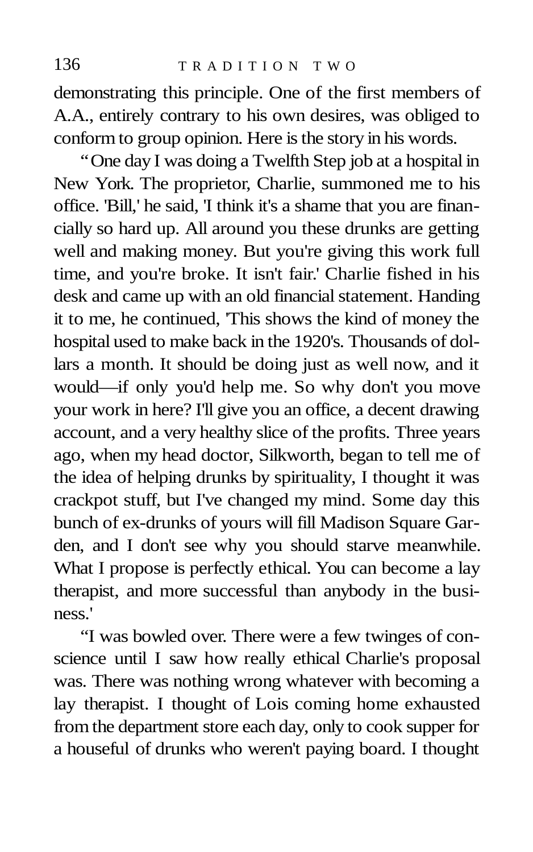demonstrating this principle. One of the first members of A.A., entirely contrary to his own desires, was obliged to conform to group opinion. Here is the story in his words.

"One day I was doing a [Twelfth Step](#page-105-0) job at a hospital in New York. The proprietor, Charlie, summoned me to his office. 'Bill,' he said, 'I think it's a shame that you are financially so hard up. All around you these drunks are getting well and making money. But you're giving this work full time, and you're broke. It isn't fair.' Charlie fished in his desk and came up with an old financial statement. Handing it to me, he continued, 'This shows the kind of money the hospital used to make back in the 1920's. Thousands of dollars a month. It should be doing just as well now, and it would— if only you'd help me. So why don't you move your work in here? I'll give you an office, a decent drawing account, and a very healthy slice of the profits. Three years ago, when my head doctor, Silkworth, began to tell me of the idea of helping drunks by spirituality, I thought it was crackpot stuff, but I've changed my mind. Some day this bunch of ex-drunks of yours will fill Madison Square Garden, and I don't see why you should starve meanwhile. What I propose is perfectly ethical. You can become a lay therapist, and more successful than anybody in the business.'

"I was bowled over. There were a few twinges of conscience until I saw how really ethical Charlie's proposal was. There was nothing wrong whatever with becoming a lay therapist. I thought of Lois coming home exhausted from the department store each day, only to cook supper for a houseful of drunks who weren't paying board. I thought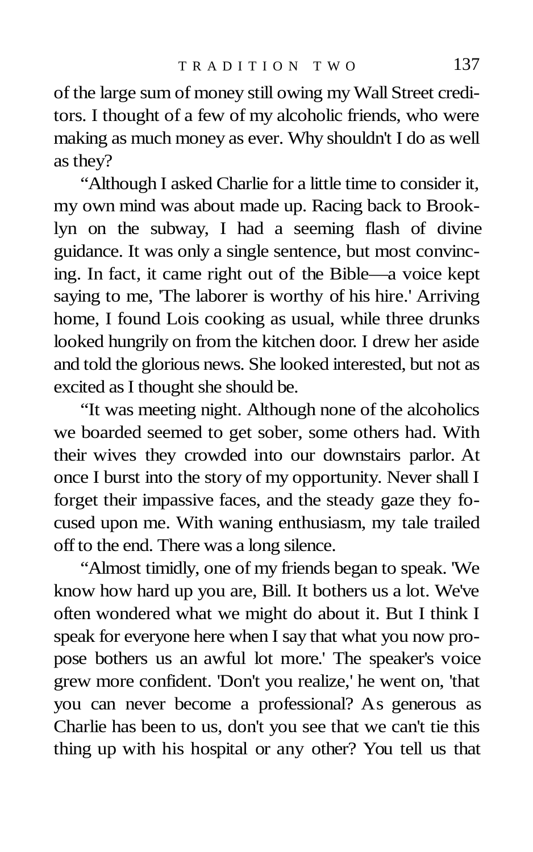of the large sum of money still owing my Wall Street creditors. I thought of a few of my alcoholic friends, who were making as much money as ever. Why shouldn't I do as well as they?

"Although I asked Charlie for a little time to consider it, my own mind was about made up. Racing back to Brooklyn on the subway, I had a seeming flash of divine guidance. It was only a single sentence, but most convincing. In fact, it came right out of the Bible— a voice kept saying to me, The laborer is worthy of his hire.' Arriving home, I found Lois cooking as usual, while three drunks looked hungrily on from the kitchen door. I drew her aside and told the glorious news. She looked interested, but not as excited as I thought she should be.

"It was meeting night. Although none of the alcoholics we boarded seemed to get sober, some others had. With their wives they crowded into our downstairs parlor. At once I burst into the story of my opportunity. Never shall I forget their impassive faces, and the steady gaze they focused upon me. With waning enthusiasm, my tale trailed off to the end. There was a long silence.

"Almost timidly, one of my friends began to speak. 'We know how hard up you are, Bill. It bothers us a lot. We've often wondered what we might do about it. But I think I speak for everyone here when I say that what you now propose bothers us an awful lot more.' The speaker's voice grew more confident. 'Don't you realize,' he went on, 'that you can never become a professional? As generous as Charlie has been to us, don't you see that we can't tie this thing up with his hospital or any other? You tell us that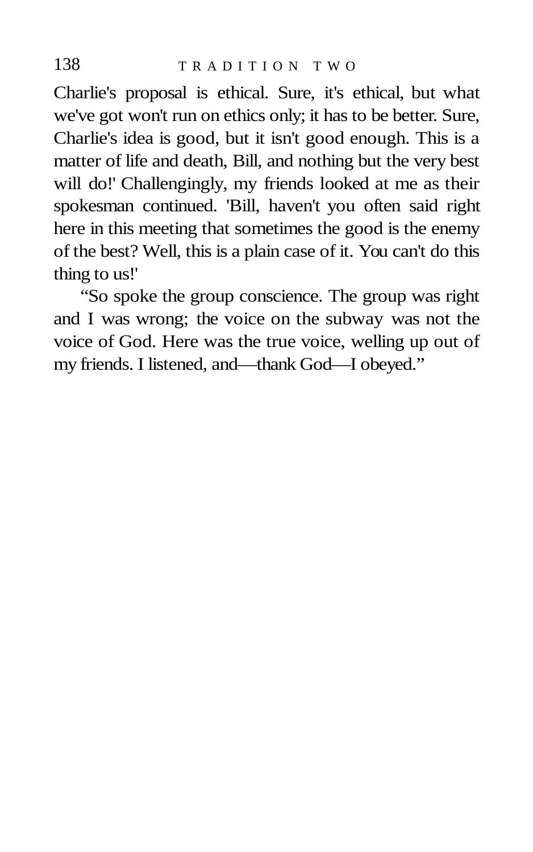Charlie's proposal is ethical. Sure, it's ethical, but what we've got won't run on ethics only; it has to be better. Sure, Charlie's idea is good, but it isn't good enough. This is a matter of life and death, Bill, and nothing but the very best will do!' Challengingly, my friends looked at me as their spokesman continued. 'Bill, haven't you often said right here in this meeting that sometimes the good is the enemy of the best? Well, this is a plain case of it. You can't do this thing to us!'

"So spoke the group conscience. The group was right and I was wrong; the voice on the subway was not the voice of God. Here was the true voice, welling up out of my friends. I listened, and—thank God—I obeyed."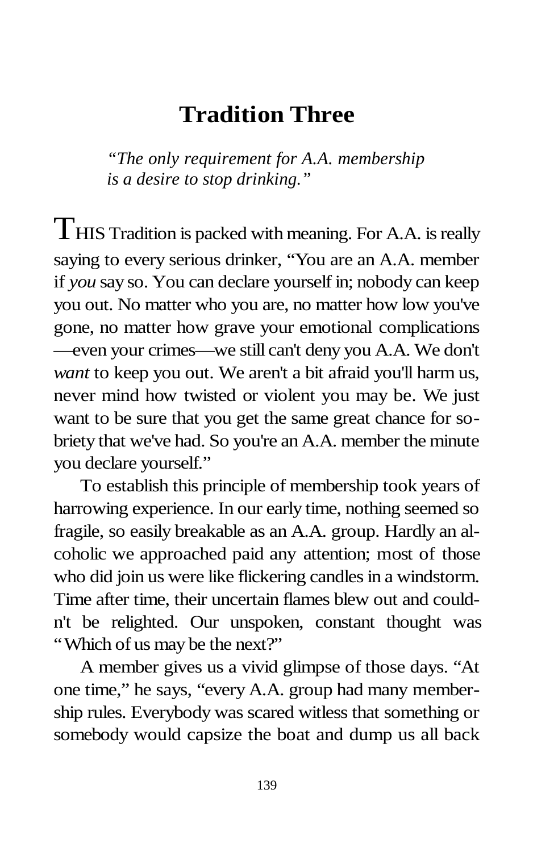## **Tradition Three**

*"The only requirement for A.A. membership is a desire to stop drinking."*

 $T$ HIS Tradition is packed with meaning. For A.A. is really saying to every serious drinker, "You are an A.A. member if *you* say so. You can declare yourself in; nobody can keep you out. No matter who you are, no matter how low you've gone, no matter how grave your emotional complications — even your crimes— we still can't deny you A.A. We don't *want* to keep you out. We aren't a bit afraid you'll harm us, never mind how twisted or violent you may be. We just want to be sure that you get the same great chance for sobriety that we've had. So you're an A.A. member the minute you declare yourself."

To establish this principle of membership took years of harrowing experience. In our early time, nothing seemed so fragile, so easily breakable as an A.A. group. Hardly an alcoholic we approached paid any attention; most of those who did join us were like flickering candles in a windstorm. Time after time, their uncertain flames blew out and couldn't be relighted. Our unspoken, constant thought was "Which of us may be the next?"

A member gives us a vivid glimpse of those days. "At one time," he says, "every A.A. group had many membership rules. Everybody was scared witless that something or somebody would capsize the boat and dump us all back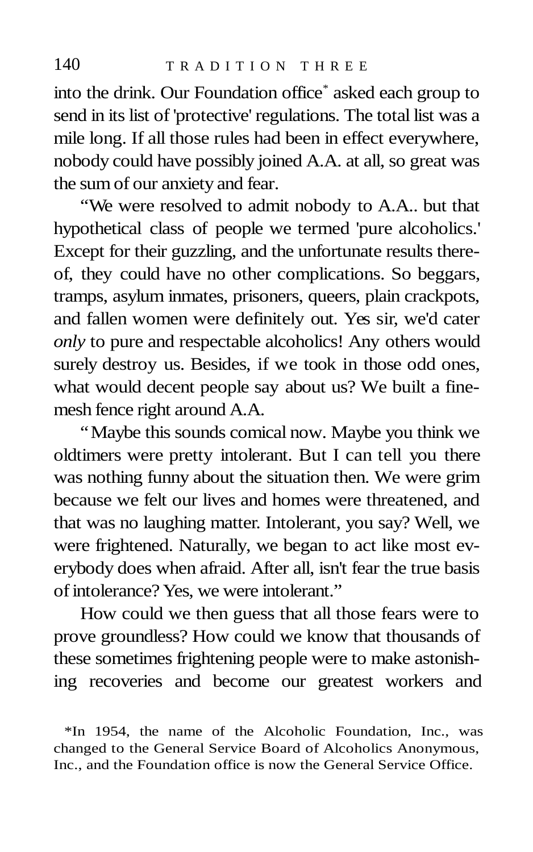into the drink. Our Foundation office\* asked each group to send in its list of 'protective' regulations. The total list was a mile long. If all those rules had been in effect everywhere, nobody could have possibly joined A.A. at all, so great was the sum of our anxiety and fear.

"We were resolved to admit nobody to A.A.. but that hypothetical class of people we termed 'pure alcoholics.' Except for their guzzling, and the unfortunate results thereof, they could have no other complications. So beggars, tramps, asylum inmates, prisoners, queers, plain crackpots, and fallen women were definitely out. Yes sir, we'd cater *only* to pure and respectable alcoholics! Any others would surely destroy us. Besides, if we took in those odd ones, what would decent people say about us? We built a finemesh fence right around A.A.

"Maybe this sounds comical now. Maybe you think we oldtimers were pretty intolerant. But I can tell you there was nothing funny about the situation then. We were grim because we felt our lives and homes were threatened, and that was no laughing matter. Intolerant, you say? Well, we were frightened. Naturally, we began to act like most everybody does when afraid. After all, isn't fear the true basis of intolerance? Yes, we were intolerant."

How could we then guess that all those fears were to prove groundless? How could we know that thousands of these sometimes frightening people were to make astonishing recoveries and become our greatest workers and

\*In 1954, the name of the Alcoholic Foundation, Inc., was changed to the General Service Board of Alcoholics Anonymous, Inc., and the Foundation office is now the General Service Office.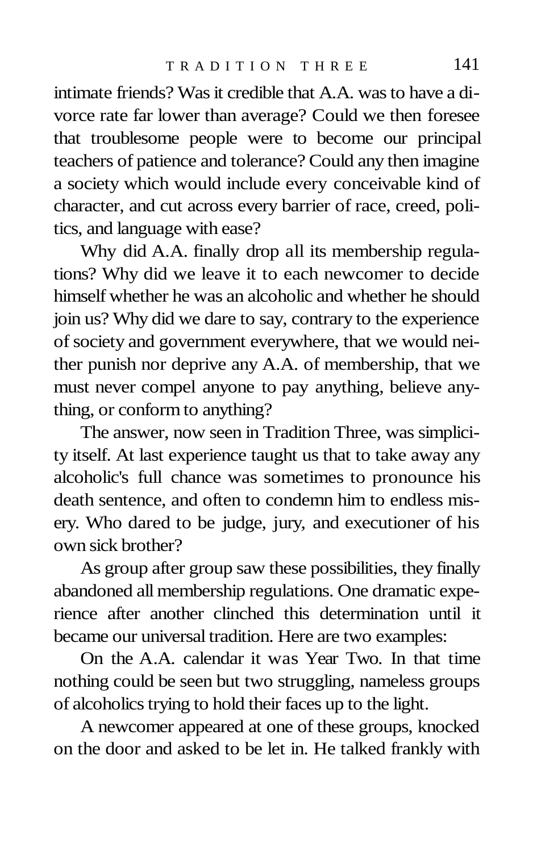intimate friends? Was it credible that A.A. was to have a divorce rate far lower than average? Could we then foresee that troublesome people were to become our principal teachers of patience and tolerance? Could any then imagine a society which would include every conceivable kind of character, and cut across every barrier of race, creed, politics, and language with ease?

Why did A.A. finally drop all its membership regulations? Why did we leave it to each newcomer to decide himself whether he was an alcoholic and whether he should join us? Why did we dare to say, contrary to the experience of society and government everywhere, that we would neither punish nor deprive any A.A. of membership, that we must never compel anyone to pay anything, believe anything, or conform to anything?

The answer, now seen in Tradition Three, was simplicity itself. At last experience taught us that to take away any alcoholic's full chance was sometimes to pronounce his death sentence, and often to condemn him to endless misery. Who dared to be judge, jury, and executioner of his own sick brother?

As group after group saw these possibilities, they finally abandoned all membership regulations. One dramatic experience after another clinched this determination until it became our universal tradition. Here are two examples:

On the A.A. calendar it was Year Two. In that time nothing could be seen but two struggling, nameless groups of alcoholics trying to hold their faces up to the light.

A newcomer appeared at one of these groups, knocked on the door and asked to be let in. He talked frankly with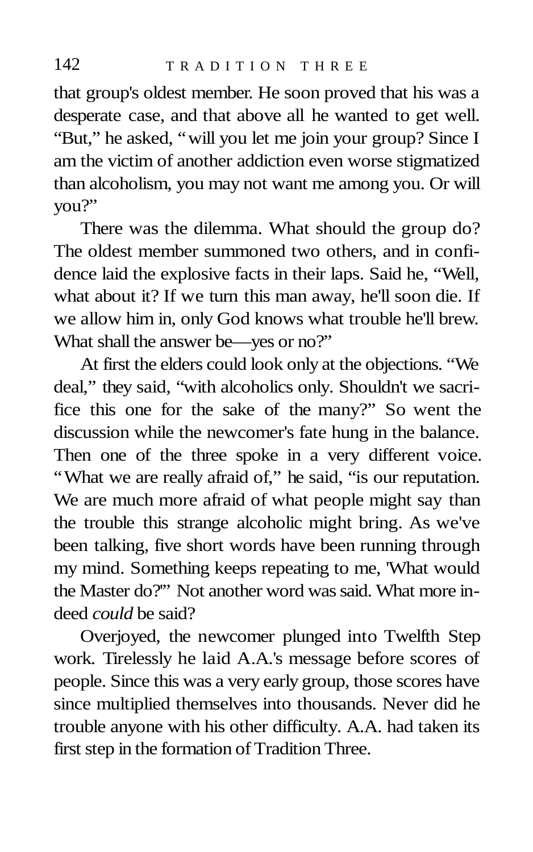that group's oldest member. He soon proved that his was a desperate case, and that above all he wanted to get well. "But," he asked, "will you let me join your group? Since I am the victim of another addiction even worse stigmatized than alcoholism, you may not want me among you. Or will you?"

There was the dilemma. What should the group do? The oldest member summoned two others, and in confidence laid the explosive facts in their laps. Said he, "Well, what about it? If we turn this man away, he'll soon die. If we allow him in, only God knows what trouble he'll brew. What shall the answer be—ves or no?"

At first the elders could look only at the objections. "We deal," they said, "with alcoholics only. Shouldn't we sacrifice this one for the sake of the many?" So went the discussion while the newcomer's fate hung in the balance. Then one of the three spoke in a very different voice. "What we are really afraid of," he said, "is our reputation. We are much more afraid of what people might say than the trouble this strange alcoholic might bring. As we've been talking, five short words have been running through my mind. Something keeps repeating to me, 'What would the Master do?'" Not another word was said. What more indeed *could* be said?

Overjoyed, the newcomer plunged into [Twelfth Step](#page-105-0) work. Tirelessly he laid A.A.'s message before scores of people. Since this was a very early group, those scores have since multiplied themselves into thousands. Never did he trouble anyone with his other difficulty. A.A. had taken its first step in the formation of Tradition Three.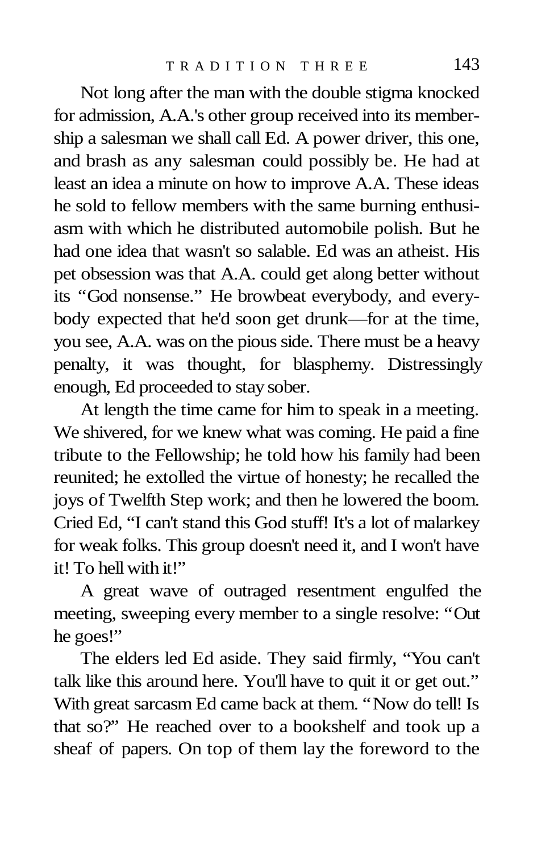Not long after the man with the double stigma knocked for admission, A.A.'s other group received into its membership a salesman we shall call Ed. A power driver, this one, and brash as any salesman could possibly be. He had at least an idea a minute on how to improve A.A. These ideas he sold to fellow members with the same burning enthusiasm with which he distributed automobile polish. But he had one idea that wasn't so salable. Ed was an atheist. His pet obsession was that A.A. could get along better without its "God nonsense." He browbeat everybody, and everybody expected that he'd soon get drunk— for at the time, you see, A.A. was on the pious side. There must be a heavy penalty, it was thought, for blasphemy. Distressingly enough, Ed proceeded to stay sober.

At length the time came for him to speak in a meeting. We shivered, for we knew what was coming. He paid a fine tribute to the Fellowship; he told how his family had been reunited; he extolled the virtue of honesty; he recalled the joys of [Twelfth Step](#page-105-0) work; and then he lowered the boom. Cried Ed, "I can't stand this God stuff! It's a lot of malarkey for weak folks. This group doesn't need it, and I won't have it! To hell with it!"

A great wave of outraged resentment engulfed the meeting, sweeping every member to a single resolve: "Out he goes!"

The elders led Ed aside. They said firmly, "You can't talk like this around here. You'll have to quit it or get out." With great sarcasm Ed came back at them. "Now do tell! Is that so?" He reached over to a bookshelf and took up a sheaf of papers. On top of them lay the foreword to the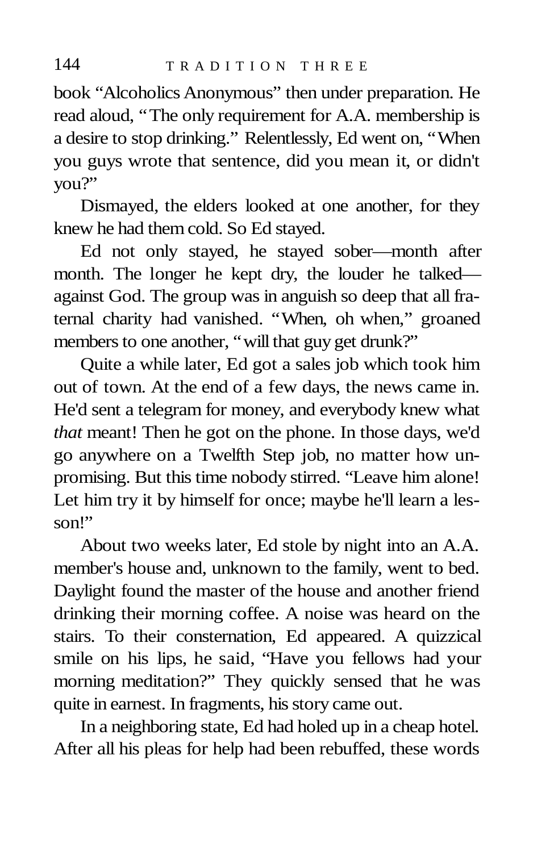book "Alcoholics Anonymous" then under preparation. He read aloud, "The only requirement for A.A. membership is a desire to stop drinking." Relentlessly, Ed went on, "When you guys wrote that sentence, did you mean it, or didn't you?"

Dismayed, the elders looked at one another, for they knew he had them cold. So Ed stayed.

Ed not only stayed, he stayed sober— month after month. The longer he kept dry, the louder he talked against God. The group was in anguish so deep that all fraternal charity had vanished. "When, oh when," groaned members to one another, "will that guy get drunk?"

Quite a while later, Ed got a sales job which took him out of town. At the end of a few days, the news came in. He'd sent a telegram for money, and everybody knew what *that* meant! Then he got on the phone. In those days, we'd go anywhere on a [Twelfth Step](#page-105-0) job, no matter how unpromising. But this time nobody stirred. "Leave him alone! Let him try it by himself for once; maybe he'll learn a lesson!"

About two weeks later, Ed stole by night into an A.A. member's house and, unknown to the family, went to bed. Daylight found the master of the house and another friend drinking their morning coffee. A noise was heard on the stairs. To their consternation, Ed appeared. A quizzical smile on his lips, he said, "Have you fellows had your morning meditation?" They quickly sensed that he was quite in earnest. In fragments, his story came out.

In a neighboring state, Ed had holed up in a cheap hotel. After all his pleas for help had been rebuffed, these words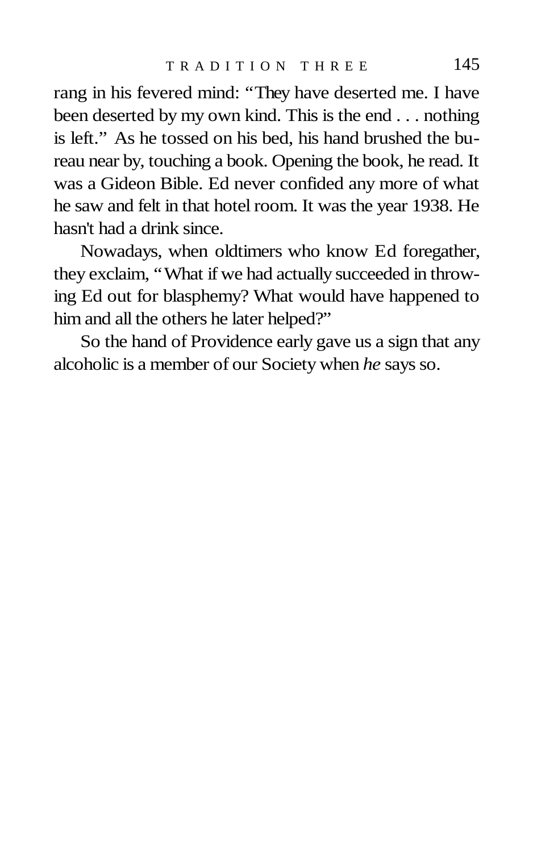rang in his fevered mind: "They have deserted me. I have been deserted by my own kind. This is the end . . . nothing is left." As he tossed on his bed, his hand brushed the bureau near by, touching a book. Opening the book, he read. It was a Gideon Bible. Ed never confided any more of what he saw and felt in that hotel room. It was the year 1938. He hasn't had a drink since.

Nowadays, when oldtimers who know Ed foregather, they exclaim, "What if we had actually succeeded in throwing Ed out for blasphemy? What would have happened to him and all the others he later helped?"

So the hand of Providence early gave us a sign that any alcoholic is a member of our Society when *he* says so.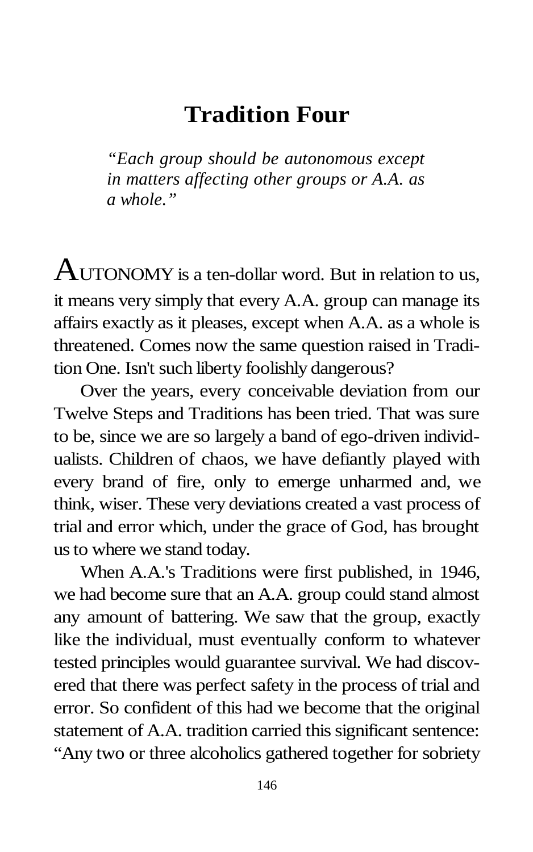### **Tradition Four**

*"Each group should be autonomous except in matters affecting other groups or A.A. as a whole."*

 $\text{A}$ UTONOMY is a ten-dollar word. But in relation to us, it means very simply that every A.A. group can manage its affairs exactly as it pleases, except when A.A. as a whole is threatened. Comes now the same question raised in Tradition One. Isn't such liberty foolishly dangerous?

Over the years, every conceivable deviation from our Twelve Steps and Traditions has been tried. That was sure to be, since we are so largely a band of ego-driven individualists. Children of chaos, we have defiantly played with every brand of fire, only to emerge unharmed and, we think, wiser. These very deviations created a vast process of trial and error which, under the grace of God, has brought us to where we stand today.

When A.A.'s Traditions were first published, in 1946, we had become sure that an A.A. group could stand almost any amount of battering. We saw that the group, exactly like the individual, must eventually conform to whatever tested principles would guarantee survival. We had discovered that there was perfect safety in the process of trial and error. So confident of this had we become that the original statement of A.A. tradition carried this significant sentence: "Any two or three alcoholics gathered together for sobriety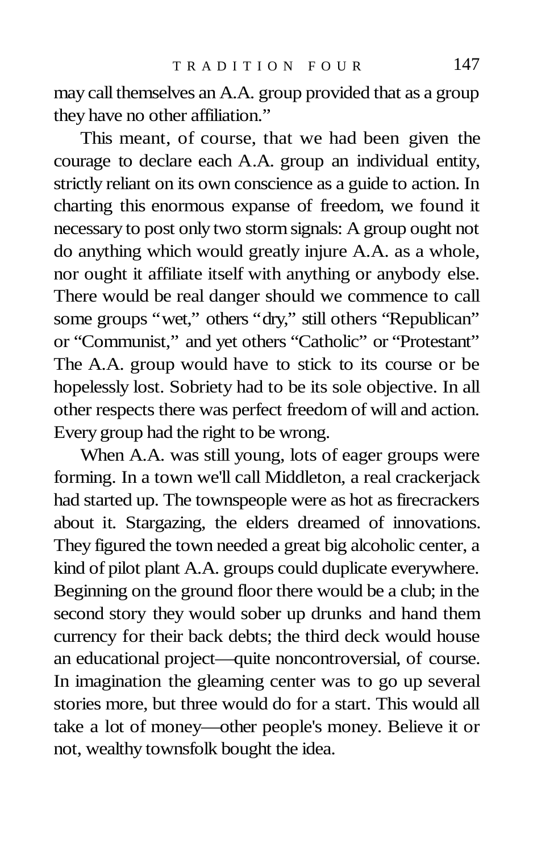may call themselves an A.A. group provided that as a group they have no other affiliation."

This meant, of course, that we had been given the courage to declare each A.A. group an individual entity, strictly reliant on its own conscience as a guide to action. In charting this enormous expanse of freedom, we found it necessary to post only two storm signals: A group ought not do anything which would greatly injure A.A. as a whole, nor ought it affiliate itself with anything or anybody else. There would be real danger should we commence to call some groups "wet," others "dry," still others "Republican" or "Communist," and yet others "Catholic" or "Protestant" The A.A. group would have to stick to its course or be hopelessly lost. Sobriety had to be its sole objective. In all other respects there was perfect freedom of will and action. Every group had the right to be wrong.

When A.A. was still young, lots of eager groups were forming. In a town we'll call Middleton, a real crackerjack had started up. The townspeople were as hot as firecrackers about it. Stargazing, the elders dreamed of innovations. They figured the town needed a great big alcoholic center, a kind of pilot plant A.A. groups could duplicate everywhere. Beginning on the ground floor there would be a club; in the second story they would sober up drunks and hand them currency for their back debts; the third deck would house an educational project— quite noncontroversial, of course. In imagination the gleaming center was to go up several stories more, but three would do for a start. This would all take a lot of money— other people's money. Believe it or not, wealthy townsfolk bought the idea.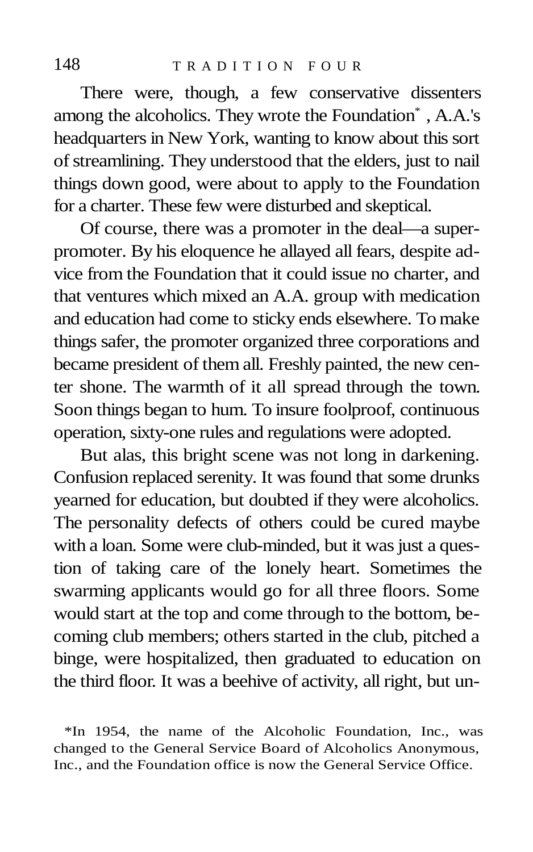There were, though, a few conservative dissenters among the alcoholics. They wrote the Foundation\* , A.A.'s headquarters in New York, wanting to know about this sort of streamlining. They understood that the elders, just to nail things down good, were about to apply to the Foundation for a charter. These few were disturbed and skeptical.

Of course, there was a promoter in the deal— a superpromoter. By his eloquence he allayed all fears, despite advice from the Foundation that it could issue no charter, and that ventures which mixed an A.A. group with medication and education had come to sticky ends elsewhere. To make things safer, the promoter organized three corporations and became president of them all. Freshly painted, the new center shone. The warmth of it all spread through the town. Soon things began to hum. To insure foolproof, continuous operation, sixty-one rules and regulations were adopted.

But alas, this bright scene was not long in darkening. Confusion replaced serenity. It was found that some drunks yearned for education, but doubted if they were alcoholics. The personality defects of others could be cured maybe with a loan. Some were club-minded, but it was just a question of taking care of the lonely heart. Sometimes the swarming applicants would go for all three floors. Some would start at the top and come through to the bottom, becoming club members; others started in the club, pitched a binge, were hospitalized, then graduated to education on the third floor. It was a beehive of activity, all right, but un-

\*In 1954, the name of the Alcoholic Foundation, Inc., was changed to the General Service Board of Alcoholics Anonymous, Inc., and the Foundation office is now the General Service Office.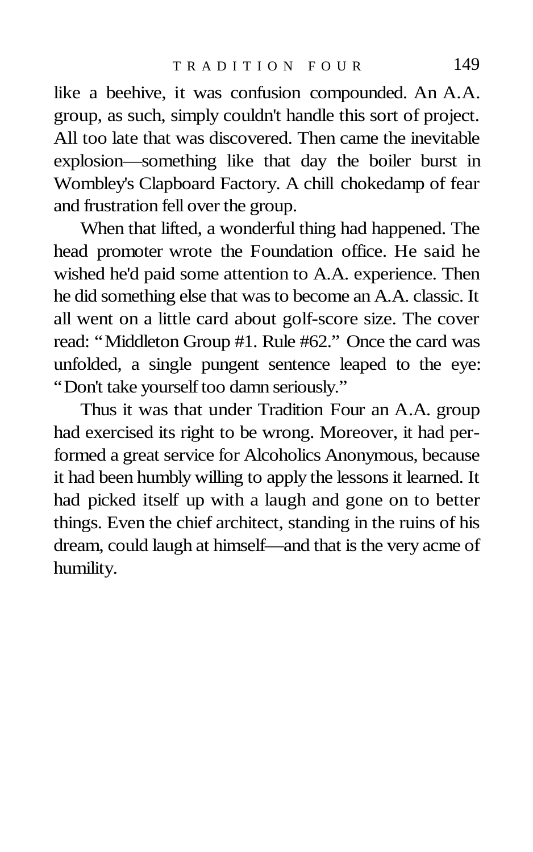like a beehive, it was confusion compounded. An A.A. group, as such, simply couldn't handle this sort of project. All too late that was discovered. Then came the inevitable explosion— something like that day the boiler burst in Wombley's Clapboard Factory. A chill chokedamp of fear and frustration fell over the group.

When that lifted, a wonderful thing had happened. The head promoter wrote the Foundation office. He said he wished he'd paid some attention to A.A. experience. Then he did something else that was to become an A.A. classic. It all went on a little card about golf-score size. The cover read: "Middleton Group #1. Rule #62." Once the card was unfolded, a single pungent sentence leaped to the eye: "Don't take yourself too damn seriously."

Thus it was that under Tradition Four an A.A. group had exercised its right to be wrong. Moreover, it had performed a great service for Alcoholics Anonymous, because it had been humbly willing to apply the lessons it learned. It had picked itself up with a laugh and gone on to better things. Even the chief architect, standing in the ruins of his dream, could laugh at himself— and that is the very acme of humility.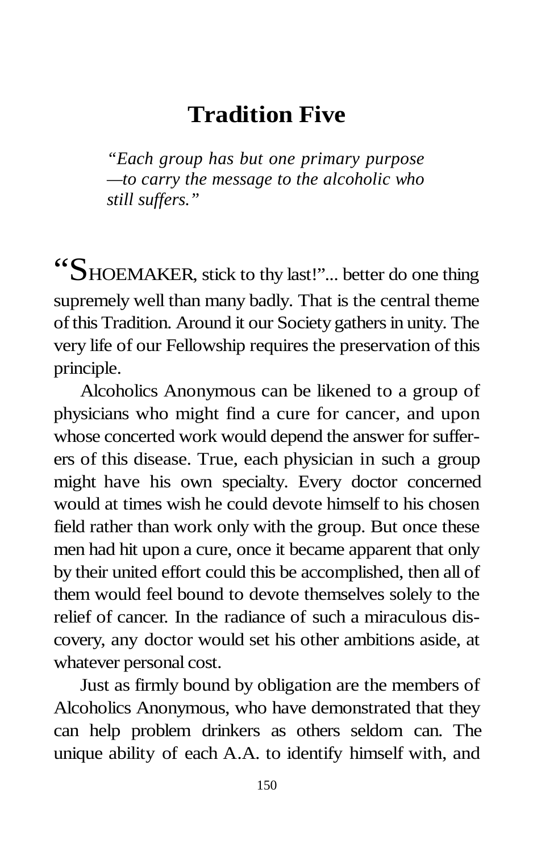## **Tradition Five**

*"Each group has but one primary purpose — to carry the message to the alcoholic who still suffers."*

"SHOEMAKER, stick to thy last!"... better do one thing supremely well than many badly. That is the central theme of this Tradition. Around it our Society gathers in unity. The very life of our Fellowship requires the preservation of this principle.

Alcoholics Anonymous can be likened to a group of physicians who might find a cure for cancer, and upon whose concerted work would depend the answer for sufferers of this disease. True, each physician in such a group might have his own specialty. Every doctor concerned would at times wish he could devote himself to his chosen field rather than work only with the group. But once these men had hit upon a cure, once it became apparent that only by their united effort could this be accomplished, then all of them would feel bound to devote themselves solely to the relief of cancer. In the radiance of such a miraculous discovery, any doctor would set his other ambitions aside, at whatever personal cost.

Just as firmly bound by obligation are the members of Alcoholics Anonymous, who have demonstrated that they can help problem drinkers as others seldom can. The unique ability of each A.A. to identify himself with, and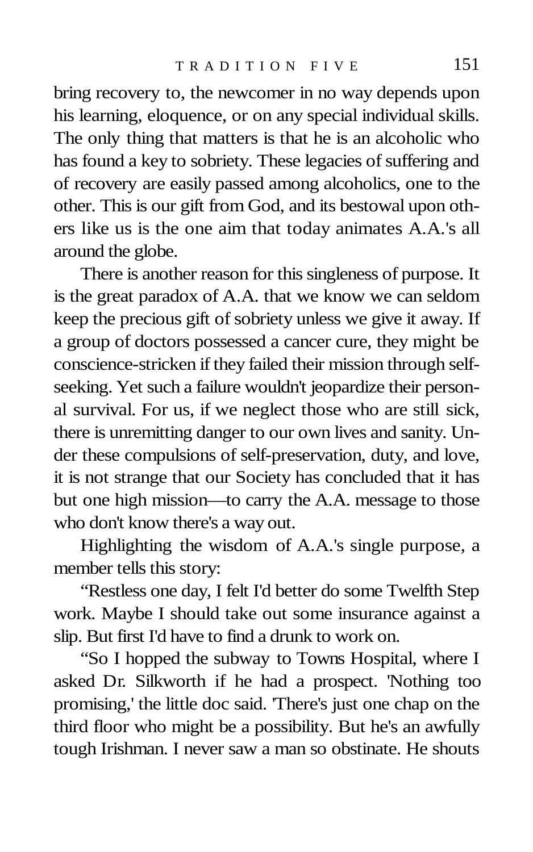bring recovery to, the newcomer in no way depends upon his learning, eloquence, or on any special individual skills. The only thing that matters is that he is an alcoholic who has found a key to sobriety. These legacies of suffering and of recovery are easily passed among alcoholics, one to the other. This is our gift from God, and its bestowal upon others like us is the one aim that today animates A.A.'s all around the globe.

There is another reason for this singleness of purpose. It is the great paradox of A.A. that we know we can seldom keep the precious gift of sobriety unless we give it away. If a group of doctors possessed a cancer cure, they might be conscience-stricken if they failed their mission through selfseeking. Yet such a failure wouldn't jeopardize their personal survival. For us, if we neglect those who are still sick, there is unremitting danger to our own lives and sanity. Under these compulsions of self-preservation, duty, and love, it is not strange that our Society has concluded that it has but one high mission— to carry the A.A. message to those who don't know there's a way out.

Highlighting the wisdom of A.A.'s single purpose, a member tells this story:

"Restless one day, I felt I'd better do some [Twelfth Step](#page-105-0) work. Maybe I should take out some insurance against a slip. But first I'd have to find a drunk to work on.

"So I hopped the subway to Towns Hospital, where I asked Dr. Silkworth if he had a prospect. 'Nothing too promising,' the little doc said. 'There's just one chap on the third floor who might be a possibility. But he's an awfully tough Irishman. I never saw a man so obstinate. He shouts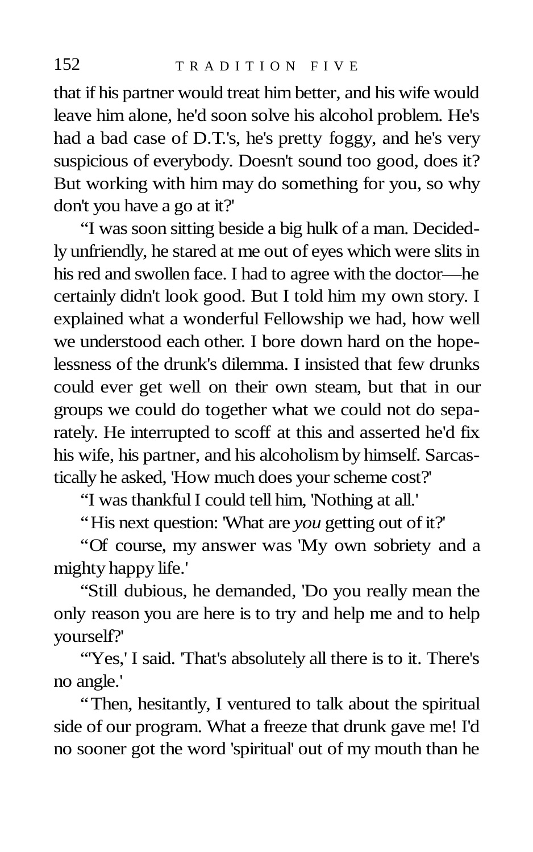that if his partner would treat him better, and his wife would leave him alone, he'd soon solve his alcohol problem. He's had a bad case of D.T.'s, he's pretty foggy, and he's very suspicious of everybody. Doesn't sound too good, does it? But working with him may do something for you, so why don't you have a go at it?'

"I was soon sitting beside a big hulk of a man. Decidedly unfriendly, he stared at me out of eyes which were slits in his red and swollen face. I had to agree with the doctor— he certainly didn't look good. But I told him my own story. I explained what a wonderful Fellowship we had, how well we understood each other. I bore down hard on the hopelessness of the drunk's dilemma. I insisted that few drunks could ever get well on their own steam, but that in our groups we could do together what we could not do separately. He interrupted to scoff at this and asserted he'd fix his wife, his partner, and his alcoholism by himself. Sarcastically he asked, 'How much does your scheme cost?'

"I was thankful I could tell him, 'Nothing at all.'

"His next question: 'What are *you* getting out of it?'

"Of course, my answer was 'My own sobriety and a mighty happy life.'

"Still dubious, he demanded, 'Do you really mean the only reason you are here is to try and help me and to help yourself?'

"Yes,' I said. 'That's absolutely all there is to it. There's no angle.'

"Then, hesitantly, I ventured to talk about the spiritual side of our program. What a freeze that drunk gave me! I'd no sooner got the word 'spiritual' out of my mouth than he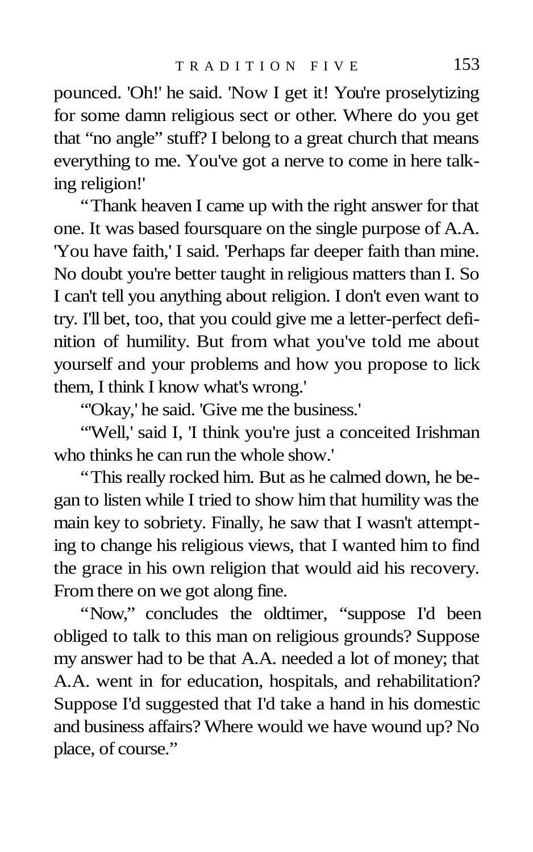pounced. 'Oh!' he said. 'Now I get it! You're proselytizing for some damn religious sect or other. Where do you get that "no angle" stuff? I belong to a great church that means everything to me. You've got a nerve to come in here talking religion!'

"Thank heaven I came up with the right answer for that one. It was based foursquare on the single purpose of A.A. 'You have faith,' I said. 'Perhaps far deeper faith than mine. No doubt you're better taught in religious matters than I. So I can't tell you anything about religion. I don't even want to try. I'll bet, too, that you could give me a letter-perfect definition of humility. But from what you've told me about yourself and your problems and how you propose to lick them, I think I know what's wrong.'

"'Okay,' he said. 'Give me the business.'

"'Well,' said I, 'I think you're just a conceited Irishman who thinks he can run the whole show.'

"This really rocked him. But as he calmed down, he began to listen while I tried to show him that humility was the main key to sobriety. Finally, he saw that I wasn't attempting to change his religious views, that I wanted him to find the grace in his own religion that would aid his recovery. From there on we got along fine.

"Now," concludes the oldtimer, "suppose I'd been obliged to talk to this man on religious grounds? Suppose my answer had to be that A.A. needed a lot of money; that A.A. went in for education, hospitals, and rehabilitation? Suppose I'd suggested that I'd take a hand in his domestic and business affairs? Where would we have wound up? No place, of course."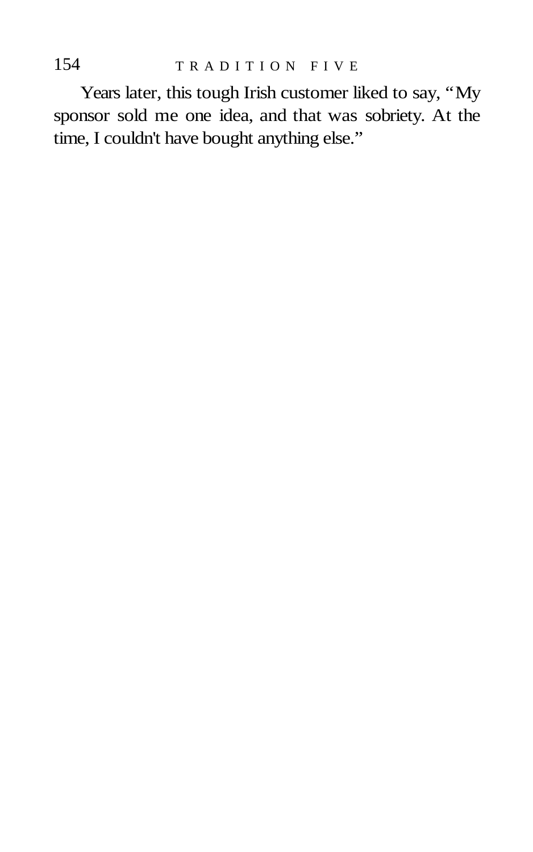Years later, this tough Irish customer liked to say, "My sponsor sold me one idea, and that was sobriety. At the time, I couldn't have bought anything else."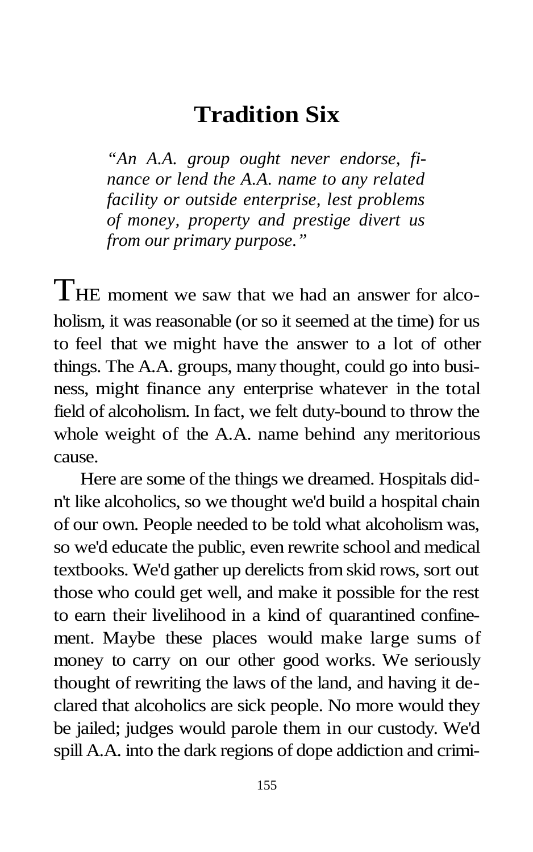### **Tradition Six**

*"An A.A. group ought never endorse, finance or lend the A.A. name to any related facility or outside enterprise, lest problems of money, property and prestige divert us from our primary purpose."*

THE moment we saw that we had an answer for alcoholism, it was reasonable (or so it seemed at the time) for us to feel that we might have the answer to a lot of other things. The A.A. groups, many thought, could go into business, might finance any enterprise whatever in the total field of alcoholism. In fact, we felt duty-bound to throw the whole weight of the A.A. name behind any meritorious cause.

Here are some of the things we dreamed. Hospitals didn't like alcoholics, so we thought we'd build a hospital chain of our own. People needed to be told what alcoholism was, so we'd educate the public, even rewrite school and medical textbooks. We'd gather up derelicts from skid rows, sort out those who could get well, and make it possible for the rest to earn their livelihood in a kind of quarantined confinement. Maybe these places would make large sums of money to carry on our other good works. We seriously thought of rewriting the laws of the land, and having it declared that alcoholics are sick people. No more would they be jailed; judges would parole them in our custody. We'd spill A.A. into the dark regions of dope addiction and crimi-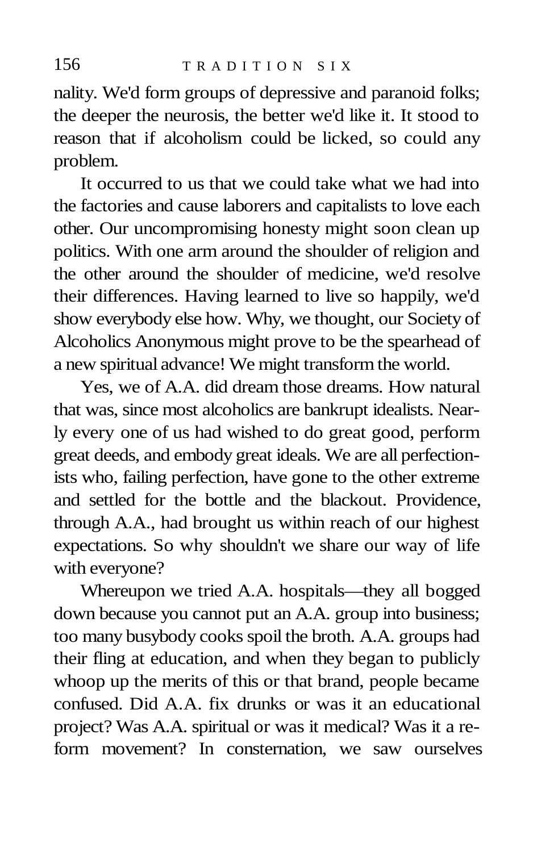nality. We'd form groups of depressive and paranoid folks; the deeper the neurosis, the better we'd like it. It stood to reason that if alcoholism could be licked, so could any problem.

It occurred to us that we could take what we had into the factories and cause laborers and capitalists to love each other. Our uncompromising honesty might soon clean up politics. With one arm around the shoulder of religion and the other around the shoulder of medicine, we'd resolve their differences. Having learned to live so happily, we'd show everybody else how. Why, we thought, our Society of Alcoholics Anonymous might prove to be the spearhead of a new spiritual advance! We might transform the world.

Yes, we of A.A. did dream those dreams. How natural that was, since most alcoholics are bankrupt idealists. Nearly every one of us had wished to do great good, perform great deeds, and embody great ideals. We are all perfectionists who, failing perfection, have gone to the other extreme and settled for the bottle and the blackout. Providence, through A.A., had brought us within reach of our highest expectations. So why shouldn't we share our way of life with everyone?

Whereupon we tried A.A. hospitals— they all bogged down because you cannot put an A.A. group into business; too many busybody cooks spoil the broth. A.A. groups had their fling at education, and when they began to publicly whoop up the merits of this or that brand, people became confused. Did A.A. fix drunks or was it an educational project? Was A.A. spiritual or was it medical? Was it a reform movement? In consternation, we saw ourselves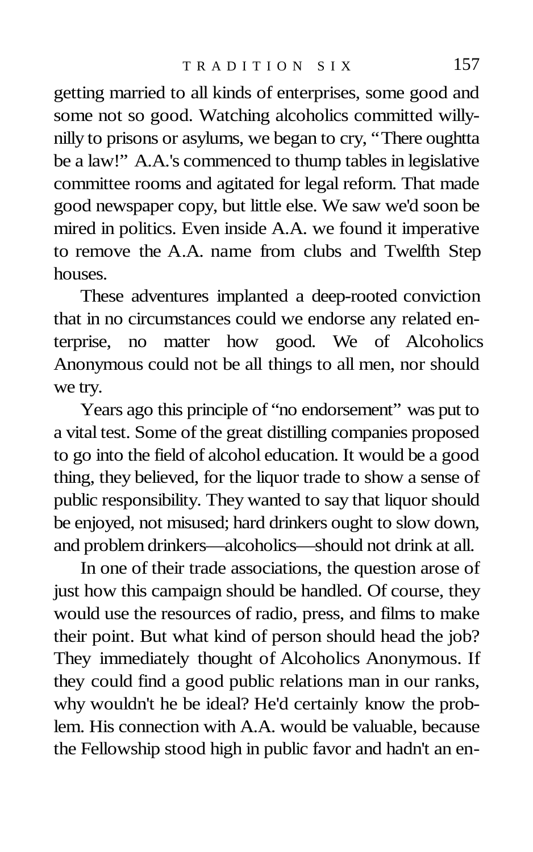getting married to all kinds of enterprises, some good and some not so good. Watching alcoholics committed willynilly to prisons or asylums, we began to cry, "There oughtta be a law!" A.A.'s commenced to thump tables in legislative committee rooms and agitated for legal reform. That made good newspaper copy, but little else. We saw we'd soon be mired in politics. Even inside A.A. we found it imperative to remove the A.A. name from clubs and [Twelfth Step](#page-105-0) houses.

These adventures implanted a deep-rooted conviction that in no circumstances could we endorse any related enterprise, no matter how good. We of Alcoholics Anonymous could not be all things to all men, nor should we try.

Years ago this principle of "no endorsement" was put to a vital test. Some of the great distilling companies proposed to go into the field of alcohol education. It would be a good thing, they believed, for the liquor trade to show a sense of public responsibility. They wanted to say that liquor should be enjoyed, not misused; hard drinkers ought to slow down, and problem drinkers— alcoholics— should not drink at all.

In one of their trade associations, the question arose of just how this campaign should be handled. Of course, they would use the resources of radio, press, and films to make their point. But what kind of person should head the job? They immediately thought of Alcoholics Anonymous. If they could find a good public relations man in our ranks, why wouldn't he be ideal? He'd certainly know the problem. His connection with A.A. would be valuable, because the Fellowship stood high in public favor and hadn't an en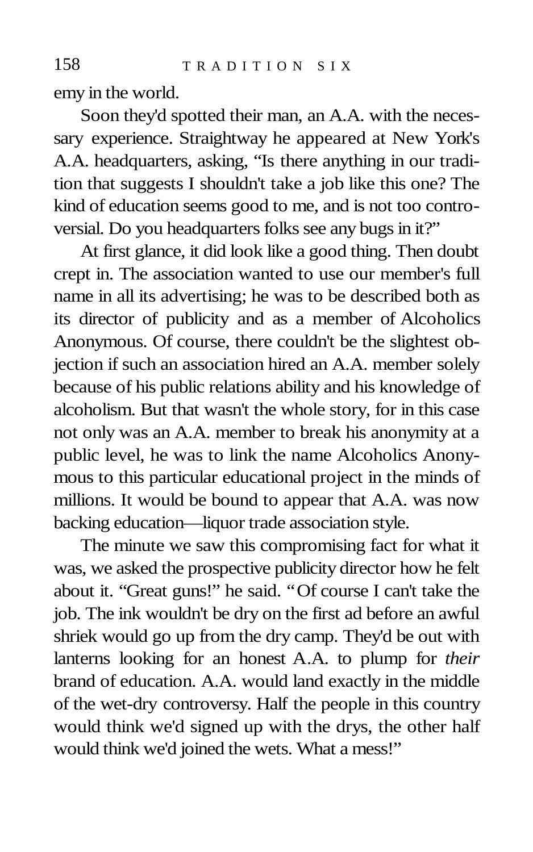emy in the world.

Soon they'd spotted their man, an A.A. with the necessary experience. Straightway he appeared at New York's A.A. headquarters, asking, "Is there anything in our tradition that suggests I shouldn't take a job like this one? The kind of education seems good to me, and is not too controversial. Do you headquarters folks see any bugs in it?"

At first glance, it did look like a good thing. Then doubt crept in. The association wanted to use our member's full name in all its advertising; he was to be described both as its director of publicity and as a member of Alcoholics Anonymous. Of course, there couldn't be the slightest objection if such an association hired an A.A. member solely because of his public relations ability and his knowledge of alcoholism. But that wasn't the whole story, for in this case not only was an A.A. member to break his anonymity at a public level, he was to link the name Alcoholics Anonymous to this particular educational project in the minds of millions. It would be bound to appear that A.A. was now backing education— liquor trade association style.

The minute we saw this compromising fact for what it was, we asked the prospective publicity director how he felt about it. "Great guns!" he said. "Of course I can't take the job. The ink wouldn't be dry on the first ad before an awful shriek would go up from the dry camp. They'd be out with lanterns looking for an honest A.A. to plump for *their* brand of education. A.A. would land exactly in the middle of the wet-dry controversy. Half the people in this country would think we'd signed up with the drys, the other half would think we'd joined the wets. What a mess!"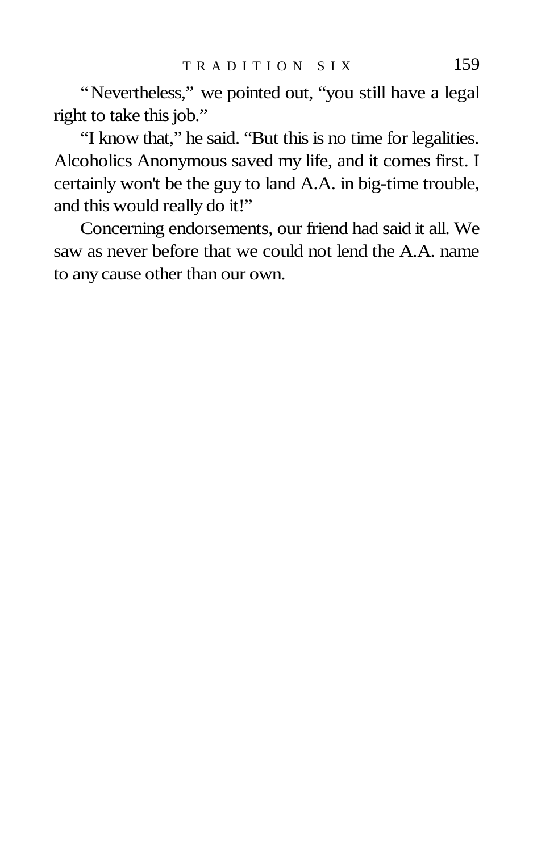"Nevertheless," we pointed out, "you still have a legal right to take this job."

"I know that," he said. "But this is no time for legalities. Alcoholics Anonymous saved my life, and it comes first. I certainly won't be the guy to land A.A. in big-time trouble, and this would really do it!"

Concerning endorsements, our friend had said it all. We saw as never before that we could not lend the A.A. name to any cause other than our own.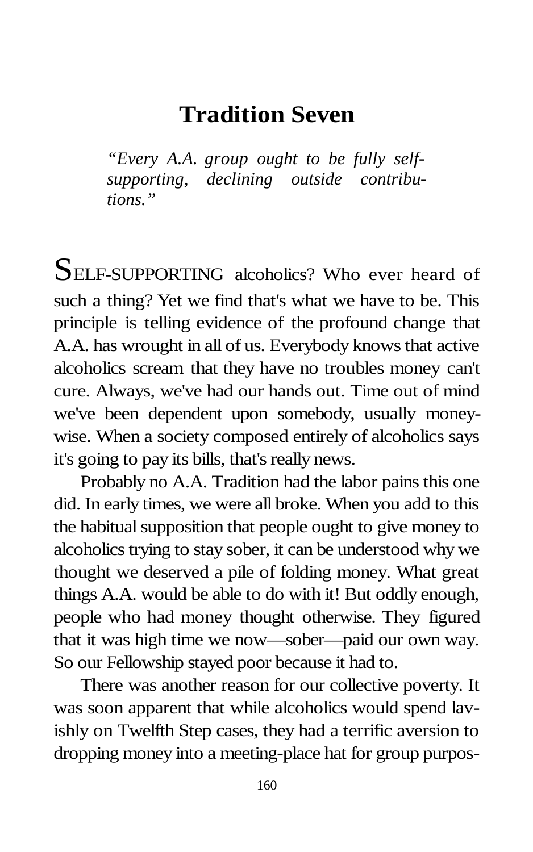#### **Tradition Seven**

*"Every A.A. group ought to be fully selfsupporting, declining outside contributions."*

SELF-SUPPORTING alcoholics? Who ever heard of such a thing? Yet we find that's what we have to be. This principle is telling evidence of the profound change that A.A. has wrought in all of us. Everybody knows that active alcoholics scream that they have no troubles money can't cure. Always, we've had our hands out. Time out of mind we've been dependent upon somebody, usually moneywise. When a society composed entirely of alcoholics says it's going to pay its bills, that's really news.

Probably no A.A. Tradition had the labor pains this one did. In early times, we were all broke. When you add to this the habitual supposition that people ought to give money to alcoholics trying to stay sober, it can be understood why we thought we deserved a pile of folding money. What great things A.A. would be able to do with it! But oddly enough, people who had money thought otherwise. They figured that it was high time we now— sober— paid our own way. So our Fellowship stayed poor because it had to.

There was another reason for our collective poverty. It was soon apparent that while alcoholics would spend lavishly on [Twelfth Step](#page-105-0) cases, they had a terrific aversion to dropping money into a meeting-place hat for group purpos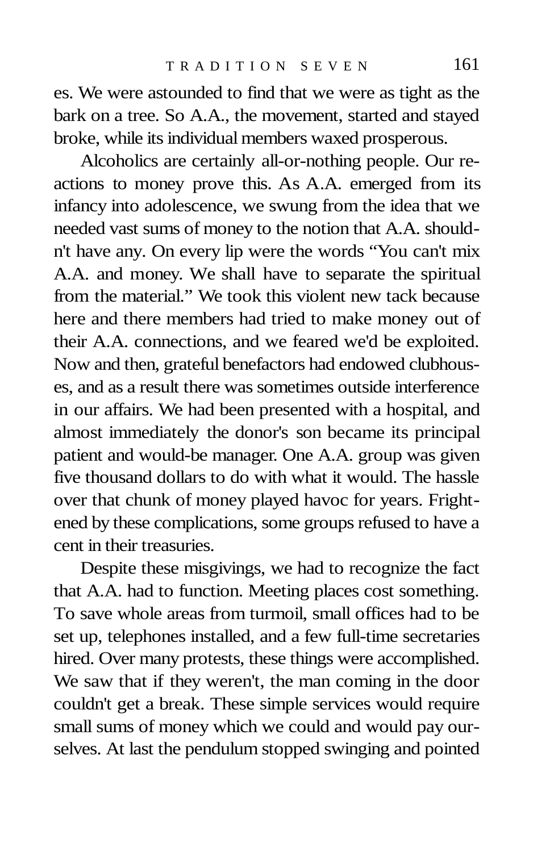es. We were astounded to find that we were as tight as the bark on a tree. So A.A., the movement, started and stayed broke, while its individual members waxed prosperous.

Alcoholics are certainly all-or-nothing people. Our reactions to money prove this. As A.A. emerged from its infancy into adolescence, we swung from the idea that we needed vast sums of money to the notion that A.A. shouldn't have any. On every lip were the words "You can't mix A.A. and money. We shall have to separate the spiritual from the material." We took this violent new tack because here and there members had tried to make money out of their A.A. connections, and we feared we'd be exploited. Now and then, grateful benefactors had endowed clubhouses, and as a result there was sometimes outside interference in our affairs. We had been presented with a hospital, and almost immediately the donor's son became its principal patient and would-be manager. One A.A. group was given five thousand dollars to do with what it would. The hassle over that chunk of money played havoc for years. Frightened by these complications, some groups refused to have a cent in their treasuries.

Despite these misgivings, we had to recognize the fact that A.A. had to function. Meeting places cost something. To save whole areas from turmoil, small offices had to be set up, telephones installed, and a few full-time secretaries hired. Over many protests, these things were accomplished. We saw that if they weren't, the man coming in the door couldn't get a break. These simple services would require small sums of money which we could and would pay ourselves. At last the pendulum stopped swinging and pointed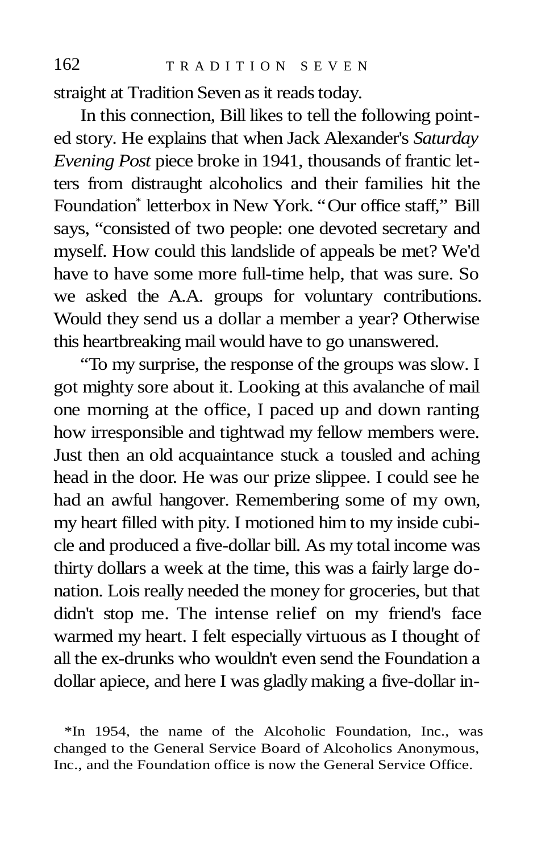straight at Tradition Seven as it reads today.

In this connection, Bill likes to tell the following pointed story. He explains that when Jack Alexander's *Saturday Evening Post* piece broke in 1941, thousands of frantic letters from distraught alcoholics and their families hit the Foundation<sup>\*</sup> letterbox in New York. "Our office staff," Bill says, "consisted of two people: one devoted secretary and myself. How could this landslide of appeals be met? We'd have to have some more full-time help, that was sure. So we asked the A.A. groups for voluntary contributions. Would they send us a dollar a member a year? Otherwise this heartbreaking mail would have to go unanswered.

"To my surprise, the response of the groups was slow. I got mighty sore about it. Looking at this avalanche of mail one morning at the office, I paced up and down ranting how irresponsible and tightwad my fellow members were. Just then an old acquaintance stuck a tousled and aching head in the door. He was our prize slippee. I could see he had an awful hangover. Remembering some of my own, my heart filled with pity. I motioned him to my inside cubicle and produced a five-dollar bill. As my total income was thirty dollars a week at the time, this was a fairly large donation. Lois really needed the money for groceries, but that didn't stop me. The intense relief on my friend's face warmed my heart. I felt especially virtuous as I thought of all the ex-drunks who wouldn't even send the Foundation a dollar apiece, and here I was gladly making a five-dollar in-

\*In 1954, the name of the Alcoholic Foundation, Inc., was changed to the General Service Board of Alcoholics Anonymous, Inc., and the Foundation office is now the General Service Office.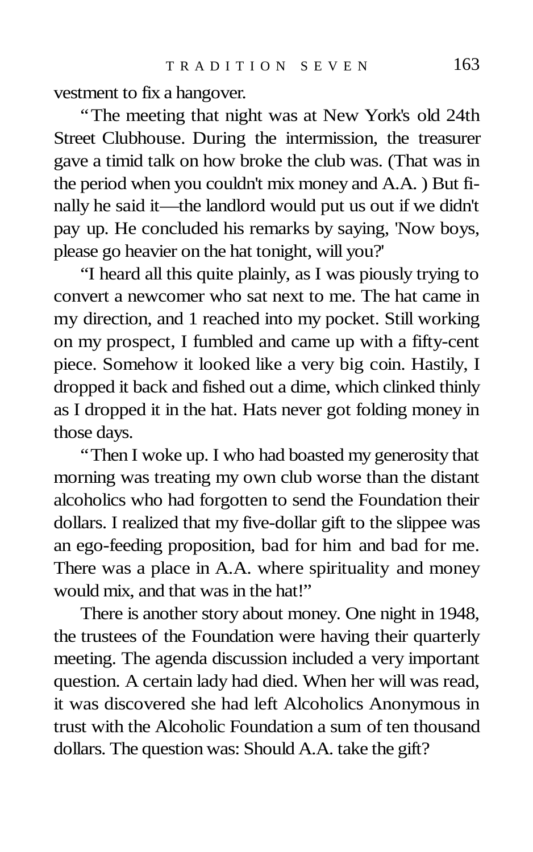vestment to fix a hangover.

"The meeting that night was at New York's old 24th Street Clubhouse. During the intermission, the treasurer gave a timid talk on how broke the club was. (That was in the period when you couldn't mix money and A.A. ) But finally he said it— the landlord would put us out if we didn't pay up. He concluded his remarks by saying, 'Now boys, please go heavier on the hat tonight, will you?'

"I heard all this quite plainly, as I was piously trying to convert a newcomer who sat next to me. The hat came in my direction, and 1 reached into my pocket. Still working on my prospect, I fumbled and came up with a fifty-cent piece. Somehow it looked like a very big coin. Hastily, I dropped it back and fished out a dime, which clinked thinly as I dropped it in the hat. Hats never got folding money in those days.

"Then I woke up. I who had boasted my generosity that morning was treating my own club worse than the distant alcoholics who had forgotten to send the Foundation their dollars. I realized that my five-dollar gift to the slippee was an ego-feeding proposition, bad for him and bad for me. There was a place in A.A. where spirituality and money would mix, and that was in the hat!"

There is another story about money. One night in 1948, the trustees of the Foundation were having their quarterly meeting. The agenda discussion included a very important question. A certain lady had died. When her will was read, it was discovered she had left Alcoholics Anonymous in trust with the Alcoholic Foundation a sum of ten thousand dollars. The question was: Should A.A. take the gift?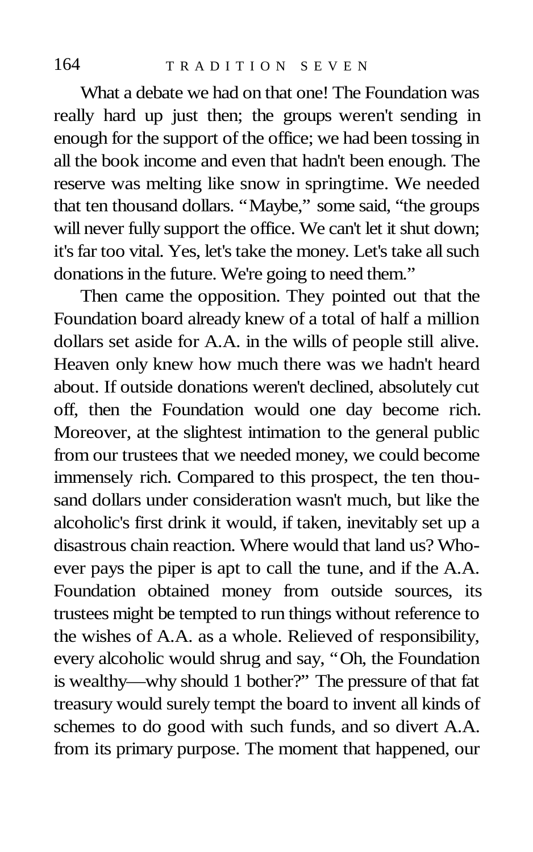What a debate we had on that one! The Foundation was really hard up just then; the groups weren't sending in enough for the support of the office; we had been tossing in all the book income and even that hadn't been enough. The reserve was melting like snow in springtime. We needed that ten thousand dollars. "Maybe," some said, "the groups will never fully support the office. We can't let it shut down; it's far too vital. Yes, let's take the money. Let's take all such donations in the future. We're going to need them."

Then came the opposition. They pointed out that the Foundation board already knew of a total of half a million dollars set aside for A.A. in the wills of people still alive. Heaven only knew how much there was we hadn't heard about. If outside donations weren't declined, absolutely cut off, then the Foundation would one day become rich. Moreover, at the slightest intimation to the general public from our trustees that we needed money, we could become immensely rich. Compared to this prospect, the ten thousand dollars under consideration wasn't much, but like the alcoholic's first drink it would, if taken, inevitably set up a disastrous chain reaction. Where would that land us? Whoever pays the piper is apt to call the tune, and if the A.A. Foundation obtained money from outside sources, its trustees might be tempted to run things without reference to the wishes of A.A. as a whole. Relieved of responsibility, every alcoholic would shrug and say, "Oh, the Foundation is wealthy— why should 1 bother?" The pressure of that fat treasury would surely tempt the board to invent all kinds of schemes to do good with such funds, and so divert A.A. from its primary purpose. The moment that happened, our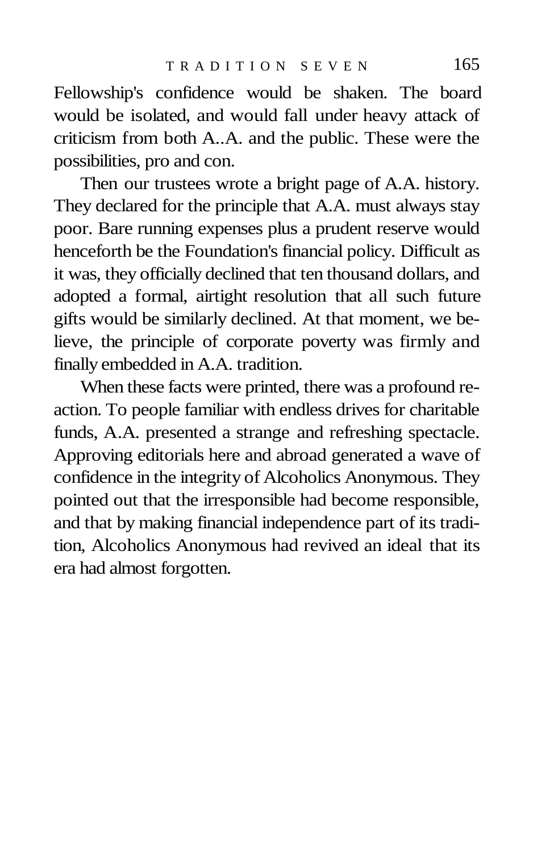Fellowship's confidence would be shaken. The board would be isolated, and would fall under heavy attack of criticism from both A..A. and the public. These were the possibilities, pro and con.

Then our trustees wrote a bright page of A.A. history. They declared for the principle that A.A. must always stay poor. Bare running expenses plus a prudent reserve would henceforth be the Foundation's financial policy. Difficult as it was, they officially declined that ten thousand dollars, and adopted a formal, airtight resolution that all such future gifts would be similarly declined. At that moment, we believe, the principle of corporate poverty was firmly and finally embedded in A.A. tradition.

When these facts were printed, there was a profound reaction. To people familiar with endless drives for charitable funds, A.A. presented a strange and refreshing spectacle. Approving editorials here and abroad generated a wave of confidence in the integrity of Alcoholics Anonymous. They pointed out that the irresponsible had become responsible, and that by making financial independence part of its tradition, Alcoholics Anonymous had revived an ideal that its era had almost forgotten.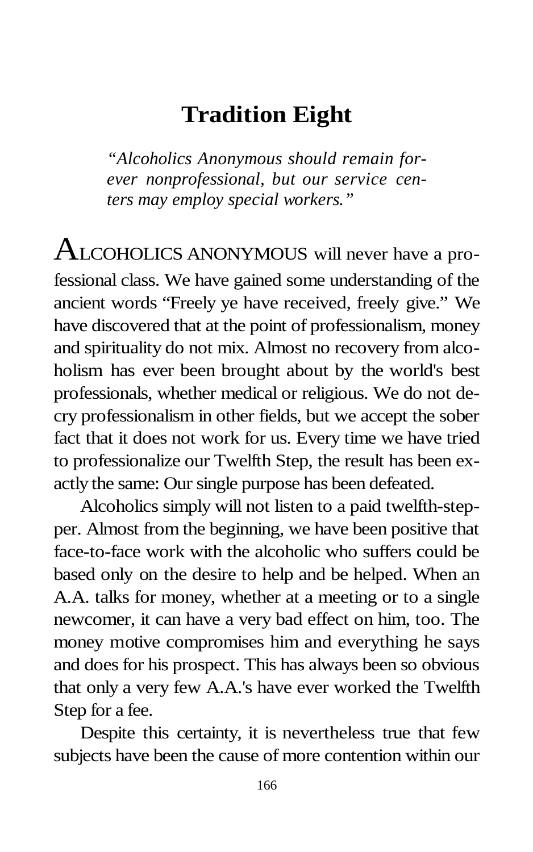# **Tradition Eight**

*"Alcoholics Anonymous should remain forever nonprofessional, but our service centers may employ special workers."*

ALCOHOLICS ANONYMOUS will never have a professional class. We have gained some understanding of the ancient words "Freely ye have received, freely give." We have discovered that at the point of professionalism, money and spirituality do not mix. Almost no recovery from alcoholism has ever been brought about by the world's best professionals, whether medical or religious. We do not decry professionalism in other fields, but we accept the sober fact that it does not work for us. Every time we have tried to professionalize our [Twelfth Step,](#page-105-0) the result has been exactly the same: Our single purpose has been defeated.

Alcoholics simply will not listen to a paid twelfth-stepper. Almost from the beginning, we have been positive that face-to-face work with the alcoholic who suffers could be based only on the desire to help and be helped. When an A.A. talks for money, whether at a meeting or to a single newcomer, it can have a very bad effect on him, too. The money motive compromises him and everything he says and does for his prospect. This has always been so obvious that only a very few A.A.'s have ever worked the [Twelfth](#page-105-0) [Step](#page-105-0) for a fee.

Despite this certainty, it is nevertheless true that few subjects have been the cause of more contention within our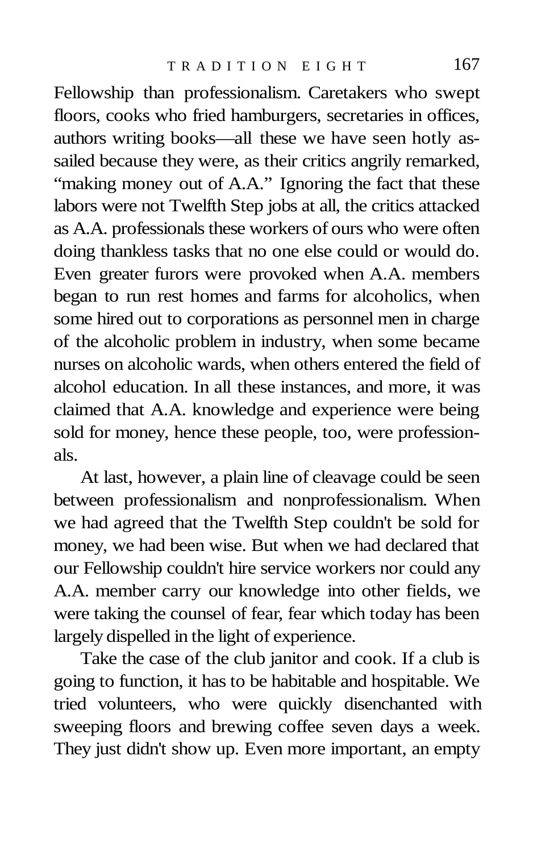Fellowship than professionalism. Caretakers who swept floors, cooks who fried hamburgers, secretaries in offices, authors writing books— all these we have seen hotly assailed because they were, as their critics angrily remarked, "making money out of A.A." Ignoring the fact that these labors were not [Twelfth Step](#page-105-0) jobs at all, the critics attacked as A.A. professionals these workers of ours who were often doing thankless tasks that no one else could or would do. Even greater furors were provoked when A.A. members began to run rest homes and farms for alcoholics, when some hired out to corporations as personnel men in charge of the alcoholic problem in industry, when some became nurses on alcoholic wards, when others entered the field of alcohol education. In all these instances, and more, it was claimed that A.A. knowledge and experience were being sold for money, hence these people, too, were professionals.

At last, however, a plain line of cleavage could be seen between professionalism and nonprofessionalism. When we had agreed that the [Twelfth Step](#page-105-0) couldn't be sold for money, we had been wise. But when we had declared that our Fellowship couldn't hire service workers nor could any A.A. member carry our knowledge into other fields, we were taking the counsel of fear, fear which today has been largely dispelled in the light of experience.

Take the case of the club janitor and cook. If a club is going to function, it has to be habitable and hospitable. We tried volunteers, who were quickly disenchanted with sweeping floors and brewing coffee seven days a week. They just didn't show up. Even more important, an empty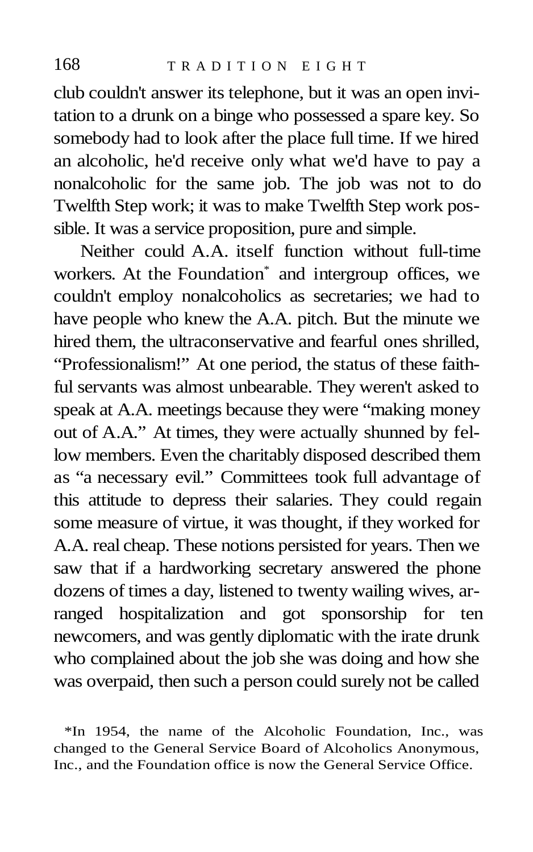club couldn't answer its telephone, but it was an open invitation to a drunk on a binge who possessed a spare key. So somebody had to look after the place full time. If we hired an alcoholic, he'd receive only what we'd have to pay a nonalcoholic for the same job. The job was not to do [Twelfth Step](#page-105-0) work; it was to make [Twelfth Step](#page-105-0) work possible. It was a service proposition, pure and simple.

Neither could A.A. itself function without full-time workers. At the Foundation<sup>\*</sup> and intergroup offices, we couldn't employ nonalcoholics as secretaries; we had to have people who knew the A.A. pitch. But the minute we hired them, the ultraconservative and fearful ones shrilled. "Professionalism!" At one period, the status of these faithful servants was almost unbearable. They weren't asked to speak at A.A. meetings because they were "making money out of A.A." At times, they were actually shunned by fellow members. Even the charitably disposed described them as "a necessary evil." Committees took full advantage of this attitude to depress their salaries. They could regain some measure of virtue, it was thought, if they worked for A.A. real cheap. These notions persisted for years. Then we saw that if a hardworking secretary answered the phone dozens of times a day, listened to twenty wailing wives, arranged hospitalization and got sponsorship for ten newcomers, and was gently diplomatic with the irate drunk who complained about the job she was doing and how she was overpaid, then such a person could surely not be called

\*In 1954, the name of the Alcoholic Foundation, Inc., was changed to the General Service Board of Alcoholics Anonymous, Inc., and the Foundation office is now the General Service Office.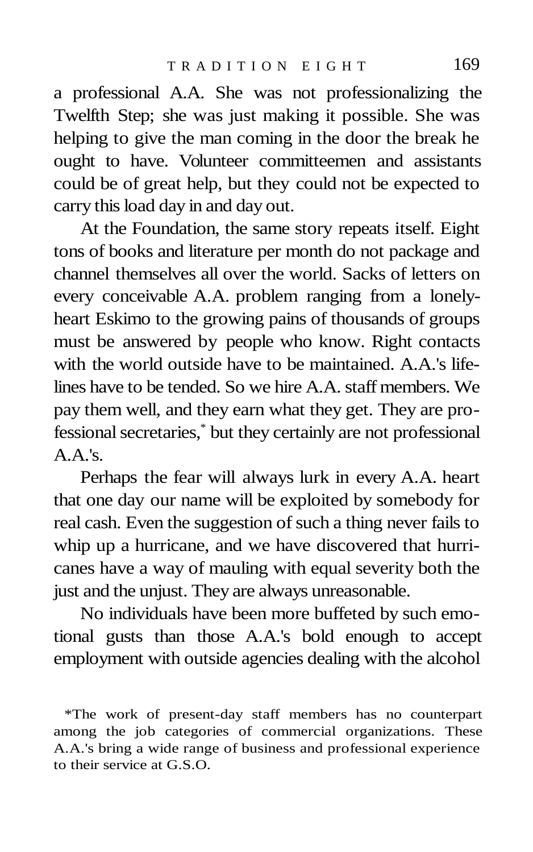a professional A.A. She was not professionalizing the [Twelfth Step;](#page-105-0) she was just making it possible. She was helping to give the man coming in the door the break he ought to have. Volunteer committeemen and assistants could be of great help, but they could not be expected to carry this load day in and day out.

At the Foundation, the same story repeats itself. Eight tons of books and literature per month do not package and channel themselves all over the world. Sacks of letters on every conceivable A.A. problem ranging from a lonelyheart Eskimo to the growing pains of thousands of groups must be answered by people who know. Right contacts with the world outside have to be maintained. A.A.'s lifelines have to be tended. So we hire A.A. staff members. We pay them well, and they earn what they get. They are professional secretaries,\* but they certainly are not professional A.A.'s.

Perhaps the fear will always lurk in every A.A. heart that one day our name will be exploited by somebody for real cash. Even the suggestion of such a thing never fails to whip up a hurricane, and we have discovered that hurricanes have a way of mauling with equal severity both the just and the unjust. They are always unreasonable.

No individuals have been more buffeted by such emotional gusts than those A.A.'s bold enough to accept employment with outside agencies dealing with the alcohol

<sup>\*</sup>The work of present-day staff members has no counterpart among the job categories of commercial organizations. These A.A.'s bring a wide range of business and professional experience to their service at G.S.O.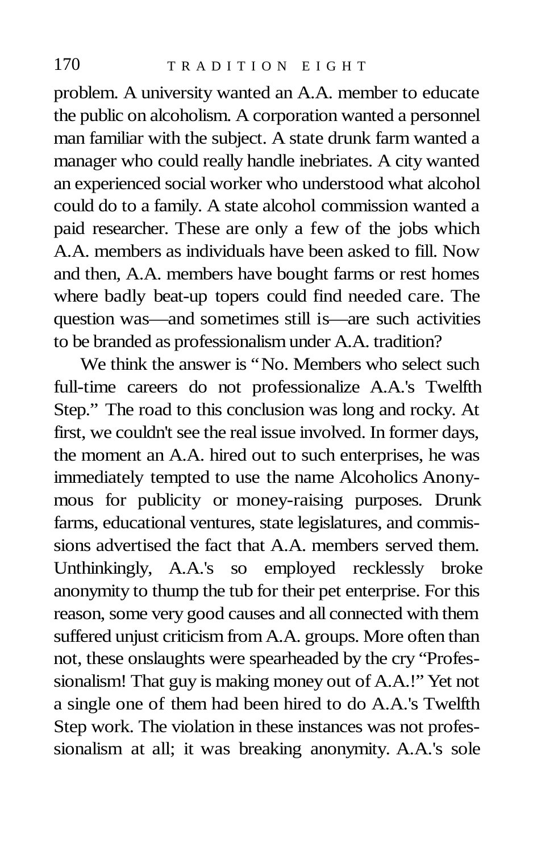problem. A university wanted an A.A. member to educate the public on alcoholism. A corporation wanted a personnel man familiar with the subject. A state drunk farm wanted a manager who could really handle inebriates. A city wanted an experienced social worker who understood what alcohol could do to a family. A state alcohol commission wanted a paid researcher. These are only a few of the jobs which A.A. members as individuals have been asked to fill. Now and then, A.A. members have bought farms or rest homes where badly beat-up topers could find needed care. The question was— and sometimes still is— are such activities to be branded as professionalism under A.A. tradition?

We think the answer is "No. Members who select such full-time careers do not professionalize A.A.'s [Twelfth](#page-105-0) [Step.](#page-105-0)" The road to this conclusion was long and rocky. At first, we couldn't see the real issue involved. In former days, the moment an A.A. hired out to such enterprises, he was immediately tempted to use the name Alcoholics Anonymous for publicity or money-raising purposes. Drunk farms, educational ventures, state legislatures, and commissions advertised the fact that A.A. members served them. Unthinkingly, A.A.'s so employed recklessly broke anonymity to thump the tub for their pet enterprise. For this reason, some very good causes and all connected with them suffered unjust criticism from A.A. groups. More often than not, these onslaughts were spearheaded by the cry "Professionalism! That guy is making money out of A.A.!" Yet not a single one of them had been hired to do A.A.'s [Twelfth](#page-105-0) [Step](#page-105-0) work. The violation in these instances was not professionalism at all; it was breaking anonymity. A.A.'s sole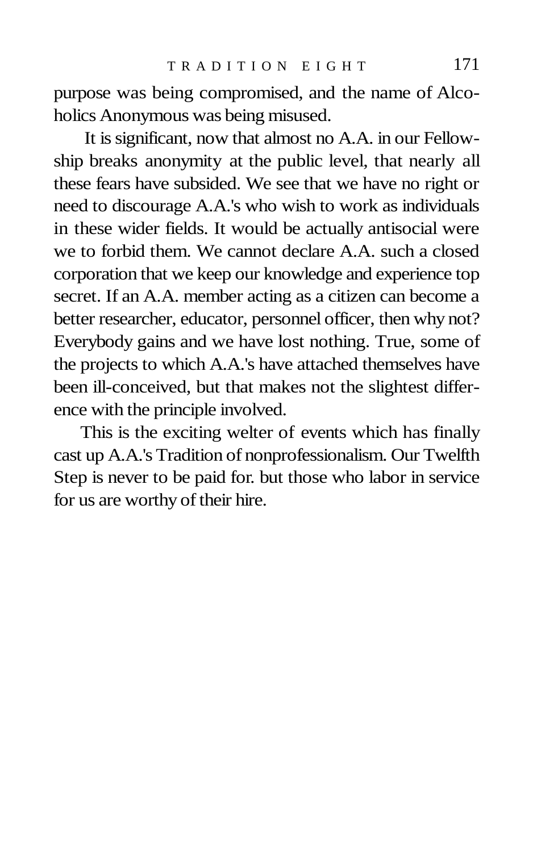purpose was being compromised, and the name of Alcoholics Anonymous was being misused.

 It is significant, now that almost no A.A. in our Fellowship breaks anonymity at the public level, that nearly all these fears have subsided. We see that we have no right or need to discourage A.A.'s who wish to work as individuals in these wider fields. It would be actually antisocial were we to forbid them. We cannot declare A.A. such a closed corporation that we keep our knowledge and experience top secret. If an A.A. member acting as a citizen can become a better researcher, educator, personnel officer, then why not? Everybody gains and we have lost nothing. True, some of the projects to which A.A.'s have attached themselves have been ill-conceived, but that makes not the slightest difference with the principle involved.

This is the exciting welter of events which has finally cast up A.A.'s Tradition of nonprofessionalism. Our [Twelfth](#page-105-0) [Step](#page-105-0) is never to be paid for. but those who labor in service for us are worthy of their hire.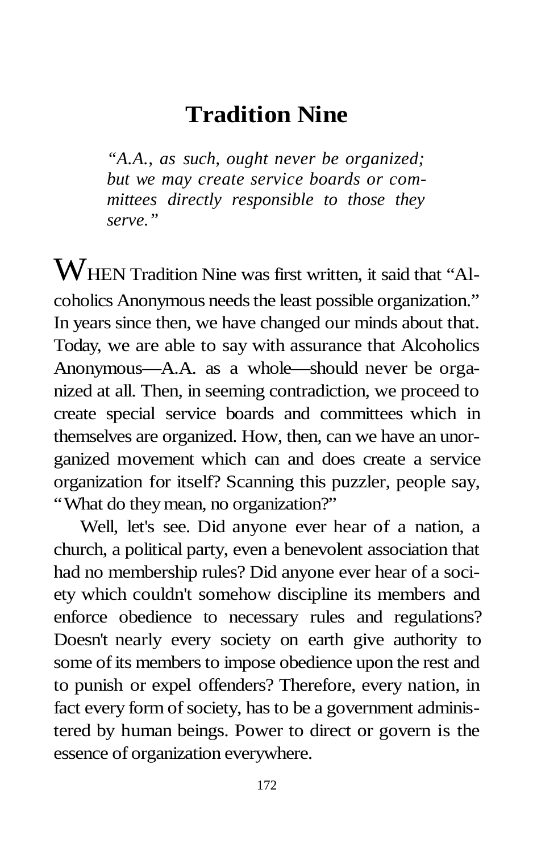### **Tradition Nine**

*"A.A., as such, ought never be organized; but we may create service boards or committees directly responsible to those they serve."*

 $\operatorname{W}\nolimits_{\text{HEN}}$  Tradition Nine was first written, it said that "Alcoholics Anonymous needs the least possible organization." In years since then, we have changed our minds about that. Today, we are able to say with assurance that Alcoholics Anonymous— A.A. as a whole— should never be organized at all. Then, in seeming contradiction, we proceed to create special service boards and committees which in themselves are organized. How, then, can we have an unorganized movement which can and does create a service organization for itself? Scanning this puzzler, people say, "What do they mean, no organization?"

Well, let's see. Did anyone ever hear of a nation, a church, a political party, even a benevolent association that had no membership rules? Did anyone ever hear of a society which couldn't somehow discipline its members and enforce obedience to necessary rules and regulations? Doesn't nearly every society on earth give authority to some of its members to impose obedience upon the rest and to punish or expel offenders? Therefore, every nation, in fact every form of society, has to be a government administered by human beings. Power to direct or govern is the essence of organization everywhere.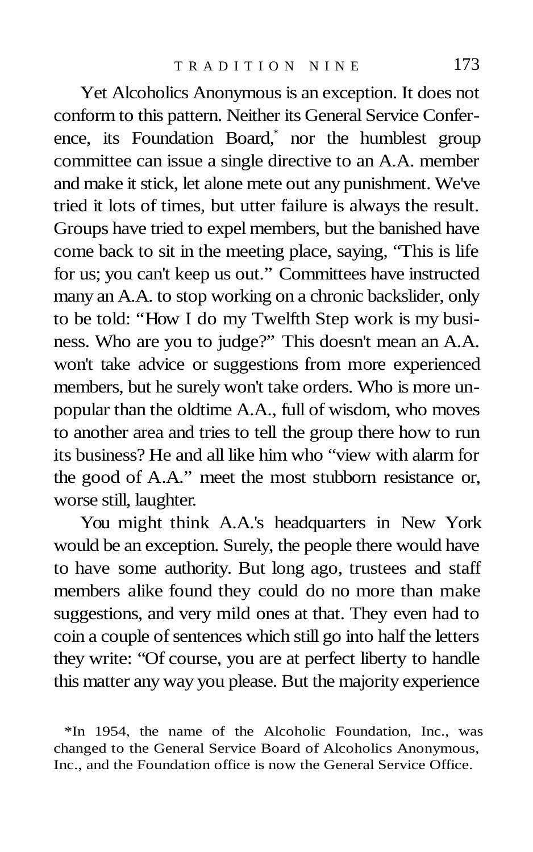Yet Alcoholics Anonymous is an exception. It does not conform to this pattern. Neither its General Service Conference, its Foundation Board,\* nor the humblest group committee can issue a single directive to an A.A. member and make it stick, let alone mete out any punishment. We've tried it lots of times, but utter failure is always the result. Groups have tried to expel members, but the banished have come back to sit in the meeting place, saying, "This is life for us; you can't keep us out." Committees have instructed many an A.A. to stop working on a chronic backslider, only to be told: "How I do my [Twelfth Step](#page-105-0) work is my business. Who are you to judge?" This doesn't mean an A.A. won't take advice or suggestions from more experienced members, but he surely won't take orders. Who is more unpopular than the oldtime A.A., full of wisdom, who moves to another area and tries to tell the group there how to run its business? He and all like him who "view with alarm for the good of A.A." meet the most stubborn resistance or, worse still, laughter.

You might think A.A.'s headquarters in New York would be an exception. Surely, the people there would have to have some authority. But long ago, trustees and staff members alike found they could do no more than make suggestions, and very mild ones at that. They even had to coin a couple of sentences which still go into half the letters they write: "Of course, you are at perfect liberty to handle this matter any way you please. But the majority experience

\*In 1954, the name of the Alcoholic Foundation, Inc., was changed to the General Service Board of Alcoholics Anonymous, Inc., and the Foundation office is now the General Service Office.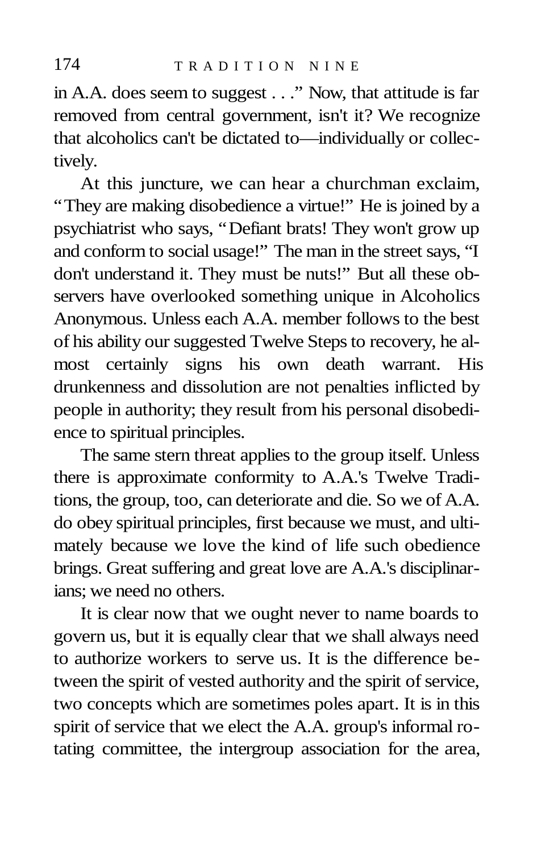in A.A. does seem to suggest . . ." Now, that attitude is far removed from central government, isn't it? We recognize that alcoholics can't be dictated to— individually or collectively.

At this juncture, we can hear a churchman exclaim, "They are making disobedience a virtue!" He is joined by a psychiatrist who says, "Defiant brats! They won't grow up and conform to social usage!" The man in the street says, "I don't understand it. They must be nuts!" But all these observers have overlooked something unique in Alcoholics Anonymous. Unless each A.A. member follows to the best of his ability our suggested Twelve Steps to recovery, he almost certainly signs his own death warrant. His drunkenness and dissolution are not penalties inflicted by people in authority; they result from his personal disobedience to spiritual principles.

The same stern threat applies to the group itself. Unless there is approximate conformity to A.A.'s Twelve Traditions, the group, too, can deteriorate and die. So we of A.A. do obey spiritual principles, first because we must, and ultimately because we love the kind of life such obedience brings. Great suffering and great love are A.A.'s disciplinarians; we need no others.

It is clear now that we ought never to name boards to govern us, but it is equally clear that we shall always need to authorize workers to serve us. It is the difference between the spirit of vested authority and the spirit of service, two concepts which are sometimes poles apart. It is in this spirit of service that we elect the A.A. group's informal rotating committee, the intergroup association for the area,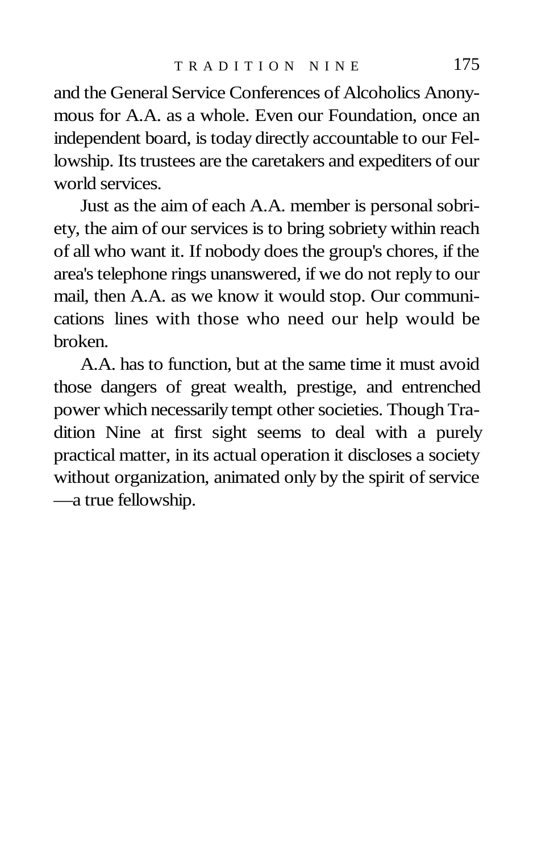and the General Service Conferences of Alcoholics Anonymous for A.A. as a whole. Even our Foundation, once an independent board, is today directly accountable to our Fellowship. Its trustees are the caretakers and expediters of our world services.

Just as the aim of each A.A. member is personal sobriety, the aim of our services is to bring sobriety within reach of all who want it. If nobody does the group's chores, if the area's telephone rings unanswered, if we do not reply to our mail, then A.A. as we know it would stop. Our communications lines with those who need our help would be broken.

A.A. has to function, but at the same time it must avoid those dangers of great wealth, prestige, and entrenched power which necessarily tempt other societies. Though Tradition Nine at first sight seems to deal with a purely practical matter, in its actual operation it discloses a society without organization, animated only by the spirit of service — a true fellowship.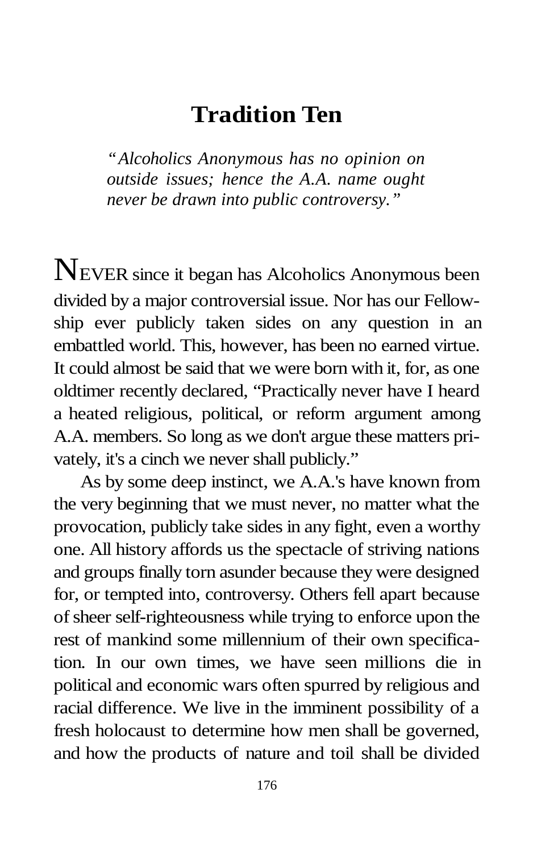## **Tradition Ten**

*"Alcoholics Anonymous has no opinion on outside issues; hence the A.A. name ought never be drawn into public controversy."*

NEVER since it began has Alcoholics Anonymous been divided by a major controversial issue. Nor has our Fellowship ever publicly taken sides on any question in an embattled world. This, however, has been no earned virtue. It could almost be said that we were born with it, for, as one oldtimer recently declared, "Practically never have I heard a heated religious, political, or reform argument among A.A. members. So long as we don't argue these matters privately, it's a cinch we never shall publicly."

As by some deep instinct, we A.A.'s have known from the very beginning that we must never, no matter what the provocation, publicly take sides in any fight, even a worthy one. All history affords us the spectacle of striving nations and groups finally torn asunder because they were designed for, or tempted into, controversy. Others fell apart because of sheer self-righteousness while trying to enforce upon the rest of mankind some millennium of their own specification. In our own times, we have seen millions die in political and economic wars often spurred by religious and racial difference. We live in the imminent possibility of a fresh holocaust to determine how men shall be governed, and how the products of nature and toil shall be divided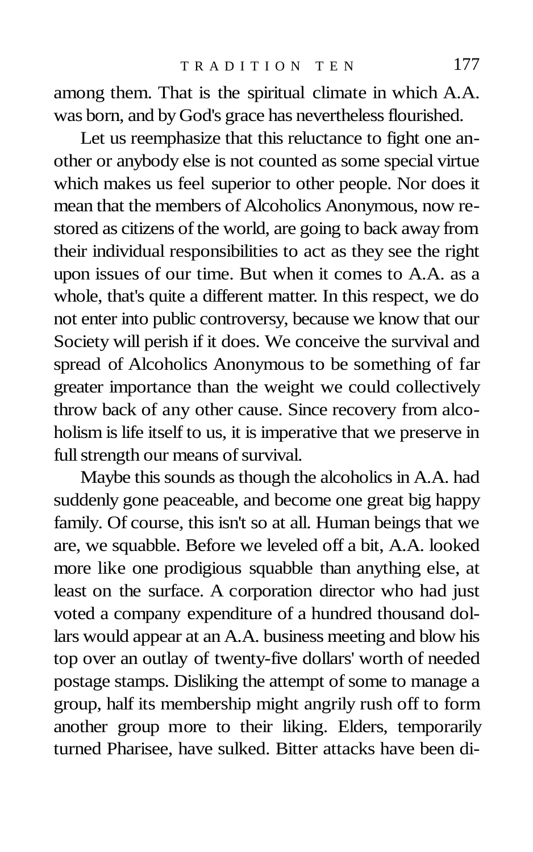among them. That is the spiritual climate in which A.A. was born, and by God's grace has nevertheless flourished.

Let us reemphasize that this reluctance to fight one another or anybody else is not counted as some special virtue which makes us feel superior to other people. Nor does it mean that the members of Alcoholics Anonymous, now restored as citizens of the world, are going to back away from their individual responsibilities to act as they see the right upon issues of our time. But when it comes to A.A. as a whole, that's quite a different matter. In this respect, we do not enter into public controversy, because we know that our Society will perish if it does. We conceive the survival and spread of Alcoholics Anonymous to be something of far greater importance than the weight we could collectively throw back of any other cause. Since recovery from alcoholism is life itself to us, it is imperative that we preserve in full strength our means of survival.

Maybe this sounds as though the alcoholics in A.A. had suddenly gone peaceable, and become one great big happy family. Of course, this isn't so at all. Human beings that we are, we squabble. Before we leveled off a bit, A.A. looked more like one prodigious squabble than anything else, at least on the surface. A corporation director who had just voted a company expenditure of a hundred thousand dollars would appear at an A.A. business meeting and blow his top over an outlay of twenty-five dollars' worth of needed postage stamps. Disliking the attempt of some to manage a group, half its membership might angrily rush off to form another group more to their liking. Elders, temporarily turned Pharisee, have sulked. Bitter attacks have been di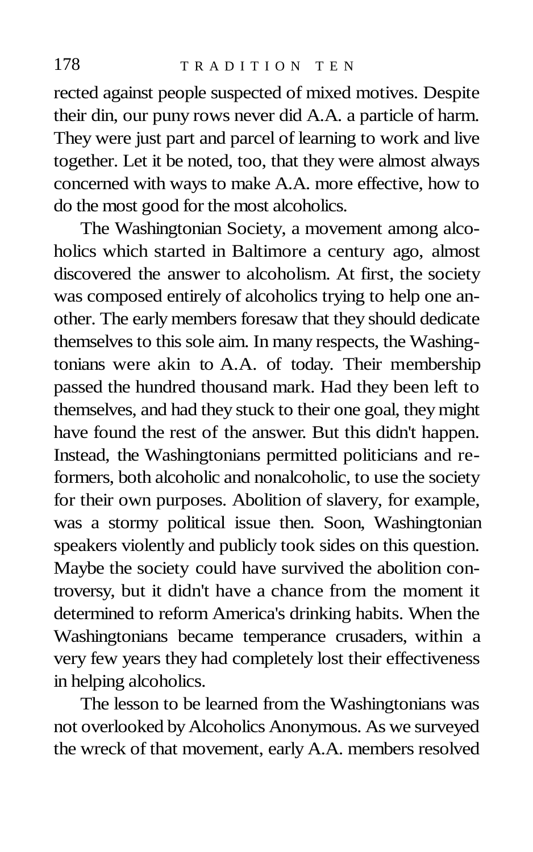rected against people suspected of mixed motives. Despite their din, our puny rows never did A.A. a particle of harm. They were just part and parcel of learning to work and live together. Let it be noted, too, that they were almost always concerned with ways to make A.A. more effective, how to do the most good for the most alcoholics.

The Washingtonian Society, a movement among alcoholics which started in Baltimore a century ago, almost discovered the answer to alcoholism. At first, the society was composed entirely of alcoholics trying to help one another. The early members foresaw that they should dedicate themselves to this sole aim. In many respects, the Washingtonians were akin to A.A. of today. Their membership passed the hundred thousand mark. Had they been left to themselves, and had they stuck to their one goal, they might have found the rest of the answer. But this didn't happen. Instead, the Washingtonians permitted politicians and reformers, both alcoholic and nonalcoholic, to use the society for their own purposes. Abolition of slavery, for example, was a stormy political issue then. Soon, Washingtonian speakers violently and publicly took sides on this question. Maybe the society could have survived the abolition controversy, but it didn't have a chance from the moment it determined to reform America's drinking habits. When the Washingtonians became temperance crusaders, within a very few years they had completely lost their effectiveness in helping alcoholics.

The lesson to be learned from the Washingtonians was not overlooked by Alcoholics Anonymous. As we surveyed the wreck of that movement, early A.A. members resolved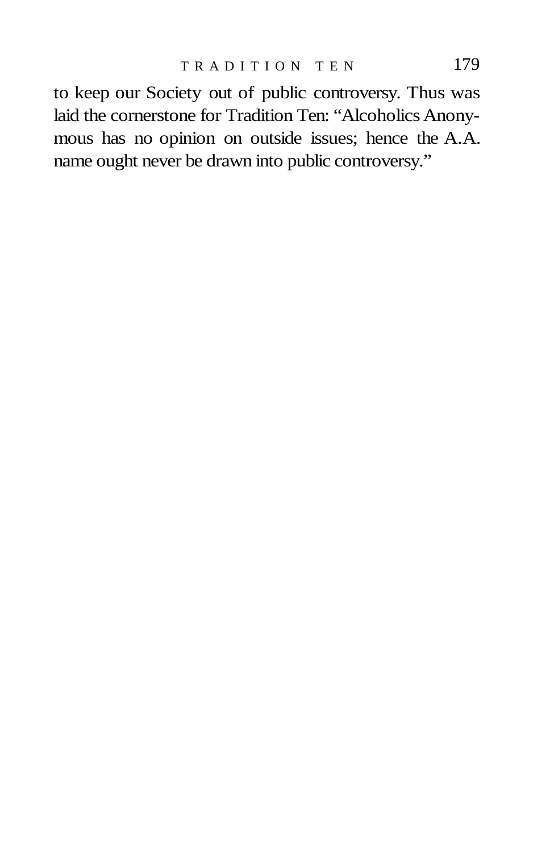to keep our Society out of public controversy. Thus was laid the cornerstone for Tradition Ten: "Alcoholics Anonymous has no opinion on outside issues; hence the A.A. name ought never be drawn into public controversy."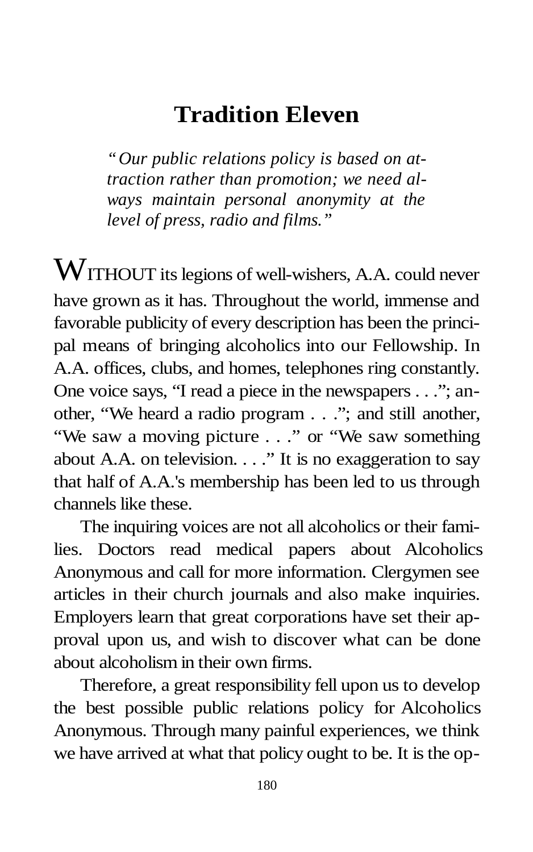## **Tradition Eleven**

*"Our public relations policy is based on attraction rather than promotion; we need always maintain personal anonymity at the level of press, radio and films."*

WITHOUT its legions of well-wishers, A.A. could never have grown as it has. Throughout the world, immense and favorable publicity of every description has been the principal means of bringing alcoholics into our Fellowship. In A.A. offices, clubs, and homes, telephones ring constantly. One voice says, "I read a piece in the newspapers . . ."; another, "We heard a radio program . . ."; and still another, "We saw a moving picture . . ." or "We saw something about A.A. on television. . . ." It is no exaggeration to say that half of A.A.'s membership has been led to us through channels like these.

The inquiring voices are not all alcoholics or their families. Doctors read medical papers about Alcoholics Anonymous and call for more information. Clergymen see articles in their church journals and also make inquiries. Employers learn that great corporations have set their approval upon us, and wish to discover what can be done about alcoholism in their own firms.

Therefore, a great responsibility fell upon us to develop the best possible public relations policy for Alcoholics Anonymous. Through many painful experiences, we think we have arrived at what that policy ought to be. It is the op-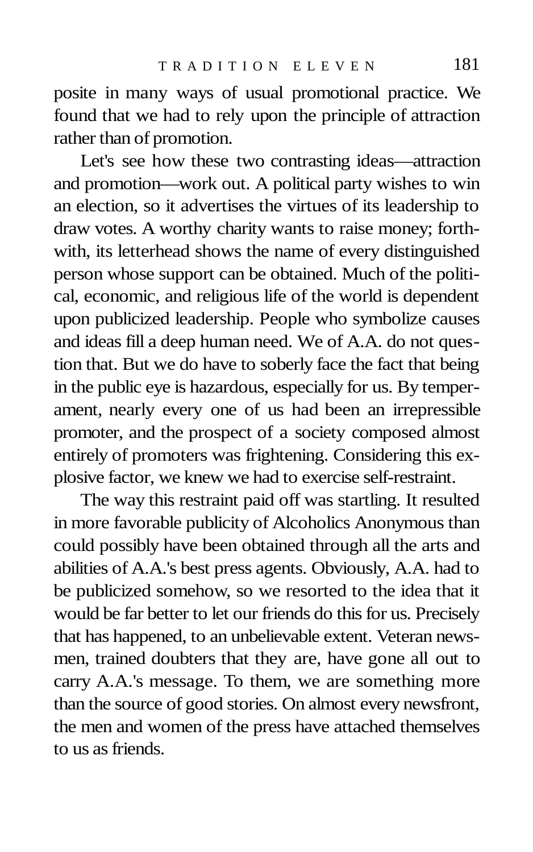posite in many ways of usual promotional practice. We found that we had to rely upon the principle of attraction rather than of promotion.

Let's see how these two contrasting ideas— attraction and promotion— work out. A political party wishes to win an election, so it advertises the virtues of its leadership to draw votes. A worthy charity wants to raise money; forthwith, its letterhead shows the name of every distinguished person whose support can be obtained. Much of the political, economic, and religious life of the world is dependent upon publicized leadership. People who symbolize causes and ideas fill a deep human need. We of A.A. do not question that. But we do have to soberly face the fact that being in the public eye is hazardous, especially for us. By temperament, nearly every one of us had been an irrepressible promoter, and the prospect of a society composed almost entirely of promoters was frightening. Considering this explosive factor, we knew we had to exercise self-restraint.

The way this restraint paid off was startling. It resulted in more favorable publicity of Alcoholics Anonymous than could possibly have been obtained through all the arts and abilities of A.A.'s best press agents. Obviously, A.A. had to be publicized somehow, so we resorted to the idea that it would be far better to let our friends do this for us. Precisely that has happened, to an unbelievable extent. Veteran newsmen, trained doubters that they are, have gone all out to carry A.A.'s message. To them, we are something more than the source of good stories. On almost every newsfront, the men and women of the press have attached themselves to us as friends.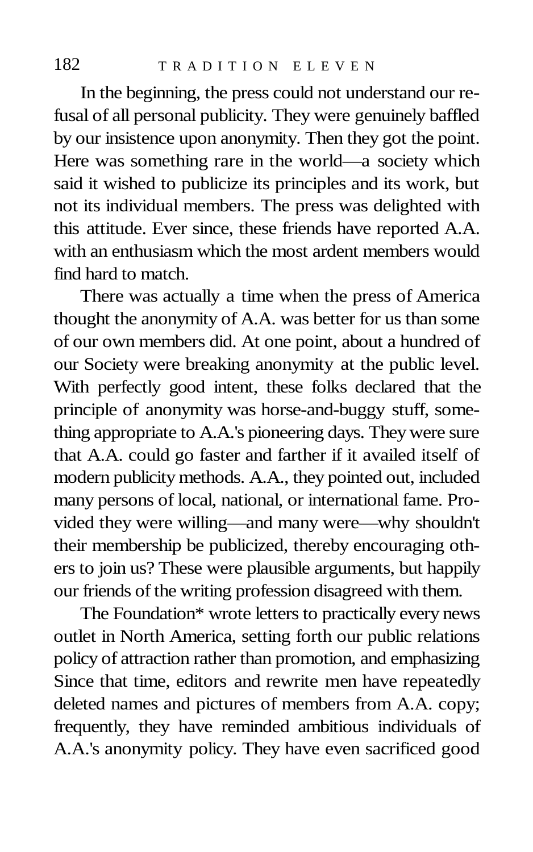In the beginning, the press could not understand our refusal of all personal publicity. They were genuinely baffled by our insistence upon anonymity. Then they got the point. Here was something rare in the world—a society which said it wished to publicize its principles and its work, but not its individual members. The press was delighted with this attitude. Ever since, these friends have reported A.A. with an enthusiasm which the most ardent members would find hard to match.

There was actually a time when the press of America thought the anonymity of A.A. was better for us than some of our own members did. At one point, about a hundred of our Society were breaking anonymity at the public level. With perfectly good intent, these folks declared that the principle of anonymity was horse-and-buggy stuff, something appropriate to A.A.'s pioneering days. They were sure that A.A. could go faster and farther if it availed itself of modern publicity methods. A.A., they pointed out, included many persons of local, national, or international fame. Provided they were willing— and many were— why shouldn't their membership be publicized, thereby encouraging others to join us? These were plausible arguments, but happily our friends of the writing profession disagreed with them.

The Foundation\* wrote letters to practically every news outlet in North America, setting forth our public relations policy of attraction rather than promotion, and emphasizing Since that time, editors and rewrite men have repeatedly deleted names and pictures of members from A.A. copy; frequently, they have reminded ambitious individuals of A.A.'s anonymity policy. They have even sacrificed good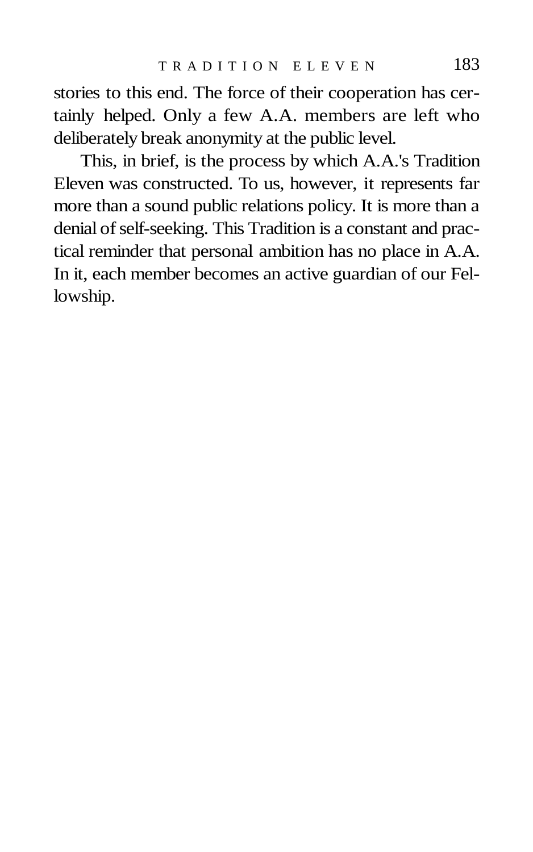stories to this end. The force of their cooperation has certainly helped. Only a few A.A. members are left who deliberately break anonymity at the public level.

This, in brief, is the process by which A.A.'s Tradition Eleven was constructed. To us, however, it represents far more than a sound public relations policy. It is more than a denial of self-seeking. This Tradition is a constant and practical reminder that personal ambition has no place in A.A. In it, each member becomes an active guardian of our Fellowship.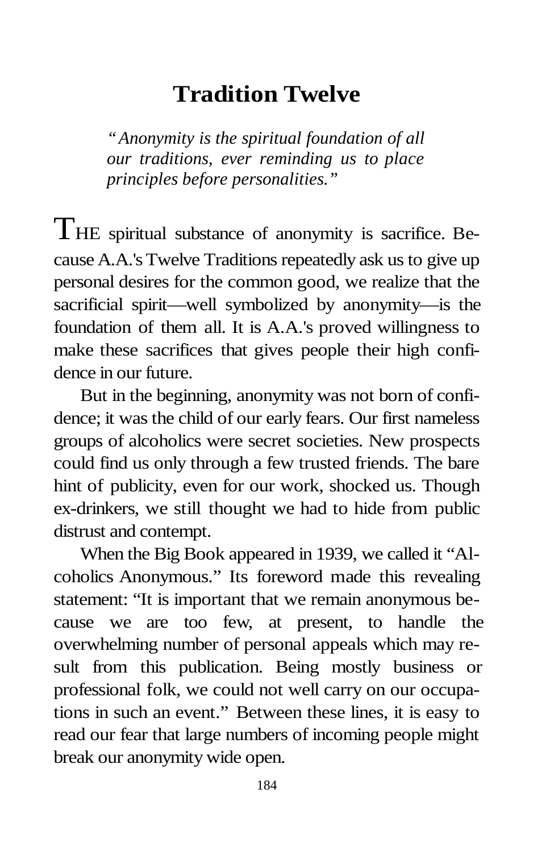## **Tradition Twelve**

<span id="page-183-0"></span>*"Anonymity is the spiritual foundation of all our traditions, ever reminding us to place principles before personalities."*

THE spiritual substance of anonymity is sacrifice. Because A.A.'s Twelve Traditions repeatedly ask us to give up personal desires for the common good, we realize that the sacrificial spirit—well symbolized by anonymity—is the foundation of them all. It is A.A.'s proved willingness to make these sacrifices that gives people their high confidence in our future.

But in the beginning, anonymity was not born of confidence; it was the child of our early fears. Our first nameless groups of alcoholics were secret societies. New prospects could find us only through a few trusted friends. The bare hint of publicity, even for our work, shocked us. Though ex-drinkers, we still thought we had to hide from public distrust and contempt.

When the Big Book appeared in 1939, we called it "Alcoholics Anonymous." Its foreword made this revealing statement: "It is important that we remain anonymous because we are too few, at present, to handle the overwhelming number of personal appeals which may result from this publication. Being mostly business or professional folk, we could not well carry on our occupations in such an event." Between these lines, it is easy to read our fear that large numbers of incoming people might break our anonymity wide open.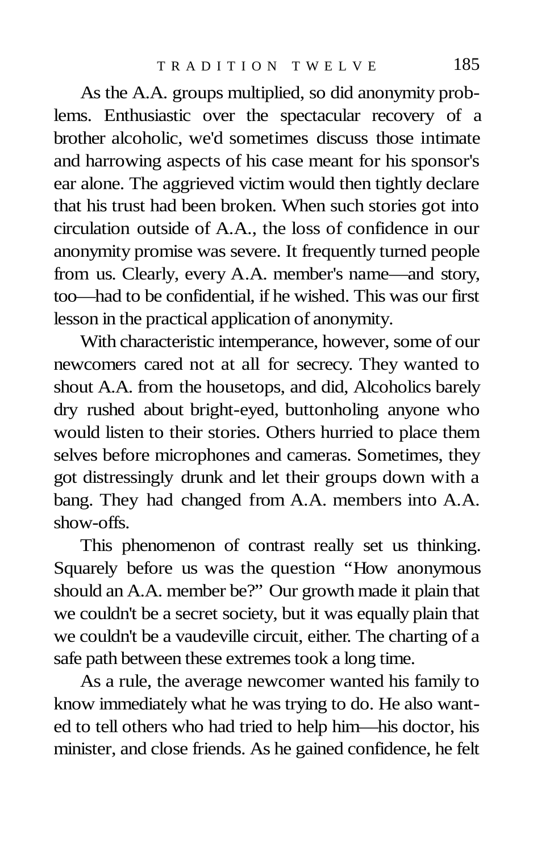As the A.A. groups multiplied, so did anonymity problems. Enthusiastic over the spectacular recovery of a brother alcoholic, we'd sometimes discuss those intimate and harrowing aspects of his case meant for his sponsor's ear alone. The aggrieved victim would then tightly declare that his trust had been broken. When such stories got into circulation outside of A.A., the loss of confidence in our anonymity promise was severe. It frequently turned people from us. Clearly, every A.A. member's name— and story, too— had to be confidential, if he wished. This was our first lesson in the practical application of anonymity.

With characteristic intemperance, however, some of our newcomers cared not at all for secrecy. They wanted to shout A.A. from the housetops, and did, Alcoholics barely dry rushed about bright-eyed, buttonholing anyone who would listen to their stories. Others hurried to place them selves before microphones and cameras. Sometimes, they got distressingly drunk and let their groups down with a bang. They had changed from A.A. members into A.A. show-offs.

This phenomenon of contrast really set us thinking. Squarely before us was the question "How anonymous should an A.A. member be?" Our growth made it plain that we couldn't be a secret society, but it was equally plain that we couldn't be a vaudeville circuit, either. The charting of a safe path between these extremes took a long time.

As a rule, the average newcomer wanted his family to know immediately what he was trying to do. He also wanted to tell others who had tried to help him— his doctor, his minister, and close friends. As he gained confidence, he felt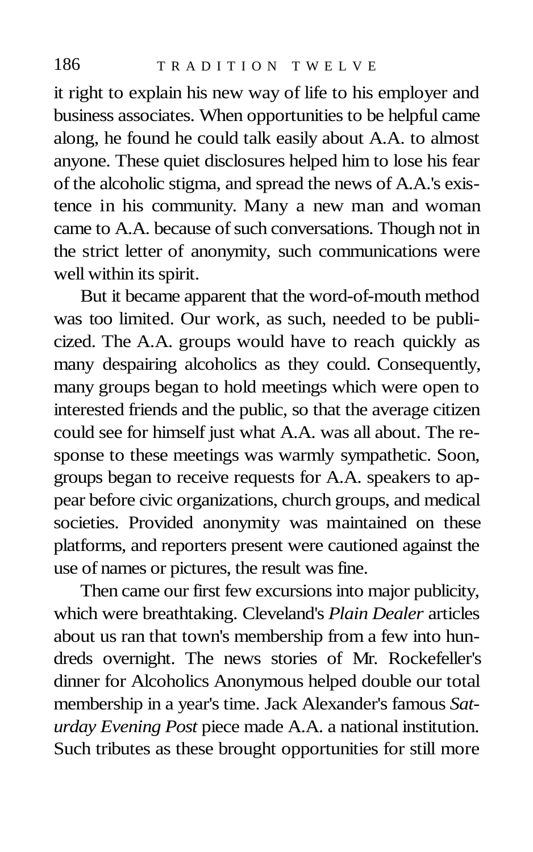it right to explain his new way of life to his employer and business associates. When opportunities to be helpful came along, he found he could talk easily about A.A. to almost anyone. These quiet disclosures helped him to lose his fear of the alcoholic stigma, and spread the news of A.A.'s existence in his community. Many a new man and woman came to A.A. because of such conversations. Though not in the strict letter of anonymity, such communications were well within its spirit.

But it became apparent that the word-of-mouth method was too limited. Our work, as such, needed to be publicized. The A.A. groups would have to reach quickly as many despairing alcoholics as they could. Consequently, many groups began to hold meetings which were open to interested friends and the public, so that the average citizen could see for himself just what A.A. was all about. The response to these meetings was warmly sympathetic. Soon, groups began to receive requests for A.A. speakers to appear before civic organizations, church groups, and medical societies. Provided anonymity was maintained on these platforms, and reporters present were cautioned against the use of names or pictures, the result was fine.

Then came our first few excursions into major publicity, which were breathtaking. Cleveland's *Plain Dealer* articles about us ran that town's membership from a few into hundreds overnight. The news stories of Mr. Rockefeller's dinner for Alcoholics Anonymous helped double our total membership in a year's time. Jack Alexander's famous *Saturday Evening Post* piece made A.A. a national institution. Such tributes as these brought opportunities for still more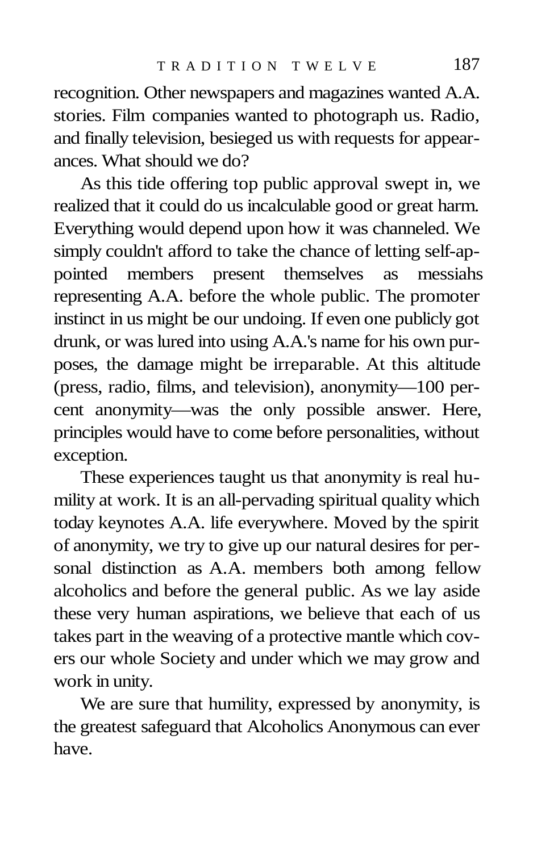recognition. Other newspapers and magazines wanted A.A. stories. Film companies wanted to photograph us. Radio, and finally television, besieged us with requests for appearances. What should we do?

As this tide offering top public approval swept in, we realized that it could do us incalculable good or great harm. Everything would depend upon how it was channeled. We simply couldn't afford to take the chance of letting self-appointed members present themselves as messiahs representing A.A. before the whole public. The promoter instinct in us might be our undoing. If even one publicly got drunk, or was lured into using A.A.'s name for his own purposes, the damage might be irreparable. At this altitude (press, radio, films, and television), anonymity— 100 percent anonymity— was the only possible answer. Here, principles would have to come before personalities, without exception.

These experiences taught us that anonymity is real humility at work. It is an all-pervading spiritual quality which today keynotes A.A. life everywhere. Moved by the spirit of anonymity, we try to give up our natural desires for personal distinction as A.A. members both among fellow alcoholics and before the general public. As we lay aside these very human aspirations, we believe that each of us takes part in the weaving of a protective mantle which covers our whole Society and under which we may grow and work in unity.

We are sure that humility, expressed by anonymity, is the greatest safeguard that Alcoholics Anonymous can ever have.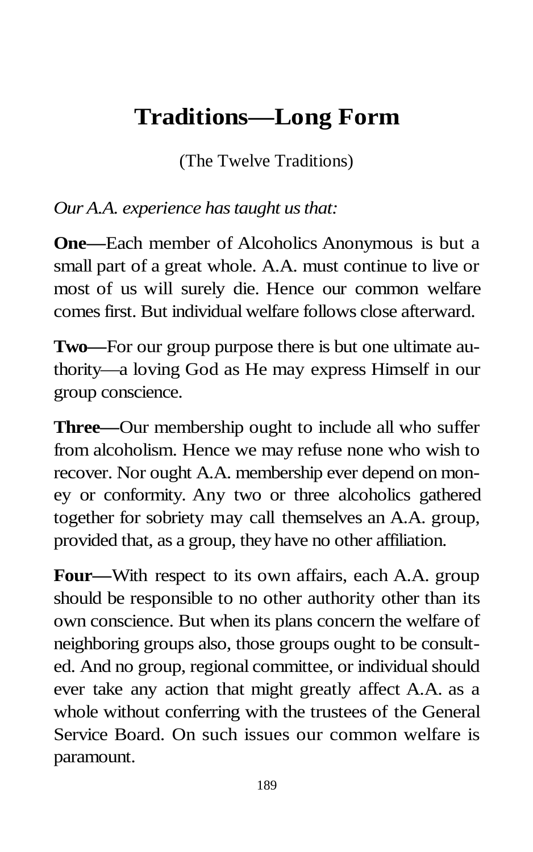## **Traditions— Long Form**

(The Twelve Traditions)

*Our A.A. experience has taught us that:*

**[One—](#page-128-0)Each member of Alcoholics Anonymous is but a** small part of a great whole. A.A. must continue to live or most of us will surely die. Hence our common welfare comes first. But individual welfare follows close afterward.

**[Two—](#page-131-0)** For our group purpose there is but one ultimate authority— a loving God as He may express Himself in our group conscience.

**[Three—](#page-138-0)Our** membership ought to include all who suffer from alcoholism. Hence we may refuse none who wish to recover. Nor ought A.A. membership ever depend on money or conformity. Any two or three alcoholics gathered together for sobriety may call themselves an A.A. group, provided that, as a group, they have no other affiliation.

**[Four—](#page-145-0)** With respect to its own affairs, each A.A. group should be responsible to no other authority other than its own conscience. But when its plans concern the welfare of neighboring groups also, those groups ought to be consulted. And no group, regional committee, or individual should ever take any action that might greatly affect A.A. as a whole without conferring with the trustees of the General Service Board. On such issues our common welfare is paramount.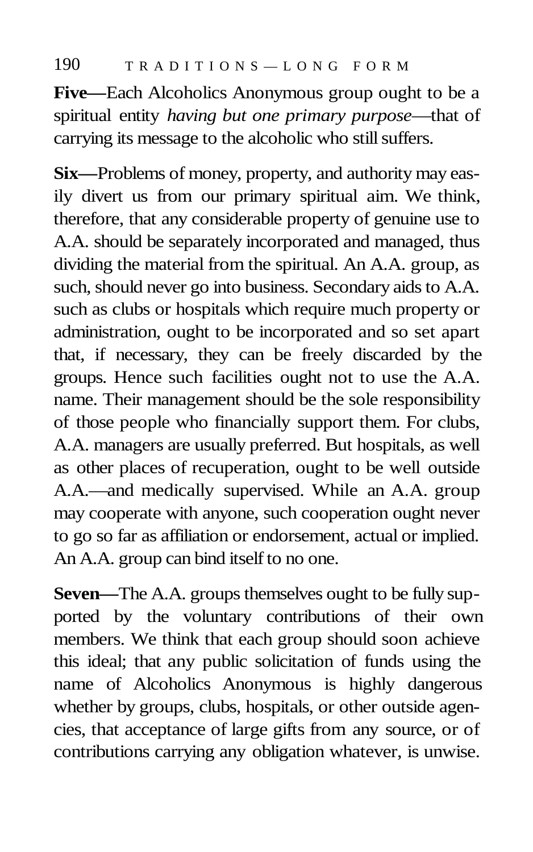## 190 TRADITIONS — LONG FOR M

[Five—](#page-149-0)Each Alcoholics Anonymous group ought to be a spiritual entity *having but one primary purpose*— that of carrying its message to the alcoholic who still suffers.

**[Six—](#page-154-0)** Problems of money, property, and authority may easily divert us from our primary spiritual aim. We think, therefore, that any considerable property of genuine use to A.A. should be separately incorporated and managed, thus dividing the material from the spiritual. An A.A. group, as such, should never go into business. Secondary aids to A.A. such as clubs or hospitals which require much property or administration, ought to be incorporated and so set apart that, if necessary, they can be freely discarded by the groups. Hence such facilities ought not to use the A.A. name. Their management should be the sole responsibility of those people who financially support them. For clubs, A.A. managers are usually preferred. But hospitals, as well as other places of recuperation, ought to be well outside A.A.— and medically supervised. While an A.A. group may cooperate with anyone, such cooperation ought never to go so far as affiliation or endorsement, actual or implied. An A.A. group can bind itself to no one.

**[Seven—](#page-159-0)The A.A. groups themselves ought to be fully sup**ported by the voluntary contributions of their own members. We think that each group should soon achieve this ideal; that any public solicitation of funds using the name of Alcoholics Anonymous is highly dangerous whether by groups, clubs, hospitals, or other outside agencies, that acceptance of large gifts from any source, or of contributions carrying any obligation whatever, is unwise.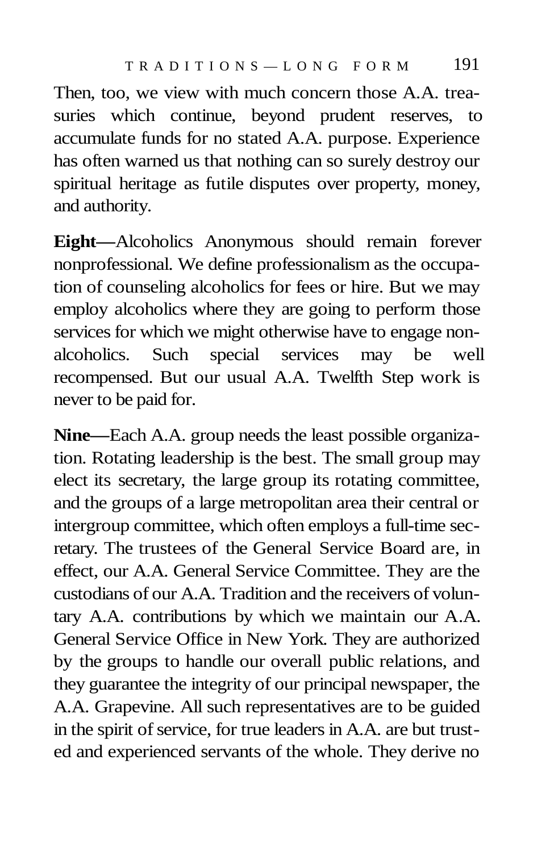Then, too, we view with much concern those A.A. treasuries which continue, beyond prudent reserves, to accumulate funds for no stated A.A. purpose. Experience has often warned us that nothing can so surely destroy our spiritual heritage as futile disputes over property, money, and authority.

**[Eight—](#page-165-0)** Alcoholics Anonymous should remain forever nonprofessional. We define professionalism as the occupation of counseling alcoholics for fees or hire. But we may employ alcoholics where they are going to perform those services for which we might otherwise have to engage nonalcoholics. Such special services may be well recompensed. But our usual A.A. [Twelfth Step](#page-105-0) work is never to be paid for.

[Nine—](#page-171-0)Each A.A. group needs the least possible organization. Rotating leadership is the best. The small group may elect its secretary, the large group its rotating committee, and the groups of a large metropolitan area their central or intergroup committee, which often employs a full-time secretary. The trustees of the General Service Board are, in effect, our A.A. General Service Committee. They are the custodians of our A.A. Tradition and the receivers of voluntary A.A. contributions by which we maintain our A.A. General Service Office in New York. They are authorized by the groups to handle our overall public relations, and they guarantee the integrity of our principal newspaper, the A.A. Grapevine. All such representatives are to be guided in the spirit of service, for true leaders in A.A. are but trusted and experienced servants of the whole. They derive no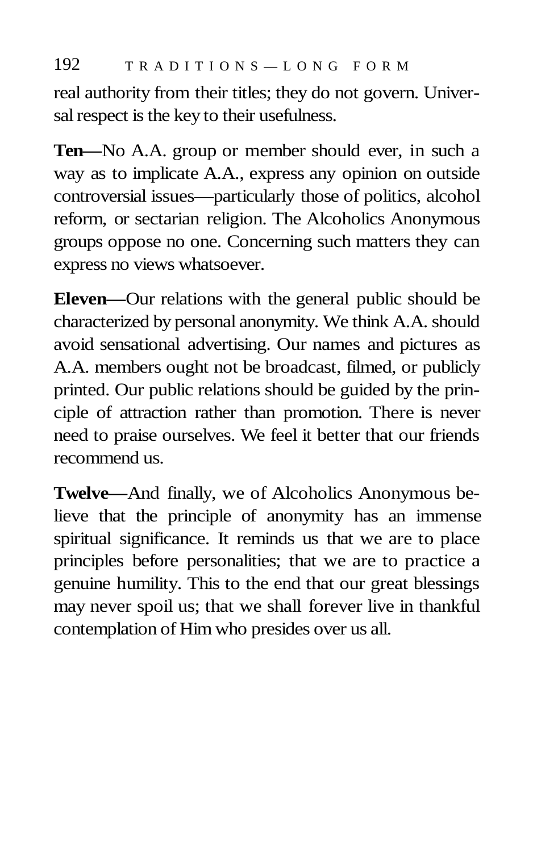## 192 TRADITIONS — LONG FOR M

real authority from their titles; they do not govern. Universal respect is the key to their usefulness.

**[Ten—](#page-175-0)** No A.A. group or member should ever, in such a way as to implicate A.A., express any opinion on outside controversial issues— particularly those of politics, alcohol reform, or sectarian religion. The Alcoholics Anonymous groups oppose no one. Concerning such matters they can express no views whatsoever.

**[Eleven—](#page-179-0)Our relations with the general public should be** characterized by personal anonymity. We think A.A. should avoid sensational advertising. Our names and pictures as A.A. members ought not be broadcast, filmed, or publicly printed. Our public relations should be guided by the principle of attraction rather than promotion. There is never need to praise ourselves. We feel it better that our friends recommend us.

**[Twelve—](#page-183-0)** And finally, we of Alcoholics Anonymous believe that the principle of anonymity has an immense spiritual significance. It reminds us that we are to place principles before personalities; that we are to practice a genuine humility. This to the end that our great blessings may never spoil us; that we shall forever live in thankful contemplation of Him who presides over us all.